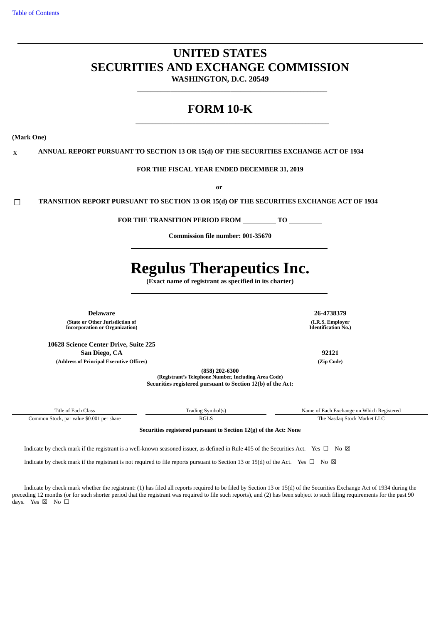## **UNITED STATES SECURITIES AND EXCHANGE COMMISSION**

**WASHINGTON, D.C. 20549**  $\frac{1}{2}$  ,  $\frac{1}{2}$  ,  $\frac{1}{2}$  ,  $\frac{1}{2}$  ,  $\frac{1}{2}$  ,  $\frac{1}{2}$  ,  $\frac{1}{2}$  ,  $\frac{1}{2}$  ,  $\frac{1}{2}$  ,  $\frac{1}{2}$  ,  $\frac{1}{2}$  ,  $\frac{1}{2}$  ,  $\frac{1}{2}$  ,  $\frac{1}{2}$  ,  $\frac{1}{2}$  ,  $\frac{1}{2}$  ,  $\frac{1}{2}$  ,  $\frac{1}{2}$  ,  $\frac{1$ 

## **FORM 10-K**  $\frac{1}{2}$  ,  $\frac{1}{2}$  ,  $\frac{1}{2}$  ,  $\frac{1}{2}$  ,  $\frac{1}{2}$  ,  $\frac{1}{2}$  ,  $\frac{1}{2}$  ,  $\frac{1}{2}$  ,  $\frac{1}{2}$  ,  $\frac{1}{2}$  ,  $\frac{1}{2}$  ,  $\frac{1}{2}$  ,  $\frac{1}{2}$  ,  $\frac{1}{2}$  ,  $\frac{1}{2}$  ,  $\frac{1}{2}$  ,  $\frac{1}{2}$  ,  $\frac{1}{2}$  ,  $\frac{1$

**(Mark One)**

x **ANNUAL REPORT PURSUANT TO SECTION 13 OR 15(d) OF THE SECURITIES EXCHANGE ACT OF 1934**

**FOR THE FISCAL YEAR ENDED DECEMBER 31, 2019**

**or**

☐ **TRANSITION REPORT PURSUANT TO SECTION 13 OR 15(d) OF THE SECURITIES EXCHANGE ACT OF 1934**

**FOR THE TRANSITION PERIOD FROM TO**

**Commission file number: 001-35670**  $\mathcal{L}=\mathcal{L}=\mathcal{L}=\mathcal{L}=\mathcal{L}=\mathcal{L}=\mathcal{L}=\mathcal{L}=\mathcal{L}=\mathcal{L}=\mathcal{L}=\mathcal{L}=\mathcal{L}=\mathcal{L}=\mathcal{L}=\mathcal{L}=\mathcal{L}=\mathcal{L}=\mathcal{L}=\mathcal{L}=\mathcal{L}=\mathcal{L}=\mathcal{L}=\mathcal{L}=\mathcal{L}=\mathcal{L}=\mathcal{L}=\mathcal{L}=\mathcal{L}=\mathcal{L}=\mathcal{L}=\mathcal{L}=\mathcal{L}=\mathcal{L}=\mathcal{L}=\mathcal{L}=\mathcal{$ 

# **Regulus Therapeutics Inc.**

**(Exact name of registrant as specified in its charter)**  $\mathcal{L}=\mathcal{L}=\mathcal{L}=\mathcal{L}=\mathcal{L}=\mathcal{L}=\mathcal{L}=\mathcal{L}=\mathcal{L}=\mathcal{L}=\mathcal{L}=\mathcal{L}=\mathcal{L}=\mathcal{L}=\mathcal{L}=\mathcal{L}=\mathcal{L}=\mathcal{L}=\mathcal{L}=\mathcal{L}=\mathcal{L}=\mathcal{L}=\mathcal{L}=\mathcal{L}=\mathcal{L}=\mathcal{L}=\mathcal{L}=\mathcal{L}=\mathcal{L}=\mathcal{L}=\mathcal{L}=\mathcal{L}=\mathcal{L}=\mathcal{L}=\mathcal{L}=\mathcal{L}=\mathcal{$ 

**Delaware 26-4738379 (State or Other Jurisdiction of Incorporation or Organization)**

**10628 Science Center Drive, Suite 225 San Diego, CA 92121 (Address of Principal Executive Offices) (Zip Code)**

**(I.R.S. Employer Identification No.)**

**(858) 202-6300**

**(Registrant's Telephone Number, Including Area Code) Securities registered pursuant to Section 12(b) of the Act:**

| Title of Each C<br>Class                  | Trading Symbol(s) | Name of Each Exchange on Which Registered |
|-------------------------------------------|-------------------|-------------------------------------------|
| Common Stock, par value \$0.001 per share | <b>RGLS</b>       | The Nasdag Stock Market LLC               |

**Securities registered pursuant to Section 12(g) of the Act: None**

Indicate by check mark if the registrant is a well-known seasoned issuer, as defined in Rule 405 of the Securities Act. Yes  $\Box$  No  $\boxtimes$ 

Indicate by check mark if the registrant is not required to file reports pursuant to Section 13 or 15(d) of the Act. Yes  $\Box$  No  $\boxtimes$ 

Indicate by check mark whether the registrant: (1) has filed all reports required to be filed by Section 13 or 15(d) of the Securities Exchange Act of 1934 during the preceding 12 months (or for such shorter period that the registrant was required to file such reports), and (2) has been subject to such filing requirements for the past 90 days. Yes  $\boxtimes$  No  $\square$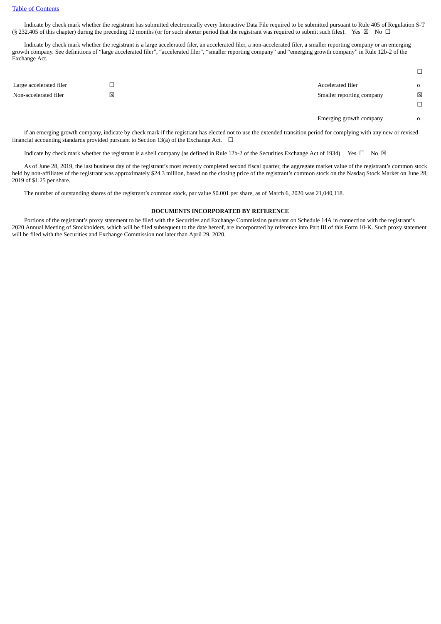#### Table of [Contents](#page-2-0)

Indicate by check mark whether the registrant has submitted electronically every Interactive Data File required to be submitted pursuant to Rule 405 of Regulation S-T (§ 232.405 of this chapter) during the preceding 12 months (or for such shorter period that the registrant was required to submit such files). Yes ⊠ No □

Indicate by check mark whether the registrant is a large accelerated filer, an accelerated filer, a non-accelerated filer, a smaller reporting company or an emerging growth company. See definitions of "large accelerated filer", "accelerated filer", "smaller reporting company" and "emerging growth company" in Rule 12b-2 of the Exchange Act.

|                         |   |                           | n.           |
|-------------------------|---|---------------------------|--------------|
| Large accelerated filer |   | Accelerated filer         | $\mathbf{O}$ |
| Non-accelerated filer   | X | Smaller reporting company | $\boxtimes$  |
|                         |   |                           | $\Box$       |
|                         |   |                           |              |

Emerging growth company o

If an emerging growth company, indicate by check mark if the registrant has elected not to use the extended transition period for complying with any new or revised financial accounting standards provided pursuant to Section 13(a) of the Exchange Act.  $\Box$ 

Indicate by check mark whether the registrant is a shell company (as defined in Rule 12b-2 of the Securities Exchange Act of 1934). Yes  $\Box$  No  $\boxtimes$ 

As of June 28, 2019, the last business day of the registrant's most recently completed second fiscal quarter, the aggregate market value of the registrant's common stock held by non-affiliates of the registrant was approximately \$24.3 million, based on the closing price of the registrant's common stock on the Nasdaq Stock Market on June 28, 2019 of \$1.25 per share.

The number of outstanding shares of the registrant's common stock, par value \$0.001 per share, as of March 6, 2020 was 21,040,118.

#### **DOCUMENTS INCORPORATED BY REFERENCE**

Portions of the registrant's proxy statement to be filed with the Securities and Exchange Commission pursuant on Schedule 14A in connection with the registrant's 2020 Annual Meeting of Stockholders, which will be filed subsequent to the date hereof, are incorporated by reference into Part III of this Form 10-K. Such proxy statement will be filed with the Securities and Exchange Commission not later than April 29, 2020.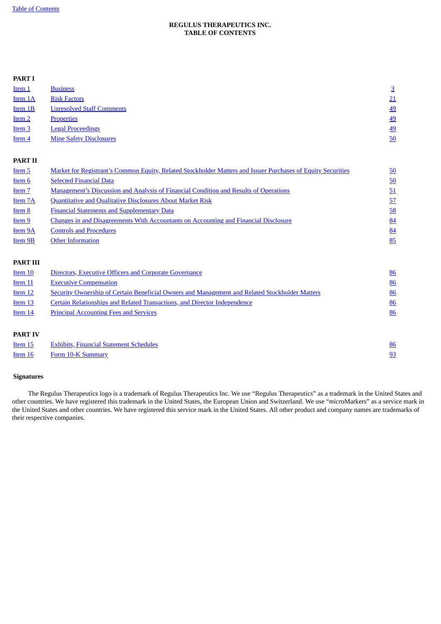## **REGULUS THERAPEUTICS INC. TABLE OF CONTENTS**

<span id="page-2-0"></span>

| <b>PART I</b>     |                                                                                                              |                |
|-------------------|--------------------------------------------------------------------------------------------------------------|----------------|
| Item 1            | <b>Business</b>                                                                                              | $\overline{3}$ |
| Item 1A           | <b>Risk Factors</b>                                                                                          | 21             |
| Item 1B           | <b>Unresolved Staff Comments</b>                                                                             | 49             |
| Item <sub>2</sub> | <b>Properties</b>                                                                                            | 49             |
| Item 3            | <b>Legal Proceedings</b>                                                                                     | 49             |
| Item <sub>4</sub> | <b>Mine Safety Disclosures</b>                                                                               | 50             |
| <b>PART II</b>    |                                                                                                              |                |
| Item 5            | Market for Registrant's Common Equity, Related Stockholder Matters and Issuer Purchases of Equity Securities | 50             |
| Item 6            | <b>Selected Financial Data</b>                                                                               | 50             |
| Item <sub>7</sub> | <b>Management's Discussion and Analysis of Financial Condition and Results of Operations</b>                 | 51             |
| Item 7A           | <b>Quantitative and Qualitative Disclosures About Market Risk</b>                                            | 57             |
| Item 8            | <b>Financial Statements and Supplementary Data</b>                                                           | 58             |
| Item 9            | Changes in and Disagreements With Accountants on Accounting and Financial Disclosure                         | 84             |
| Item 9A           | <b>Controls and Procedures</b>                                                                               | 84             |
| Item 9B           | <b>Other Information</b>                                                                                     | 85             |
| <b>PART III</b>   |                                                                                                              |                |
| Item 10           | Directors, Executive Officers and Corporate Governance                                                       | 86             |
| Item 11           | <b>Executive Compensation</b>                                                                                | 86             |
| Item 12           | Security Ownership of Certain Beneficial Owners and Management and Related Stockholder Matters               | 86             |
| Item 13           | Certain Relationships and Related Transactions, and Director Independence                                    | 86             |
| Item 14           | <b>Principal Accounting Fees and Services</b>                                                                | 86             |
| <b>PART IV</b>    |                                                                                                              |                |
| Item 15           | <b>Exhibits, Financial Statement Schedules</b>                                                               | 86             |
| Item 16           | Form 10-K Summary                                                                                            | 93             |

## **[Signatures](#page-90-1)**

The Regulus Therapeutics logo is a trademark of Regulus Therapeutics Inc. We use "Regulus Therapeutics" as a trademark in the United States and other countries. We have registered this trademark in the United States, the European Union and Switzerland. We use "*micro*Markers" as a service mark in the United States and other countries. We have registered this service mark in the United States. All other product and company names are trademarks of their respective companies.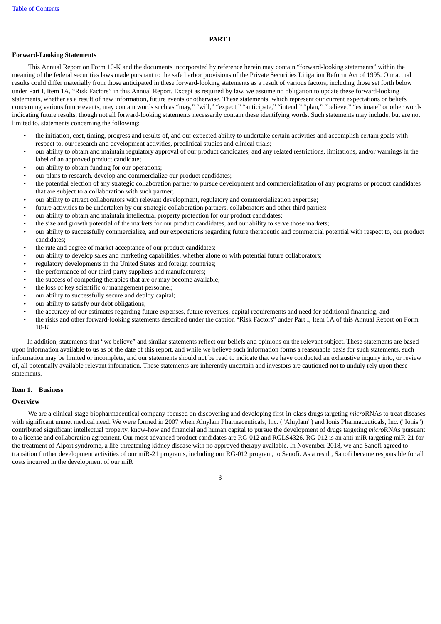## **PART I**

## **Forward-Looking Statements**

This Annual Report on Form 10-K and the documents incorporated by reference herein may contain "forward-looking statements" within the meaning of the federal securities laws made pursuant to the safe harbor provisions of the Private Securities Litigation Reform Act of 1995. Our actual results could differ materially from those anticipated in these forward-looking statements as a result of various factors, including those set forth below under Part I, Item 1A, "Risk Factors" in this Annual Report. Except as required by law, we assume no obligation to update these forward-looking statements, whether as a result of new information, future events or otherwise. These statements, which represent our current expectations or beliefs concerning various future events, may contain words such as "may," "will," "expect," "anticipate," "intend," "plan," "believe," "estimate" or other words indicating future results, though not all forward-looking statements necessarily contain these identifying words. Such statements may include, but are not limited to, statements concerning the following:

- the initiation, cost, timing, progress and results of, and our expected ability to undertake certain activities and accomplish certain goals with respect to, our research and development activities, preclinical studies and clinical trials;
- our ability to obtain and maintain regulatory approval of our product candidates, and any related restrictions, limitations, and/or warnings in the label of an approved product candidate;
- our ability to obtain funding for our operations;
- our plans to research, develop and commercialize our product candidates;
- the potential election of any strategic collaboration partner to pursue development and commercialization of any programs or product candidates that are subject to a collaboration with such partner;
- our ability to attract collaborators with relevant development, regulatory and commercialization expertise;
- future activities to be undertaken by our strategic collaboration partners, collaborators and other third parties;
- our ability to obtain and maintain intellectual property protection for our product candidates;
- the size and growth potential of the markets for our product candidates, and our ability to serve those markets;
- our ability to successfully commercialize, and our expectations regarding future therapeutic and commercial potential with respect to, our product candidates;
- the rate and degree of market acceptance of our product candidates;
- our ability to develop sales and marketing capabilities, whether alone or with potential future collaborators;
- regulatory developments in the United States and foreign countries;
- the performance of our third-party suppliers and manufacturers;
- the success of competing therapies that are or may become available;
- the loss of key scientific or management personnel;
- our ability to successfully secure and deploy capital;
- our ability to satisfy our debt obligations;
- the accuracy of our estimates regarding future expenses, future revenues, capital requirements and need for additional financing; and
- the risks and other forward-looking statements described under the caption "Risk Factors" under Part I, Item 1A of this Annual Report on Form 10-K.

In addition, statements that "we believe" and similar statements reflect our beliefs and opinions on the relevant subject. These statements are based upon information available to us as of the date of this report, and while we believe such information forms a reasonable basis for such statements, such information may be limited or incomplete, and our statements should not be read to indicate that we have conducted an exhaustive inquiry into, or review of, all potentially available relevant information. These statements are inherently uncertain and investors are cautioned not to unduly rely upon these statements.

#### <span id="page-3-0"></span>**Item 1. Business**

#### **Overview**

We are a clinical-stage biopharmaceutical company focused on discovering and developing first-in-class drugs targeting *micro*RNAs to treat diseases with significant unmet medical need. We were formed in 2007 when Alnylam Pharmaceuticals, Inc. ("Alnylam") and Ionis Pharmaceuticals, Inc. ("Ionis") contributed significant intellectual property, know-how and financial and human capital to pursue the development of drugs targeting *micro*RNAs pursuant to a license and collaboration agreement. Our most advanced product candidates are RG-012 and RGLS4326. RG-012 is an anti-miR targeting miR-21 for the treatment of Alport syndrome, a life-threatening kidney disease with no approved therapy available. In November 2018, we and Sanofi agreed to transition further development activities of our miR-21 programs, including our RG-012 program, to Sanofi. As a result, Sanofi became responsible for all costs incurred in the development of our miR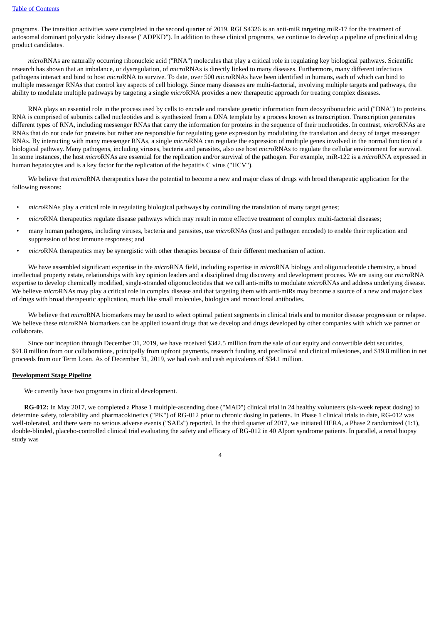programs. The transition activities were completed in the second quarter of 2019. RGLS4326 is an anti-miR targeting miR-17 for the treatment of autosomal dominant polycystic kidney disease ("ADPKD"). In addition to these clinical programs, we continue to develop a pipeline of preclinical drug product candidates.

*micro*RNAs are naturally occurring ribonucleic acid ("RNA") molecules that play a critical role in regulating key biological pathways. Scientific research has shown that an imbalance, or dysregulation, of *micro*RNAs is directly linked to many diseases. Furthermore, many different infectious pathogens interact and bind to host *micro*RNA to survive. To date, over 500 *micro*RNAs have been identified in humans, each of which can bind to multiple messenger RNAs that control key aspects of cell biology. Since many diseases are multi-factorial, involving multiple targets and pathways, the ability to modulate multiple pathways by targeting a single *micro*RNA provides a new therapeutic approach for treating complex diseases.

RNA plays an essential role in the process used by cells to encode and translate genetic information from deoxyribonucleic acid ("DNA") to proteins. RNA is comprised of subunits called nucleotides and is synthesized from a DNA template by a process known as transcription. Transcription generates different types of RNA, including messenger RNAs that carry the information for proteins in the sequence of their nucleotides. In contrast, *micro*RNAs are RNAs that do not code for proteins but rather are responsible for regulating gene expression by modulating the translation and decay of target messenger RNAs. By interacting with many messenger RNAs, a single *micro*RNA can regulate the expression of multiple genes involved in the normal function of a biological pathway. Many pathogens, including viruses, bacteria and parasites, also use host *micro*RNAs to regulate the cellular environment for survival. In some instances, the host *micro*RNAs are essential for the replication and/or survival of the pathogen. For example, miR-122 is a *micro*RNA expressed in human hepatocytes and is a key factor for the replication of the hepatitis C virus ("HCV").

We believe that *micro*RNA therapeutics have the potential to become a new and major class of drugs with broad therapeutic application for the following reasons:

- *micro*RNAs play a critical role in regulating biological pathways by controlling the translation of many target genes;
- *micro*RNA therapeutics regulate disease pathways which may result in more effective treatment of complex multi-factorial diseases;
- many human pathogens, including viruses, bacteria and parasites, use *micro*RNAs (host and pathogen encoded) to enable their replication and suppression of host immune responses; and
- *• micro*RNA therapeutics may be synergistic with other therapies because of their different mechanism of action.

We have assembled significant expertise in the *micro*RNA field, including expertise in *micro*RNA biology and oligonucleotide chemistry, a broad intellectual property estate, relationships with key opinion leaders and a disciplined drug discovery and development process. We are using our *micro*RNA expertise to develop chemically modified, single-stranded oligonucleotides that we call anti-miRs to modulate *micro*RNAs and address underlying disease. We believe *micro*RNAs may play a critical role in complex disease and that targeting them with anti-miRs may become a source of a new and major class of drugs with broad therapeutic application, much like small molecules, biologics and monoclonal antibodies.

We believe that *micro*RNA biomarkers may be used to select optimal patient segments in clinical trials and to monitor disease progression or relapse. We believe these *micro*RNA biomarkers can be applied toward drugs that we develop and drugs developed by other companies with which we partner or collaborate.

Since our inception through December 31, 2019, we have received \$342.5 million from the sale of our equity and convertible debt securities, \$91.8 million from our collaborations, principally from upfront payments, research funding and preclinical and clinical milestones, and \$19.8 million in net proceeds from our Term Loan. As of December 31, 2019, we had cash and cash equivalents of \$34.1 million.

#### **Development Stage Pipeline**

We currently have two programs in clinical development.

**RG-012:** In May 2017, we completed a Phase 1 multiple-ascending dose ("MAD") clinical trial in 24 healthy volunteers (six-week repeat dosing) to determine safety, tolerability and pharmacokinetics ("PK") of RG-012 prior to chronic dosing in patients. In Phase 1 clinical trials to date, RG-012 was well-tolerated, and there were no serious adverse events ("SAEs") reported. In the third quarter of 2017, we initiated HERA, a Phase 2 randomized (1:1), double-blinded, placebo-controlled clinical trial evaluating the safety and efficacy of RG-012 in 40 Alport syndrome patients. In parallel, a renal biopsy study was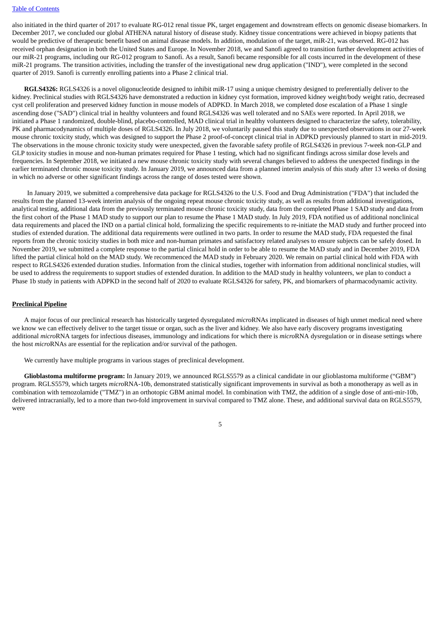also initiated in the third quarter of 2017 to evaluate RG-012 renal tissue PK, target engagement and downstream effects on genomic disease biomarkers. In December 2017, we concluded our global ATHENA natural history of disease study. Kidney tissue concentrations were achieved in biopsy patients that would be predictive of therapeutic benefit based on animal disease models. In addition, modulation of the target, miR-21, was observed. RG-012 has received orphan designation in both the United States and Europe. In November 2018, we and Sanofi agreed to transition further development activities of our miR-21 programs, including our RG-012 program to Sanofi. As a result, Sanofi became responsible for all costs incurred in the development of these miR-21 programs. The transition activities, including the transfer of the investigational new drug application ("IND"), were completed in the second quarter of 2019. Sanofi is currently enrolling patients into a Phase 2 clinical trial.

**RGLS4326:** RGLS4326 is a novel oligonucleotide designed to inhibit miR-17 using a unique chemistry designed to preferentially deliver to the kidney. Preclinical studies with RGLS4326 have demonstrated a reduction in kidney cyst formation, improved kidney weight/body weight ratio, decreased cyst cell proliferation and preserved kidney function in mouse models of ADPKD. In March 2018, we completed dose escalation of a Phase 1 single ascending dose ("SAD") clinical trial in healthy volunteers and found RGLS4326 was well tolerated and no SAEs were reported. In April 2018, we initiated a Phase 1 randomized, double-blind, placebo-controlled, MAD clinical trial in healthy volunteers designed to characterize the safety, tolerability, PK and pharmacodynamics of multiple doses of RGLS4326. In July 2018, we voluntarily paused this study due to unexpected observations in our 27-week mouse chronic toxicity study, which was designed to support the Phase 2 proof-of-concept clinical trial in ADPKD previously planned to start in mid-2019. The observations in the mouse chronic toxicity study were unexpected, given the favorable safety profile of RGLS4326 in previous 7-week non-GLP and GLP toxicity studies in mouse and non-human primates required for Phase 1 testing, which had no significant findings across similar dose levels and frequencies. In September 2018, we initiated a new mouse chronic toxicity study with several changes believed to address the unexpected findings in the earlier terminated chronic mouse toxicity study. In January 2019, we announced data from a planned interim analysis of this study after 13 weeks of dosing in which no adverse or other significant findings across the range of doses tested were shown.

In January 2019, we submitted a comprehensive data package for RGLS4326 to the U.S. Food and Drug Administration ("FDA") that included the results from the planned 13-week interim analysis of the ongoing repeat mouse chronic toxicity study, as well as results from additional investigations, analytical testing, additional data from the previously terminated mouse chronic toxicity study, data from the completed Phase 1 SAD study and data from the first cohort of the Phase 1 MAD study to support our plan to resume the Phase 1 MAD study. In July 2019, FDA notified us of additional nonclinical data requirements and placed the IND on a partial clinical hold, formalizing the specific requirements to re-initiate the MAD study and further proceed into studies of extended duration. The additional data requirements were outlined in two parts. In order to resume the MAD study, FDA requested the final reports from the chronic toxicity studies in both mice and non-human primates and satisfactory related analyses to ensure subjects can be safely dosed. In November 2019, we submitted a complete response to the partial clinical hold in order to be able to resume the MAD study and in December 2019, FDA lifted the partial clinical hold on the MAD study. We recommenced the MAD study in February 2020. We remain on partial clinical hold with FDA with respect to RGLS4326 extended duration studies. Information from the clinical studies, together with information from additional nonclinical studies, will be used to address the requirements to support studies of extended duration. In addition to the MAD study in healthy volunteers, we plan to conduct a Phase 1b study in patients with ADPKD in the second half of 2020 to evaluate RGLS4326 for safety, PK, and biomarkers of pharmacodynamic activity.

## **Preclinical Pipeline**

A major focus of our preclinical research has historically targeted dysregulated *micro*RNAs implicated in diseases of high unmet medical need where we know we can effectively deliver to the target tissue or organ, such as the liver and kidney. We also have early discovery programs investigating additional *micro*RNA targets for infectious diseases, immunology and indications for which there is *micro*RNA dysregulation or in disease settings where the host *micro*RNAs are essential for the replication and/or survival of the pathogen.

We currently have multiple programs in various stages of preclinical development.

**Glioblastoma multiforme program:** In January 2019, we announced RGLS5579 as a clinical candidate in our glioblastoma multiforme ("GBM") program. RGLS5579, which targets *micro*RNA-10b, demonstrated statistically significant improvements in survival as both a monotherapy as well as in combination with temozolamide ("TMZ") in an orthotopic GBM animal model. In combination with TMZ, the addition of a single dose of anti-mir-10b, delivered intracranially, led to a more than two-fold improvement in survival compared to TMZ alone. These, and additional survival data on RGLS5579, were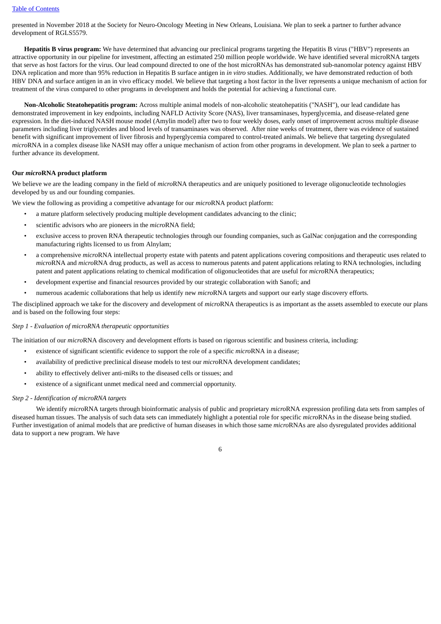presented in November 2018 at the Society for Neuro-Oncology Meeting in New Orleans, Louisiana. We plan to seek a partner to further advance development of RGLS5579.

**Hepatitis B virus program:** We have determined that advancing our preclinical programs targeting the Hepatitis B virus ("HBV") represents an attractive opportunity in our pipeline for investment, affecting an estimated 250 million people worldwide. We have identified several microRNA targets that serve as host factors for the virus. Our lead compound directed to one of the host microRNAs has demonstrated sub-nanomolar potency against HBV DNA replication and more than 95% reduction in Hepatitis B surface antigen in *in vitro* studies. Additionally, we have demonstrated reduction of both HBV DNA and surface antigen in an in vivo efficacy model. We believe that targeting a host factor in the liver represents a unique mechanism of action for treatment of the virus compared to other programs in development and holds the potential for achieving a functional cure.

**Non-Alcoholic Steatohepatitis program:** Across multiple animal models of non-alcoholic steatohepatitis ("NASH"), our lead candidate has demonstrated improvement in key endpoints, including NAFLD Activity Score (NAS), liver transaminases, hyperglycemia, and disease-related gene expression. In the diet-induced NASH mouse model (Amylin model) after two to four weekly doses, early onset of improvement across multiple disease parameters including liver triglycerides and blood levels of transaminases was observed. After nine weeks of treatment, there was evidence of sustained benefit with significant improvement of liver fibrosis and hyperglycemia compared to control-treated animals. We believe that targeting dysregulated *micro*RNA in a complex disease like NASH may offer a unique mechanism of action from other programs in development. We plan to seek a partner to further advance its development.

#### **Our** *micro***RNA product platform**

We believe we are the leading company in the field of *micro*RNA therapeutics and are uniquely positioned to leverage oligonucleotide technologies developed by us and our founding companies.

We view the following as providing a competitive advantage for our *micro*RNA product platform:

- a mature platform selectively producing multiple development candidates advancing to the clinic;
- scientific advisors who are pioneers in the *micro*RNA field;
- exclusive access to proven RNA therapeutic technologies through our founding companies, such as GalNac conjugation and the corresponding manufacturing rights licensed to us from Alnylam;
- a comprehensive *micro*RNA intellectual property estate with patents and patent applications covering compositions and therapeutic uses related to *micro*RNA and *micro*RNA drug products, as well as access to numerous patents and patent applications relating to RNA technologies, including patent and patent applications relating to chemical modification of oligonucleotides that are useful for *micro*RNA therapeutics;
- development expertise and financial resources provided by our strategic collaboration with Sanofi; and
- numerous academic collaborations that help us identify new *micro*RNA targets and support our early stage discovery efforts.

The disciplined approach we take for the discovery and development of *micro*RNA therapeutics is as important as the assets assembled to execute our plans and is based on the following four steps:

#### *Step 1 - Evaluation of microRNA therapeutic opportunities*

The initiation of our *micro*RNA discovery and development efforts is based on rigorous scientific and business criteria, including:

- existence of significant scientific evidence to support the role of a specific *micro*RNA in a disease;
- availability of predictive preclinical disease models to test our *micro*RNA development candidates;
- ability to effectively deliver anti-miRs to the diseased cells or tissues; and
- existence of a significant unmet medical need and commercial opportunity.

#### *Step 2 - Identification of microRNA targets*

We identify *micro*RNA targets through bioinformatic analysis of public and proprietary *micro*RNA expression profiling data sets from samples of diseased human tissues. The analysis of such data sets can immediately highlight a potential role for specific *micro*RNAs in the disease being studied. Further investigation of animal models that are predictive of human diseases in which those same *micro*RNAs are also dysregulated provides additional data to support a new program. We have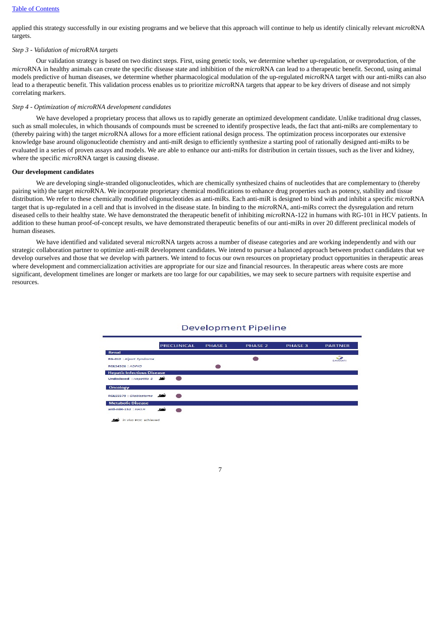applied this strategy successfully in our existing programs and we believe that this approach will continue to help us identify clinically relevant *micro*RNA targets.

#### *Step 3 - Validation of microRNA targets*

Our validation strategy is based on two distinct steps. First, using genetic tools, we determine whether up-regulation, or overproduction, of the *micro*RNA in healthy animals can create the specific disease state and inhibition of the *micro*RNA can lead to a therapeutic benefit. Second, using animal models predictive of human diseases, we determine whether pharmacological modulation of the up-regulated *micro*RNA target with our anti-miRs can also lead to a therapeutic benefit. This validation process enables us to prioritize *micro*RNA targets that appear to be key drivers of disease and not simply correlating markers.

#### *Step 4 - Optimization of microRNA development candidates*

We have developed a proprietary process that allows us to rapidly generate an optimized development candidate. Unlike traditional drug classes, such as small molecules, in which thousands of compounds must be screened to identify prospective leads, the fact that anti-miRs are complementary to (thereby pairing with) the target *micro*RNA allows for a more efficient rational design process. The optimization process incorporates our extensive knowledge base around oligonucleotide chemistry and anti-miR design to efficiently synthesize a starting pool of rationally designed anti-miRs to be evaluated in a series of proven assays and models. We are able to enhance our anti-miRs for distribution in certain tissues, such as the liver and kidney, where the specific *micro*RNA target is causing disease.

#### **Our development candidates**

We are developing single-stranded oligonucleotides, which are chemically synthesized chains of nucleotides that are complementary to (thereby pairing with) the target *micro*RNA. We incorporate proprietary chemical modifications to enhance drug properties such as potency, stability and tissue distribution. We refer to these chemically modified oligonucleotides as anti-miRs. Each anti-miR is designed to bind with and inhibit a specific *micro*RNA target that is up-regulated in a cell and that is involved in the disease state. In binding to the *micro*RNA, anti-miRs correct the dysregulation and return diseased cells to their healthy state. We have demonstrated the therapeutic benefit of inhibiting *micro*RNA-122 in humans with RG-101 in HCV patients. In addition to these human proof-of-concept results, we have demonstrated therapeutic benefits of our anti-miRs in over 20 different preclinical models of human diseases.

We have identified and validated several *micro*RNA targets across a number of disease categories and are working independently and with our strategic collaboration partner to optimize anti-miR development candidates. We intend to pursue a balanced approach between product candidates that we develop ourselves and those that we develop with partners. We intend to focus our own resources on proprietary product opportunities in therapeutic areas where development and commercialization activities are appropriate for our size and financial resources. In therapeutic areas where costs are more significant, development timelines are longer or markets are too large for our capabilities, we may seek to secure partners with requisite expertise and resources.



7

## **Development Pipeline**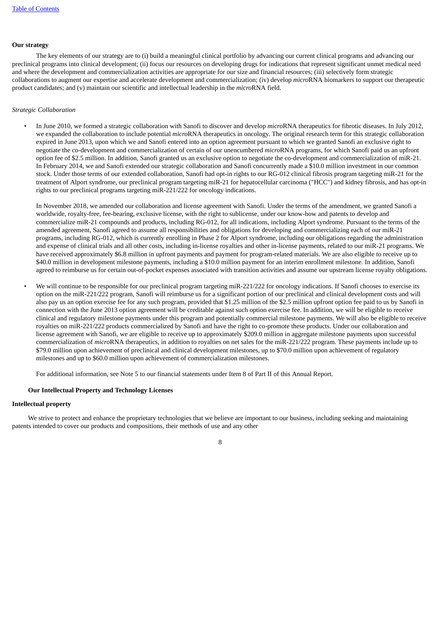#### **Our strategy**

The key elements of our strategy are to (i) build a meaningful clinical portfolio by advancing our current clinical programs and advancing our preclinical programs into clinical development; (ii) focus our resources on developing drugs for indications that represent significant unmet medical need and where the development and commercialization activities are appropriate for our size and financial resources; (iii) selectively form strategic collaborations to augment our expertise and accelerate development and commercialization; (iv) develop *micro*RNA biomarkers to support our therapeutic product candidates; and (v) maintain our scientific and intellectual leadership in the *micro*RNA field.

#### *Strategic Collaboration*

• In June 2010, we formed a strategic collaboration with Sanofi to discover and develop *micro*RNA therapeutics for fibrotic diseases. In July 2012, we expanded the collaboration to include potential *micro*RNA therapeutics in oncology. The original research term for this strategic collaboration expired in June 2013, upon which we and Sanofi entered into an option agreement pursuant to which we granted Sanofi an exclusive right to negotiate the co-development and commercialization of certain of our unencumbered *micro*RNA programs, for which Sanofi paid us an upfront option fee of \$2.5 million. In addition, Sanofi granted us an exclusive option to negotiate the co-development and commercialization of miR-21. In February 2014, we and Sanofi extended our strategic collaboration and Sanofi concurrently made a \$10.0 million investment in our common stock. Under those terms of our extended collaboration, Sanofi had opt-in rights to our RG-012 clinical fibrosis program targeting miR-21 for the treatment of Alport syndrome, our preclinical program targeting miR-21 for hepatocellular carcinoma ("HCC") and kidney fibrosis, and has opt-in rights to our preclinical programs targeting miR-221/222 for oncology indications.

In November 2018, we amended our collaboration and license agreement with Sanofi. Under the terms of the amendment, we granted Sanofi a worldwide, royalty-free, fee-bearing, exclusive license, with the right to sublicense, under our know-how and patents to develop and commercialize miR-21 compounds and products, including RG-012, for all indications, including Alport syndrome. Pursuant to the terms of the amended agreement, Sanofi agreed to assume all responsibilities and obligations for developing and commercializing each of our miR-21 programs, including RG-012, which is currently enrolling in Phase 2 for Alport syndrome, including our obligations regarding the administration and expense of clinical trials and all other costs, including in-license royalties and other in-license payments, related to our miR-21 programs. We have received approximately \$6.8 million in upfront payments and payment for program-related materials. We are also eligible to receive up to \$40.0 million in development milestone payments, including a \$10.0 million payment for an interim enrollment milestone. In addition, Sanofi agreed to reimburse us for certain out-of-pocket expenses associated with transition activities and assume our upstream license royalty obligations.

• We will continue to be responsible for our preclinical program targeting miR-221/222 for oncology indications. If Sanofi chooses to exercise its option on the miR-221/222 program, Sanofi will reimburse us for a significant portion of our preclinical and clinical development costs and will also pay us an option exercise fee for any such program, provided that \$1.25 million of the \$2.5 million upfront option fee paid to us by Sanofi in connection with the June 2013 option agreement will be creditable against such option exercise fee. In addition, we will be eligible to receive clinical and regulatory milestone payments under this program and potentially commercial milestone payments. We will also be eligible to receive royalties on miR-221/222 products commercialized by Sanofi and have the right to co-promote these products. Under our collaboration and license agreement with Sanofi, we are eligible to receive up to approximately \$209.0 million in aggregate milestone payments upon successful commercialization of *micro*RNA therapeutics, in addition to royalties on net sales for the miR-221/222 program. These payments include up to \$79.0 million upon achievement of preclinical and clinical development milestones, up to \$70.0 million upon achievement of regulatory milestones and up to \$60.0 million upon achievement of commercialization milestones.

For additional information, see Note 5 to our financial statements under Item 8 of Part II of this Annual Report.

## **Our Intellectual Property and Technology Licenses**

## **Intellectual property**

We strive to protect and enhance the proprietary technologies that we believe are important to our business, including seeking and maintaining patents intended to cover our products and compositions, their methods of use and any other

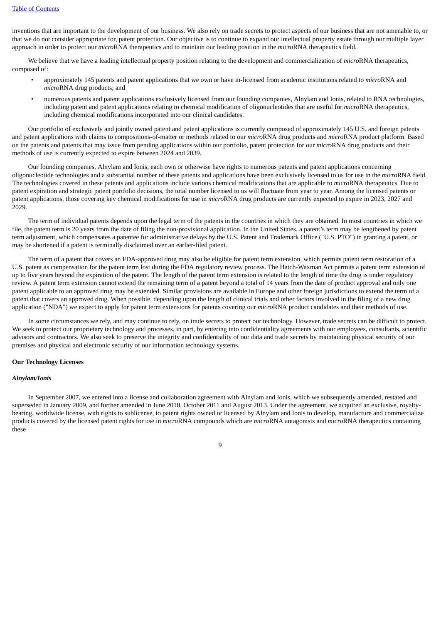inventions that are important to the development of our business. We also rely on trade secrets to protect aspects of our business that are not amenable to, or that we do not consider appropriate for, patent protection. Our objective is to continue to expand our intellectual property estate through our multiple layer approach in order to protect our *micro*RNA therapeutics and to maintain our leading position in the *micro*RNA therapeutics field.

We believe that we have a leading intellectual property position relating to the development and commercialization of *micro*RNA therapeutics, composed of:

- approximately 145 patents and patent applications that we own or have in-licensed from academic institutions related to *micro*RNA and *micro*RNA drug products; and
- numerous patents and patent applications exclusively licensed from our founding companies, Alnylam and Ionis, related to RNA technologies, including patent and patent applications relating to chemical modification of oligonucleotides that are useful for *micro*RNA therapeutics, including chemical modifications incorporated into our clinical candidates.

Our portfolio of exclusively and jointly owned patent and patent applications is currently composed of approximately 145 U.S. and foreign patents and patent applications with claims to compositions-of-matter or methods related to our *micro*RNA drug products and *micro*RNA product platform. Based on the patents and patents that may issue from pending applications within our portfolio, patent protection for our *micro*RNA drug products and their methods of use is currently expected to expire between 2024 and 2039.

Our founding companies, Alnylam and Ionis, each own or otherwise have rights to numerous patents and patent applications concerning oligonucleotide technologies and a substantial number of these patents and applications have been exclusively licensed to us for use in the *micro*RNA field. The technologies covered in these patents and applications include various chemical modifications that are applicable to *micro*RNA therapeutics. Due to patent expiration and strategic patent portfolio decisions, the total number licensed to us will fluctuate from year to year. Among the licensed patents or patent applications, those covering key chemical modifications for use in *micro*RNA drug products are currently expected to expire in 2023, 2027 and 2029.

The term of individual patents depends upon the legal term of the patents in the countries in which they are obtained. In most countries in which we file, the patent term is 20 years from the date of filing the non-provisional application. In the United States, a patent's term may be lengthened by patent term adjustment, which compensates a patentee for administrative delays by the U.S. Patent and Trademark Office ("U.S. PTO") in granting a patent, or may be shortened if a patent is terminally disclaimed over an earlier-filed patent.

The term of a patent that covers an FDA-approved drug may also be eligible for patent term extension, which permits patent term restoration of a U.S. patent as compensation for the patent term lost during the FDA regulatory review process. The Hatch-Waxman Act permits a patent term extension of up to five years beyond the expiration of the patent. The length of the patent term extension is related to the length of time the drug is under regulatory review. A patent term extension cannot extend the remaining term of a patent beyond a total of 14 years from the date of product approval and only one patent applicable to an approved drug may be extended. Similar provisions are available in Europe and other foreign jurisdictions to extend the term of a patent that covers an approved drug. When possible, depending upon the length of clinical trials and other factors involved in the filing of a new drug application ("NDA") we expect to apply for patent term extensions for patents covering our *micro*RNA product candidates and their methods of use.

In some circumstances we rely, and may continue to rely, on trade secrets to protect our technology. However, trade secrets can be difficult to protect. We seek to protect our proprietary technology and processes, in part, by entering into confidentiality agreements with our employees, consultants, scientific advisors and contractors. We also seek to preserve the integrity and confidentiality of our data and trade secrets by maintaining physical security of our premises and physical and electronic security of our information technology systems.

## **Our Technology Licenses**

## *Alnylam/Ionis*

In September 2007, we entered into a license and collaboration agreement with Alnylam and Ionis, which we subsequently amended, restated and superseded in January 2009, and further amended in June 2010, October 2011 and August 2013. Under the agreement, we acquired an exclusive, royaltybearing, worldwide license, with rights to sublicense, to patent rights owned or licensed by Alnylam and Ionis to develop, manufacture and commercialize products covered by the licensed patent rights for use in *micro*RNA compounds which are *micro*RNA antagonists and *micro*RNA therapeutics containing these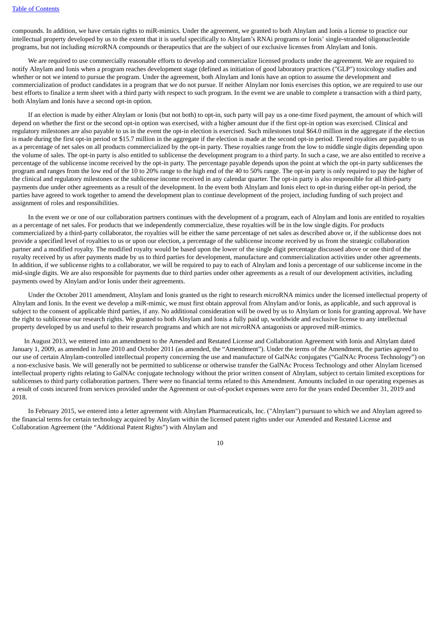compounds. In addition, we have certain rights to miR-mimics. Under the agreement, we granted to both Alnylam and Ionis a license to practice our intellectual property developed by us to the extent that it is useful specifically to Alnylam's RNAi programs or Ionis' single-stranded oligonucleotide programs, but not including *micro*RNA compounds or therapeutics that are the subject of our exclusive licenses from Alnylam and Ionis.

We are required to use commercially reasonable efforts to develop and commercialize licensed products under the agreement. We are required to notify Alnylam and Ionis when a program reaches development stage (defined as initiation of good laboratory practices ("GLP") toxicology studies and whether or not we intend to pursue the program. Under the agreement, both Alnylam and Ionis have an option to assume the development and commercialization of product candidates in a program that we do not pursue. If neither Alnylam nor Ionis exercises this option, we are required to use our best efforts to finalize a term sheet with a third party with respect to such program. In the event we are unable to complete a transaction with a third party, both Alnylam and Ionis have a second opt-in option.

If an election is made by either Alnylam or Ionis (but not both) to opt-in, such party will pay us a one-time fixed payment, the amount of which will depend on whether the first or the second opt-in option was exercised, with a higher amount due if the first opt-in option was exercised. Clinical and regulatory milestones are also payable to us in the event the opt-in election is exercised. Such milestones total \$64.0 million in the aggregate if the election is made during the first opt-in period or \$15.7 million in the aggregate if the election is made at the second opt-in period. Tiered royalties are payable to us as a percentage of net sales on all products commercialized by the opt-in party. These royalties range from the low to middle single digits depending upon the volume of sales. The opt-in party is also entitled to sublicense the development program to a third party. In such a case, we are also entitled to receive a percentage of the sublicense income received by the opt-in party. The percentage payable depends upon the point at which the opt-in party sublicenses the program and ranges from the low end of the 10 to 20% range to the high end of the 40 to 50% range. The opt-in party is only required to pay the higher of the clinical and regulatory milestones or the sublicense income received in any calendar quarter. The opt-in party is also responsible for all third-party payments due under other agreements as a result of the development. In the event both Alnylam and Ionis elect to opt-in during either opt-in period, the parties have agreed to work together to amend the development plan to continue development of the project, including funding of such project and assignment of roles and responsibilities.

In the event we or one of our collaboration partners continues with the development of a program, each of Alnylam and Ionis are entitled to royalties as a percentage of net sales. For products that we independently commercialize, these royalties will be in the low single digits. For products commercialized by a third-party collaborator, the royalties will be either the same percentage of net sales as described above or, if the sublicense does not provide a specified level of royalties to us or upon our election, a percentage of the sublicense income received by us from the strategic collaboration partner and a modified royalty. The modified royalty would be based upon the lower of the single digit percentage discussed above or one third of the royalty received by us after payments made by us to third parties for development, manufacture and commercialization activities under other agreements. In addition, if we sublicense rights to a collaborator, we will be required to pay to each of Alnylam and Ionis a percentage of our sublicense income in the mid-single digits. We are also responsible for payments due to third parties under other agreements as a result of our development activities, including payments owed by Alnylam and/or Ionis under their agreements.

Under the October 2011 amendment, Alnylam and Ionis granted us the right to research *micro*RNA mimics under the licensed intellectual property of Alnylam and Ionis. In the event we develop a miR-mimic, we must first obtain approval from Alnylam and/or Ionis, as applicable, and such approval is subject to the consent of applicable third parties, if any. No additional consideration will be owed by us to Alnylam or Ionis for granting approval. We have the right to sublicense our research rights. We granted to both Alnylam and Ionis a fully paid up, worldwide and exclusive license to any intellectual property developed by us and useful to their research programs and which are not *micro*RNA antagonists or approved miR-mimics.

In August 2013, we entered into an amendment to the Amended and Restated License and Collaboration Agreement with Ionis and Alnylam dated January 1, 2009, as amended in June 2010 and October 2011 (as amended, the "Amendment"). Under the terms of the Amendment, the parties agreed to our use of certain Alnylam-controlled intellectual property concerning the use and manufacture of GalNAc conjugates ("GalNAc Process Technology") on a non-exclusive basis. We will generally not be permitted to sublicense or otherwise transfer the GalNAc Process Technology and other Alnylam licensed intellectual property rights relating to GalNAc conjugate technology without the prior written consent of Alnylam, subject to certain limited exceptions for sublicenses to third party collaboration partners. There were no financial terms related to this Amendment. Amounts included in our operating expenses as a result of costs incurred from services provided under the Agreement or out-of-pocket expenses were zero for the years ended December 31, 2019 and 2018.

In February 2015, we entered into a letter agreement with Alnylam Pharmaceuticals, Inc. ("Alnylam") pursuant to which we and Alnylam agreed to the financial terms for certain technology acquired by Alnylam within the licensed patent rights under our Amended and Restated License and Collaboration Agreement (the "Additional Patent Rights") with Alnylam and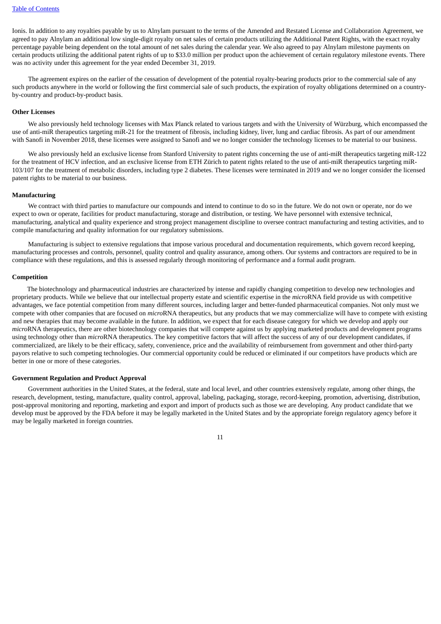Ionis. In addition to any royalties payable by us to Alnylam pursuant to the terms of the Amended and Restated License and Collaboration Agreement, we agreed to pay Alnylam an additional low single-digit royalty on net sales of certain products utilizing the Additional Patent Rights, with the exact royalty percentage payable being dependent on the total amount of net sales during the calendar year. We also agreed to pay Alnylam milestone payments on certain products utilizing the additional patent rights of up to \$33.0 million per product upon the achievement of certain regulatory milestone events. There was no activity under this agreement for the year ended December 31, 2019.

The agreement expires on the earlier of the cessation of development of the potential royalty-bearing products prior to the commercial sale of any such products anywhere in the world or following the first commercial sale of such products, the expiration of royalty obligations determined on a countryby-country and product-by-product basis.

## **Other Licenses**

We also previously held technology licenses with Max Planck related to various targets and with the University of Würzburg, which encompassed the use of anti-miR therapeutics targeting miR-21 for the treatment of fibrosis, including kidney, liver, lung and cardiac fibrosis. As part of our amendment with Sanofi in November 2018, these licenses were assigned to Sanofi and we no longer consider the technology licenses to be material to our business.

We also previously held an exclusive license from Stanford University to patent rights concerning the use of anti-miR therapeutics targeting miR-122 for the treatment of HCV infection, and an exclusive license from ETH Zürich to patent rights related to the use of anti-miR therapeutics targeting miR-103/107 for the treatment of metabolic disorders, including type 2 diabetes. These licenses were terminated in 2019 and we no longer consider the licensed patent rights to be material to our business.

#### **Manufacturing**

We contract with third parties to manufacture our compounds and intend to continue to do so in the future. We do not own or operate, nor do we expect to own or operate, facilities for product manufacturing, storage and distribution, or testing. We have personnel with extensive technical, manufacturing, analytical and quality experience and strong project management discipline to oversee contract manufacturing and testing activities, and to compile manufacturing and quality information for our regulatory submissions.

Manufacturing is subject to extensive regulations that impose various procedural and documentation requirements, which govern record keeping, manufacturing processes and controls, personnel, quality control and quality assurance, among others. Our systems and contractors are required to be in compliance with these regulations, and this is assessed regularly through monitoring of performance and a formal audit program.

#### **Competition**

The biotechnology and pharmaceutical industries are characterized by intense and rapidly changing competition to develop new technologies and proprietary products. While we believe that our intellectual property estate and scientific expertise in the *micro*RNA field provide us with competitive advantages, we face potential competition from many different sources, including larger and better-funded pharmaceutical companies. Not only must we compete with other companies that are focused on *micro*RNA therapeutics, but any products that we may commercialize will have to compete with existing and new therapies that may become available in the future. In addition, we expect that for each disease category for which we develop and apply our *micro*RNA therapeutics, there are other biotechnology companies that will compete against us by applying marketed products and development programs using technology other than *micro*RNA therapeutics. The key competitive factors that will affect the success of any of our development candidates, if commercialized, are likely to be their efficacy, safety, convenience, price and the availability of reimbursement from government and other third-party payors relative to such competing technologies. Our commercial opportunity could be reduced or eliminated if our competitors have products which are better in one or more of these categories.

## **Government Regulation and Product Approval**

Government authorities in the United States, at the federal, state and local level, and other countries extensively regulate, among other things, the research, development, testing, manufacture, quality control, approval, labeling, packaging, storage, record-keeping, promotion, advertising, distribution, post-approval monitoring and reporting, marketing and export and import of products such as those we are developing. Any product candidate that we develop must be approved by the FDA before it may be legally marketed in the United States and by the appropriate foreign regulatory agency before it may be legally marketed in foreign countries.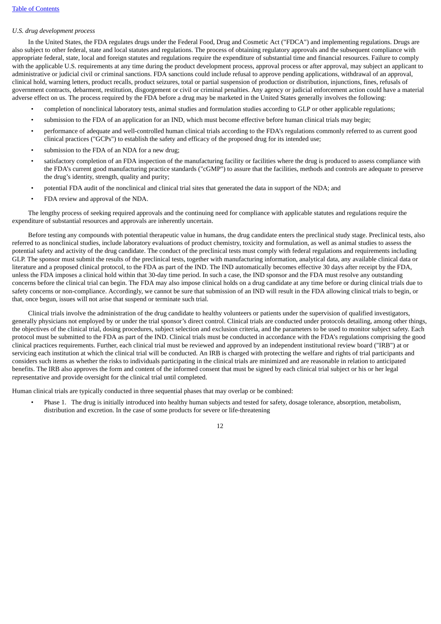## *U.S. drug development process*

In the United States, the FDA regulates drugs under the Federal Food, Drug and Cosmetic Act ("FDCA") and implementing regulations. Drugs are also subject to other federal, state and local statutes and regulations. The process of obtaining regulatory approvals and the subsequent compliance with appropriate federal, state, local and foreign statutes and regulations require the expenditure of substantial time and financial resources. Failure to comply with the applicable U.S. requirements at any time during the product development process, approval process or after approval, may subject an applicant to administrative or judicial civil or criminal sanctions. FDA sanctions could include refusal to approve pending applications, withdrawal of an approval, clinical hold, warning letters, product recalls, product seizures, total or partial suspension of production or distribution, injunctions, fines, refusals of government contracts, debarment, restitution, disgorgement or civil or criminal penalties. Any agency or judicial enforcement action could have a material adverse effect on us. The process required by the FDA before a drug may be marketed in the United States generally involves the following:

- completion of nonclinical laboratory tests, animal studies and formulation studies according to GLP or other applicable regulations;
- submission to the FDA of an application for an IND, which must become effective before human clinical trials may begin;
- performance of adequate and well-controlled human clinical trials according to the FDA's regulations commonly referred to as current good clinical practices ("GCPs") to establish the safety and efficacy of the proposed drug for its intended use;
- submission to the FDA of an NDA for a new drug;
- satisfactory completion of an FDA inspection of the manufacturing facility or facilities where the drug is produced to assess compliance with the FDA's current good manufacturing practice standards ("cGMP") to assure that the facilities, methods and controls are adequate to preserve the drug's identity, strength, quality and purity;
- potential FDA audit of the nonclinical and clinical trial sites that generated the data in support of the NDA; and
- FDA review and approval of the NDA.

The lengthy process of seeking required approvals and the continuing need for compliance with applicable statutes and regulations require the expenditure of substantial resources and approvals are inherently uncertain.

Before testing any compounds with potential therapeutic value in humans, the drug candidate enters the preclinical study stage. Preclinical tests, also referred to as nonclinical studies, include laboratory evaluations of product chemistry, toxicity and formulation, as well as animal studies to assess the potential safety and activity of the drug candidate. The conduct of the preclinical tests must comply with federal regulations and requirements including GLP. The sponsor must submit the results of the preclinical tests, together with manufacturing information, analytical data, any available clinical data or literature and a proposed clinical protocol, to the FDA as part of the IND. The IND automatically becomes effective 30 days after receipt by the FDA, unless the FDA imposes a clinical hold within that 30-day time period. In such a case, the IND sponsor and the FDA must resolve any outstanding concerns before the clinical trial can begin. The FDA may also impose clinical holds on a drug candidate at any time before or during clinical trials due to safety concerns or non-compliance. Accordingly, we cannot be sure that submission of an IND will result in the FDA allowing clinical trials to begin, or that, once begun, issues will not arise that suspend or terminate such trial.

Clinical trials involve the administration of the drug candidate to healthy volunteers or patients under the supervision of qualified investigators, generally physicians not employed by or under the trial sponsor's direct control. Clinical trials are conducted under protocols detailing, among other things, the objectives of the clinical trial, dosing procedures, subject selection and exclusion criteria, and the parameters to be used to monitor subject safety. Each protocol must be submitted to the FDA as part of the IND. Clinical trials must be conducted in accordance with the FDA's regulations comprising the good clinical practices requirements. Further, each clinical trial must be reviewed and approved by an independent institutional review board ("IRB") at or servicing each institution at which the clinical trial will be conducted. An IRB is charged with protecting the welfare and rights of trial participants and considers such items as whether the risks to individuals participating in the clinical trials are minimized and are reasonable in relation to anticipated benefits. The IRB also approves the form and content of the informed consent that must be signed by each clinical trial subject or his or her legal representative and provide oversight for the clinical trial until completed.

Human clinical trials are typically conducted in three sequential phases that may overlap or be combined:

• Phase 1. The drug is initially introduced into healthy human subjects and tested for safety, dosage tolerance, absorption, metabolism, distribution and excretion. In the case of some products for severe or life-threatening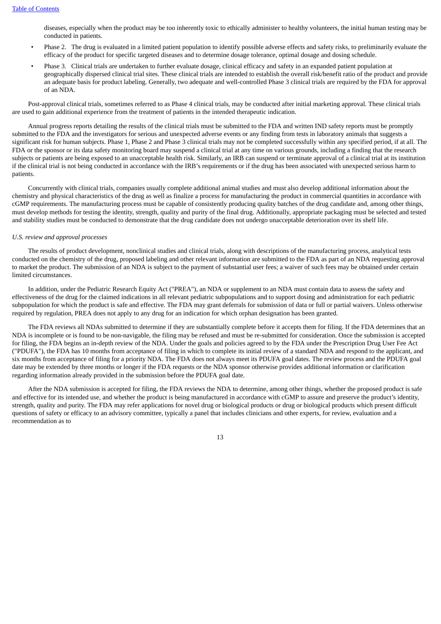diseases, especially when the product may be too inherently toxic to ethically administer to healthy volunteers, the initial human testing may be conducted in patients.

- Phase 2. The drug is evaluated in a limited patient population to identify possible adverse effects and safety risks, to preliminarily evaluate the efficacy of the product for specific targeted diseases and to determine dosage tolerance, optimal dosage and dosing schedule.
- Phase 3. Clinical trials are undertaken to further evaluate dosage, clinical efficacy and safety in an expanded patient population at geographically dispersed clinical trial sites. These clinical trials are intended to establish the overall risk/benefit ratio of the product and provide an adequate basis for product labeling. Generally, two adequate and well-controlled Phase 3 clinical trials are required by the FDA for approval of an NDA.

Post-approval clinical trials, sometimes referred to as Phase 4 clinical trials, may be conducted after initial marketing approval. These clinical trials are used to gain additional experience from the treatment of patients in the intended therapeutic indication.

Annual progress reports detailing the results of the clinical trials must be submitted to the FDA and written IND safety reports must be promptly submitted to the FDA and the investigators for serious and unexpected adverse events or any finding from tests in laboratory animals that suggests a significant risk for human subjects. Phase 1, Phase 2 and Phase 3 clinical trials may not be completed successfully within any specified period, if at all. The FDA or the sponsor or its data safety monitoring board may suspend a clinical trial at any time on various grounds, including a finding that the research subjects or patients are being exposed to an unacceptable health risk. Similarly, an IRB can suspend or terminate approval of a clinical trial at its institution if the clinical trial is not being conducted in accordance with the IRB's requirements or if the drug has been associated with unexpected serious harm to patients.

Concurrently with clinical trials, companies usually complete additional animal studies and must also develop additional information about the chemistry and physical characteristics of the drug as well as finalize a process for manufacturing the product in commercial quantities in accordance with cGMP requirements. The manufacturing process must be capable of consistently producing quality batches of the drug candidate and, among other things, must develop methods for testing the identity, strength, quality and purity of the final drug. Additionally, appropriate packaging must be selected and tested and stability studies must be conducted to demonstrate that the drug candidate does not undergo unacceptable deterioration over its shelf life.

#### *U.S. review and approval processes*

The results of product development, nonclinical studies and clinical trials, along with descriptions of the manufacturing process, analytical tests conducted on the chemistry of the drug, proposed labeling and other relevant information are submitted to the FDA as part of an NDA requesting approval to market the product. The submission of an NDA is subject to the payment of substantial user fees; a waiver of such fees may be obtained under certain limited circumstances.

In addition, under the Pediatric Research Equity Act ("PREA"), an NDA or supplement to an NDA must contain data to assess the safety and effectiveness of the drug for the claimed indications in all relevant pediatric subpopulations and to support dosing and administration for each pediatric subpopulation for which the product is safe and effective. The FDA may grant deferrals for submission of data or full or partial waivers. Unless otherwise required by regulation, PREA does not apply to any drug for an indication for which orphan designation has been granted.

The FDA reviews all NDAs submitted to determine if they are substantially complete before it accepts them for filing. If the FDA determines that an NDA is incomplete or is found to be non-navigable, the filing may be refused and must be re-submitted for consideration. Once the submission is accepted for filing, the FDA begins an in-depth review of the NDA. Under the goals and policies agreed to by the FDA under the Prescription Drug User Fee Act ("PDUFA"), the FDA has 10 months from acceptance of filing in which to complete its initial review of a standard NDA and respond to the applicant, and six months from acceptance of filing for a priority NDA. The FDA does not always meet its PDUFA goal dates. The review process and the PDUFA goal date may be extended by three months or longer if the FDA requests or the NDA sponsor otherwise provides additional information or clarification regarding information already provided in the submission before the PDUFA goal date.

After the NDA submission is accepted for filing, the FDA reviews the NDA to determine, among other things, whether the proposed product is safe and effective for its intended use, and whether the product is being manufactured in accordance with cGMP to assure and preserve the product's identity, strength, quality and purity. The FDA may refer applications for novel drug or biological products or drug or biological products which present difficult questions of safety or efficacy to an advisory committee, typically a panel that includes clinicians and other experts, for review, evaluation and a recommendation as to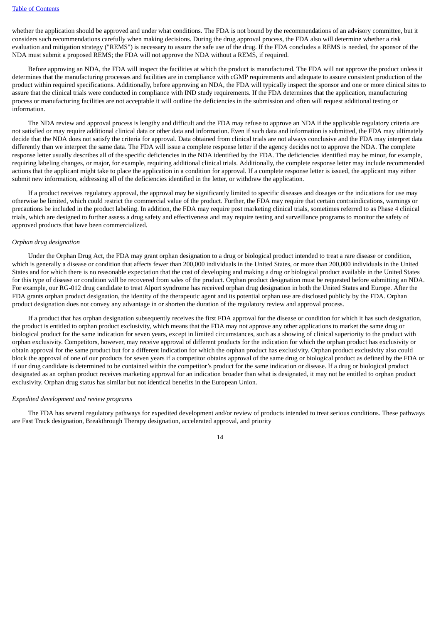whether the application should be approved and under what conditions. The FDA is not bound by the recommendations of an advisory committee, but it considers such recommendations carefully when making decisions. During the drug approval process, the FDA also will determine whether a risk evaluation and mitigation strategy ("REMS") is necessary to assure the safe use of the drug. If the FDA concludes a REMS is needed, the sponsor of the NDA must submit a proposed REMS; the FDA will not approve the NDA without a REMS, if required.

Before approving an NDA, the FDA will inspect the facilities at which the product is manufactured. The FDA will not approve the product unless it determines that the manufacturing processes and facilities are in compliance with cGMP requirements and adequate to assure consistent production of the product within required specifications. Additionally, before approving an NDA, the FDA will typically inspect the sponsor and one or more clinical sites to assure that the clinical trials were conducted in compliance with IND study requirements. If the FDA determines that the application, manufacturing process or manufacturing facilities are not acceptable it will outline the deficiencies in the submission and often will request additional testing or information.

The NDA review and approval process is lengthy and difficult and the FDA may refuse to approve an NDA if the applicable regulatory criteria are not satisfied or may require additional clinical data or other data and information. Even if such data and information is submitted, the FDA may ultimately decide that the NDA does not satisfy the criteria for approval. Data obtained from clinical trials are not always conclusive and the FDA may interpret data differently than we interpret the same data. The FDA will issue a complete response letter if the agency decides not to approve the NDA. The complete response letter usually describes all of the specific deficiencies in the NDA identified by the FDA. The deficiencies identified may be minor, for example, requiring labeling changes, or major, for example, requiring additional clinical trials. Additionally, the complete response letter may include recommended actions that the applicant might take to place the application in a condition for approval. If a complete response letter is issued, the applicant may either submit new information, addressing all of the deficiencies identified in the letter, or withdraw the application.

If a product receives regulatory approval, the approval may be significantly limited to specific diseases and dosages or the indications for use may otherwise be limited, which could restrict the commercial value of the product. Further, the FDA may require that certain contraindications, warnings or precautions be included in the product labeling. In addition, the FDA may require post marketing clinical trials, sometimes referred to as Phase 4 clinical trials, which are designed to further assess a drug safety and effectiveness and may require testing and surveillance programs to monitor the safety of approved products that have been commercialized.

#### *Orphan drug designation*

Under the Orphan Drug Act, the FDA may grant orphan designation to a drug or biological product intended to treat a rare disease or condition, which is generally a disease or condition that affects fewer than 200,000 individuals in the United States, or more than 200,000 individuals in the United States and for which there is no reasonable expectation that the cost of developing and making a drug or biological product available in the United States for this type of disease or condition will be recovered from sales of the product. Orphan product designation must be requested before submitting an NDA. For example, our RG-012 drug candidate to treat Alport syndrome has received orphan drug designation in both the United States and Europe. After the FDA grants orphan product designation, the identity of the therapeutic agent and its potential orphan use are disclosed publicly by the FDA. Orphan product designation does not convey any advantage in or shorten the duration of the regulatory review and approval process.

If a product that has orphan designation subsequently receives the first FDA approval for the disease or condition for which it has such designation, the product is entitled to orphan product exclusivity, which means that the FDA may not approve any other applications to market the same drug or biological product for the same indication for seven years, except in limited circumstances, such as a showing of clinical superiority to the product with orphan exclusivity. Competitors, however, may receive approval of different products for the indication for which the orphan product has exclusivity or obtain approval for the same product but for a different indication for which the orphan product has exclusivity. Orphan product exclusivity also could block the approval of one of our products for seven years if a competitor obtains approval of the same drug or biological product as defined by the FDA or if our drug candidate is determined to be contained within the competitor's product for the same indication or disease. If a drug or biological product designated as an orphan product receives marketing approval for an indication broader than what is designated, it may not be entitled to orphan product exclusivity. Orphan drug status has similar but not identical benefits in the European Union.

#### *Expedited development and review programs*

The FDA has several regulatory pathways for expedited development and/or review of products intended to treat serious conditions. These pathways are Fast Track designation, Breakthrough Therapy designation, accelerated approval, and priority

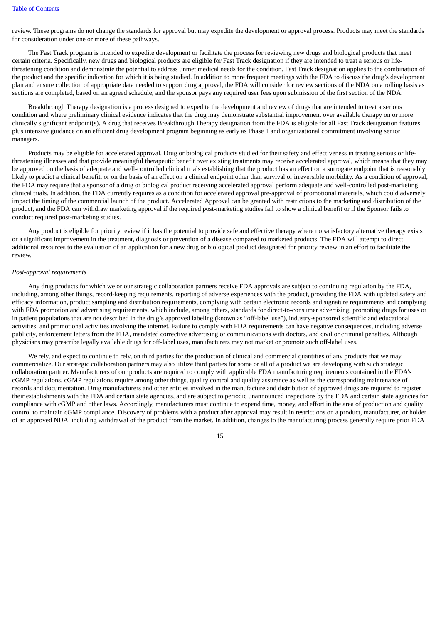review. These programs do not change the standards for approval but may expedite the development or approval process. Products may meet the standards for consideration under one or more of these pathways.

The Fast Track program is intended to expedite development or facilitate the process for reviewing new drugs and biological products that meet certain criteria. Specifically, new drugs and biological products are eligible for Fast Track designation if they are intended to treat a serious or lifethreatening condition and demonstrate the potential to address unmet medical needs for the condition. Fast Track designation applies to the combination of the product and the specific indication for which it is being studied. In addition to more frequent meetings with the FDA to discuss the drug's development plan and ensure collection of appropriate data needed to support drug approval, the FDA will consider for review sections of the NDA on a rolling basis as sections are completed, based on an agreed schedule, and the sponsor pays any required user fees upon submission of the first section of the NDA.

Breakthrough Therapy designation is a process designed to expedite the development and review of drugs that are intended to treat a serious condition and where preliminary clinical evidence indicates that the drug may demonstrate substantial improvement over available therapy on or more clinically significant endpoint(s). A drug that receives Breakthrough Therapy designation from the FDA is eligible for all Fast Track designation features, plus intensive guidance on an efficient drug development program beginning as early as Phase 1 and organizational commitment involving senior managers.

Products may be eligible for accelerated approval. Drug or biological products studied for their safety and effectiveness in treating serious or lifethreatening illnesses and that provide meaningful therapeutic benefit over existing treatments may receive accelerated approval, which means that they may be approved on the basis of adequate and well-controlled clinical trials establishing that the product has an effect on a surrogate endpoint that is reasonably likely to predict a clinical benefit, or on the basis of an effect on a clinical endpoint other than survival or irreversible morbidity. As a condition of approval, the FDA may require that a sponsor of a drug or biological product receiving accelerated approval perform adequate and well-controlled post-marketing clinical trials. In addition, the FDA currently requires as a condition for accelerated approval pre-approval of promotional materials, which could adversely impact the timing of the commercial launch of the product. Accelerated Approval can be granted with restrictions to the marketing and distribution of the product, and the FDA can withdraw marketing approval if the required post-marketing studies fail to show a clinical benefit or if the Sponsor fails to conduct required post-marketing studies.

Any product is eligible for priority review if it has the potential to provide safe and effective therapy where no satisfactory alternative therapy exists or a significant improvement in the treatment, diagnosis or prevention of a disease compared to marketed products. The FDA will attempt to direct additional resources to the evaluation of an application for a new drug or biological product designated for priority review in an effort to facilitate the review.

#### *Post-approval requirements*

Any drug products for which we or our strategic collaboration partners receive FDA approvals are subject to continuing regulation by the FDA, including, among other things, record-keeping requirements, reporting of adverse experiences with the product, providing the FDA with updated safety and efficacy information, product sampling and distribution requirements, complying with certain electronic records and signature requirements and complying with FDA promotion and advertising requirements, which include, among others, standards for direct-to-consumer advertising, promoting drugs for uses or in patient populations that are not described in the drug's approved labeling (known as "off-label use"), industry-sponsored scientific and educational activities, and promotional activities involving the internet. Failure to comply with FDA requirements can have negative consequences, including adverse publicity, enforcement letters from the FDA, mandated corrective advertising or communications with doctors, and civil or criminal penalties. Although physicians may prescribe legally available drugs for off-label uses, manufacturers may not market or promote such off-label uses.

We rely, and expect to continue to rely, on third parties for the production of clinical and commercial quantities of any products that we may commercialize. Our strategic collaboration partners may also utilize third parties for some or all of a product we are developing with such strategic collaboration partner. Manufacturers of our products are required to comply with applicable FDA manufacturing requirements contained in the FDA's cGMP regulations. cGMP regulations require among other things, quality control and quality assurance as well as the corresponding maintenance of records and documentation. Drug manufacturers and other entities involved in the manufacture and distribution of approved drugs are required to register their establishments with the FDA and certain state agencies, and are subject to periodic unannounced inspections by the FDA and certain state agencies for compliance with cGMP and other laws. Accordingly, manufacturers must continue to expend time, money, and effort in the area of production and quality control to maintain cGMP compliance. Discovery of problems with a product after approval may result in restrictions on a product, manufacturer, or holder of an approved NDA, including withdrawal of the product from the market. In addition, changes to the manufacturing process generally require prior FDA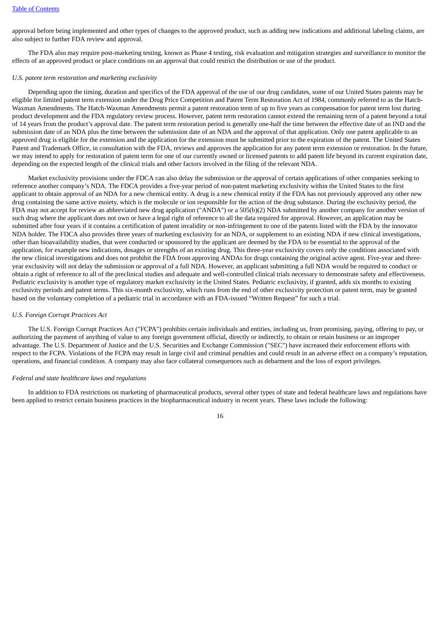approval before being implemented and other types of changes to the approved product, such as adding new indications and additional labeling claims, are also subject to further FDA review and approval.

The FDA also may require post-marketing testing, known as Phase 4 testing, risk evaluation and mitigation strategies and surveillance to monitor the effects of an approved product or place conditions on an approval that could restrict the distribution or use of the product.

## *U.S. patent term restoration and marketing exclusivity*

Depending upon the timing, duration and specifics of the FDA approval of the use of our drug candidates, some of our United States patents may be eligible for limited patent term extension under the Drug Price Competition and Patent Term Restoration Act of 1984, commonly referred to as the Hatch-Waxman Amendments. The Hatch-Waxman Amendments permit a patent restoration term of up to five years as compensation for patent term lost during product development and the FDA regulatory review process. However, patent term restoration cannot extend the remaining term of a patent beyond a total of 14 years from the product's approval date. The patent term restoration period is generally one-half the time between the effective date of an IND and the submission date of an NDA plus the time between the submission date of an NDA and the approval of that application. Only one patent applicable to an approved drug is eligible for the extension and the application for the extension must be submitted prior to the expiration of the patent. The United States Patent and Trademark Office, in consultation with the FDA, reviews and approves the application for any patent term extension or restoration. In the future, we may intend to apply for restoration of patent term for one of our currently owned or licensed patents to add patent life beyond its current expiration date, depending on the expected length of the clinical trials and other factors involved in the filing of the relevant NDA.

Market exclusivity provisions under the FDCA can also delay the submission or the approval of certain applications of other companies seeking to reference another company's NDA. The FDCA provides a five-year period of non-patent marketing exclusivity within the United States to the first applicant to obtain approval of an NDA for a new chemical entity. A drug is a new chemical entity if the FDA has not previously approved any other new drug containing the same active moiety, which is the molecule or ion responsible for the action of the drug substance. During the exclusivity period, the FDA may not accept for review an abbreviated new drug application ("ANDA") or a 505(b)(2) NDA submitted by another company for another version of such drug where the applicant does not own or have a legal right of reference to all the data required for approval. However, an application may be submitted after four years if it contains a certification of patent invalidity or non-infringement to one of the patents listed with the FDA by the innovator NDA holder. The FDCA also provides three years of marketing exclusivity for an NDA, or supplement to an existing NDA if new clinical investigations, other than bioavailability studies, that were conducted or sponsored by the applicant are deemed by the FDA to be essential to the approval of the application, for example new indications, dosages or strengths of an existing drug. This three-year exclusivity covers only the conditions associated with the new clinical investigations and does not prohibit the FDA from approving ANDAs for drugs containing the original active agent. Five-year and threeyear exclusivity will not delay the submission or approval of a full NDA. However, an applicant submitting a full NDA would be required to conduct or obtain a right of reference to all of the preclinical studies and adequate and well-controlled clinical trials necessary to demonstrate safety and effectiveness. Pediatric exclusivity is another type of regulatory market exclusivity in the United States. Pediatric exclusivity, if granted, adds six months to existing exclusivity periods and patent terms. This six-month exclusivity, which runs from the end of other exclusivity protection or patent term, may be granted based on the voluntary completion of a pediatric trial in accordance with an FDA-issued "Written Request" for such a trial.

#### *U.S. Foreign Corrupt Practices Act*

The U.S. Foreign Corrupt Practices Act ("FCPA") prohibits certain individuals and entities, including us, from promising, paying, offering to pay, or authorizing the payment of anything of value to any foreign government official, directly or indirectly, to obtain or retain business or an improper advantage. The U.S. Department of Justice and the U.S. Securities and Exchange Commission ("SEC") have increased their enforcement efforts with respect to the FCPA. Violations of the FCPA may result in large civil and criminal penalties and could result in an adverse effect on a company's reputation, operations, and financial condition. A company may also face collateral consequences such as debarment and the loss of export privileges.

## *Federal and state healthcare laws and regulations*

In addition to FDA restrictions on marketing of pharmaceutical products, several other types of state and federal healthcare laws and regulations have been applied to restrict certain business practices in the biopharmaceutical industry in recent years. These laws include the following: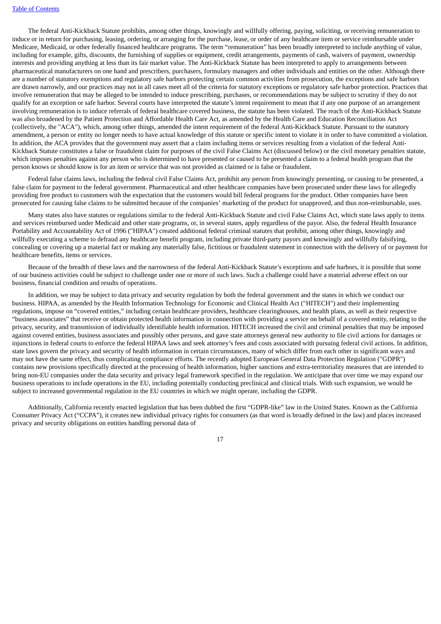The federal Anti-Kickback Statute prohibits, among other things, knowingly and willfully offering, paying, soliciting, or receiving remuneration to induce or in return for purchasing, leasing, ordering, or arranging for the purchase, lease, or order of any healthcare item or service reimbursable under Medicare, Medicaid, or other federally financed healthcare programs. The term "remuneration" has been broadly interpreted to include anything of value, including for example, gifts, discounts, the furnishing of supplies or equipment, credit arrangements, payments of cash, waivers of payment, ownership interests and providing anything at less than its fair market value. The Anti-Kickback Statute has been interpreted to apply to arrangements between pharmaceutical manufacturers on one hand and prescribers, purchasers, formulary managers and other individuals and entities on the other. Although there are a number of statutory exemptions and regulatory safe harbors protecting certain common activities from prosecution, the exceptions and safe harbors are drawn narrowly, and our practices may not in all cases meet all of the criteria for statutory exceptions or regulatory safe harbor protection. Practices that involve remuneration that may be alleged to be intended to induce prescribing, purchases, or recommendations may be subject to scrutiny if they do not qualify for an exception or safe harbor. Several courts have interpreted the statute's intent requirement to mean that if any one purpose of an arrangement involving remuneration is to induce referrals of federal healthcare covered business, the statute has been violated. The reach of the Anti-Kickback Statute was also broadened by the Patient Protection and Affordable Health Care Act, as amended by the Health Care and Education Reconciliation Act (collectively, the "ACA"), which, among other things, amended the intent requirement of the federal Anti-Kickback Statute. Pursuant to the statutory amendment, a person or entity no longer needs to have actual knowledge of this statute or specific intent to violate it in order to have committed a violation. In addition, the ACA provides that the government may assert that a claim including items or services resulting from a violation of the federal Anti-Kickback Statute constitutes a false or fraudulent claim for purposes of the civil False Claims Act (discussed below) or the civil monetary penalties statute, which imposes penalties against any person who is determined to have presented or caused to be presented a claim to a federal health program that the person knows or should know is for an item or service that was not provided as claimed or is false or fraudulent.

Federal false claims laws, including the federal civil False Claims Act, prohibit any person from knowingly presenting, or causing to be presented, a false claim for payment to the federal government. Pharmaceutical and other healthcare companies have been prosecuted under these laws for allegedly providing free product to customers with the expectation that the customers would bill federal programs for the product. Other companies have been prosecuted for causing false claims to be submitted because of the companies' marketing of the product for unapproved, and thus non-reimbursable, uses.

Many states also have statutes or regulations similar to the federal Anti-Kickback Statute and civil False Claims Act, which state laws apply to items and services reimbursed under Medicaid and other state programs, or, in several states, apply regardless of the payor. Also, the federal Health Insurance Portability and Accountability Act of 1996 ("HIPAA") created additional federal criminal statutes that prohibit, among other things, knowingly and willfully executing a scheme to defraud any healthcare benefit program, including private third-party payors and knowingly and willfully falsifying, concealing or covering up a material fact or making any materially false, fictitious or fraudulent statement in connection with the delivery of or payment for healthcare benefits, items or services.

Because of the breadth of these laws and the narrowness of the federal Anti-Kickback Statute's exceptions and safe harbors, it is possible that some of our business activities could be subject to challenge under one or more of such laws. Such a challenge could have a material adverse effect on our business, financial condition and results of operations.

In addition, we may be subject to data privacy and security regulation by both the federal government and the states in which we conduct our business. HIPAA, as amended by the Health Information Technology for Economic and Clinical Health Act ("HITECH") and their implementing regulations, impose on "covered entities," including certain healthcare providers, healthcare clearinghouses, and health plans, as well as their respective "business associates" that receive or obtain protected health information in connection with providing a service on behalf of a covered entity, relating to the privacy, security, and transmission of individually identifiable health information. HITECH increased the civil and criminal penalties that may be imposed against covered entities, business associates and possibly other persons, and gave state attorneys general new authority to file civil actions for damages or injunctions in federal courts to enforce the federal HIPAA laws and seek attorney's fees and costs associated with pursuing federal civil actions. In addition, state laws govern the privacy and security of health information in certain circumstances, many of which differ from each other in significant ways and may not have the same effect, thus complicating compliance efforts. The recently adopted European General Data Protection Regulation ("GDPR") contains new provisions specifically directed at the processing of health information, higher sanctions and extra-territoriality measures that are intended to bring non-EU companies under the data security and privacy legal framework specified in the regulation. We anticipate that over time we may expand our business operations to include operations in the EU, including potentially conducting preclinical and clinical trials. With such expansion, we would be subject to increased governmental regulation in the EU countries in which we might operate, including the GDPR.

Additionally, California recently enacted legislation that has been dubbed the first "GDPR-like" law in the United States. Known as the California Consumer Privacy Act ("CCPA"), it creates new individual privacy rights for consumers (as that word is broadly defined in the law) and places increased privacy and security obligations on entities handling personal data of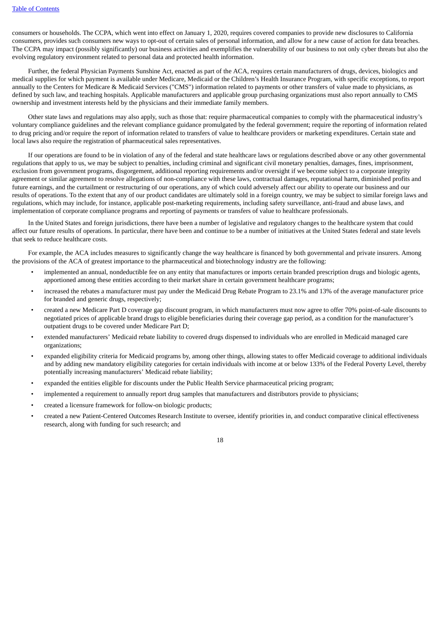consumers or households. The CCPA, which went into effect on January 1, 2020, requires covered companies to provide new disclosures to California consumers, provides such consumers new ways to opt-out of certain sales of personal information, and allow for a new cause of action for data breaches. The CCPA may impact (possibly significantly) our business activities and exemplifies the vulnerability of our business to not only cyber threats but also the evolving regulatory environment related to personal data and protected health information.

Further, the federal Physician Payments Sunshine Act, enacted as part of the ACA, requires certain manufacturers of drugs, devices, biologics and medical supplies for which payment is available under Medicare, Medicaid or the Children's Health Insurance Program, with specific exceptions, to report annually to the Centers for Medicare & Medicaid Services ("CMS") information related to payments or other transfers of value made to physicians, as defined by such law, and teaching hospitals. Applicable manufacturers and applicable group purchasing organizations must also report annually to CMS ownership and investment interests held by the physicians and their immediate family members.

Other state laws and regulations may also apply, such as those that: require pharmaceutical companies to comply with the pharmaceutical industry's voluntary compliance guidelines and the relevant compliance guidance promulgated by the federal government; require the reporting of information related to drug pricing and/or require the report of information related to transfers of value to healthcare providers or marketing expenditures. Certain state and local laws also require the registration of pharmaceutical sales representatives.

If our operations are found to be in violation of any of the federal and state healthcare laws or regulations described above or any other governmental regulations that apply to us, we may be subject to penalties, including criminal and significant civil monetary penalties, damages, fines, imprisonment, exclusion from government programs, disgorgement, additional reporting requirements and/or oversight if we become subject to a corporate integrity agreement or similar agreement to resolve allegations of non-compliance with these laws, contractual damages, reputational harm, diminished profits and future earnings, and the curtailment or restructuring of our operations, any of which could adversely affect our ability to operate our business and our results of operations. To the extent that any of our product candidates are ultimately sold in a foreign country, we may be subject to similar foreign laws and regulations, which may include, for instance, applicable post-marketing requirements, including safety surveillance, anti-fraud and abuse laws, and implementation of corporate compliance programs and reporting of payments or transfers of value to healthcare professionals.

In the United States and foreign jurisdictions, there have been a number of legislative and regulatory changes to the healthcare system that could affect our future results of operations. In particular, there have been and continue to be a number of initiatives at the United States federal and state levels that seek to reduce healthcare costs.

For example, the ACA includes measures to significantly change the way healthcare is financed by both governmental and private insurers. Among the provisions of the ACA of greatest importance to the pharmaceutical and biotechnology industry are the following:

- implemented an annual, nondeductible fee on any entity that manufactures or imports certain branded prescription drugs and biologic agents, apportioned among these entities according to their market share in certain government healthcare programs;
- increased the rebates a manufacturer must pay under the Medicaid Drug Rebate Program to 23.1% and 13% of the average manufacturer price for branded and generic drugs, respectively;
- created a new Medicare Part D coverage gap discount program, in which manufacturers must now agree to offer 70% point-of-sale discounts to negotiated prices of applicable brand drugs to eligible beneficiaries during their coverage gap period, as a condition for the manufacturer's outpatient drugs to be covered under Medicare Part D;
- extended manufacturers' Medicaid rebate liability to covered drugs dispensed to individuals who are enrolled in Medicaid managed care organizations;
- expanded eligibility criteria for Medicaid programs by, among other things, allowing states to offer Medicaid coverage to additional individuals and by adding new mandatory eligibility categories for certain individuals with income at or below 133% of the Federal Poverty Level, thereby potentially increasing manufacturers' Medicaid rebate liability;
- expanded the entities eligible for discounts under the Public Health Service pharmaceutical pricing program;
- implemented a requirement to annually report drug samples that manufacturers and distributors provide to physicians;
- created a licensure framework for follow-on biologic products;
- created a new Patient-Centered Outcomes Research Institute to oversee, identify priorities in, and conduct comparative clinical effectiveness research, along with funding for such research; and

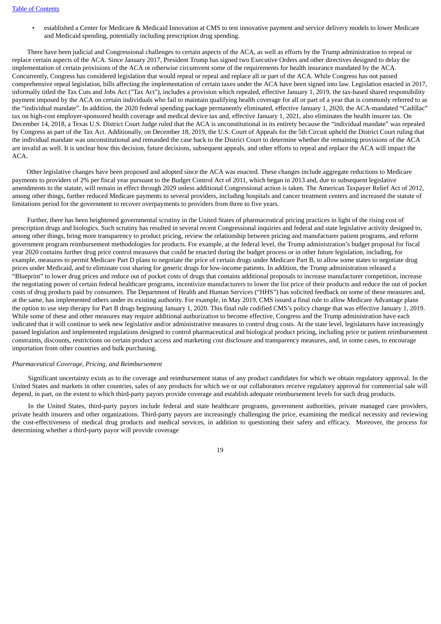• established a Center for Medicare & Medicaid Innovation at CMS to test innovative payment and service delivery models to lower Medicare and Medicaid spending, potentially including prescription drug spending.

There have been judicial and Congressional challenges to certain aspects of the ACA, as well as efforts by the Trump administration to repeal or replace certain aspects of the ACA. Since January 2017, President Trump has signed two Executive Orders and other directives designed to delay the implementation of certain provisions of the ACA or otherwise circumvent some of the requirements for health insurance mandated by the ACA. Concurrently, Congress has considered legislation that would repeal or repeal and replace all or part of the ACA. While Congress has not passed comprehensive repeal legislation, bills affecting the implementation of certain taxes under the ACA have been signed into law. Legislation enacted in 2017, informally titled the Tax Cuts and Jobs Act ("Tax Act"), includes a provision which repealed, effective January 1, 2019, the tax-based shared responsibility payment imposed by the ACA on certain individuals who fail to maintain qualifying health coverage for all or part of a year that is commonly referred to as the "individual mandate". In addition, the 2020 federal spending package permanently eliminated, effective January 1, 2020, the ACA-mandated "Cadillac" tax on high-cost employer-sponsored health coverage and medical device tax and, effective January 1, 2021, also eliminates the health insurer tax. On December 14, 2018, a Texas U.S. District Court Judge ruled that the ACA is unconstitutional in its entirety because the "individual mandate" was repealed by Congress as part of the Tax Act. Additionally, on December 18, 2019, the U.S. Court of Appeals for the 5th Circuit upheld the District Court ruling that the individual mandate was unconstitutional and remanded the case back to the District Court to determine whether the remaining provisions of the ACA are invalid as well. It is unclear how this decision, future decisions, subsequent appeals, and other efforts to repeal and replace the ACA will impact the ACA.

Other legislative changes have been proposed and adopted since the ACA was enacted. These changes include aggregate reductions to Medicare payments to providers of 2% per fiscal year pursuant to the Budget Control Act of 2011, which began in 2013 and, due to subsequent legislative amendments to the statute, will remain in effect through 2029 unless additional Congressional action is taken. The American Taxpayer Relief Act of 2012, among other things, further reduced Medicare payments to several providers, including hospitals and cancer treatment centers and increased the statute of limitations period for the government to recover overpayments to providers from three to five years.

Further, there has been heightened governmental scrutiny in the United States of pharmaceutical pricing practices in light of the rising cost of prescription drugs and biologics. Such scrutiny has resulted in several recent Congressional inquiries and federal and state legislative activity designed to, among other things, bring more transparency to product pricing, review the relationship between pricing and manufacturer patient programs, and reform government program reimbursement methodologies for products. For example, at the federal level, the Trump administration's budget proposal for fiscal year 2020 contains further drug price control measures that could be enacted during the budget process or in other future legislation, including, for example, measures to permit Medicare Part D plans to negotiate the price of certain drugs under Medicare Part B, to allow some states to negotiate drug prices under Medicaid, and to eliminate cost sharing for generic drugs for low-income patients. In addition, the Trump administration released a "Blueprint" to lower drug prices and reduce out of pocket costs of drugs that contains additional proposals to increase manufacturer competition, increase the negotiating power of certain federal healthcare programs, incentivize manufacturers to lower the list price of their products and reduce the out of pocket costs of drug products paid by consumers. The Department of Health and Human Services ("HHS") has solicited feedback on some of these measures and, at the same, has implemented others under its existing authority. For example, in May 2019, CMS issued a final rule to allow Medicare Advantage plans the option to use step therapy for Part B drugs beginning January 1, 2020. This final rule codified CMS's policy change that was effective January 1, 2019. While some of these and other measures may require additional authorization to become effective, Congress and the Trump administration have each indicated that it will continue to seek new legislative and/or administrative measures to control drug costs. At the state level, legislatures have increasingly passed legislation and implemented regulations designed to control pharmaceutical and biological product pricing, including price or patient reimbursement constraints, discounts, restrictions on certain product access and marketing cost disclosure and transparency measures, and, in some cases, to encourage importation from other countries and bulk purchasing.

#### *Pharmaceutical Coverage, Pricing, and Reimbursement*

Significant uncertainty exists as to the coverage and reimbursement status of any product candidates for which we obtain regulatory approval. In the United States and markets in other countries, sales of any products for which we or our collaborators receive regulatory approval for commercial sale will depend, in part, on the extent to which third-party payors provide coverage and establish adequate reimbursement levels for such drug products.

In the United States, third-party payors include federal and state healthcare programs, government authorities, private managed care providers, private health insurers and other organizations. Third-party payors are increasingly challenging the price, examining the medical necessity and reviewing the cost-effectiveness of medical drug products and medical services, in addition to questioning their safety and efficacy. Moreover, the process for determining whether a third-party payor will provide coverage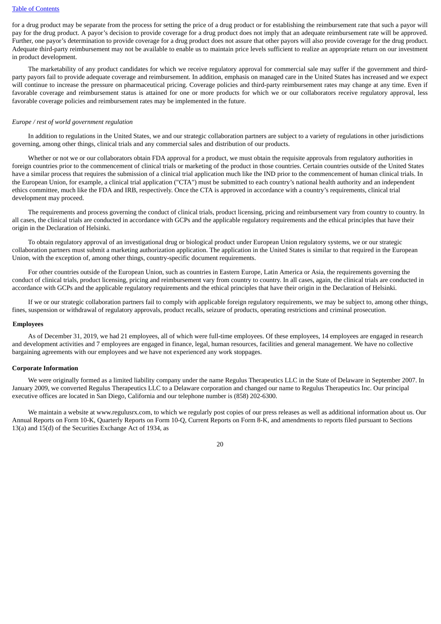## Table of [Contents](#page-2-0)

for a drug product may be separate from the process for setting the price of a drug product or for establishing the reimbursement rate that such a payor will pay for the drug product. A payor's decision to provide coverage for a drug product does not imply that an adequate reimbursement rate will be approved. Further, one payor's determination to provide coverage for a drug product does not assure that other payors will also provide coverage for the drug product. Adequate third-party reimbursement may not be available to enable us to maintain price levels sufficient to realize an appropriate return on our investment in product development.

The marketability of any product candidates for which we receive regulatory approval for commercial sale may suffer if the government and thirdparty payors fail to provide adequate coverage and reimbursement. In addition, emphasis on managed care in the United States has increased and we expect will continue to increase the pressure on pharmaceutical pricing. Coverage policies and third-party reimbursement rates may change at any time. Even if favorable coverage and reimbursement status is attained for one or more products for which we or our collaborators receive regulatory approval, less favorable coverage policies and reimbursement rates may be implemented in the future.

#### *Europe / rest of world government regulation*

In addition to regulations in the United States, we and our strategic collaboration partners are subject to a variety of regulations in other jurisdictions governing, among other things, clinical trials and any commercial sales and distribution of our products.

Whether or not we or our collaborators obtain FDA approval for a product, we must obtain the requisite approvals from regulatory authorities in foreign countries prior to the commencement of clinical trials or marketing of the product in those countries. Certain countries outside of the United States have a similar process that requires the submission of a clinical trial application much like the IND prior to the commencement of human clinical trials. In the European Union, for example, a clinical trial application ("CTA") must be submitted to each country's national health authority and an independent ethics committee, much like the FDA and IRB, respectively. Once the CTA is approved in accordance with a country's requirements, clinical trial development may proceed.

The requirements and process governing the conduct of clinical trials, product licensing, pricing and reimbursement vary from country to country. In all cases, the clinical trials are conducted in accordance with GCPs and the applicable regulatory requirements and the ethical principles that have their origin in the Declaration of Helsinki.

To obtain regulatory approval of an investigational drug or biological product under European Union regulatory systems, we or our strategic collaboration partners must submit a marketing authorization application. The application in the United States is similar to that required in the European Union, with the exception of, among other things, country-specific document requirements.

For other countries outside of the European Union, such as countries in Eastern Europe, Latin America or Asia, the requirements governing the conduct of clinical trials, product licensing, pricing and reimbursement vary from country to country. In all cases, again, the clinical trials are conducted in accordance with GCPs and the applicable regulatory requirements and the ethical principles that have their origin in the Declaration of Helsinki.

If we or our strategic collaboration partners fail to comply with applicable foreign regulatory requirements, we may be subject to, among other things, fines, suspension or withdrawal of regulatory approvals, product recalls, seizure of products, operating restrictions and criminal prosecution.

#### **Employees**

As of December 31, 2019, we had 21 employees, all of which were full-time employees. Of these employees, 14 employees are engaged in research and development activities and 7 employees are engaged in finance, legal, human resources, facilities and general management. We have no collective bargaining agreements with our employees and we have not experienced any work stoppages.

## **Corporate Information**

We were originally formed as a limited liability company under the name Regulus Therapeutics LLC in the State of Delaware in September 2007. In January 2009, we converted Regulus Therapeutics LLC to a Delaware corporation and changed our name to Regulus Therapeutics Inc. Our principal executive offices are located in San Diego, California and our telephone number is (858) 202-6300.

We maintain a website at www.regulusrx.com, to which we regularly post copies of our press releases as well as additional information about us. Our Annual Reports on Form 10-K, Quarterly Reports on Form 10‑Q, Current Reports on Form 8-K, and amendments to reports filed pursuant to Sections 13(a) and 15(d) of the Securities Exchange Act of 1934, as

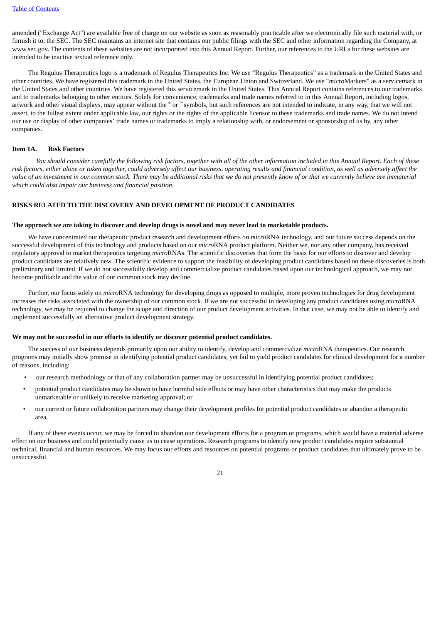amended ("Exchange Act") are available free of charge on our website as soon as reasonably practicable after we electronically file such material with, or furnish it to, the SEC. The SEC maintains an internet site that contains our public filings with the SEC and other information regarding the Company, at www.sec.gov. The contents of these websites are not incorporated into this Annual Report. Further, our references to the URLs for these websites are intended to be inactive textual reference only.

The Regulus Therapeutics logo is a trademark of Regulus Therapeutics Inc. We use "Regulus Therapeutics" as a trademark in the United States and other countries. We have registered this trademark in the United States, the European Union and Switzerland. We use "*micro*Markers" as a servicemark in the United States and other countries. We have registered this servicemark in the United States. This Annual Report contains references to our trademarks and to trademarks belonging to other entities. Solely for convenience, trademarks and trade names referred to in this Annual Report, including logos, artwork and other visual displays, may appear without the ® or ™symbols, but such references are not intended to indicate, in any way, that we will not assert, to the fullest extent under applicable law, our rights or the rights of the applicable licensor to these trademarks and trade names. We do not intend our use or display of other companies' trade names or trademarks to imply a relationship with, or endorsement or sponsorship of us by, any other companies.

#### <span id="page-21-0"></span>**Item 1A. Risk Factors**

You should consider carefully the following risk factors, together with all of the other information included in this Annual Report. Each of these risk factors, either alone or taken together, could adversely affect our business, operating results and financial condition, as well as adversely affect the value of an investment in our common stock. There may be additional risks that we do not presently know of or that we currently believe are immaterial *which could also impair our business and financial position.*

## **RISKS RELATED TO THE DISCOVERY AND DEVELOPMENT OF PRODUCT CANDIDATES**

#### The approach we are taking to discover and develop drugs is novel and may never lead to marketable products.

We have concentrated our therapeutic product research and development efforts on *micro*RNA technology, and our future success depends on the successful development of this technology and products based on our *micro*RNA product platform. Neither we, nor any other company, has received regulatory approval to market therapeutics targeting *micro*RNAs. The scientific discoveries that form the basis for our efforts to discover and develop product candidates are relatively new. The scientific evidence to support the feasibility of developing product candidates based on these discoveries is both preliminary and limited. If we do not successfully develop and commercialize product candidates based upon our technological approach, we may not become profitable and the value of our common stock may decline.

Further, our focus solely on *micro*RNA technology for developing drugs as opposed to multiple, more proven technologies for drug development increases the risks associated with the ownership of our common stock. If we are not successful in developing any product candidates using *micro*RNA technology, we may be required to change the scope and direction of our product development activities. In that case, we may not be able to identify and implement successfully an alternative product development strategy.

## **We may not be successful in our efforts to identify or discover potential product candidates.**

The success of our business depends primarily upon our ability to identify, develop and commercialize *micro*RNA therapeutics. Our research programs may initially show promise in identifying potential product candidates, yet fail to yield product candidates for clinical development for a number of reasons, including:

- our research methodology or that of any collaboration partner may be unsuccessful in identifying potential product candidates;
- potential product candidates may be shown to have harmful side effects or may have other characteristics that may make the products unmarketable or unlikely to receive marketing approval; or
- our current or future collaboration partners may change their development profiles for potential product candidates or abandon a therapeutic area.

If any of these events occur, we may be forced to abandon our development efforts for a program or programs, which would have a material adverse effect on our business and could potentially cause us to cease operations. Research programs to identify new product candidates require substantial technical, financial and human resources. We may focus our efforts and resources on potential programs or product candidates that ultimately prove to be unsuccessful.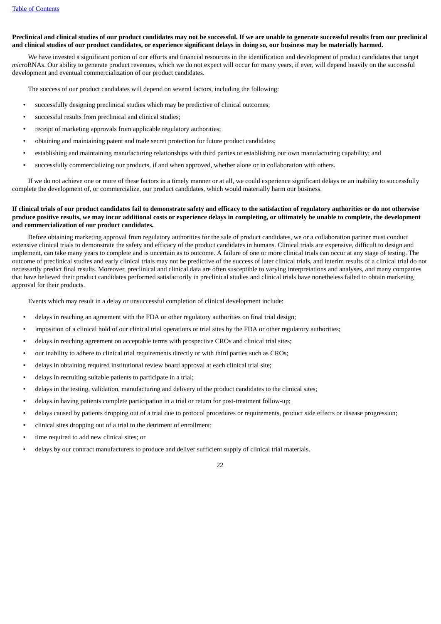## Preclinical and clinical studies of our product candidates may not be successful. If we are unable to generate successful results from our preclinical and clinical studies of our product candidates, or experience significant delays in doing so, our business may be materially harmed.

We have invested a significant portion of our efforts and financial resources in the identification and development of product candidates that target *micro*RNAs. Our ability to generate product revenues, which we do not expect will occur for many years, if ever, will depend heavily on the successful development and eventual commercialization of our product candidates.

The success of our product candidates will depend on several factors, including the following:

- successfully designing preclinical studies which may be predictive of clinical outcomes;
- successful results from preclinical and clinical studies;
- receipt of marketing approvals from applicable regulatory authorities;
- obtaining and maintaining patent and trade secret protection for future product candidates;
- establishing and maintaining manufacturing relationships with third parties or establishing our own manufacturing capability; and
- successfully commercializing our products, if and when approved, whether alone or in collaboration with others.

If we do not achieve one or more of these factors in a timely manner or at all, we could experience significant delays or an inability to successfully complete the development of, or commercialize, our product candidates, which would materially harm our business.

## If clinical trials of our product candidates fail to demonstrate safety and efficacy to the satisfaction of regulatory authorities or do not otherwise produce positive results, we may incur additional costs or experience delays in completing, or ultimately be unable to complete, the development **and commercialization of our product candidates.**

Before obtaining marketing approval from regulatory authorities for the sale of product candidates, we or a collaboration partner must conduct extensive clinical trials to demonstrate the safety and efficacy of the product candidates in humans. Clinical trials are expensive, difficult to design and implement, can take many years to complete and is uncertain as to outcome. A failure of one or more clinical trials can occur at any stage of testing. The outcome of preclinical studies and early clinical trials may not be predictive of the success of later clinical trials, and interim results of a clinical trial do not necessarily predict final results. Moreover, preclinical and clinical data are often susceptible to varying interpretations and analyses, and many companies that have believed their product candidates performed satisfactorily in preclinical studies and clinical trials have nonetheless failed to obtain marketing approval for their products.

Events which may result in a delay or unsuccessful completion of clinical development include:

- delays in reaching an agreement with the FDA or other regulatory authorities on final trial design;
- imposition of a clinical hold of our clinical trial operations or trial sites by the FDA or other regulatory authorities;
- delays in reaching agreement on acceptable terms with prospective CROs and clinical trial sites;
- our inability to adhere to clinical trial requirements directly or with third parties such as CROs;
- delays in obtaining required institutional review board approval at each clinical trial site;
- delays in recruiting suitable patients to participate in a trial;
- delays in the testing, validation, manufacturing and delivery of the product candidates to the clinical sites;
- delays in having patients complete participation in a trial or return for post-treatment follow-up;
- delays caused by patients dropping out of a trial due to protocol procedures or requirements, product side effects or disease progression;
- clinical sites dropping out of a trial to the detriment of enrollment;
- time required to add new clinical sites; or
- delays by our contract manufacturers to produce and deliver sufficient supply of clinical trial materials.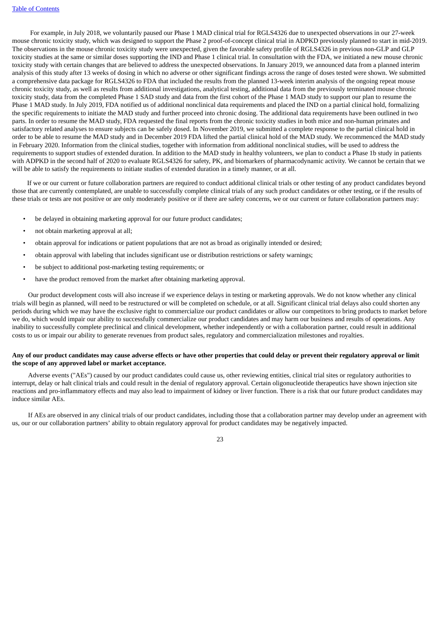For example, in July 2018, we voluntarily paused our Phase 1 MAD clinical trial for RGLS4326 due to unexpected observations in our 27-week mouse chronic toxicity study, which was designed to support the Phase 2 proof-of-concept clinical trial in ADPKD previously planned to start in mid-2019. The observations in the mouse chronic toxicity study were unexpected, given the favorable safety profile of RGLS4326 in previous non-GLP and GLP toxicity studies at the same or similar doses supporting the IND and Phase 1 clinical trial. In consultation with the FDA, we initiated a new mouse chronic toxicity study with certain changes that are believed to address the unexpected observations. In January 2019, we announced data from a planned interim analysis of this study after 13 weeks of dosing in which no adverse or other significant findings across the range of doses tested were shown. We submitted a comprehensive data package for RGLS4326 to FDA that included the results from the planned 13-week interim analysis of the ongoing repeat mouse chronic toxicity study, as well as results from additional investigations, analytical testing, additional data from the previously terminated mouse chronic toxicity study, data from the completed Phase 1 SAD study and data from the first cohort of the Phase 1 MAD study to support our plan to resume the Phase 1 MAD study. In July 2019, FDA notified us of additional nonclinical data requirements and placed the IND on a partial clinical hold, formalizing the specific requirements to initiate the MAD study and further proceed into chronic dosing. The additional data requirements have been outlined in two parts. In order to resume the MAD study, FDA requested the final reports from the chronic toxicity studies in both mice and non-human primates and satisfactory related analyses to ensure subjects can be safely dosed. In November 2019, we submitted a complete response to the partial clinical hold in order to be able to resume the MAD study and in December 2019 FDA lifted the partial clinical hold of the MAD study. We recommenced the MAD study in February 2020. Information from the clinical studies, together with information from additional nonclinical studies, will be used to address the requirements to support studies of extended duration. In addition to the MAD study in healthy volunteers, we plan to conduct a Phase 1b study in patients with ADPKD in the second half of 2020 to evaluate RGLS4326 for safety, PK, and biomarkers of pharmacodynamic activity. We cannot be certain that we will be able to satisfy the requirements to initiate studies of extended duration in a timely manner, or at all.

If we or our current or future collaboration partners are required to conduct additional clinical trials or other testing of any product candidates beyond those that are currently contemplated, are unable to successfully complete clinical trials of any such product candidates or other testing, or if the results of these trials or tests are not positive or are only moderately positive or if there are safety concerns, we or our current or future collaboration partners may:

- be delayed in obtaining marketing approval for our future product candidates;
- not obtain marketing approval at all;
- obtain approval for indications or patient populations that are not as broad as originally intended or desired;
- obtain approval with labeling that includes significant use or distribution restrictions or safety warnings;
- be subject to additional post-marketing testing requirements; or
- have the product removed from the market after obtaining marketing approval.

Our product development costs will also increase if we experience delays in testing or marketing approvals. We do not know whether any clinical trials will begin as planned, will need to be restructured or will be completed on schedule, or at all. Significant clinical trial delays also could shorten any periods during which we may have the exclusive right to commercialize our product candidates or allow our competitors to bring products to market before we do, which would impair our ability to successfully commercialize our product candidates and may harm our business and results of operations. Any inability to successfully complete preclinical and clinical development, whether independently or with a collaboration partner, could result in additional costs to us or impair our ability to generate revenues from product sales, regulatory and commercialization milestones and royalties.

## Any of our product candidates may cause adverse effects or have other properties that could delay or prevent their regulatory approval or limit **the scope of any approved label or market acceptance.**

Adverse events ("AEs") caused by our product candidates could cause us, other reviewing entities, clinical trial sites or regulatory authorities to interrupt, delay or halt clinical trials and could result in the denial of regulatory approval. Certain oligonucleotide therapeutics have shown injection site reactions and pro-inflammatory effects and may also lead to impairment of kidney or liver function. There is a risk that our future product candidates may induce similar AEs.

If AEs are observed in any clinical trials of our product candidates, including those that a collaboration partner may develop under an agreement with us, our or our collaboration partners' ability to obtain regulatory approval for product candidates may be negatively impacted.

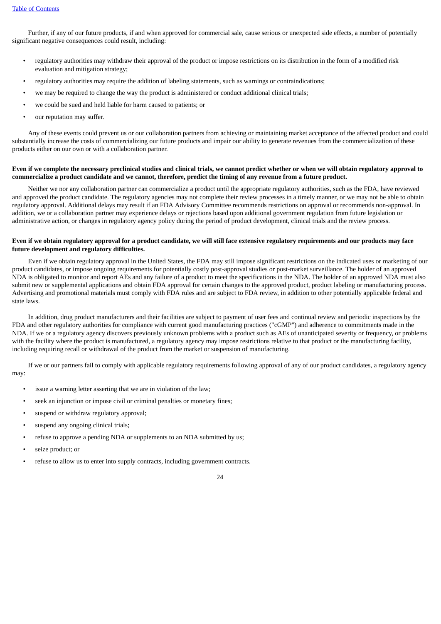Further, if any of our future products, if and when approved for commercial sale, cause serious or unexpected side effects, a number of potentially significant negative consequences could result, including:

- regulatory authorities may withdraw their approval of the product or impose restrictions on its distribution in the form of a modified risk evaluation and mitigation strategy;
- regulatory authorities may require the addition of labeling statements, such as warnings or contraindications;
- we may be required to change the way the product is administered or conduct additional clinical trials;
- we could be sued and held liable for harm caused to patients; or
- our reputation may suffer.

Any of these events could prevent us or our collaboration partners from achieving or maintaining market acceptance of the affected product and could substantially increase the costs of commercializing our future products and impair our ability to generate revenues from the commercialization of these products either on our own or with a collaboration partner.

## Even if we complete the necessary preclinical studies and clinical trials, we cannot predict whether or when we will obtain regulatory approval to commercialize a product candidate and we cannot, therefore, predict the timing of any revenue from a future product.

Neither we nor any collaboration partner can commercialize a product until the appropriate regulatory authorities, such as the FDA, have reviewed and approved the product candidate. The regulatory agencies may not complete their review processes in a timely manner, or we may not be able to obtain regulatory approval. Additional delays may result if an FDA Advisory Committee recommends restrictions on approval or recommends non-approval. In addition, we or a collaboration partner may experience delays or rejections based upon additional government regulation from future legislation or administrative action, or changes in regulatory agency policy during the period of product development, clinical trials and the review process.

## Even if we obtain regulatory approval for a product candidate, we will still face extensive regulatory requirements and our products may face **future development and regulatory difficulties.**

Even if we obtain regulatory approval in the United States, the FDA may still impose significant restrictions on the indicated uses or marketing of our product candidates, or impose ongoing requirements for potentially costly post-approval studies or post-market surveillance. The holder of an approved NDA is obligated to monitor and report AEs and any failure of a product to meet the specifications in the NDA. The holder of an approved NDA must also submit new or supplemental applications and obtain FDA approval for certain changes to the approved product, product labeling or manufacturing process. Advertising and promotional materials must comply with FDA rules and are subject to FDA review, in addition to other potentially applicable federal and state laws.

In addition, drug product manufacturers and their facilities are subject to payment of user fees and continual review and periodic inspections by the FDA and other regulatory authorities for compliance with current good manufacturing practices ("cGMP") and adherence to commitments made in the NDA. If we or a regulatory agency discovers previously unknown problems with a product such as AEs of unanticipated severity or frequency, or problems with the facility where the product is manufactured, a regulatory agency may impose restrictions relative to that product or the manufacturing facility, including requiring recall or withdrawal of the product from the market or suspension of manufacturing.

If we or our partners fail to comply with applicable regulatory requirements following approval of any of our product candidates, a regulatory agency may:

- issue a warning letter asserting that we are in violation of the law;
- seek an injunction or impose civil or criminal penalties or monetary fines;
- suspend or withdraw regulatory approval;
- suspend any ongoing clinical trials;
- refuse to approve a pending NDA or supplements to an NDA submitted by us;
- seize product; or
- refuse to allow us to enter into supply contracts, including government contracts.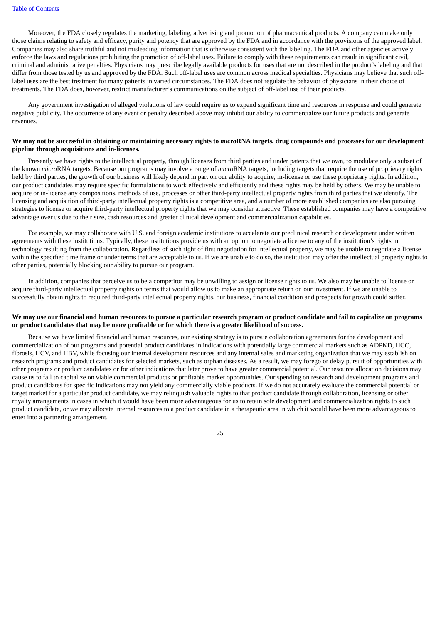Moreover, the FDA closely regulates the marketing, labeling, advertising and promotion of pharmaceutical products. A company can make only those claims relating to safety and efficacy, purity and potency that are approved by the FDA and in accordance with the provisions of the approved label. Companies may also share truthful and not misleading information that is otherwise consistent with the labeling. The FDA and other agencies actively enforce the laws and regulations prohibiting the promotion of off-label uses. Failure to comply with these requirements can result in significant civil, criminal and administrative penalties. Physicians may prescribe legally available products for uses that are not described in the product's labeling and that differ from those tested by us and approved by the FDA. Such off-label uses are common across medical specialties. Physicians may believe that such offlabel uses are the best treatment for many patients in varied circumstances. The FDA does not regulate the behavior of physicians in their choice of treatments. The FDA does, however, restrict manufacturer's communications on the subject of off-label use of their products.

Any government investigation of alleged violations of law could require us to expend significant time and resources in response and could generate negative publicity. The occurrence of any event or penalty described above may inhibit our ability to commercialize our future products and generate revenues.

## We may not be successful in obtaining or maintaining necessary rights to microRNA targets, drug compounds and processes for our development **pipeline through acquisitions and in-licenses.**

Presently we have rights to the intellectual property, through licenses from third parties and under patents that we own, to modulate only a subset of the known *micro*RNA targets. Because our programs may involve a range of *micro*RNA targets, including targets that require the use of proprietary rights held by third parties, the growth of our business will likely depend in part on our ability to acquire, in-license or use these proprietary rights. In addition, our product candidates may require specific formulations to work effectively and efficiently and these rights may be held by others. We may be unable to acquire or in-license any compositions, methods of use, processes or other third-party intellectual property rights from third parties that we identify. The licensing and acquisition of third-party intellectual property rights is a competitive area, and a number of more established companies are also pursuing strategies to license or acquire third-party intellectual property rights that we may consider attractive. These established companies may have a competitive advantage over us due to their size, cash resources and greater clinical development and commercialization capabilities.

For example, we may collaborate with U.S. and foreign academic institutions to accelerate our preclinical research or development under written agreements with these institutions. Typically, these institutions provide us with an option to negotiate a license to any of the institution's rights in technology resulting from the collaboration. Regardless of such right of first negotiation for intellectual property, we may be unable to negotiate a license within the specified time frame or under terms that are acceptable to us. If we are unable to do so, the institution may offer the intellectual property rights to other parties, potentially blocking our ability to pursue our program.

In addition, companies that perceive us to be a competitor may be unwilling to assign or license rights to us. We also may be unable to license or acquire third-party intellectual property rights on terms that would allow us to make an appropriate return on our investment. If we are unable to successfully obtain rights to required third-party intellectual property rights, our business, financial condition and prospects for growth could suffer.

## We may use our financial and human resources to pursue a particular research program or product candidate and fail to capitalize on programs or product candidates that may be more profitable or for which there is a greater likelihood of success.

Because we have limited financial and human resources, our existing strategy is to pursue collaboration agreements for the development and commercialization of our programs and potential product candidates in indications with potentially large commercial markets such as ADPKD, HCC, fibrosis, HCV, and HBV, while focusing our internal development resources and any internal sales and marketing organization that we may establish on research programs and product candidates for selected markets, such as orphan diseases. As a result, we may forego or delay pursuit of opportunities with other programs or product candidates or for other indications that later prove to have greater commercial potential. Our resource allocation decisions may cause us to fail to capitalize on viable commercial products or profitable market opportunities. Our spending on research and development programs and product candidates for specific indications may not yield any commercially viable products. If we do not accurately evaluate the commercial potential or target market for a particular product candidate, we may relinquish valuable rights to that product candidate through collaboration, licensing or other royalty arrangements in cases in which it would have been more advantageous for us to retain sole development and commercialization rights to such product candidate, or we may allocate internal resources to a product candidate in a therapeutic area in which it would have been more advantageous to enter into a partnering arrangement.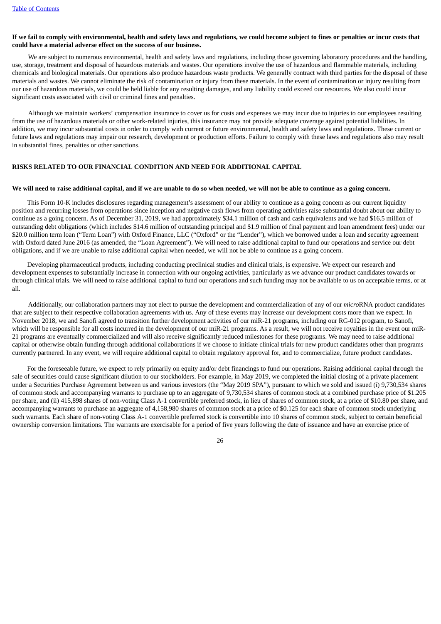## If we fail to comply with environmental, health and safety laws and regulations, we could become subject to fines or penalties or incur costs that **could have a material adverse effect on the success of our business.**

We are subject to numerous environmental, health and safety laws and regulations, including those governing laboratory procedures and the handling, use, storage, treatment and disposal of hazardous materials and wastes. Our operations involve the use of hazardous and flammable materials, including chemicals and biological materials. Our operations also produce hazardous waste products. We generally contract with third parties for the disposal of these materials and wastes. We cannot eliminate the risk of contamination or injury from these materials. In the event of contamination or injury resulting from our use of hazardous materials, we could be held liable for any resulting damages, and any liability could exceed our resources. We also could incur significant costs associated with civil or criminal fines and penalties.

Although we maintain workers' compensation insurance to cover us for costs and expenses we may incur due to injuries to our employees resulting from the use of hazardous materials or other work-related injuries, this insurance may not provide adequate coverage against potential liabilities. In addition, we may incur substantial costs in order to comply with current or future environmental, health and safety laws and regulations. These current or future laws and regulations may impair our research, development or production efforts. Failure to comply with these laws and regulations also may result in substantial fines, penalties or other sanctions.

## **RISKS RELATED TO OUR FINANCIAL CONDITION AND NEED FOR ADDITIONAL CAPITAL**

#### We will need to raise additional capital, and if we are unable to do so when needed, we will not be able to continue as a going concern.

This Form 10-K includes disclosures regarding management's assessment of our ability to continue as a going concern as our current liquidity position and recurring losses from operations since inception and negative cash flows from operating activities raise substantial doubt about our ability to continue as a going concern. As of December 31, 2019, we had approximately \$34.1 million of cash and cash equivalents and we had \$16.5 million of outstanding debt obligations (which includes \$14.6 million of outstanding principal and \$1.9 million of final payment and loan amendment fees) under our \$20.0 million term loan ("Term Loan") with Oxford Finance, LLC ("Oxford" or the "Lender"), which we borrowed under a loan and security agreement with Oxford dated June 2016 (as amended, the "Loan Agreement"). We will need to raise additional capital to fund our operations and service our debt obligations, and if we are unable to raise additional capital when needed, we will not be able to continue as a going concern.

Developing pharmaceutical products, including conducting preclinical studies and clinical trials, is expensive. We expect our research and development expenses to substantially increase in connection with our ongoing activities, particularly as we advance our product candidates towards or through clinical trials. We will need to raise additional capital to fund our operations and such funding may not be available to us on acceptable terms, or at all.

Additionally, our collaboration partners may not elect to pursue the development and commercialization of any of our *micro*RNA product candidates that are subject to their respective collaboration agreements with us. Any of these events may increase our development costs more than we expect. In November 2018, we and Sanofi agreed to transition further development activities of our miR-21 programs, including our RG-012 program, to Sanofi, which will be responsible for all costs incurred in the development of our miR-21 programs. As a result, we will not receive royalties in the event our miR-21 programs are eventually commercialized and will also receive significantly reduced milestones for these programs. We may need to raise additional capital or otherwise obtain funding through additional collaborations if we choose to initiate clinical trials for new product candidates other than programs currently partnered. In any event, we will require additional capital to obtain regulatory approval for, and to commercialize, future product candidates.

For the foreseeable future, we expect to rely primarily on equity and/or debt financings to fund our operations. Raising additional capital through the sale of securities could cause significant dilution to our stockholders. For example, in May 2019, we completed the initial closing of a private placement under a Securities Purchase Agreement between us and various investors (the "May 2019 SPA"), pursuant to which we sold and issued (i) 9,730,534 shares of common stock and accompanying warrants to purchase up to an aggregate of 9,730,534 shares of common stock at a combined purchase price of \$1.205 per share, and (ii) 415,898 shares of non-voting Class A-1 convertible preferred stock, in lieu of shares of common stock, at a price of \$10.80 per share, and accompanying warrants to purchase an aggregate of 4,158,980 shares of common stock at a price of \$0.125 for each share of common stock underlying such warrants. Each share of non-voting Class A-1 convertible preferred stock is convertible into 10 shares of common stock, subject to certain beneficial ownership conversion limitations. The warrants are exercisable for a period of five years following the date of issuance and have an exercise price of

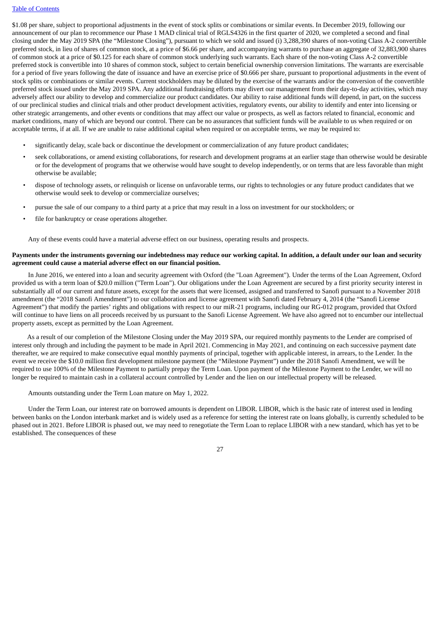#### Table of [Contents](#page-2-0)

\$1.08 per share, subject to proportional adjustments in the event of stock splits or combinations or similar events. In December 2019, following our announcement of our plan to recommence our Phase 1 MAD clinical trial of RGLS4326 in the first quarter of 2020, we completed a second and final closing under the May 2019 SPA (the "Milestone Closing"), pursuant to which we sold and issued (i) 3,288,390 shares of non-voting Class A-2 convertible preferred stock, in lieu of shares of common stock, at a price of \$6.66 per share, and accompanying warrants to purchase an aggregate of 32,883,900 shares of common stock at a price of \$0.125 for each share of common stock underlying such warrants. Each share of the non-voting Class A-2 convertible preferred stock is convertible into 10 shares of common stock, subject to certain beneficial ownership conversion limitations. The warrants are exercisable for a period of five years following the date of issuance and have an exercise price of \$0.666 per share, pursuant to proportional adjustments in the event of stock splits or combinations or similar events. Current stockholders may be diluted by the exercise of the warrants and/or the conversion of the convertible preferred stock issued under the May 2019 SPA. Any additional fundraising efforts may divert our management from their day-to-day activities, which may adversely affect our ability to develop and commercialize our product candidates. Our ability to raise additional funds will depend, in part, on the success of our preclinical studies and clinical trials and other product development activities, regulatory events, our ability to identify and enter into licensing or other strategic arrangements, and other events or conditions that may affect our value or prospects, as well as factors related to financial, economic and market conditions, many of which are beyond our control. There can be no assurances that sufficient funds will be available to us when required or on acceptable terms, if at all. If we are unable to raise additional capital when required or on acceptable terms, we may be required to:

- significantly delay, scale back or discontinue the development or commercialization of any future product candidates;
- seek collaborations, or amend existing collaborations, for research and development programs at an earlier stage than otherwise would be desirable or for the development of programs that we otherwise would have sought to develop independently, or on terms that are less favorable than might otherwise be available;
- dispose of technology assets, or relinquish or license on unfavorable terms, our rights to technologies or any future product candidates that we otherwise would seek to develop or commercialize ourselves;
- pursue the sale of our company to a third party at a price that may result in a loss on investment for our stockholders; or
- file for bankruptcy or cease operations altogether.

Any of these events could have a material adverse effect on our business, operating results and prospects.

## Payments under the instruments governing our indebtedness may reduce our working capital. In addition, a default under our loan and security **agreement could cause a material adverse effect on our financial position.**

In June 2016, we entered into a loan and security agreement with Oxford (the "Loan Agreement"). Under the terms of the Loan Agreement, Oxford provided us with a term loan of \$20.0 million ("Term Loan"). Our obligations under the Loan Agreement are secured by a first priority security interest in substantially all of our current and future assets, except for the assets that were licensed, assigned and transferred to Sanofi pursuant to a November 2018 amendment (the "2018 Sanofi Amendment") to our collaboration and license agreement with Sanofi dated February 4, 2014 (the "Sanofi License Agreement") that modify the parties' rights and obligations with respect to our miR-21 programs, including our RG-012 program, provided that Oxford will continue to have liens on all proceeds received by us pursuant to the Sanofi License Agreement. We have also agreed not to encumber our intellectual property assets, except as permitted by the Loan Agreement.

As a result of our completion of the Milestone Closing under the May 2019 SPA, our required monthly payments to the Lender are comprised of interest only through and including the payment to be made in April 2021. Commencing in May 2021, and continuing on each successive payment date thereafter, we are required to make consecutive equal monthly payments of principal, together with applicable interest, in arrears, to the Lender. In the event we receive the \$10.0 million first development milestone payment (the "Milestone Payment") under the 2018 Sanofi Amendment, we will be required to use 100% of the Milestone Payment to partially prepay the Term Loan. Upon payment of the Milestone Payment to the Lender, we will no longer be required to maintain cash in a collateral account controlled by Lender and the lien on our intellectual property will be released.

Amounts outstanding under the Term Loan mature on May 1, 2022.

Under the Term Loan, our interest rate on borrowed amounts is dependent on LIBOR. LIBOR, which is the basic rate of interest used in lending between banks on the London interbank market and is widely used as a reference for setting the interest rate on loans globally, is currently scheduled to be phased out in 2021. Before LIBOR is phased out, we may need to renegotiate the Term Loan to replace LIBOR with a new standard, which has yet to be established. The consequences of these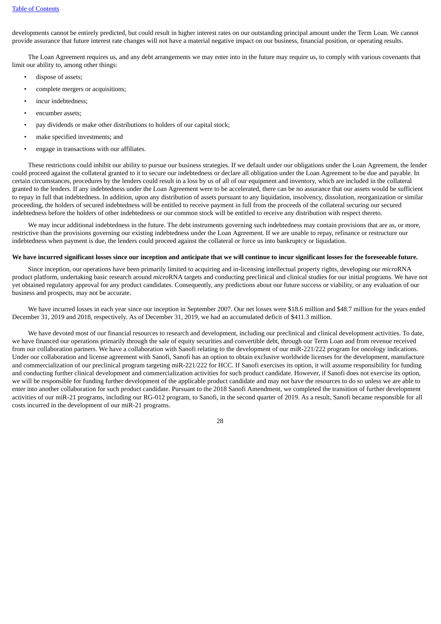developments cannot be entirely predicted, but could result in higher interest rates on our outstanding principal amount under the Term Loan. We cannot provide assurance that future interest rate changes will not have a material negative impact on our business, financial position, or operating results.

The Loan Agreement requires us, and any debt arrangements we may enter into in the future may require us, to comply with various covenants that limit our ability to, among other things:

- dispose of assets;
- complete mergers or acquisitions;
- incur indebtedness;
- encumber assets;
- pay dividends or make other distributions to holders of our capital stock;
- make specified investments; and
- engage in transactions with our affiliates.

These restrictions could inhibit our ability to pursue our business strategies. If we default under our obligations under the Loan Agreement, the lender could proceed against the collateral granted to it to secure our indebtedness or declare all obligation under the Loan Agreement to be due and payable. In certain circumstances, procedures by the lenders could result in a loss by us of all of our equipment and inventory, which are included in the collateral granted to the lenders. If any indebtedness under the Loan Agreement were to be accelerated, there can be no assurance that our assets would be sufficient to repay in full that indebtedness. In addition, upon any distribution of assets pursuant to any liquidation, insolvency, dissolution, reorganization or similar proceeding, the holders of secured indebtedness will be entitled to receive payment in full from the proceeds of the collateral securing our secured indebtedness before the holders of other indebtedness or our common stock will be entitled to receive any distribution with respect thereto.

We may incur additional indebtedness in the future. The debt instruments governing such indebtedness may contain provisions that are as, or more, restrictive than the provisions governing our existing indebtedness under the Loan Agreement. If we are unable to repay, refinance or restructure our indebtedness when payment is due, the lenders could proceed against the collateral or force us into bankruptcy or liquidation.

#### We have incurred significant losses since our inception and anticipate that we will continue to incur significant losses for the foreseeable future.

Since inception, our operations have been primarily limited to acquiring and in-licensing intellectual property rights, developing our *micro*RNA product platform, undertaking basic research around *micro*RNA targets and conducting preclinical and clinical studies for our initial programs. We have not yet obtained regulatory approval for any product candidates. Consequently, any predictions about our future success or viability, or any evaluation of our business and prospects, may not be accurate.

We have incurred losses in each year since our inception in September 2007. Our net losses were \$18.6 million and \$48.7 million for the years ended December 31, 2019 and 2018, respectively. As of December 31, 2019, we had an accumulated deficit of \$411.3 million.

We have devoted most of our financial resources to research and development, including our preclinical and clinical development activities. To date, we have financed our operations primarily through the sale of equity securities and convertible debt, through our Term Loan and from revenue received from our collaboration partners. We have a collaboration with Sanofi relating to the development of our miR-221/222 program for oncology indications. Under our collaboration and license agreement with Sanofi, Sanofi has an option to obtain exclusive worldwide licenses for the development, manufacture and commercialization of our preclinical program targeting miR-221/222 for HCC. If Sanofi exercises its option, it will assume responsibility for funding and conducting further clinical development and commercialization activities for such product candidate. However, if Sanofi does not exercise its option, we will be responsible for funding further development of the applicable product candidate and may not have the resources to do so unless we are able to enter into another collaboration for such product candidate. Pursuant to the 2018 Sanofi Amendment, we completed the transition of further development activities of our miR-21 programs, including our RG-012 program, to Sanofi, in the second quarter of 2019. As a result, Sanofi became responsible for all costs incurred in the development of our miR-21 programs.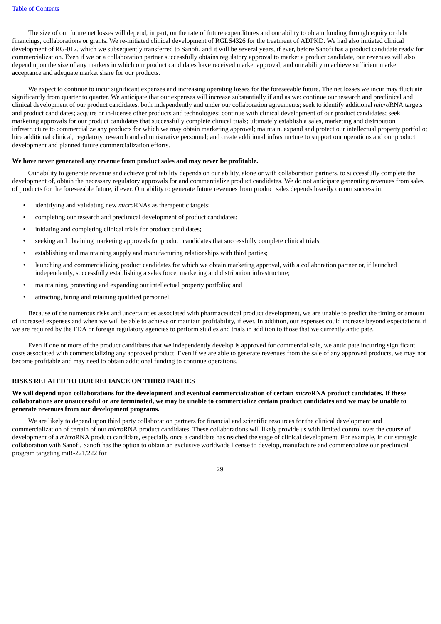The size of our future net losses will depend, in part, on the rate of future expenditures and our ability to obtain funding through equity or debt financings, collaborations or grants. We re-initiated clinical development of RGLS4326 for the treatment of ADPKD. We had also initiated clinical development of RG-012, which we subsequently transferred to Sanofi, and it will be several years, if ever, before Sanofi has a product candidate ready for commercialization. Even if we or a collaboration partner successfully obtains regulatory approval to market a product candidate, our revenues will also depend upon the size of any markets in which our product candidates have received market approval, and our ability to achieve sufficient market acceptance and adequate market share for our products.

We expect to continue to incur significant expenses and increasing operating losses for the foreseeable future. The net losses we incur may fluctuate significantly from quarter to quarter. We anticipate that our expenses will increase substantially if and as we: continue our research and preclinical and clinical development of our product candidates, both independently and under our collaboration agreements; seek to identify additional *micro*RNA targets and product candidates; acquire or in-license other products and technologies; continue with clinical development of our product candidates; seek marketing approvals for our product candidates that successfully complete clinical trials; ultimately establish a sales, marketing and distribution infrastructure to commercialize any products for which we may obtain marketing approval; maintain, expand and protect our intellectual property portfolio; hire additional clinical, regulatory, research and administrative personnel; and create additional infrastructure to support our operations and our product development and planned future commercialization efforts.

#### **We have never generated any revenue from product sales and may never be profitable.**

Our ability to generate revenue and achieve profitability depends on our ability, alone or with collaboration partners, to successfully complete the development of, obtain the necessary regulatory approvals for and commercialize product candidates. We do not anticipate generating revenues from sales of products for the foreseeable future, if ever. Our ability to generate future revenues from product sales depends heavily on our success in:

- identifying and validating new *micro*RNAs as therapeutic targets;
- completing our research and preclinical development of product candidates;
- initiating and completing clinical trials for product candidates;
- seeking and obtaining marketing approvals for product candidates that successfully complete clinical trials;
- establishing and maintaining supply and manufacturing relationships with third parties;
- launching and commercializing product candidates for which we obtain marketing approval, with a collaboration partner or, if launched independently, successfully establishing a sales force, marketing and distribution infrastructure;
- maintaining, protecting and expanding our intellectual property portfolio; and
- attracting, hiring and retaining qualified personnel.

Because of the numerous risks and uncertainties associated with pharmaceutical product development, we are unable to predict the timing or amount of increased expenses and when we will be able to achieve or maintain profitability, if ever. In addition, our expenses could increase beyond expectations if we are required by the FDA or foreign regulatory agencies to perform studies and trials in addition to those that we currently anticipate.

Even if one or more of the product candidates that we independently develop is approved for commercial sale, we anticipate incurring significant costs associated with commercializing any approved product. Even if we are able to generate revenues from the sale of any approved products, we may not become profitable and may need to obtain additional funding to continue operations.

## **RISKS RELATED TO OUR RELIANCE ON THIRD PARTIES**

## We will depend upon collaborations for the development and eventual commercialization of certain microRNA product candidates. If these collaborations are unsuccessful or are terminated, we may be unable to commercialize certain product candidates and we may be unable to **generate revenues from our development programs.**

We are likely to depend upon third party collaboration partners for financial and scientific resources for the clinical development and commercialization of certain of our *micro*RNA product candidates. These collaborations will likely provide us with limited control over the course of development of a *micro*RNA product candidate, especially once a candidate has reached the stage of clinical development. For example, in our strategic collaboration with Sanofi, Sanofi has the option to obtain an exclusive worldwide license to develop, manufacture and commercialize our preclinical program targeting miR-221/222 for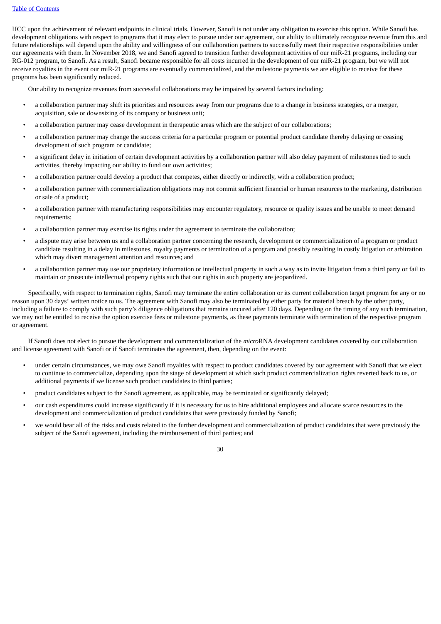#### Table of [Contents](#page-2-0)

HCC upon the achievement of relevant endpoints in clinical trials. However, Sanofi is not under any obligation to exercise this option. While Sanofi has development obligations with respect to programs that it may elect to pursue under our agreement, our ability to ultimately recognize revenue from this and future relationships will depend upon the ability and willingness of our collaboration partners to successfully meet their respective responsibilities under our agreements with them. In November 2018, we and Sanofi agreed to transition further development activities of our miR-21 programs, including our RG-012 program, to Sanofi. As a result, Sanofi became responsible for all costs incurred in the development of our miR-21 program, but we will not receive royalties in the event our miR-21 programs are eventually commercialized, and the milestone payments we are eligible to receive for these programs has been significantly reduced.

Our ability to recognize revenues from successful collaborations may be impaired by several factors including:

- a collaboration partner may shift its priorities and resources away from our programs due to a change in business strategies, or a merger, acquisition, sale or downsizing of its company or business unit;
- a collaboration partner may cease development in therapeutic areas which are the subject of our collaborations;
- a collaboration partner may change the success criteria for a particular program or potential product candidate thereby delaying or ceasing development of such program or candidate;
- a significant delay in initiation of certain development activities by a collaboration partner will also delay payment of milestones tied to such activities, thereby impacting our ability to fund our own activities;
- a collaboration partner could develop a product that competes, either directly or indirectly, with a collaboration product;
- a collaboration partner with commercialization obligations may not commit sufficient financial or human resources to the marketing, distribution or sale of a product;
- a collaboration partner with manufacturing responsibilities may encounter regulatory, resource or quality issues and be unable to meet demand requirements;
- a collaboration partner may exercise its rights under the agreement to terminate the collaboration;
- a dispute may arise between us and a collaboration partner concerning the research, development or commercialization of a program or product candidate resulting in a delay in milestones, royalty payments or termination of a program and possibly resulting in costly litigation or arbitration which may divert management attention and resources; and
- a collaboration partner may use our proprietary information or intellectual property in such a way as to invite litigation from a third party or fail to maintain or prosecute intellectual property rights such that our rights in such property are jeopardized.

Specifically, with respect to termination rights, Sanofi may terminate the entire collaboration or its current collaboration target program for any or no reason upon 30 days' written notice to us. The agreement with Sanofi may also be terminated by either party for material breach by the other party, including a failure to comply with such party's diligence obligations that remains uncured after 120 days. Depending on the timing of any such termination, we may not be entitled to receive the option exercise fees or milestone payments, as these payments terminate with termination of the respective program or agreement.

If Sanofi does not elect to pursue the development and commercialization of the *micro*RNA development candidates covered by our collaboration and license agreement with Sanofi or if Sanofi terminates the agreement, then, depending on the event:

- under certain circumstances, we may owe Sanofi royalties with respect to product candidates covered by our agreement with Sanofi that we elect to continue to commercialize, depending upon the stage of development at which such product commercialization rights reverted back to us, or additional payments if we license such product candidates to third parties;
- product candidates subject to the Sanofi agreement, as applicable, may be terminated or significantly delayed;
- our cash expenditures could increase significantly if it is necessary for us to hire additional employees and allocate scarce resources to the development and commercialization of product candidates that were previously funded by Sanofi;
- we would bear all of the risks and costs related to the further development and commercialization of product candidates that were previously the subject of the Sanofi agreement, including the reimbursement of third parties; and

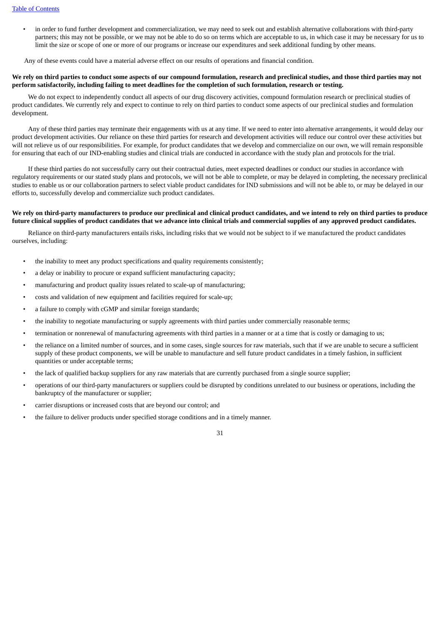• in order to fund further development and commercialization, we may need to seek out and establish alternative collaborations with third-party partners; this may not be possible, or we may not be able to do so on terms which are acceptable to us, in which case it may be necessary for us to limit the size or scope of one or more of our programs or increase our expenditures and seek additional funding by other means.

Any of these events could have a material adverse effect on our results of operations and financial condition.

## We rely on third parties to conduct some aspects of our compound formulation, research and preclinical studies, and those third parties may not perform satisfactorily, including failing to meet deadlines for the completion of such formulation, research or testing.

We do not expect to independently conduct all aspects of our drug discovery activities, compound formulation research or preclinical studies of product candidates. We currently rely and expect to continue to rely on third parties to conduct some aspects of our preclinical studies and formulation development.

Any of these third parties may terminate their engagements with us at any time. If we need to enter into alternative arrangements, it would delay our product development activities. Our reliance on these third parties for research and development activities will reduce our control over these activities but will not relieve us of our responsibilities. For example, for product candidates that we develop and commercialize on our own, we will remain responsible for ensuring that each of our IND-enabling studies and clinical trials are conducted in accordance with the study plan and protocols for the trial.

If these third parties do not successfully carry out their contractual duties, meet expected deadlines or conduct our studies in accordance with regulatory requirements or our stated study plans and protocols, we will not be able to complete, or may be delayed in completing, the necessary preclinical studies to enable us or our collaboration partners to select viable product candidates for IND submissions and will not be able to, or may be delayed in our efforts to, successfully develop and commercialize such product candidates.

## We rely on third-party manufacturers to produce our preclinical and clinical product candidates, and we intend to rely on third parties to produce future clinical supplies of product candidates that we advance into clinical trials and commercial supplies of any approved product candidates.

Reliance on third-party manufacturers entails risks, including risks that we would not be subject to if we manufactured the product candidates ourselves, including:

- the inability to meet any product specifications and quality requirements consistently;
- a delay or inability to procure or expand sufficient manufacturing capacity;
- manufacturing and product quality issues related to scale-up of manufacturing;
- costs and validation of new equipment and facilities required for scale-up;
- a failure to comply with cGMP and similar foreign standards;
- the inability to negotiate manufacturing or supply agreements with third parties under commercially reasonable terms;
- termination or nonrenewal of manufacturing agreements with third parties in a manner or at a time that is costly or damaging to us;
- the reliance on a limited number of sources, and in some cases, single sources for raw materials, such that if we are unable to secure a sufficient supply of these product components, we will be unable to manufacture and sell future product candidates in a timely fashion, in sufficient quantities or under acceptable terms;
- the lack of qualified backup suppliers for any raw materials that are currently purchased from a single source supplier;
- operations of our third-party manufacturers or suppliers could be disrupted by conditions unrelated to our business or operations, including the bankruptcy of the manufacturer or supplier;
- carrier disruptions or increased costs that are beyond our control; and
- the failure to deliver products under specified storage conditions and in a timely manner.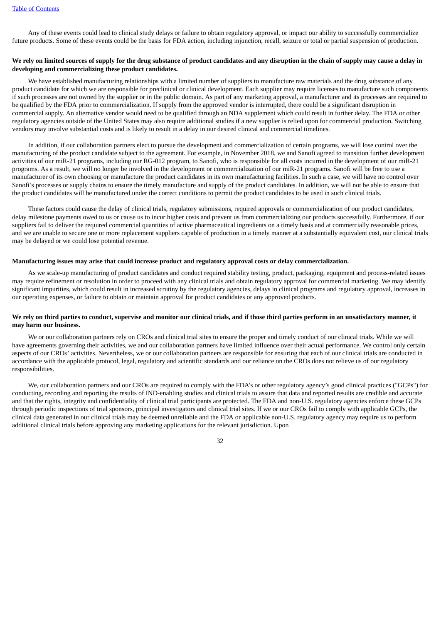Any of these events could lead to clinical study delays or failure to obtain regulatory approval, or impact our ability to successfully commercialize future products. Some of these events could be the basis for FDA action, including injunction, recall, seizure or total or partial suspension of production.

## We rely on limited sources of supply for the drug substance of product candidates and any disruption in the chain of supply may cause a delay in **developing and commercializing these product candidates.**

We have established manufacturing relationships with a limited number of suppliers to manufacture raw materials and the drug substance of any product candidate for which we are responsible for preclinical or clinical development. Each supplier may require licenses to manufacture such components if such processes are not owned by the supplier or in the public domain. As part of any marketing approval, a manufacturer and its processes are required to be qualified by the FDA prior to commercialization. If supply from the approved vendor is interrupted, there could be a significant disruption in commercial supply. An alternative vendor would need to be qualified through an NDA supplement which could result in further delay. The FDA or other regulatory agencies outside of the United States may also require additional studies if a new supplier is relied upon for commercial production. Switching vendors may involve substantial costs and is likely to result in a delay in our desired clinical and commercial timelines.

In addition, if our collaboration partners elect to pursue the development and commercialization of certain programs, we will lose control over the manufacturing of the product candidate subject to the agreement. For example, in November 2018, we and Sanofi agreed to transition further development activities of our miR-21 programs, including our RG-012 program, to Sanofi, who is responsible for all costs incurred in the development of our miR-21 programs. As a result, we will no longer be involved in the development or commercialization of our miR-21 programs. Sanofi will be free to use a manufacturer of its own choosing or manufacture the product candidates in its own manufacturing facilities. In such a case, we will have no control over Sanofi's processes or supply chains to ensure the timely manufacture and supply of the product candidates. In addition, we will not be able to ensure that the product candidates will be manufactured under the correct conditions to permit the product candidates to be used in such clinical trials.

These factors could cause the delay of clinical trials, regulatory submissions, required approvals or commercialization of our product candidates, delay milestone payments owed to us or cause us to incur higher costs and prevent us from commercializing our products successfully. Furthermore, if our suppliers fail to deliver the required commercial quantities of active pharmaceutical ingredients on a timely basis and at commercially reasonable prices, and we are unable to secure one or more replacement suppliers capable of production in a timely manner at a substantially equivalent cost, our clinical trials may be delayed or we could lose potential revenue.

#### **Manufacturing issues may arise that could increase product and regulatory approval costs or delay commercialization.**

As we scale-up manufacturing of product candidates and conduct required stability testing, product, packaging, equipment and process-related issues may require refinement or resolution in order to proceed with any clinical trials and obtain regulatory approval for commercial marketing. We may identify significant impurities, which could result in increased scrutiny by the regulatory agencies, delays in clinical programs and regulatory approval, increases in our operating expenses, or failure to obtain or maintain approval for product candidates or any approved products.

## We rely on third parties to conduct, supervise and monitor our clinical trials, and if those third parties perform in an unsatisfactory manner, it **may harm our business.**

We or our collaboration partners rely on CROs and clinical trial sites to ensure the proper and timely conduct of our clinical trials. While we will have agreements governing their activities, we and our collaboration partners have limited influence over their actual performance. We control only certain aspects of our CROs' activities. Nevertheless, we or our collaboration partners are responsible for ensuring that each of our clinical trials are conducted in accordance with the applicable protocol, legal, regulatory and scientific standards and our reliance on the CROs does not relieve us of our regulatory responsibilities.

We, our collaboration partners and our CROs are required to comply with the FDA's or other regulatory agency's good clinical practices ("GCPs") for conducting, recording and reporting the results of IND-enabling studies and clinical trials to assure that data and reported results are credible and accurate and that the rights, integrity and confidentiality of clinical trial participants are protected. The FDA and non-U.S. regulatory agencies enforce these GCPs through periodic inspections of trial sponsors, principal investigators and clinical trial sites. If we or our CROs fail to comply with applicable GCPs, the clinical data generated in our clinical trials may be deemed unreliable and the FDA or applicable non-U.S. regulatory agency may require us to perform additional clinical trials before approving any marketing applications for the relevant jurisdiction. Upon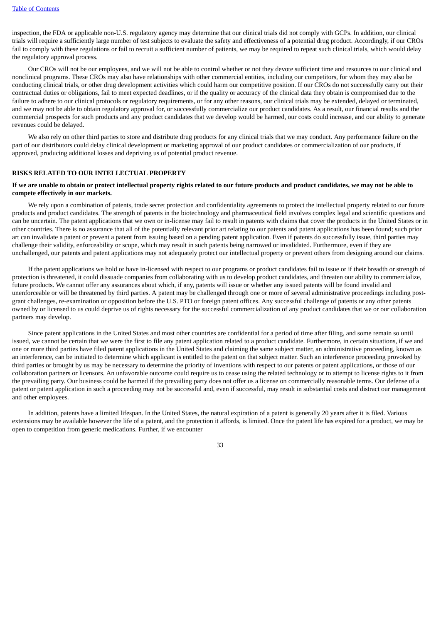inspection, the FDA or applicable non-U.S. regulatory agency may determine that our clinical trials did not comply with GCPs. In addition, our clinical trials will require a sufficiently large number of test subjects to evaluate the safety and effectiveness of a potential drug product. Accordingly, if our CROs fail to comply with these regulations or fail to recruit a sufficient number of patients, we may be required to repeat such clinical trials, which would delay the regulatory approval process.

Our CROs will not be our employees, and we will not be able to control whether or not they devote sufficient time and resources to our clinical and nonclinical programs. These CROs may also have relationships with other commercial entities, including our competitors, for whom they may also be conducting clinical trials, or other drug development activities which could harm our competitive position. If our CROs do not successfully carry out their contractual duties or obligations, fail to meet expected deadlines, or if the quality or accuracy of the clinical data they obtain is compromised due to the failure to adhere to our clinical protocols or regulatory requirements, or for any other reasons, our clinical trials may be extended, delayed or terminated, and we may not be able to obtain regulatory approval for, or successfully commercialize our product candidates. As a result, our financial results and the commercial prospects for such products and any product candidates that we develop would be harmed, our costs could increase, and our ability to generate revenues could be delayed.

We also rely on other third parties to store and distribute drug products for any clinical trials that we may conduct. Any performance failure on the part of our distributors could delay clinical development or marketing approval of our product candidates or commercialization of our products, if approved, producing additional losses and depriving us of potential product revenue.

## **RISKS RELATED TO OUR INTELLECTUAL PROPERTY**

## If we are unable to obtain or protect intellectual property rights related to our future products and product candidates, we may not be able to **compete effectively in our markets.**

We rely upon a combination of patents, trade secret protection and confidentiality agreements to protect the intellectual property related to our future products and product candidates. The strength of patents in the biotechnology and pharmaceutical field involves complex legal and scientific questions and can be uncertain. The patent applications that we own or in-license may fail to result in patents with claims that cover the products in the United States or in other countries. There is no assurance that all of the potentially relevant prior art relating to our patents and patent applications has been found; such prior art can invalidate a patent or prevent a patent from issuing based on a pending patent application. Even if patents do successfully issue, third parties may challenge their validity, enforceability or scope, which may result in such patents being narrowed or invalidated. Furthermore, even if they are unchallenged, our patents and patent applications may not adequately protect our intellectual property or prevent others from designing around our claims.

If the patent applications we hold or have in-licensed with respect to our programs or product candidates fail to issue or if their breadth or strength of protection is threatened, it could dissuade companies from collaborating with us to develop product candidates, and threaten our ability to commercialize, future products. We cannot offer any assurances about which, if any, patents will issue or whether any issued patents will be found invalid and unenforceable or will be threatened by third parties. A patent may be challenged through one or more of several administrative proceedings including postgrant challenges, re-examination or opposition before the U.S. PTO or foreign patent offices. Any successful challenge of patents or any other patents owned by or licensed to us could deprive us of rights necessary for the successful commercialization of any product candidates that we or our collaboration partners may develop.

Since patent applications in the United States and most other countries are confidential for a period of time after filing, and some remain so until issued, we cannot be certain that we were the first to file any patent application related to a product candidate. Furthermore, in certain situations, if we and one or more third parties have filed patent applications in the United States and claiming the same subject matter, an administrative proceeding, known as an interference, can be initiated to determine which applicant is entitled to the patent on that subject matter. Such an interference proceeding provoked by third parties or brought by us may be necessary to determine the priority of inventions with respect to our patents or patent applications, or those of our collaboration partners or licensors. An unfavorable outcome could require us to cease using the related technology or to attempt to license rights to it from the prevailing party. Our business could be harmed if the prevailing party does not offer us a license on commercially reasonable terms. Our defense of a patent or patent application in such a proceeding may not be successful and, even if successful, may result in substantial costs and distract our management and other employees.

In addition, patents have a limited lifespan. In the United States, the natural expiration of a patent is generally 20 years after it is filed. Various extensions may be available however the life of a patent, and the protection it affords, is limited. Once the patent life has expired for a product, we may be open to competition from generic medications. Further, if we encounter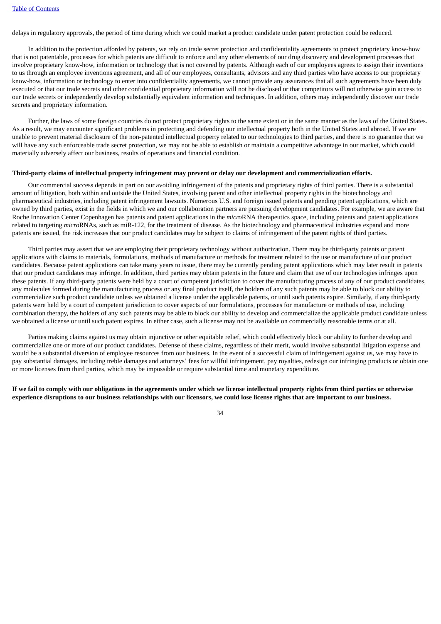delays in regulatory approvals, the period of time during which we could market a product candidate under patent protection could be reduced.

In addition to the protection afforded by patents, we rely on trade secret protection and confidentiality agreements to protect proprietary know-how that is not patentable, processes for which patents are difficult to enforce and any other elements of our drug discovery and development processes that involve proprietary know-how, information or technology that is not covered by patents. Although each of our employees agrees to assign their inventions to us through an employee inventions agreement, and all of our employees, consultants, advisors and any third parties who have access to our proprietary know-how, information or technology to enter into confidentiality agreements, we cannot provide any assurances that all such agreements have been duly executed or that our trade secrets and other confidential proprietary information will not be disclosed or that competitors will not otherwise gain access to our trade secrets or independently develop substantially equivalent information and techniques. In addition, others may independently discover our trade secrets and proprietary information.

Further, the laws of some foreign countries do not protect proprietary rights to the same extent or in the same manner as the laws of the United States. As a result, we may encounter significant problems in protecting and defending our intellectual property both in the United States and abroad. If we are unable to prevent material disclosure of the non-patented intellectual property related to our technologies to third parties, and there is no guarantee that we will have any such enforceable trade secret protection, we may not be able to establish or maintain a competitive advantage in our market, which could materially adversely affect our business, results of operations and financial condition.

#### Third-party claims of intellectual property infringement may prevent or delay our development and commercialization efforts.

Our commercial success depends in part on our avoiding infringement of the patents and proprietary rights of third parties. There is a substantial amount of litigation, both within and outside the United States, involving patent and other intellectual property rights in the biotechnology and pharmaceutical industries, including patent infringement lawsuits. Numerous U.S. and foreign issued patents and pending patent applications, which are owned by third parties, exist in the fields in which we and our collaboration partners are pursuing development candidates. For example, we are aware that Roche Innovation Center Copenhagen has patents and patent applications in the *micro*RNA therapeutics space, including patents and patent applications related to targeting *micro*RNAs, such as miR-122, for the treatment of disease. As the biotechnology and pharmaceutical industries expand and more patents are issued, the risk increases that our product candidates may be subject to claims of infringement of the patent rights of third parties.

Third parties may assert that we are employing their proprietary technology without authorization. There may be third-party patents or patent applications with claims to materials, formulations, methods of manufacture or methods for treatment related to the use or manufacture of our product candidates. Because patent applications can take many years to issue, there may be currently pending patent applications which may later result in patents that our product candidates may infringe. In addition, third parties may obtain patents in the future and claim that use of our technologies infringes upon these patents. If any third-party patents were held by a court of competent jurisdiction to cover the manufacturing process of any of our product candidates, any molecules formed during the manufacturing process or any final product itself, the holders of any such patents may be able to block our ability to commercialize such product candidate unless we obtained a license under the applicable patents, or until such patents expire. Similarly, if any third-party patents were held by a court of competent jurisdiction to cover aspects of our formulations, processes for manufacture or methods of use, including combination therapy, the holders of any such patents may be able to block our ability to develop and commercialize the applicable product candidate unless we obtained a license or until such patent expires. In either case, such a license may not be available on commercially reasonable terms or at all.

Parties making claims against us may obtain injunctive or other equitable relief, which could effectively block our ability to further develop and commercialize one or more of our product candidates. Defense of these claims, regardless of their merit, would involve substantial litigation expense and would be a substantial diversion of employee resources from our business. In the event of a successful claim of infringement against us, we may have to pay substantial damages, including treble damages and attorneys' fees for willful infringement, pay royalties, redesign our infringing products or obtain one or more licenses from third parties, which may be impossible or require substantial time and monetary expenditure.

If we fail to comply with our obligations in the agreements under which we license intellectual property rights from third parties or otherwise experience disruptions to our business relationships with our licensors, we could lose license rights that are important to our business.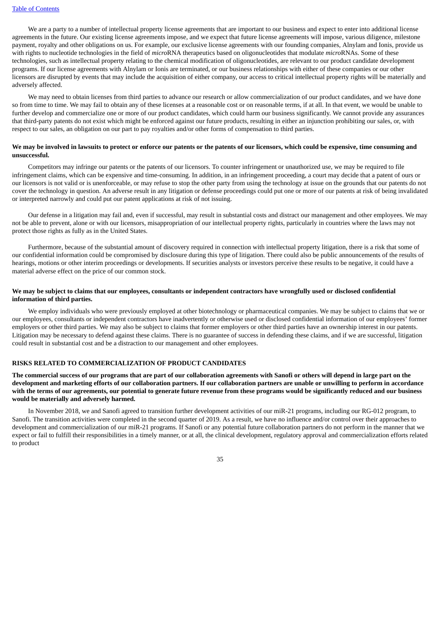We are a party to a number of intellectual property license agreements that are important to our business and expect to enter into additional license agreements in the future. Our existing license agreements impose, and we expect that future license agreements will impose, various diligence, milestone payment, royalty and other obligations on us. For example, our exclusive license agreements with our founding companies, Alnylam and Ionis, provide us with rights to nucleotide technologies in the field of *micro*RNA therapeutics based on oligonucleotides that modulate *micro*RNAs. Some of these technologies, such as intellectual property relating to the chemical modification of oligonucleotides, are relevant to our product candidate development programs. If our license agreements with Alnylam or Ionis are terminated, or our business relationships with either of these companies or our other licensors are disrupted by events that may include the acquisition of either company, our access to critical intellectual property rights will be materially and adversely affected.

We may need to obtain licenses from third parties to advance our research or allow commercialization of our product candidates, and we have done so from time to time. We may fail to obtain any of these licenses at a reasonable cost or on reasonable terms, if at all. In that event, we would be unable to further develop and commercialize one or more of our product candidates, which could harm our business significantly. We cannot provide any assurances that third-party patents do not exist which might be enforced against our future products, resulting in either an injunction prohibiting our sales, or, with respect to our sales, an obligation on our part to pay royalties and/or other forms of compensation to third parties.

## We may be involved in lawsuits to protect or enforce our patents or the patents of our licensors, which could be expensive, time consuming and **unsuccessful.**

Competitors may infringe our patents or the patents of our licensors. To counter infringement or unauthorized use, we may be required to file infringement claims, which can be expensive and time-consuming. In addition, in an infringement proceeding, a court may decide that a patent of ours or our licensors is not valid or is unenforceable, or may refuse to stop the other party from using the technology at issue on the grounds that our patents do not cover the technology in question. An adverse result in any litigation or defense proceedings could put one or more of our patents at risk of being invalidated or interpreted narrowly and could put our patent applications at risk of not issuing.

Our defense in a litigation may fail and, even if successful, may result in substantial costs and distract our management and other employees. We may not be able to prevent, alone or with our licensors, misappropriation of our intellectual property rights, particularly in countries where the laws may not protect those rights as fully as in the United States.

Furthermore, because of the substantial amount of discovery required in connection with intellectual property litigation, there is a risk that some of our confidential information could be compromised by disclosure during this type of litigation. There could also be public announcements of the results of hearings, motions or other interim proceedings or developments. If securities analysts or investors perceive these results to be negative, it could have a material adverse effect on the price of our common stock.

## We may be subject to claims that our employees, consultants or independent contractors have wrongfully used or disclosed confidential **information of third parties.**

We employ individuals who were previously employed at other biotechnology or pharmaceutical companies. We may be subject to claims that we or our employees, consultants or independent contractors have inadvertently or otherwise used or disclosed confidential information of our employees' former employers or other third parties. We may also be subject to claims that former employers or other third parties have an ownership interest in our patents. Litigation may be necessary to defend against these claims. There is no guarantee of success in defending these claims, and if we are successful, litigation could result in substantial cost and be a distraction to our management and other employees.

## **RISKS RELATED TO COMMERCIALIZATION OF PRODUCT CANDIDATES**

The commercial success of our programs that are part of our collaboration agreements with Sanofi or others will depend in large part on the development and marketing efforts of our collaboration partners. If our collaboration partners are unable or unwilling to perform in accordance with the terms of our agreements, our potential to generate future revenue from these programs would be significantly reduced and our business **would be materially and adversely harmed.**

In November 2018, we and Sanofi agreed to transition further development activities of our miR-21 programs, including our RG-012 program, to Sanofi. The transition activities were completed in the second quarter of 2019. As a result, we have no influence and/or control over their approaches to development and commercialization of our miR-21 programs. If Sanofi or any potential future collaboration partners do not perform in the manner that we expect or fail to fulfill their responsibilities in a timely manner, or at all, the clinical development, regulatory approval and commercialization efforts related to product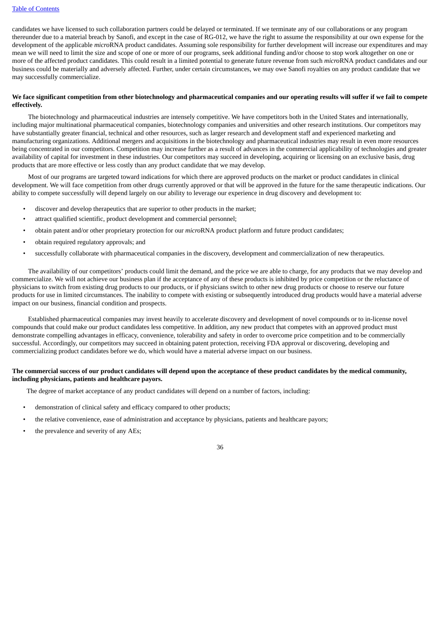candidates we have licensed to such collaboration partners could be delayed or terminated. If we terminate any of our collaborations or any program thereunder due to a material breach by Sanofi, and except in the case of RG-012, we have the right to assume the responsibility at our own expense for the development of the applicable *micro*RNA product candidates. Assuming sole responsibility for further development will increase our expenditures and may mean we will need to limit the size and scope of one or more of our programs, seek additional funding and/or choose to stop work altogether on one or more of the affected product candidates. This could result in a limited potential to generate future revenue from such *micro*RNA product candidates and our business could be materially and adversely affected. Further, under certain circumstances, we may owe Sanofi royalties on any product candidate that we may successfully commercialize.

## We face significant competition from other biotechnology and pharmaceutical companies and our operating results will suffer if we fail to compete **effectively.**

The biotechnology and pharmaceutical industries are intensely competitive. We have competitors both in the United States and internationally, including major multinational pharmaceutical companies, biotechnology companies and universities and other research institutions. Our competitors may have substantially greater financial, technical and other resources, such as larger research and development staff and experienced marketing and manufacturing organizations. Additional mergers and acquisitions in the biotechnology and pharmaceutical industries may result in even more resources being concentrated in our competitors. Competition may increase further as a result of advances in the commercial applicability of technologies and greater availability of capital for investment in these industries. Our competitors may succeed in developing, acquiring or licensing on an exclusive basis, drug products that are more effective or less costly than any product candidate that we may develop.

Most of our programs are targeted toward indications for which there are approved products on the market or product candidates in clinical development. We will face competition from other drugs currently approved or that will be approved in the future for the same therapeutic indications. Our ability to compete successfully will depend largely on our ability to leverage our experience in drug discovery and development to:

- discover and develop therapeutics that are superior to other products in the market;
- attract qualified scientific, product development and commercial personnel;
- obtain patent and/or other proprietary protection for our *micro*RNA product platform and future product candidates;
- obtain required regulatory approvals; and
- successfully collaborate with pharmaceutical companies in the discovery, development and commercialization of new therapeutics.

The availability of our competitors' products could limit the demand, and the price we are able to charge, for any products that we may develop and commercialize. We will not achieve our business plan if the acceptance of any of these products is inhibited by price competition or the reluctance of physicians to switch from existing drug products to our products, or if physicians switch to other new drug products or choose to reserve our future products for use in limited circumstances. The inability to compete with existing or subsequently introduced drug products would have a material adverse impact on our business, financial condition and prospects.

Established pharmaceutical companies may invest heavily to accelerate discovery and development of novel compounds or to in-license novel compounds that could make our product candidates less competitive. In addition, any new product that competes with an approved product must demonstrate compelling advantages in efficacy, convenience, tolerability and safety in order to overcome price competition and to be commercially successful. Accordingly, our competitors may succeed in obtaining patent protection, receiving FDA approval or discovering, developing and commercializing product candidates before we do, which would have a material adverse impact on our business.

# The commercial success of our product candidates will depend upon the acceptance of these product candidates by the medical community, **including physicians, patients and healthcare payors.**

The degree of market acceptance of any product candidates will depend on a number of factors, including:

- demonstration of clinical safety and efficacy compared to other products;
- the relative convenience, ease of administration and acceptance by physicians, patients and healthcare payors;
- the prevalence and severity of any AEs;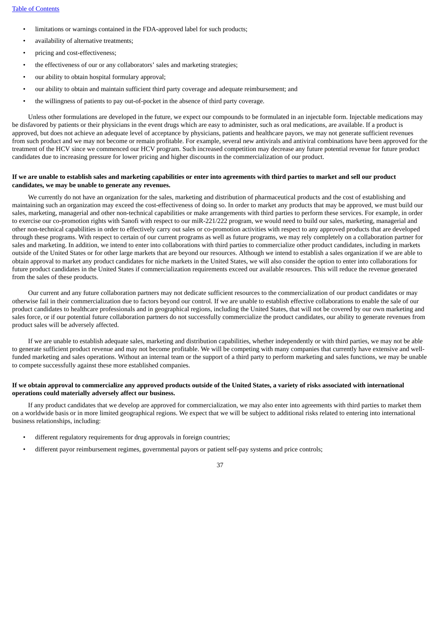- limitations or warnings contained in the FDA-approved label for such products;
- availability of alternative treatments;
- pricing and cost-effectiveness;
- the effectiveness of our or any collaborators' sales and marketing strategies;
- our ability to obtain hospital formulary approval;
- our ability to obtain and maintain sufficient third party coverage and adequate reimbursement; and
- the willingness of patients to pay out-of-pocket in the absence of third party coverage.

Unless other formulations are developed in the future, we expect our compounds to be formulated in an injectable form. Injectable medications may be disfavored by patients or their physicians in the event drugs which are easy to administer, such as oral medications, are available. If a product is approved, but does not achieve an adequate level of acceptance by physicians, patients and healthcare payors, we may not generate sufficient revenues from such product and we may not become or remain profitable. For example, several new antivirals and antiviral combinations have been approved for the treatment of the HCV since we commenced our HCV program. Such increased competition may decrease any future potential revenue for future product candidates due to increasing pressure for lower pricing and higher discounts in the commercialization of our product.

## If we are unable to establish sales and marketing capabilities or enter into agreements with third parties to market and sell our product **candidates, we may be unable to generate any revenues.**

We currently do not have an organization for the sales, marketing and distribution of pharmaceutical products and the cost of establishing and maintaining such an organization may exceed the cost-effectiveness of doing so. In order to market any products that may be approved, we must build our sales, marketing, managerial and other non-technical capabilities or make arrangements with third parties to perform these services. For example, in order to exercise our co-promotion rights with Sanofi with respect to our miR-221/222 program, we would need to build our sales, marketing, managerial and other non-technical capabilities in order to effectively carry out sales or co-promotion activities with respect to any approved products that are developed through these programs. With respect to certain of our current programs as well as future programs, we may rely completely on a collaboration partner for sales and marketing. In addition, we intend to enter into collaborations with third parties to commercialize other product candidates, including in markets outside of the United States or for other large markets that are beyond our resources. Although we intend to establish a sales organization if we are able to obtain approval to market any product candidates for niche markets in the United States, we will also consider the option to enter into collaborations for future product candidates in the United States if commercialization requirements exceed our available resources. This will reduce the revenue generated from the sales of these products.

Our current and any future collaboration partners may not dedicate sufficient resources to the commercialization of our product candidates or may otherwise fail in their commercialization due to factors beyond our control. If we are unable to establish effective collaborations to enable the sale of our product candidates to healthcare professionals and in geographical regions, including the United States, that will not be covered by our own marketing and sales force, or if our potential future collaboration partners do not successfully commercialize the product candidates, our ability to generate revenues from product sales will be adversely affected.

If we are unable to establish adequate sales, marketing and distribution capabilities, whether independently or with third parties, we may not be able to generate sufficient product revenue and may not become profitable. We will be competing with many companies that currently have extensive and wellfunded marketing and sales operations. Without an internal team or the support of a third party to perform marketing and sales functions, we may be unable to compete successfully against these more established companies.

# If we obtain approval to commercialize any approved products outside of the United States, a variety of risks associated with international **operations could materially adversely affect our business.**

If any product candidates that we develop are approved for commercialization, we may also enter into agreements with third parties to market them on a worldwide basis or in more limited geographical regions. We expect that we will be subject to additional risks related to entering into international business relationships, including:

- different regulatory requirements for drug approvals in foreign countries;
- different payor reimbursement regimes, governmental payors or patient self-pay systems and price controls;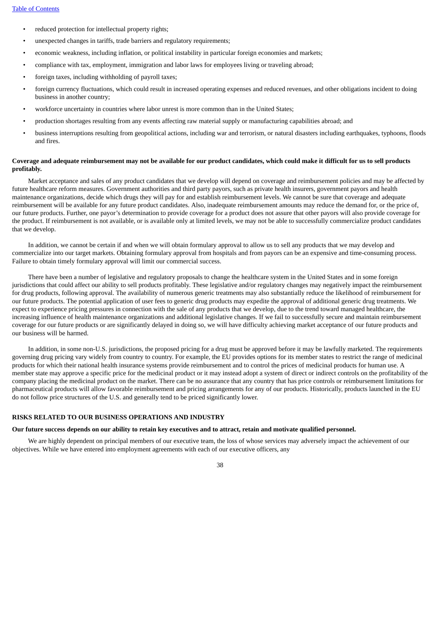- reduced protection for intellectual property rights;
- unexpected changes in tariffs, trade barriers and regulatory requirements;
- economic weakness, including inflation, or political instability in particular foreign economies and markets;
- compliance with tax, employment, immigration and labor laws for employees living or traveling abroad;
- foreign taxes, including withholding of payroll taxes;
- foreign currency fluctuations, which could result in increased operating expenses and reduced revenues, and other obligations incident to doing business in another country;
- workforce uncertainty in countries where labor unrest is more common than in the United States;
- production shortages resulting from any events affecting raw material supply or manufacturing capabilities abroad; and
- business interruptions resulting from geopolitical actions, including war and terrorism, or natural disasters including earthquakes, typhoons, floods and fires.

# Coverage and adequate reimbursement may not be available for our product candidates, which could make it difficult for us to sell products **profitably.**

Market acceptance and sales of any product candidates that we develop will depend on coverage and reimbursement policies and may be affected by future healthcare reform measures. Government authorities and third party payors, such as private health insurers, government payors and health maintenance organizations, decide which drugs they will pay for and establish reimbursement levels. We cannot be sure that coverage and adequate reimbursement will be available for any future product candidates. Also, inadequate reimbursement amounts may reduce the demand for, or the price of, our future products. Further, one payor's determination to provide coverage for a product does not assure that other payors will also provide coverage for the product. If reimbursement is not available, or is available only at limited levels, we may not be able to successfully commercialize product candidates that we develop.

In addition, we cannot be certain if and when we will obtain formulary approval to allow us to sell any products that we may develop and commercialize into our target markets. Obtaining formulary approval from hospitals and from payors can be an expensive and time-consuming process. Failure to obtain timely formulary approval will limit our commercial success.

There have been a number of legislative and regulatory proposals to change the healthcare system in the United States and in some foreign jurisdictions that could affect our ability to sell products profitably. These legislative and/or regulatory changes may negatively impact the reimbursement for drug products, following approval. The availability of numerous generic treatments may also substantially reduce the likelihood of reimbursement for our future products. The potential application of user fees to generic drug products may expedite the approval of additional generic drug treatments. We expect to experience pricing pressures in connection with the sale of any products that we develop, due to the trend toward managed healthcare, the increasing influence of health maintenance organizations and additional legislative changes. If we fail to successfully secure and maintain reimbursement coverage for our future products or are significantly delayed in doing so, we will have difficulty achieving market acceptance of our future products and our business will be harmed.

In addition, in some non-U.S. jurisdictions, the proposed pricing for a drug must be approved before it may be lawfully marketed. The requirements governing drug pricing vary widely from country to country. For example, the EU provides options for its member states to restrict the range of medicinal products for which their national health insurance systems provide reimbursement and to control the prices of medicinal products for human use. A member state may approve a specific price for the medicinal product or it may instead adopt a system of direct or indirect controls on the profitability of the company placing the medicinal product on the market. There can be no assurance that any country that has price controls or reimbursement limitations for pharmaceutical products will allow favorable reimbursement and pricing arrangements for any of our products. Historically, products launched in the EU do not follow price structures of the U.S. and generally tend to be priced significantly lower.

# **RISKS RELATED TO OUR BUSINESS OPERATIONS AND INDUSTRY**

## Our future success depends on our ability to retain key executives and to attract, retain and motivate qualified personnel.

We are highly dependent on principal members of our executive team, the loss of whose services may adversely impact the achievement of our objectives. While we have entered into employment agreements with each of our executive officers, any

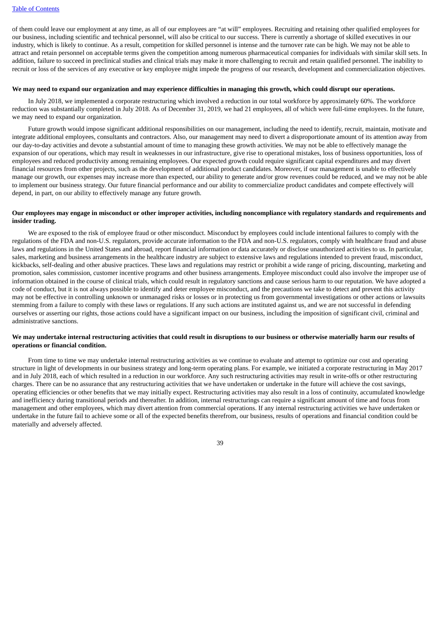of them could leave our employment at any time, as all of our employees are "at will" employees. Recruiting and retaining other qualified employees for our business, including scientific and technical personnel, will also be critical to our success. There is currently a shortage of skilled executives in our industry, which is likely to continue. As a result, competition for skilled personnel is intense and the turnover rate can be high. We may not be able to attract and retain personnel on acceptable terms given the competition among numerous pharmaceutical companies for individuals with similar skill sets. In addition, failure to succeed in preclinical studies and clinical trials may make it more challenging to recruit and retain qualified personnel. The inability to recruit or loss of the services of any executive or key employee might impede the progress of our research, development and commercialization objectives.

### We may need to expand our organization and may experience difficulties in managing this growth, which could disrupt our operations.

In July 2018, we implemented a corporate restructuring which involved a reduction in our total workforce by approximately 60%. The workforce reduction was substantially completed in July 2018. As of December 31, 2019, we had 21 employees, all of which were full-time employees. In the future, we may need to expand our organization.

Future growth would impose significant additional responsibilities on our management, including the need to identify, recruit, maintain, motivate and integrate additional employees, consultants and contractors. Also, our management may need to divert a disproportionate amount of its attention away from our day-to-day activities and devote a substantial amount of time to managing these growth activities. We may not be able to effectively manage the expansion of our operations, which may result in weaknesses in our infrastructure, give rise to operational mistakes, loss of business opportunities, loss of employees and reduced productivity among remaining employees. Our expected growth could require significant capital expenditures and may divert financial resources from other projects, such as the development of additional product candidates. Moreover, if our management is unable to effectively manage our growth, our expenses may increase more than expected, our ability to generate and/or grow revenues could be reduced, and we may not be able to implement our business strategy. Our future financial performance and our ability to commercialize product candidates and compete effectively will depend, in part, on our ability to effectively manage any future growth.

## Our employees may engage in misconduct or other improper activities, including noncompliance with regulatory standards and requirements and **insider trading.**

We are exposed to the risk of employee fraud or other misconduct. Misconduct by employees could include intentional failures to comply with the regulations of the FDA and non-U.S. regulators, provide accurate information to the FDA and non-U.S. regulators, comply with healthcare fraud and abuse laws and regulations in the United States and abroad, report financial information or data accurately or disclose unauthorized activities to us. In particular, sales, marketing and business arrangements in the healthcare industry are subject to extensive laws and regulations intended to prevent fraud, misconduct, kickbacks, self-dealing and other abusive practices. These laws and regulations may restrict or prohibit a wide range of pricing, discounting, marketing and promotion, sales commission, customer incentive programs and other business arrangements. Employee misconduct could also involve the improper use of information obtained in the course of clinical trials, which could result in regulatory sanctions and cause serious harm to our reputation. We have adopted a code of conduct, but it is not always possible to identify and deter employee misconduct, and the precautions we take to detect and prevent this activity may not be effective in controlling unknown or unmanaged risks or losses or in protecting us from governmental investigations or other actions or lawsuits stemming from a failure to comply with these laws or regulations. If any such actions are instituted against us, and we are not successful in defending ourselves or asserting our rights, those actions could have a significant impact on our business, including the imposition of significant civil, criminal and administrative sanctions.

# We may undertake internal restructuring activities that could result in disruptions to our business or otherwise materially harm our results of **operations or financial condition.**

From time to time we may undertake internal restructuring activities as we continue to evaluate and attempt to optimize our cost and operating structure in light of developments in our business strategy and long-term operating plans. For example, we initiated a corporate restructuring in May 2017 and in July 2018, each of which resulted in a reduction in our workforce. Any such restructuring activities may result in write-offs or other restructuring charges. There can be no assurance that any restructuring activities that we have undertaken or undertake in the future will achieve the cost savings, operating efficiencies or other benefits that we may initially expect. Restructuring activities may also result in a loss of continuity, accumulated knowledge and inefficiency during transitional periods and thereafter. In addition, internal restructurings can require a significant amount of time and focus from management and other employees, which may divert attention from commercial operations. If any internal restructuring activities we have undertaken or undertake in the future fail to achieve some or all of the expected benefits therefrom, our business, results of operations and financial condition could be materially and adversely affected.

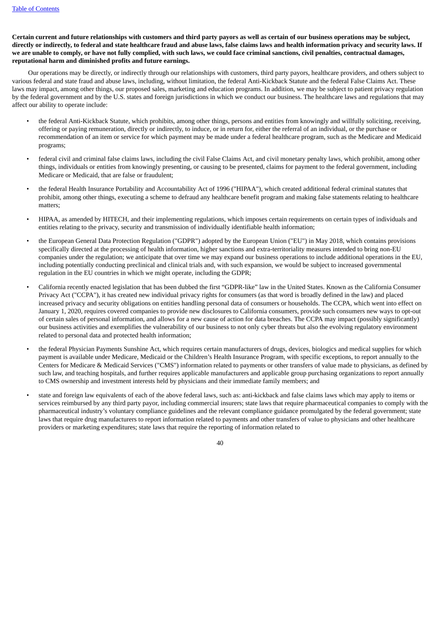Certain current and future relationships with customers and third party payors as well as certain of our business operations may be subject, directly or indirectly, to federal and state healthcare fraud and abuse laws, false claims laws and health information privacy and security laws. If we are unable to comply, or have not fully complied, with such laws, we could face criminal sanctions, civil penalties, contractual damages, **reputational harm and diminished profits and future earnings.**

Our operations may be directly, or indirectly through our relationships with customers, third party payors, healthcare providers, and others subject to various federal and state fraud and abuse laws, including, without limitation, the federal Anti-Kickback Statute and the federal False Claims Act. These laws may impact, among other things, our proposed sales, marketing and education programs. In addition, we may be subject to patient privacy regulation by the federal government and by the U.S. states and foreign jurisdictions in which we conduct our business. The healthcare laws and regulations that may affect our ability to operate include:

- the federal Anti-Kickback Statute, which prohibits, among other things, persons and entities from knowingly and willfully soliciting, receiving, offering or paying remuneration, directly or indirectly, to induce, or in return for, either the referral of an individual, or the purchase or recommendation of an item or service for which payment may be made under a federal healthcare program, such as the Medicare and Medicaid programs;
- federal civil and criminal false claims laws, including the civil False Claims Act, and civil monetary penalty laws, which prohibit, among other things, individuals or entities from knowingly presenting, or causing to be presented, claims for payment to the federal government, including Medicare or Medicaid, that are false or fraudulent;
- the federal Health Insurance Portability and Accountability Act of 1996 ("HIPAA"), which created additional federal criminal statutes that prohibit, among other things, executing a scheme to defraud any healthcare benefit program and making false statements relating to healthcare matters;
- HIPAA, as amended by HITECH, and their implementing regulations, which imposes certain requirements on certain types of individuals and entities relating to the privacy, security and transmission of individually identifiable health information;
- the European General Data Protection Regulation ("GDPR") adopted by the European Union ("EU") in May 2018, which contains provisions specifically directed at the processing of health information, higher sanctions and extra-territoriality measures intended to bring non-EU companies under the regulation; we anticipate that over time we may expand our business operations to include additional operations in the EU, including potentially conducting preclinical and clinical trials and, with such expansion, we would be subject to increased governmental regulation in the EU countries in which we might operate, including the GDPR;
- California recently enacted legislation that has been dubbed the first "GDPR-like" law in the United States. Known as the California Consumer Privacy Act ("CCPA"), it has created new individual privacy rights for consumers (as that word is broadly defined in the law) and placed increased privacy and security obligations on entities handling personal data of consumers or households. The CCPA, which went into effect on January 1, 2020, requires covered companies to provide new disclosures to California consumers, provide such consumers new ways to opt-out of certain sales of personal information, and allows for a new cause of action for data breaches. The CCPA may impact (possibly significantly) our business activities and exemplifies the vulnerability of our business to not only cyber threats but also the evolving regulatory environment related to personal data and protected health information;
- the federal Physician Payments Sunshine Act, which requires certain manufacturers of drugs, devices, biologics and medical supplies for which payment is available under Medicare, Medicaid or the Children's Health Insurance Program, with specific exceptions, to report annually to the Centers for Medicare & Medicaid Services ("CMS") information related to payments or other transfers of value made to physicians, as defined by such law, and teaching hospitals, and further requires applicable manufacturers and applicable group purchasing organizations to report annually to CMS ownership and investment interests held by physicians and their immediate family members; and
- state and foreign law equivalents of each of the above federal laws, such as: anti-kickback and false claims laws which may apply to items or services reimbursed by any third party payor, including commercial insurers; state laws that require pharmaceutical companies to comply with the pharmaceutical industry's voluntary compliance guidelines and the relevant compliance guidance promulgated by the federal government; state laws that require drug manufacturers to report information related to payments and other transfers of value to physicians and other healthcare providers or marketing expenditures; state laws that require the reporting of information related to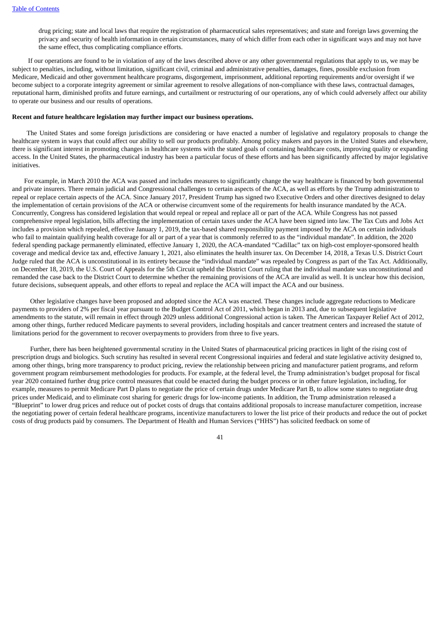drug pricing; state and local laws that require the registration of pharmaceutical sales representatives; and state and foreign laws governing the privacy and security of health information in certain circumstances, many of which differ from each other in significant ways and may not have the same effect, thus complicating compliance efforts.

If our operations are found to be in violation of any of the laws described above or any other governmental regulations that apply to us, we may be subject to penalties, including, without limitation, significant civil, criminal and administrative penalties, damages, fines, possible exclusion from Medicare, Medicaid and other government healthcare programs, disgorgement, imprisonment, additional reporting requirements and/or oversight if we become subject to a corporate integrity agreement or similar agreement to resolve allegations of non-compliance with these laws, contractual damages, reputational harm, diminished profits and future earnings, and curtailment or restructuring of our operations, any of which could adversely affect our ability to operate our business and our results of operations.

## **Recent and future healthcare legislation may further impact our business operations.**

The United States and some foreign jurisdictions are considering or have enacted a number of legislative and regulatory proposals to change the healthcare system in ways that could affect our ability to sell our products profitably. Among policy makers and payors in the United States and elsewhere, there is significant interest in promoting changes in healthcare systems with the stated goals of containing healthcare costs, improving quality or expanding access. In the United States, the pharmaceutical industry has been a particular focus of these efforts and has been significantly affected by major legislative initiatives.

For example, in March 2010 the ACA was passed and includes measures to significantly change the way healthcare is financed by both governmental and private insurers. There remain judicial and Congressional challenges to certain aspects of the ACA, as well as efforts by the Trump administration to repeal or replace certain aspects of the ACA. Since January 2017, President Trump has signed two Executive Orders and other directives designed to delay the implementation of certain provisions of the ACA or otherwise circumvent some of the requirements for health insurance mandated by the ACA. Concurrently, Congress has considered legislation that would repeal or repeal and replace all or part of the ACA. While Congress has not passed comprehensive repeal legislation, bills affecting the implementation of certain taxes under the ACA have been signed into law. The Tax Cuts and Jobs Act includes a provision which repealed, effective January 1, 2019, the tax-based shared responsibility payment imposed by the ACA on certain individuals who fail to maintain qualifying health coverage for all or part of a year that is commonly referred to as the "individual mandate". In addition, the 2020 federal spending package permanently eliminated, effective January 1, 2020, the ACA-mandated "Cadillac" tax on high-cost employer-sponsored health coverage and medical device tax and, effective January 1, 2021, also eliminates the health insurer tax. On December 14, 2018, a Texas U.S. District Court Judge ruled that the ACA is unconstitutional in its entirety because the "individual mandate" was repealed by Congress as part of the Tax Act. Additionally, on December 18, 2019, the U.S. Court of Appeals for the 5th Circuit upheld the District Court ruling that the individual mandate was unconstitutional and remanded the case back to the District Court to determine whether the remaining provisions of the ACA are invalid as well. It is unclear how this decision, future decisions, subsequent appeals, and other efforts to repeal and replace the ACA will impact the ACA and our business.

Other legislative changes have been proposed and adopted since the ACA was enacted. These changes include aggregate reductions to Medicare payments to providers of 2% per fiscal year pursuant to the Budget Control Act of 2011, which began in 2013 and, due to subsequent legislative amendments to the statute, will remain in effect through 2029 unless additional Congressional action is taken. The American Taxpayer Relief Act of 2012, among other things, further reduced Medicare payments to several providers, including hospitals and cancer treatment centers and increased the statute of limitations period for the government to recover overpayments to providers from three to five years.

Further, there has been heightened governmental scrutiny in the United States of pharmaceutical pricing practices in light of the rising cost of prescription drugs and biologics. Such scrutiny has resulted in several recent Congressional inquiries and federal and state legislative activity designed to, among other things, bring more transparency to product pricing, review the relationship between pricing and manufacturer patient programs, and reform government program reimbursement methodologies for products. For example, at the federal level, the Trump administration's budget proposal for fiscal year 2020 contained further drug price control measures that could be enacted during the budget process or in other future legislation, including, for example, measures to permit Medicare Part D plans to negotiate the price of certain drugs under Medicare Part B, to allow some states to negotiate drug prices under Medicaid, and to eliminate cost sharing for generic drugs for low-income patients. In addition, the Trump administration released a "Blueprint" to lower drug prices and reduce out of pocket costs of drugs that contains additional proposals to increase manufacturer competition, increase the negotiating power of certain federal healthcare programs, incentivize manufacturers to lower the list price of their products and reduce the out of pocket costs of drug products paid by consumers. The Department of Health and Human Services ("HHS") has solicited feedback on some of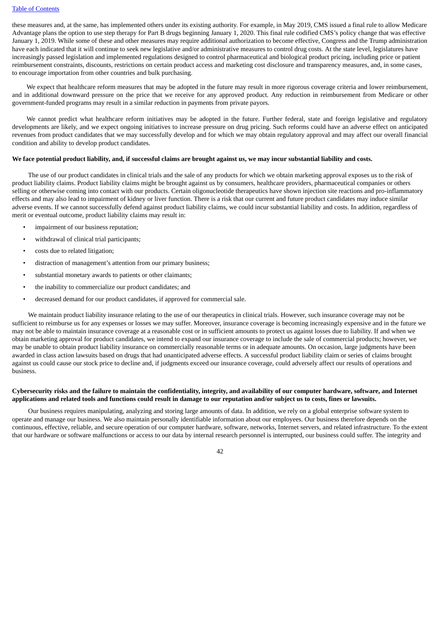these measures and, at the same, has implemented others under its existing authority. For example, in May 2019, CMS issued a final rule to allow Medicare Advantage plans the option to use step therapy for Part B drugs beginning January 1, 2020. This final rule codified CMS's policy change that was effective January 1, 2019. While some of these and other measures may require additional authorization to become effective, Congress and the Trump administration have each indicated that it will continue to seek new legislative and/or administrative measures to control drug costs. At the state level, legislatures have increasingly passed legislation and implemented regulations designed to control pharmaceutical and biological product pricing, including price or patient reimbursement constraints, discounts, restrictions on certain product access and marketing cost disclosure and transparency measures, and, in some cases, to encourage importation from other countries and bulk purchasing.

We expect that healthcare reform measures that may be adopted in the future may result in more rigorous coverage criteria and lower reimbursement, and in additional downward pressure on the price that we receive for any approved product. Any reduction in reimbursement from Medicare or other government-funded programs may result in a similar reduction in payments from private payors.

We cannot predict what healthcare reform initiatives may be adopted in the future. Further federal, state and foreign legislative and regulatory developments are likely, and we expect ongoing initiatives to increase pressure on drug pricing. Such reforms could have an adverse effect on anticipated revenues from product candidates that we may successfully develop and for which we may obtain regulatory approval and may affect our overall financial condition and ability to develop product candidates.

## We face potential product liability, and, if successful claims are brought against us, we may incur substantial liability and costs.

The use of our product candidates in clinical trials and the sale of any products for which we obtain marketing approval exposes us to the risk of product liability claims. Product liability claims might be brought against us by consumers, healthcare providers, pharmaceutical companies or others selling or otherwise coming into contact with our products. Certain oligonucleotide therapeutics have shown injection site reactions and pro-inflammatory effects and may also lead to impairment of kidney or liver function. There is a risk that our current and future product candidates may induce similar adverse events. If we cannot successfully defend against product liability claims, we could incur substantial liability and costs. In addition, regardless of merit or eventual outcome, product liability claims may result in:

- impairment of our business reputation;
- withdrawal of clinical trial participants;
- costs due to related litigation;
- distraction of management's attention from our primary business;
- substantial monetary awards to patients or other claimants;
- the inability to commercialize our product candidates; and
- decreased demand for our product candidates, if approved for commercial sale.

We maintain product liability insurance relating to the use of our therapeutics in clinical trials. However, such insurance coverage may not be sufficient to reimburse us for any expenses or losses we may suffer. Moreover, insurance coverage is becoming increasingly expensive and in the future we may not be able to maintain insurance coverage at a reasonable cost or in sufficient amounts to protect us against losses due to liability. If and when we obtain marketing approval for product candidates, we intend to expand our insurance coverage to include the sale of commercial products; however, we may be unable to obtain product liability insurance on commercially reasonable terms or in adequate amounts. On occasion, large judgments have been awarded in class action lawsuits based on drugs that had unanticipated adverse effects. A successful product liability claim or series of claims brought against us could cause our stock price to decline and, if judgments exceed our insurance coverage, could adversely affect our results of operations and business.

# Cybersecurity risks and the failure to maintain the confidentiality, integrity, and availability of our computer hardware, software, and Internet applications and related tools and functions could result in damage to our reputation and/or subject us to costs, fines or lawsuits.

Our business requires manipulating, analyzing and storing large amounts of data. In addition, we rely on a global enterprise software system to operate and manage our business. We also maintain personally identifiable information about our employees. Our business therefore depends on the continuous, effective, reliable, and secure operation of our computer hardware, software, networks, Internet servers, and related infrastructure. To the extent that our hardware or software malfunctions or access to our data by internal research personnel is interrupted, our business could suffer. The integrity and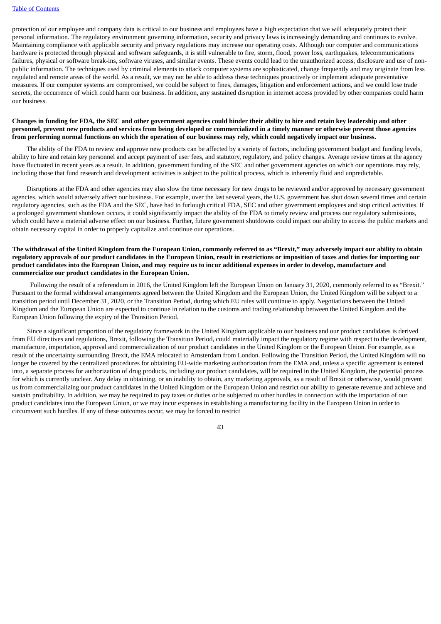protection of our employee and company data is critical to our business and employees have a high expectation that we will adequately protect their personal information. The regulatory environment governing information, security and privacy laws is increasingly demanding and continues to evolve. Maintaining compliance with applicable security and privacy regulations may increase our operating costs. Although our computer and communications hardware is protected through physical and software safeguards, it is still vulnerable to fire, storm, flood, power loss, earthquakes, telecommunications failures, physical or software break-ins, software viruses, and similar events. These events could lead to the unauthorized access, disclosure and use of nonpublic information. The techniques used by criminal elements to attack computer systems are sophisticated, change frequently and may originate from less regulated and remote areas of the world. As a result, we may not be able to address these techniques proactively or implement adequate preventative measures. If our computer systems are compromised, we could be subject to fines, damages, litigation and enforcement actions, and we could lose trade secrets, the occurrence of which could harm our business. In addition, any sustained disruption in internet access provided by other companies could harm our business.

# Changes in funding for FDA, the SEC and other government agencies could hinder their ability to hire and retain key leadership and other personnel, prevent new products and services from being developed or commercialized in a timely manner or otherwise prevent those agencies from performing normal functions on which the operation of our business may rely, which could negatively impact our business.

The ability of the FDA to review and approve new products can be affected by a variety of factors, including government budget and funding levels, ability to hire and retain key personnel and accept payment of user fees, and statutory, regulatory, and policy changes. Average review times at the agency have fluctuated in recent years as a result. In addition, government funding of the SEC and other government agencies on which our operations may rely, including those that fund research and development activities is subject to the political process, which is inherently fluid and unpredictable.

Disruptions at the FDA and other agencies may also slow the time necessary for new drugs to be reviewed and/or approved by necessary government agencies, which would adversely affect our business. For example, over the last several years, the U.S. government has shut down several times and certain regulatory agencies, such as the FDA and the SEC, have had to furlough critical FDA, SEC and other government employees and stop critical activities. If a prolonged government shutdown occurs, it could significantly impact the ability of the FDA to timely review and process our regulatory submissions, which could have a material adverse effect on our business. Further, future government shutdowns could impact our ability to access the public markets and obtain necessary capital in order to properly capitalize and continue our operations.

# The withdrawal of the United Kingdom from the European Union, commonly referred to as "Brexit." may adversely impact our ability to obtain regulatory approvals of our product candidates in the European Union, result in restrictions or imposition of taxes and duties for importing our product candidates into the European Union, and may require us to incur additional expenses in order to develop, manufacture and **commercialize our product candidates in the European Union.**

Following the result of a referendum in 2016, the United Kingdom left the European Union on January 31, 2020, commonly referred to as "Brexit." Pursuant to the formal withdrawal arrangements agreed between the United Kingdom and the European Union, the United Kingdom will be subject to a transition period until December 31, 2020, or the Transition Period, during which EU rules will continue to apply. Negotiations between the United Kingdom and the European Union are expected to continue in relation to the customs and trading relationship between the United Kingdom and the European Union following the expiry of the Transition Period.

Since a significant proportion of the regulatory framework in the United Kingdom applicable to our business and our product candidates is derived from EU directives and regulations, Brexit, following the Transition Period, could materially impact the regulatory regime with respect to the development, manufacture, importation, approval and commercialization of our product candidates in the United Kingdom or the European Union. For example, as a result of the uncertainty surrounding Brexit, the EMA relocated to Amsterdam from London. Following the Transition Period, the United Kingdom will no longer be covered by the centralized procedures for obtaining EU-wide marketing authorization from the EMA and, unless a specific agreement is entered into, a separate process for authorization of drug products, including our product candidates, will be required in the United Kingdom, the potential process for which is currently unclear. Any delay in obtaining, or an inability to obtain, any marketing approvals, as a result of Brexit or otherwise, would prevent us from commercializing our product candidates in the United Kingdom or the European Union and restrict our ability to generate revenue and achieve and sustain profitability. In addition, we may be required to pay taxes or duties or be subjected to other hurdles in connection with the importation of our product candidates into the European Union, or we may incur expenses in establishing a manufacturing facility in the European Union in order to circumvent such hurdles. If any of these outcomes occur, we may be forced to restrict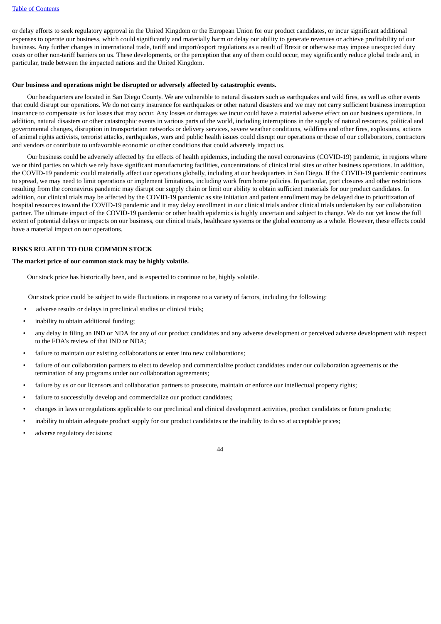or delay efforts to seek regulatory approval in the United Kingdom or the European Union for our product candidates, or incur significant additional expenses to operate our business, which could significantly and materially harm or delay our ability to generate revenues or achieve profitability of our business. Any further changes in international trade, tariff and import/export regulations as a result of Brexit or otherwise may impose unexpected duty costs or other non-tariff barriers on us. These developments, or the perception that any of them could occur, may significantly reduce global trade and, in particular, trade between the impacted nations and the United Kingdom.

### **Our business and operations might be disrupted or adversely affected by catastrophic events.**

Our headquarters are located in San Diego County. We are vulnerable to natural disasters such as earthquakes and wild fires, as well as other events that could disrupt our operations. We do not carry insurance for earthquakes or other natural disasters and we may not carry sufficient business interruption insurance to compensate us for losses that may occur. Any losses or damages we incur could have a material adverse effect on our business operations. In addition, natural disasters or other catastrophic events in various parts of the world, including interruptions in the supply of natural resources, political and governmental changes, disruption in transportation networks or delivery services, severe weather conditions, wildfires and other fires, explosions, actions of animal rights activists, terrorist attacks, earthquakes, wars and public health issues could disrupt our operations or those of our collaborators, contractors and vendors or contribute to unfavorable economic or other conditions that could adversely impact us.

Our business could be adversely affected by the effects of health epidemics, including the novel coronavirus (COVID-19) pandemic, in regions where we or third parties on which we rely have significant manufacturing facilities, concentrations of clinical trial sites or other business operations. In addition, the COVID-19 pandemic could materially affect our operations globally, including at our headquarters in San Diego. If the COVID-19 pandemic continues to spread, we may need to limit operations or implement limitations, including work from home policies. In particular, port closures and other restrictions resulting from the coronavirus pandemic may disrupt our supply chain or limit our ability to obtain sufficient materials for our product candidates. In addition, our clinical trials may be affected by the COVID-19 pandemic as site initiation and patient enrollment may be delayed due to prioritization of hospital resources toward the COVID-19 pandemic and it may delay enrollment in our clinical trials and/or clinical trials undertaken by our collaboration partner. The ultimate impact of the COVID-19 pandemic or other health epidemics is highly uncertain and subject to change. We do not yet know the full extent of potential delays or impacts on our business, our clinical trials, healthcare systems or the global economy as a whole. However, these effects could have a material impact on our operations.

## **RISKS RELATED TO OUR COMMON STOCK**

## **The market price of our common stock may be highly volatile.**

Our stock price has historically been, and is expected to continue to be, highly volatile.

Our stock price could be subject to wide fluctuations in response to a variety of factors, including the following:

- adverse results or delays in preclinical studies or clinical trials;
- inability to obtain additional funding;
- any delay in filing an IND or NDA for any of our product candidates and any adverse development or perceived adverse development with respect to the FDA's review of that IND or NDA;
- failure to maintain our existing collaborations or enter into new collaborations;
- failure of our collaboration partners to elect to develop and commercialize product candidates under our collaboration agreements or the termination of any programs under our collaboration agreements;
- failure by us or our licensors and collaboration partners to prosecute, maintain or enforce our intellectual property rights;
- failure to successfully develop and commercialize our product candidates;
- changes in laws or regulations applicable to our preclinical and clinical development activities, product candidates or future products;
- inability to obtain adequate product supply for our product candidates or the inability to do so at acceptable prices;
- adverse regulatory decisions;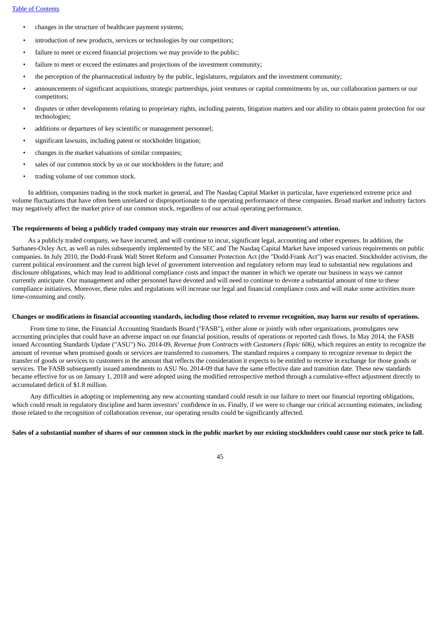- changes in the structure of healthcare payment systems;
- introduction of new products, services or technologies by our competitors;
- failure to meet or exceed financial projections we may provide to the public;
- failure to meet or exceed the estimates and projections of the investment community;
- the perception of the pharmaceutical industry by the public, legislatures, regulators and the investment community;
- announcements of significant acquisitions, strategic partnerships, joint ventures or capital commitments by us, our collaboration partners or our competitors;
- disputes or other developments relating to proprietary rights, including patents, litigation matters and our ability to obtain patent protection for our technologies;
- additions or departures of key scientific or management personnel;
- significant lawsuits, including patent or stockholder litigation;
- changes in the market valuations of similar companies;
- sales of our common stock by us or our stockholders in the future; and
- trading volume of our common stock.

In addition, companies trading in the stock market in general, and The Nasdaq Capital Market in particular, have experienced extreme price and volume fluctuations that have often been unrelated or disproportionate to the operating performance of these companies. Broad market and industry factors may negatively affect the market price of our common stock, regardless of our actual operating performance.

## **The requirements of being a publicly traded company may strain our resources and divert management's attention.**

As a publicly traded company, we have incurred, and will continue to incur, significant legal, accounting and other expenses. In addition, the Sarbanes-Oxley Act, as well as rules subsequently implemented by the SEC and The Nasdaq Capital Market have imposed various requirements on public companies. In July 2010, the Dodd-Frank Wall Street Reform and Consumer Protection Act (the "Dodd-Frank Act") was enacted. Stockholder activism, the current political environment and the current high level of government intervention and regulatory reform may lead to substantial new regulations and disclosure obligations, which may lead to additional compliance costs and impact the manner in which we operate our business in ways we cannot currently anticipate. Our management and other personnel have devoted and will need to continue to devote a substantial amount of time to these compliance initiatives. Moreover, these rules and regulations will increase our legal and financial compliance costs and will make some activities more time-consuming and costly.

## Changes or modifications in financial accounting standards, including those related to revenue recognition, may harm our results of operations.

From time to time, the Financial Accounting Standards Board ("FASB"), either alone or jointly with other organizations, promulgates new accounting principles that could have an adverse impact on our financial position, results of operations or reported cash flows. In May 2014, the FASB issued Accounting Standards Update ("ASU") No. 2014-09, *Revenue from Contracts with Customers (Topic 606)*, which requires an entity to recognize the amount of revenue when promised goods or services are transferred to customers. The standard requires a company to recognize revenue to depict the transfer of goods or services to customers in the amount that reflects the consideration it expects to be entitled to receive in exchange for those goods or services. The FASB subsequently issued amendments to ASU No. 2014-09 that have the same effective date and transition date. These new standards became effective for us on January 1, 2018 and were adopted using the modified retrospective method through a cumulative-effect adjustment directly to accumulated deficit of \$1.8 million.

Any difficulties in adopting or implementing any new accounting standard could result in our failure to meet our financial reporting obligations, which could result in regulatory discipline and harm investors' confidence in us. Finally, if we were to change our critical accounting estimates, including those related to the recognition of collaboration revenue, our operating results could be significantly affected.

# Sales of a substantial number of shares of our common stock in the public market by our existing stockholders could cause our stock price to fall.

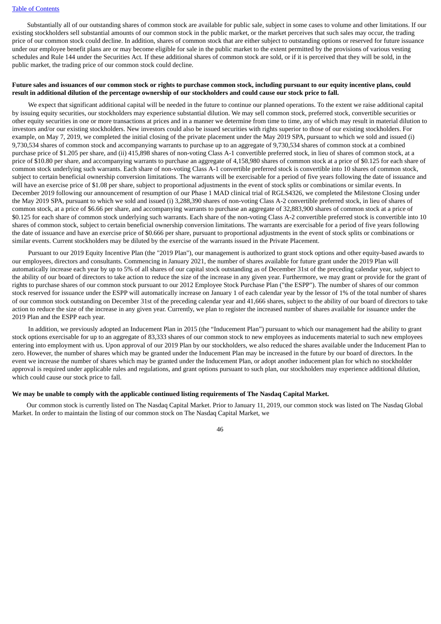#### Table of [Contents](#page-2-0)

Substantially all of our outstanding shares of common stock are available for public sale, subject in some cases to volume and other limitations. If our existing stockholders sell substantial amounts of our common stock in the public market, or the market perceives that such sales may occur, the trading price of our common stock could decline. In addition, shares of common stock that are either subject to outstanding options or reserved for future issuance under our employee benefit plans are or may become eligible for sale in the public market to the extent permitted by the provisions of various vesting schedules and Rule 144 under the Securities Act. If these additional shares of common stock are sold, or if it is perceived that they will be sold, in the public market, the trading price of our common stock could decline.

## Future sales and issuances of our common stock or rights to purchase common stock, including pursuant to our equity incentive plans, could result in additional dilution of the percentage ownership of our stockholders and could cause our stock price to fall.

We expect that significant additional capital will be needed in the future to continue our planned operations. To the extent we raise additional capital by issuing equity securities, our stockholders may experience substantial dilution. We may sell common stock, preferred stock, convertible securities or other equity securities in one or more transactions at prices and in a manner we determine from time to time, any of which may result in material dilution to investors and/or our existing stockholders. New investors could also be issued securities with rights superior to those of our existing stockholders. For example, on May 7, 2019, we completed the initial closing of the private placement under the May 2019 SPA, pursuant to which we sold and issued (i) 9,730,534 shares of common stock and accompanying warrants to purchase up to an aggregate of 9,730,534 shares of common stock at a combined purchase price of \$1.205 per share, and (ii) 415,898 shares of non-voting Class A-1 convertible preferred stock, in lieu of shares of common stock, at a price of \$10.80 per share, and accompanying warrants to purchase an aggregate of 4,158,980 shares of common stock at a price of \$0.125 for each share of common stock underlying such warrants. Each share of non-voting Class A-1 convertible preferred stock is convertible into 10 shares of common stock, subject to certain beneficial ownership conversion limitations. The warrants will be exercisable for a period of five years following the date of issuance and will have an exercise price of \$1.08 per share, subject to proportional adjustments in the event of stock splits or combinations or similar events. In December 2019 following our announcement of resumption of our Phase 1 MAD clinical trial of RGLS4326, we completed the Milestone Closing under the May 2019 SPA, pursuant to which we sold and issued (i) 3,288,390 shares of non-voting Class A-2 convertible preferred stock, in lieu of shares of common stock, at a price of \$6.66 per share, and accompanying warrants to purchase an aggregate of 32,883,900 shares of common stock at a price of \$0.125 for each share of common stock underlying such warrants. Each share of the non-voting Class A-2 convertible preferred stock is convertible into 10 shares of common stock, subject to certain beneficial ownership conversion limitations. The warrants are exercisable for a period of five years following the date of issuance and have an exercise price of \$0.666 per share, pursuant to proportional adjustments in the event of stock splits or combinations or similar events. Current stockholders may be diluted by the exercise of the warrants issued in the Private Placement.

Pursuant to our 2019 Equity Incentive Plan (the "2019 Plan"), our management is authorized to grant stock options and other equity-based awards to our employees, directors and consultants. Commencing in January 2021, the number of shares available for future grant under the 2019 Plan will automatically increase each year by up to 5% of all shares of our capital stock outstanding as of December 31st of the preceding calendar year, subject to the ability of our board of directors to take action to reduce the size of the increase in any given year. Furthermore, we may grant or provide for the grant of rights to purchase shares of our common stock pursuant to our 2012 Employee Stock Purchase Plan ("the ESPP"). The number of shares of our common stock reserved for issuance under the ESPP will automatically increase on January 1 of each calendar year by the lessor of 1% of the total number of shares of our common stock outstanding on December 31st of the preceding calendar year and 41,666 shares, subject to the ability of our board of directors to take action to reduce the size of the increase in any given year. Currently, we plan to register the increased number of shares available for issuance under the 2019 Plan and the ESPP each year.

In addition, we previously adopted an Inducement Plan in 2015 (the "Inducement Plan") pursuant to which our management had the ability to grant stock options exercisable for up to an aggregate of 83,333 shares of our common stock to new employees as inducements material to such new employees entering into employment with us. Upon approval of our 2019 Plan by our stockholders, we also reduced the shares available under the Inducement Plan to zero. However, the number of shares which may be granted under the Inducement Plan may be increased in the future by our board of directors. In the event we increase the number of shares which may be granted under the Inducement Plan, or adopt another inducement plan for which no stockholder approval is required under applicable rules and regulations, and grant options pursuant to such plan, our stockholders may experience additional dilution, which could cause our stock price to fall.

# We may be unable to comply with the applicable continued listing requirements of The Nasdaq Capital Market.

Our common stock is currently listed on The Nasdaq Capital Market. Prior to January 11, 2019, our common stock was listed on The Nasdaq Global Market. In order to maintain the listing of our common stock on The Nasdaq Capital Market, we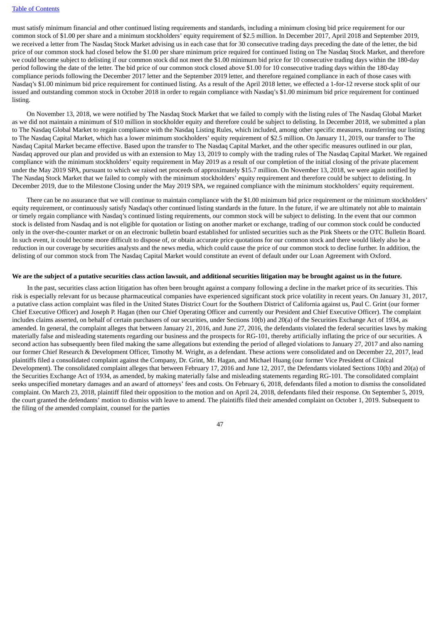must satisfy minimum financial and other continued listing requirements and standards, including a minimum closing bid price requirement for our common stock of \$1.00 per share and a minimum stockholders' equity requirement of \$2.5 million. In December 2017, April 2018 and September 2019, we received a letter from The Nasdaq Stock Market advising us in each case that for 30 consecutive trading days preceding the date of the letter, the bid price of our common stock had closed below the \$1.00 per share minimum price required for continued listing on The Nasdaq Stock Market, and therefore we could become subject to delisting if our common stock did not meet the \$1.00 minimum bid price for 10 consecutive trading days within the 180-day period following the date of the letter. The bid price of our common stock closed above \$1.00 for 10 consecutive trading days within the 180-day compliance periods following the December 2017 letter and the September 2019 letter, and therefore regained compliance in each of those cases with Nasdaq's \$1.00 minimum bid price requirement for continued listing. As a result of the April 2018 letter, we effected a 1-for-12 reverse stock split of our issued and outstanding common stock in October 2018 in order to regain compliance with Nasdaq's \$1.00 minimum bid price requirement for continued listing.

On November 13, 2018, we were notified by The Nasdaq Stock Market that we failed to comply with the listing rules of The Nasdaq Global Market as we did not maintain a minimum of \$10 million in stockholder equity and therefore could be subject to delisting. In December 2018, we submitted a plan to The Nasdaq Global Market to regain compliance with the Nasdaq Listing Rules, which included, among other specific measures, transferring our listing to The Nasdaq Capital Market, which has a lower minimum stockholders' equity requirement of \$2.5 million. On January 11, 2019, our transfer to The Nasdaq Capital Market became effective. Based upon the transfer to The Nasdaq Capital Market, and the other specific measures outlined in our plan, Nasdaq approved our plan and provided us with an extension to May 13, 2019 to comply with the trading rules of The Nasdaq Capital Market. We regained compliance with the minimum stockholders' equity requirement in May 2019 as a result of our completion of the initial closing of the private placement under the May 2019 SPA, pursuant to which we raised net proceeds of approximately \$15.7 million. On November 13, 2018, we were again notified by The Nasdaq Stock Market that we failed to comply with the minimum stockholders' equity requirement and therefore could be subject to delisting. In December 2019, due to the Milestone Closing under the May 2019 SPA, we regained compliance with the minimum stockholders' equity requirement.

There can be no assurance that we will continue to maintain compliance with the \$1.00 minimum bid price requirement or the minimum stockholders' equity requirement, or continuously satisfy Nasdaq's other continued listing standards in the future. In the future, if we are ultimately not able to maintain or timely regain compliance with Nasdaq's continued listing requirements, our common stock will be subject to delisting. In the event that our common stock is delisted from Nasdaq and is not eligible for quotation or listing on another market or exchange, trading of our common stock could be conducted only in the over-the-counter market or on an electronic bulletin board established for unlisted securities such as the Pink Sheets or the OTC Bulletin Board. In such event, it could become more difficult to dispose of, or obtain accurate price quotations for our common stock and there would likely also be a reduction in our coverage by securities analysts and the news media, which could cause the price of our common stock to decline further. In addition, the delisting of our common stock from The Nasdaq Capital Market would constitute an event of default under our Loan Agreement with Oxford.

## We are the subject of a putative securities class action lawsuit, and additional securities litigation may be brought against us in the future.

In the past, securities class action litigation has often been brought against a company following a decline in the market price of its securities. This risk is especially relevant for us because pharmaceutical companies have experienced significant stock price volatility in recent years. On January 31, 2017, a putative class action complaint was filed in the United States District Court for the Southern District of California against us, Paul C. Grint (our former Chief Executive Officer) and Joseph P. Hagan (then our Chief Operating Officer and currently our President and Chief Executive Officer). The complaint includes claims asserted, on behalf of certain purchasers of our securities, under Sections 10(b) and 20(a) of the Securities Exchange Act of 1934, as amended. In general, the complaint alleges that between January 21, 2016, and June 27, 2016, the defendants violated the federal securities laws by making materially false and misleading statements regarding our business and the prospects for RG-101, thereby artificially inflating the price of our securities. A second action has subsequently been filed making the same allegations but extending the period of alleged violations to January 27, 2017 and also naming our former Chief Research & Development Officer, Timothy M. Wright, as a defendant. These actions were consolidated and on December 22, 2017, lead plaintiffs filed a consolidated complaint against the Company, Dr. Grint, Mr. Hagan, and Michael Huang (our former Vice President of Clinical Development). The consolidated complaint alleges that between February 17, 2016 and June 12, 2017, the Defendants violated Sections 10(b) and 20(a) of the Securities Exchange Act of 1934, as amended, by making materially false and misleading statements regarding RG-101. The consolidated complaint seeks unspecified monetary damages and an award of attorneys' fees and costs. On February 6, 2018, defendants filed a motion to dismiss the consolidated complaint. On March 23, 2018, plaintiff filed their opposition to the motion and on April 24, 2018, defendants filed their response. On September 5, 2019, the court granted the defendants' motion to dismiss with leave to amend. The plaintiffs filed their amended complaint on October 1, 2019. Subsequent to the filing of the amended complaint, counsel for the parties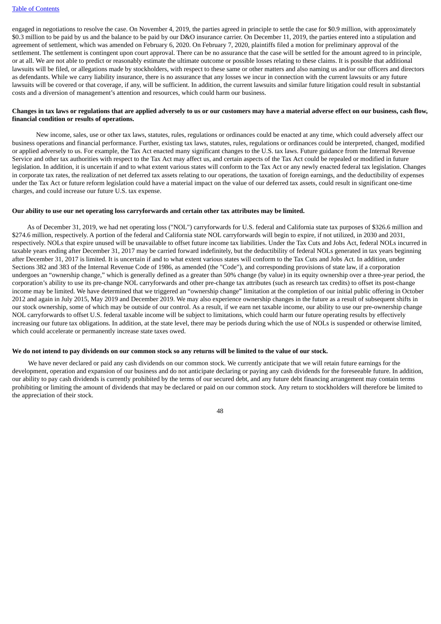engaged in negotiations to resolve the case. On November 4, 2019, the parties agreed in principle to settle the case for \$0.9 million, with approximately \$0.3 million to be paid by us and the balance to be paid by our D&O insurance carrier. On December 11, 2019, the parties entered into a stipulation and agreement of settlement, which was amended on February 6, 2020. On February 7, 2020, plaintiffs filed a motion for preliminary approval of the settlement. The settlement is contingent upon court approval. There can be no assurance that the case will be settled for the amount agreed to in principle, or at all. We are not able to predict or reasonably estimate the ultimate outcome or possible losses relating to these claims. It is possible that additional lawsuits will be filed, or allegations made by stockholders, with respect to these same or other matters and also naming us and/or our officers and directors as defendants. While we carry liability insurance, there is no assurance that any losses we incur in connection with the current lawsuits or any future lawsuits will be covered or that coverage, if any, will be sufficient. In addition, the current lawsuits and similar future litigation could result in substantial costs and a diversion of management's attention and resources, which could harm our business.

# Changes in tax laws or regulations that are applied adversely to us or our customers may have a material adverse effect on our business, cash flow, **financial condition or results of operations.**

New income, sales, use or other tax laws, statutes, rules, regulations or ordinances could be enacted at any time, which could adversely affect our business operations and financial performance. Further, existing tax laws, statutes, rules, regulations or ordinances could be interpreted, changed, modified or applied adversely to us. For example, the Tax Act enacted many significant changes to the U.S. tax laws. Future guidance from the Internal Revenue Service and other tax authorities with respect to the Tax Act may affect us, and certain aspects of the Tax Act could be repealed or modified in future legislation. In addition, it is uncertain if and to what extent various states will conform to the Tax Act or any newly enacted federal tax legislation. Changes in corporate tax rates, the realization of net deferred tax assets relating to our operations, the taxation of foreign earnings, and the deductibility of expenses under the Tax Act or future reform legislation could have a material impact on the value of our deferred tax assets, could result in significant one-time charges, and could increase our future U.S. tax expense.

## **Our ability to use our net operating loss carryforwards and certain other tax attributes may be limited.**

As of December 31, 2019, we had net operating loss ("NOL") carryforwards for U.S. federal and California state tax purposes of \$326.6 million and \$274.6 million, respectively. A portion of the federal and California state NOL carryforwards will begin to expire, if not utilized, in 2030 and 2031, respectively. NOLs that expire unused will be unavailable to offset future income tax liabilities. Under the Tax Cuts and Jobs Act, federal NOLs incurred in taxable years ending after December 31, 2017 may be carried forward indefinitely, but the deductibility of federal NOLs generated in tax years beginning after December 31, 2017 is limited. It is uncertain if and to what extent various states will conform to the Tax Cuts and Jobs Act. In addition, under Sections 382 and 383 of the Internal Revenue Code of 1986, as amended (the "Code"), and corresponding provisions of state law, if a corporation undergoes an "ownership change," which is generally defined as a greater than 50% change (by value) in its equity ownership over a three-year period, the corporation's ability to use its pre-change NOL carryforwards and other pre-change tax attributes (such as research tax credits) to offset its post-change income may be limited. We have determined that we triggered an "ownership change" limitation at the completion of our initial public offering in October 2012 and again in July 2015, May 2019 and December 2019. We may also experience ownership changes in the future as a result of subsequent shifts in our stock ownership, some of which may be outside of our control. As a result, if we earn net taxable income, our ability to use our pre-ownership change NOL carryforwards to offset U.S. federal taxable income will be subject to limitations, which could harm our future operating results by effectively increasing our future tax obligations. In addition, at the state level, there may be periods during which the use of NOLs is suspended or otherwise limited, which could accelerate or permanently increase state taxes owed.

## We do not intend to pay dividends on our common stock so any returns will be limited to the value of our stock.

We have never declared or paid any cash dividends on our common stock. We currently anticipate that we will retain future earnings for the development, operation and expansion of our business and do not anticipate declaring or paying any cash dividends for the foreseeable future. In addition, our ability to pay cash dividends is currently prohibited by the terms of our secured debt, and any future debt financing arrangement may contain terms prohibiting or limiting the amount of dividends that may be declared or paid on our common stock. Any return to stockholders will therefore be limited to the appreciation of their stock.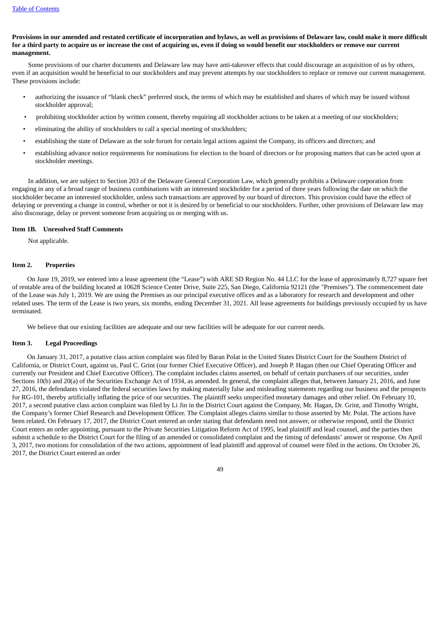# Provisions in our amended and restated certificate of incorporation and bylaws, as well as provisions of Delaware law, could make it more difficult for a third party to acquire us or increase the cost of acquiring us, even if doing so would benefit our stockholders or remove our current **management.**

Some provisions of our charter documents and Delaware law may have anti-takeover effects that could discourage an acquisition of us by others, even if an acquisition would be beneficial to our stockholders and may prevent attempts by our stockholders to replace or remove our current management. These provisions include:

- authorizing the issuance of "blank check" preferred stock, the terms of which may be established and shares of which may be issued without stockholder approval;
- prohibiting stockholder action by written consent, thereby requiring all stockholder actions to be taken at a meeting of our stockholders;
- eliminating the ability of stockholders to call a special meeting of stockholders;
- establishing the state of Delaware as the sole forum for certain legal actions against the Company, its officers and directors; and
- establishing advance notice requirements for nominations for election to the board of directors or for proposing matters that can be acted upon at stockholder meetings.

In addition, we are subject to Section 203 of the Delaware General Corporation Law, which generally prohibits a Delaware corporation from engaging in any of a broad range of business combinations with an interested stockholder for a period of three years following the date on which the stockholder became an interested stockholder, unless such transactions are approved by our board of directors. This provision could have the effect of delaying or preventing a change in control, whether or not it is desired by or beneficial to our stockholders. Further, other provisions of Delaware law may also discourage, delay or prevent someone from acquiring us or merging with us.

## **Item 1B. Unresolved Staff Comments**

Not applicable.

# **Item 2. Properties**

On June 19, 2019, we entered into a lease agreement (the "Lease") with ARE SD Region No. 44 LLC for the lease of approximately 8,727 square feet of rentable area of the building located at 10628 Science Center Drive, Suite 225, San Diego, California 92121 (the "Premises"). The commencement date of the Lease was July 1, 2019. We are using the Premises as our principal executive offices and as a laboratory for research and development and other related uses. The term of the Lease is two years, six months, ending December 31, 2021. All lease agreements for buildings previously occupied by us have terminated.

We believe that our existing facilities are adequate and our new facilities will be adequate for our current needs.

## **Item 3. Legal Proceedings**

On January 31, 2017, a putative class action complaint was filed by Baran Polat in the United States District Court for the Southern District of California, or District Court, against us, Paul C. Grint (our former Chief Executive Officer), and Joseph P. Hagan (then our Chief Operating Officer and currently our President and Chief Executive Officer). The complaint includes claims asserted, on behalf of certain purchasers of our securities, under Sections 10(b) and 20(a) of the Securities Exchange Act of 1934, as amended. In general, the complaint alleges that, between January 21, 2016, and June 27, 2016, the defendants violated the federal securities laws by making materially false and misleading statements regarding our business and the prospects for RG-101, thereby artificially inflating the price of our securities. The plaintiff seeks unspecified monetary damages and other relief. On February 10, 2017, a second putative class action complaint was filed by Li Jin in the District Court against the Company, Mr. Hagan, Dr. Grint, and Timothy Wright, the Company's former Chief Research and Development Officer. The Complaint alleges claims similar to those asserted by Mr. Polat. The actions have been related. On February 17, 2017, the District Court entered an order stating that defendants need not answer, or otherwise respond, until the District Court enters an order appointing, pursuant to the Private Securities Litigation Reform Act of 1995, lead plaintiff and lead counsel, and the parties then submit a schedule to the District Court for the filing of an amended or consolidated complaint and the timing of defendants' answer or response. On April 3, 2017, two motions for consolidation of the two actions, appointment of lead plaintiff and approval of counsel were filed in the actions. On October 26, 2017, the District Court entered an order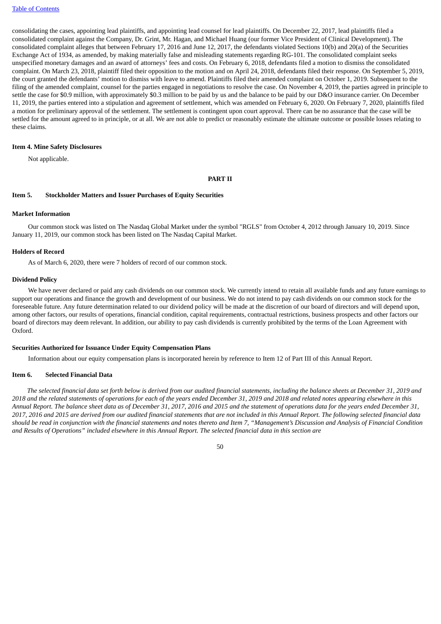consolidating the cases, appointing lead plaintiffs, and appointing lead counsel for lead plaintiffs. On December 22, 2017, lead plaintiffs filed a consolidated complaint against the Company, Dr. Grint, Mr. Hagan, and Michael Huang (our former Vice President of Clinical Development). The consolidated complaint alleges that between February 17, 2016 and June 12, 2017, the defendants violated Sections 10(b) and 20(a) of the Securities Exchange Act of 1934, as amended, by making materially false and misleading statements regarding RG-101. The consolidated complaint seeks unspecified monetary damages and an award of attorneys' fees and costs. On February 6, 2018, defendants filed a motion to dismiss the consolidated complaint. On March 23, 2018, plaintiff filed their opposition to the motion and on April 24, 2018, defendants filed their response. On September 5, 2019, the court granted the defendants' motion to dismiss with leave to amend. Plaintiffs filed their amended complaint on October 1, 2019. Subsequent to the filing of the amended complaint, counsel for the parties engaged in negotiations to resolve the case. On November 4, 2019, the parties agreed in principle to settle the case for \$0.9 million, with approximately \$0.3 million to be paid by us and the balance to be paid by our D&O insurance carrier. On December 11, 2019, the parties entered into a stipulation and agreement of settlement, which was amended on February 6, 2020. On February 7, 2020, plaintiffs filed a motion for preliminary approval of the settlement. The settlement is contingent upon court approval. There can be no assurance that the case will be settled for the amount agreed to in principle, or at all. We are not able to predict or reasonably estimate the ultimate outcome or possible losses relating to these claims.

#### **Item 4. Mine Safety Disclosures**

Not applicable.

#### **PART II**

#### **Item 5. Stockholder Matters and Issuer Purchases of Equity Securities**

## **Market Information**

Our common stock was listed on The Nasdaq Global Market under the symbol "RGLS" from October 4, 2012 through January 10, 2019. Since January 11, 2019, our common stock has been listed on The Nasdaq Capital Market.

#### **Holders of Record**

As of March 6, 2020, there were 7 holders of record of our common stock.

#### **Dividend Policy**

We have never declared or paid any cash dividends on our common stock. We currently intend to retain all available funds and any future earnings to support our operations and finance the growth and development of our business. We do not intend to pay cash dividends on our common stock for the foreseeable future. Any future determination related to our dividend policy will be made at the discretion of our board of directors and will depend upon, among other factors, our results of operations, financial condition, capital requirements, contractual restrictions, business prospects and other factors our board of directors may deem relevant. In addition, our ability to pay cash dividends is currently prohibited by the terms of the Loan Agreement with Oxford.

## **Securities Authorized for Issuance Under Equity Compensation Plans**

Information about our equity compensation plans is incorporated herein by reference to Item 12 of Part III of this Annual Report.

#### **Item 6. Selected Financial Data**

The selected financial data set forth below is derived from our audited financial statements, including the balance sheets at December 31, 2019 and 2018 and the related statements of operations for each of the years ended December 31, 2019 and 2018 and related notes appearing elsewhere in this Annual Report. The balance sheet data as of December 31, 2017, 2016 and 2015 and the statement of operations data for the years ended December 31, 2017, 2016 and 2015 are derived from our audited financial statements that are not included in this Annual Report. The following selected financial data should be read in conjunction with the financial statements and notes thereto and Item 7, "Management's Discussion and Analysis of Financial Condition and Results of Operations" included elsewhere in this Annual Report. The selected financial data in this section are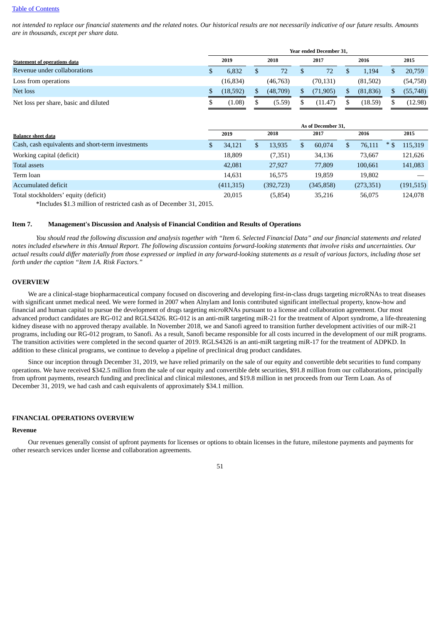### Table of [Contents](#page-2-0)

not intended to replace our financial statements and the related notes. Our historical results are not necessarily indicative of our future results. Amounts *are in thousands, except per share data.*

|                                       | <b>Year ended December 31.</b> |           |  |          |    |           |    |           |  |          |  |  |  |
|---------------------------------------|--------------------------------|-----------|--|----------|----|-----------|----|-----------|--|----------|--|--|--|
| <b>Statement of operations data</b>   |                                | 2019      |  | 2018     |    | 2017      |    | 2016      |  | 2015     |  |  |  |
| Revenue under collaborations          |                                | 6.832     |  | 72       |    | 72        |    | 1,194     |  | 20,759   |  |  |  |
| Loss from operations                  |                                | (16, 834) |  | (46,763) |    | (70, 131) |    | (81,502)  |  | (54,758) |  |  |  |
| Net loss                              |                                | (18.592)  |  | (48,709) | \$ | (71, 905) | \$ | (81, 836) |  | (55,748) |  |  |  |
| Net loss per share, basic and diluted |                                | (1.08)    |  | (5.59)   |    | (11.47)   |    | (18.59)   |  | (12.98)  |  |  |  |

|                                                   | As of December 31, |            |      |            |      |            |      |            |        |            |  |  |  |
|---------------------------------------------------|--------------------|------------|------|------------|------|------------|------|------------|--------|------------|--|--|--|
| <b>Balance sheet data</b>                         |                    | 2019       | 2018 |            | 2017 |            | 2016 |            |        | 2015       |  |  |  |
| Cash, cash equivalents and short-term investments |                    | 34,121     | \$   | 13,935     | \$   | 60,074     | S    | 76,111     | $*$ \$ | 115,319    |  |  |  |
| Working capital (deficit)                         |                    | 18,809     |      | (7,351)    |      | 34,136     |      | 73,667     |        | 121,626    |  |  |  |
| <b>Total assets</b>                               |                    | 42,081     |      | 27,927     |      | 77,809     |      | 100,661    |        | 141,083    |  |  |  |
| Term loan                                         |                    | 14,631     |      | 16,575     |      | 19,859     |      | 19,802     |        |            |  |  |  |
| Accumulated deficit                               |                    | (411, 315) |      | (392, 723) |      | (345, 858) |      | (273, 351) |        | (191, 515) |  |  |  |
| Total stockholders' equity (deficit)              |                    | 20,015     |      | (5,854)    |      | 35,216     |      | 56.075     |        | 124,078    |  |  |  |

\*Includes \$1.3 million of restricted cash as of December 31, 2015.

## **Item 7. Management's Discussion and Analysis of Financial Condition and Results of Operations**

You should read the following discussion and analysis together with "Item 6. Selected Financial Data" and our financial statements and related notes included elsewhere in this Annual Report. The following discussion contains forward-looking statements that involve risks and uncertainties. Our actual results could differ materially from those expressed or implied in any forward-looking statements as a result of various factors, including those set *forth under the caption "Item 1A. Risk Factors."*

# **OVERVIEW**

We are a clinical-stage biopharmaceutical company focused on discovering and developing first-in-class drugs targeting *micro*RNAs to treat diseases with significant unmet medical need. We were formed in 2007 when Alnylam and Ionis contributed significant intellectual property, know-how and financial and human capital to pursue the development of drugs targeting *micro*RNAs pursuant to a license and collaboration agreement. Our most advanced product candidates are RG-012 and RGLS4326. RG-012 is an anti-miR targeting miR-21 for the treatment of Alport syndrome, a life-threatening kidney disease with no approved therapy available. In November 2018, we and Sanofi agreed to transition further development activities of our miR-21 programs, including our RG-012 program, to Sanofi. As a result, Sanofi became responsible for all costs incurred in the development of our miR programs. The transition activities were completed in the second quarter of 2019. RGLS4326 is an anti-miR targeting miR-17 for the treatment of ADPKD. In addition to these clinical programs, we continue to develop a pipeline of preclinical drug product candidates.

Since our inception through December 31, 2019, we have relied primarily on the sale of our equity and convertible debt securities to fund company operations. We have received \$342.5 million from the sale of our equity and convertible debt securities, \$91.8 million from our collaborations, principally from upfront payments, research funding and preclinical and clinical milestones, and \$19.8 million in net proceeds from our Term Loan. As of December 31, 2019, we had cash and cash equivalents of approximately \$34.1 million.

# **FINANCIAL OPERATIONS OVERVIEW**

#### **Revenue**

Our revenues generally consist of upfront payments for licenses or options to obtain licenses in the future, milestone payments and payments for other research services under license and collaboration agreements.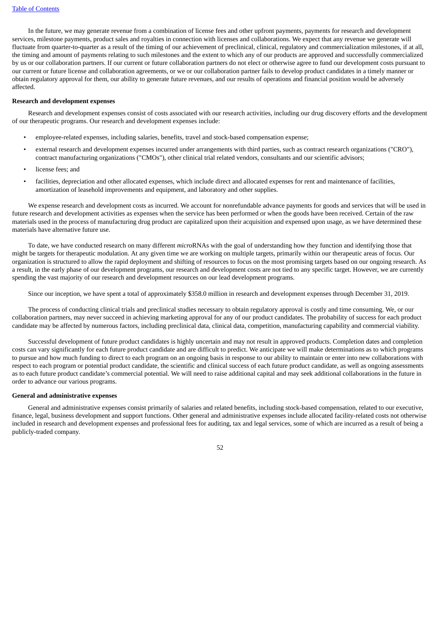In the future, we may generate revenue from a combination of license fees and other upfront payments, payments for research and development services, milestone payments, product sales and royalties in connection with licenses and collaborations. We expect that any revenue we generate will fluctuate from quarter-to-quarter as a result of the timing of our achievement of preclinical, clinical, regulatory and commercialization milestones, if at all, the timing and amount of payments relating to such milestones and the extent to which any of our products are approved and successfully commercialized by us or our collaboration partners. If our current or future collaboration partners do not elect or otherwise agree to fund our development costs pursuant to our current or future license and collaboration agreements, or we or our collaboration partner fails to develop product candidates in a timely manner or obtain regulatory approval for them, our ability to generate future revenues, and our results of operations and financial position would be adversely affected.

#### **Research and development expenses**

Research and development expenses consist of costs associated with our research activities, including our drug discovery efforts and the development of our therapeutic programs. Our research and development expenses include:

- employee-related expenses, including salaries, benefits, travel and stock-based compensation expense;
- external research and development expenses incurred under arrangements with third parties, such as contract research organizations ("CRO"), contract manufacturing organizations ("CMOs"), other clinical trial related vendors, consultants and our scientific advisors;
- license fees; and
- facilities, depreciation and other allocated expenses, which include direct and allocated expenses for rent and maintenance of facilities, amortization of leasehold improvements and equipment, and laboratory and other supplies.

We expense research and development costs as incurred. We account for nonrefundable advance payments for goods and services that will be used in future research and development activities as expenses when the service has been performed or when the goods have been received. Certain of the raw materials used in the process of manufacturing drug product are capitalized upon their acquisition and expensed upon usage, as we have determined these materials have alternative future use.

To date, we have conducted research on many different *micro*RNAs with the goal of understanding how they function and identifying those that might be targets for therapeutic modulation. At any given time we are working on multiple targets, primarily within our therapeutic areas of focus. Our organization is structured to allow the rapid deployment and shifting of resources to focus on the most promising targets based on our ongoing research. As a result, in the early phase of our development programs, our research and development costs are not tied to any specific target. However, we are currently spending the vast majority of our research and development resources on our lead development programs.

Since our inception, we have spent a total of approximately \$358.0 million in research and development expenses through December 31, 2019.

The process of conducting clinical trials and preclinical studies necessary to obtain regulatory approval is costly and time consuming. We, or our collaboration partners, may never succeed in achieving marketing approval for any of our product candidates. The probability of success for each product candidate may be affected by numerous factors, including preclinical data, clinical data, competition, manufacturing capability and commercial viability.

Successful development of future product candidates is highly uncertain and may not result in approved products. Completion dates and completion costs can vary significantly for each future product candidate and are difficult to predict. We anticipate we will make determinations as to which programs to pursue and how much funding to direct to each program on an ongoing basis in response to our ability to maintain or enter into new collaborations with respect to each program or potential product candidate, the scientific and clinical success of each future product candidate, as well as ongoing assessments as to each future product candidate's commercial potential. We will need to raise additional capital and may seek additional collaborations in the future in order to advance our various programs.

## **General and administrative expenses**

General and administrative expenses consist primarily of salaries and related benefits, including stock-based compensation, related to our executive, finance, legal, business development and support functions. Other general and administrative expenses include allocated facility-related costs not otherwise included in research and development expenses and professional fees for auditing, tax and legal services, some of which are incurred as a result of being a publicly-traded company.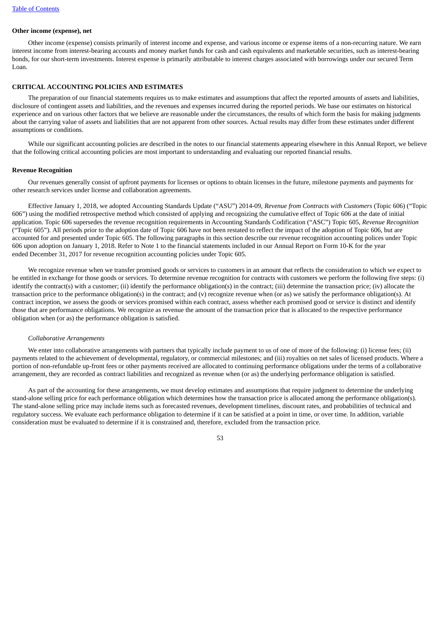## **Other income (expense), net**

Other income (expense) consists primarily of interest income and expense, and various income or expense items of a non-recurring nature. We earn interest income from interest-bearing accounts and money market funds for cash and cash equivalents and marketable securities, such as interest-bearing bonds, for our short-term investments. Interest expense is primarily attributable to interest charges associated with borrowings under our secured Term Loan.

## **CRITICAL ACCOUNTING POLICIES AND ESTIMATES**

The preparation of our financial statements requires us to make estimates and assumptions that affect the reported amounts of assets and liabilities, disclosure of contingent assets and liabilities, and the revenues and expenses incurred during the reported periods. We base our estimates on historical experience and on various other factors that we believe are reasonable under the circumstances, the results of which form the basis for making judgments about the carrying value of assets and liabilities that are not apparent from other sources. Actual results may differ from these estimates under different assumptions or conditions.

While our significant accounting policies are described in the notes to our financial statements appearing elsewhere in this Annual Report, we believe that the following critical accounting policies are most important to understanding and evaluating our reported financial results.

#### **Revenue Recognition**

Our revenues generally consist of upfront payments for licenses or options to obtain licenses in the future, milestone payments and payments for other research services under license and collaboration agreements.

Effective January 1, 2018, we adopted Accounting Standards Update ("ASU") 2014-09, *Revenue from Contracts with Customers* (Topic 606) ("Topic 606") using the modified retrospective method which consisted of applying and recognizing the cumulative effect of Topic 606 at the date of initial application. Topic 606 supersedes the revenue recognition requirements in Accounting Standards Codification ("ASC") Topic 605, *Revenue Recognition* ("Topic 605"). All periods prior to the adoption date of Topic 606 have not been restated to reflect the impact of the adoption of Topic 606, but are accounted for and presented under Topic 605. The following paragraphs in this section describe our revenue recognition accounting polices under Topic 606 upon adoption on January 1, 2018. Refer to Note 1 to the financial statements included in our Annual Report on Form 10-K for the year ended December 31, 2017 for revenue recognition accounting policies under Topic 605.

We recognize revenue when we transfer promised goods or services to customers in an amount that reflects the consideration to which we expect to be entitled in exchange for those goods or services. To determine revenue recognition for contracts with customers we perform the following five steps: (i) identify the contract(s) with a customer; (ii) identify the performance obligation(s) in the contract; (iii) determine the transaction price; (iv) allocate the transaction price to the performance obligation(s) in the contract; and (v) recognize revenue when (or as) we satisfy the performance obligation(s). At contract inception, we assess the goods or services promised within each contract, assess whether each promised good or service is distinct and identify those that are performance obligations. We recognize as revenue the amount of the transaction price that is allocated to the respective performance obligation when (or as) the performance obligation is satisfied.

#### *Collaborative Arrangements*

We enter into collaborative arrangements with partners that typically include payment to us of one of more of the following: (i) license fees; (ii) payments related to the achievement of developmental, regulatory, or commercial milestones; and (iii) royalties on net sales of licensed products. Where a portion of non-refundable up-front fees or other payments received are allocated to continuing performance obligations under the terms of a collaborative arrangement, they are recorded as contract liabilities and recognized as revenue when (or as) the underlying performance obligation is satisfied.

As part of the accounting for these arrangements, we must develop estimates and assumptions that require judgment to determine the underlying stand-alone selling price for each performance obligation which determines how the transaction price is allocated among the performance obligation(s). The stand-alone selling price may include items such as forecasted revenues, development timelines, discount rates, and probabilities of technical and regulatory success. We evaluate each performance obligation to determine if it can be satisfied at a point in time, or over time. In addition, variable consideration must be evaluated to determine if it is constrained and, therefore, excluded from the transaction price.

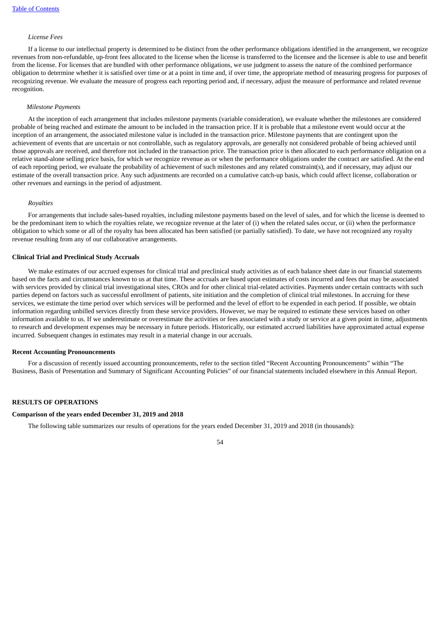# *License Fees*

If a license to our intellectual property is determined to be distinct from the other performance obligations identified in the arrangement, we recognize revenues from non-refundable, up-front fees allocated to the license when the license is transferred to the licensee and the licensee is able to use and benefit from the license. For licenses that are bundled with other performance obligations, we use judgment to assess the nature of the combined performance obligation to determine whether it is satisfied over time or at a point in time and, if over time, the appropriate method of measuring progress for purposes of recognizing revenue. We evaluate the measure of progress each reporting period and, if necessary, adjust the measure of performance and related revenue recognition.

## *Milestone Payments*

At the inception of each arrangement that includes milestone payments (variable consideration), we evaluate whether the milestones are considered probable of being reached and estimate the amount to be included in the transaction price. If it is probable that a milestone event would occur at the inception of an arrangement, the associated milestone value is included in the transaction price. Milestone payments that are contingent upon the achievement of events that are uncertain or not controllable, such as regulatory approvals, are generally not considered probable of being achieved until those approvals are received, and therefore not included in the transaction price. The transaction price is then allocated to each performance obligation on a relative stand-alone selling price basis, for which we recognize revenue as or when the performance obligations under the contract are satisfied. At the end of each reporting period, we evaluate the probability of achievement of such milestones and any related constraint(s), and if necessary, may adjust our estimate of the overall transaction price. Any such adjustments are recorded on a cumulative catch-up basis, which could affect license, collaboration or other revenues and earnings in the period of adjustment.

#### *Royalties*

For arrangements that include sales-based royalties, including milestone payments based on the level of sales, and for which the license is deemed to be the predominant item to which the royalties relate, we recognize revenue at the later of (i) when the related sales occur, or (ii) when the performance obligation to which some or all of the royalty has been allocated has been satisfied (or partially satisfied). To date, we have not recognized any royalty revenue resulting from any of our collaborative arrangements.

#### **Clinical Trial and Preclinical Study Accruals**

We make estimates of our accrued expenses for clinical trial and preclinical study activities as of each balance sheet date in our financial statements based on the facts and circumstances known to us at that time. These accruals are based upon estimates of costs incurred and fees that may be associated with services provided by clinical trial investigational sites, CROs and for other clinical trial-related activities. Payments under certain contracts with such parties depend on factors such as successful enrollment of patients, site initiation and the completion of clinical trial milestones. In accruing for these services, we estimate the time period over which services will be performed and the level of effort to be expended in each period. If possible, we obtain information regarding unbilled services directly from these service providers. However, we may be required to estimate these services based on other information available to us. If we underestimate or overestimate the activities or fees associated with a study or service at a given point in time, adjustments to research and development expenses may be necessary in future periods. Historically, our estimated accrued liabilities have approximated actual expense incurred. Subsequent changes in estimates may result in a material change in our accruals.

### **Recent Accounting Pronouncements**

For a discussion of recently issued accounting pronouncements, refer to the section titled "Recent Accounting Pronouncements" within "The Business, Basis of Presentation and Summary of Significant Accounting Policies" of our financial statements included elsewhere in this Annual Report.

# **RESULTS OF OPERATIONS**

# **Comparison of the years ended December 31, 2019 and 2018**

The following table summarizes our results of operations for the years ended December 31, 2019 and 2018 (in thousands):

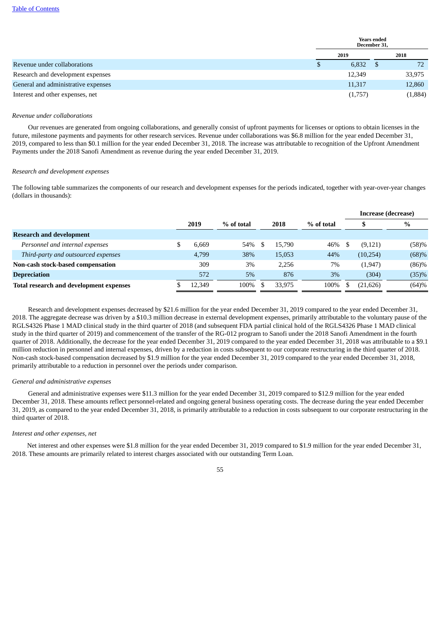|                                     | December 31, | <b>Years ended</b> |         |
|-------------------------------------|--------------|--------------------|---------|
|                                     | 2019         |                    | 2018    |
| Revenue under collaborations        | 6,832        |                    | 72      |
| Research and development expenses   | 12,349       |                    | 33,975  |
| General and administrative expenses | 11,317       |                    | 12,860  |
| Interest and other expenses, net    | (1,757)      |                    | (1,884) |

#### *Revenue under collaborations*

Our revenues are generated from ongoing collaborations, and generally consist of upfront payments for licenses or options to obtain licenses in the future, milestone payments and payments for other research services. Revenue under collaborations was \$6.8 million for the year ended December 31, 2019, compared to less than \$0.1 million for the year ended December 31, 2018. The increase was attributable to recognition of the Upfront Amendment Payments under the 2018 Sanofi Amendment as revenue during the year ended December 31, 2019.

#### *Research and development expenses*

The following table summarizes the components of our research and development expenses for the periods indicated, together with year-over-year changes (dollars in thousands):

|                                         |        |            |    |        |            |     |           | Increase (decrease) |
|-----------------------------------------|--------|------------|----|--------|------------|-----|-----------|---------------------|
|                                         | 2019   | % of total |    | 2018   | % of total |     |           | $\%$                |
| <b>Research and development</b>         |        |            |    |        |            |     |           |                     |
| Personnel and internal expenses         | 6.669  | 54%        |    | 15,790 | 46%        | \$  | (9, 121)  | (58)%               |
| Third-party and outsourced expenses     | 4,799  | 38%        |    | 15,053 | 44%        |     | (10, 254) | (68)%               |
| Non-cash stock-based compensation       | 309    | 3%         |    | 2,256  | 7%         |     | (1, 947)  | (86)%               |
| <b>Depreciation</b>                     | 572    | 5%         |    | 876    | 3%         |     | (304)     | (35)%               |
| Total research and development expenses | 12,349 | 100%       | -S | 33,975 | 100%       | \$. | (21, 626) | (64)%               |

Research and development expenses decreased by \$21.6 million for the year ended December 31, 2019 compared to the year ended December 31, 2018. The aggregate decrease was driven by a \$10.3 million decrease in external development expenses, primarily attributable to the voluntary pause of the RGLS4326 Phase 1 MAD clinical study in the third quarter of 2018 (and subsequent FDA partial clinical hold of the RGLS4326 Phase 1 MAD clinical study in the third quarter of 2019) and commencement of the transfer of the RG-012 program to Sanofi under the 2018 Sanofi Amendment in the fourth quarter of 2018. Additionally, the decrease for the year ended December 31, 2019 compared to the year ended December 31, 2018 was attributable to a \$9.1 million reduction in personnel and internal expenses, driven by a reduction in costs subsequent to our corporate restructuring in the third quarter of 2018. Non-cash stock-based compensation decreased by \$1.9 million for the year ended December 31, 2019 compared to the year ended December 31, 2018, primarily attributable to a reduction in personnel over the periods under comparison.

#### *General and administrative expenses*

General and administrative expenses were \$11.3 million for the year ended December 31, 2019 compared to \$12.9 million for the year ended December 31, 2018. These amounts reflect personnel-related and ongoing general business operating costs. The decrease during the year ended December 31, 2019, as compared to the year ended December 31, 2018, is primarily attributable to a reduction in costs subsequent to our corporate restructuring in the third quarter of 2018.

#### *Interest and other expenses, net*

Net interest and other expenses were \$1.8 million for the year ended December 31, 2019 compared to \$1.9 million for the year ended December 31, 2018. These amounts are primarily related to interest charges associated with our outstanding Term Loan.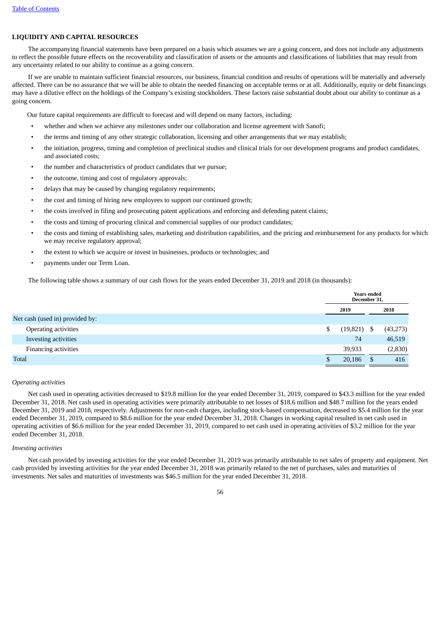# **LIQUIDITY AND CAPITAL RESOURCES**

The accompanying financial statements have been prepared on a basis which assumes we are a going concern, and does not include any adjustments to reflect the possible future effects on the recoverability and classification of assets or the amounts and classifications of liabilities that may result from any uncertainty related to our ability to continue as a going concern.

If we are unable to maintain sufficient financial resources, our business, financial condition and results of operations will be materially and adversely affected. There can be no assurance that we will be able to obtain the needed financing on acceptable terms or at all. Additionally, equity or debt financings may have a dilutive effect on the holdings of the Company's existing stockholders. These factors raise substantial doubt about our ability to continue as a going concern.

Our future capital requirements are difficult to forecast and will depend on many factors, including:

- whether and when we achieve any milestones under our collaboration and license agreement with Sanofi;
- the terms and timing of any other strategic collaboration, licensing and other arrangements that we may establish;
- the initiation, progress, timing and completion of preclinical studies and clinical trials for our development programs and product candidates, and associated costs;
- the number and characteristics of product candidates that we pursue;
- the outcome, timing and cost of regulatory approvals;
- delays that may be caused by changing regulatory requirements;
- the cost and timing of hiring new employees to support our continued growth;
- the costs involved in filing and prosecuting patent applications and enforcing and defending patent claims;
- the costs and timing of procuring clinical and commercial supplies of our product candidates;
- the costs and timing of establishing sales, marketing and distribution capabilities, and the pricing and reimbursement for any products for which we may receive regulatory approval;
- the extent to which we acquire or invest in businesses, products or technologies; and
- payments under our Term Loan.

The following table shows a summary of our cash flows for the years ended December 31, 2019 and 2018 (in thousands):

|                                 | <b>Years ended</b><br>December 31, |   |           |
|---------------------------------|------------------------------------|---|-----------|
|                                 | 2019                               |   | 2018      |
| Net cash (used in) provided by: |                                    |   |           |
| Operating activities            | \$<br>(19,821)                     | S | (43, 273) |
| Investing activities            | 74                                 |   | 46,519    |
| Financing activities            | 39,933                             |   | (2,830)   |
| <b>Total</b>                    | 20,186                             | S | 416       |

## *Operating activities*

Net cash used in operating activities decreased to \$19.8 million for the year ended December 31, 2019, compared to \$43.3 million for the year ended December 31, 2018. Net cash used in operating activities were primarily attributable to net losses of \$18.6 million and \$48.7 million for the years ended December 31, 2019 and 2018, respectively. Adjustments for non-cash charges, including stock-based compensation, decreased to \$5.4 million for the year ended December 31, 2019, compared to \$8.6 million for the year ended December 31, 2018. Changes in working capital resulted in net cash used in operating activities of \$6.6 million for the year ended December 31, 2019, compared to net cash used in operating activities of \$3.2 million for the year ended December 31, 2018.

## *Investing activities*

Net cash provided by investing activities for the year ended December 31, 2019 was primarily attributable to net sales of property and equipment. Net cash provided by investing activities for the year ended December 31, 2018 was primarily related to the net of purchases, sales and maturities of investments. Net sales and maturities of investments was \$46.5 million for the year ended December 31, 2018.

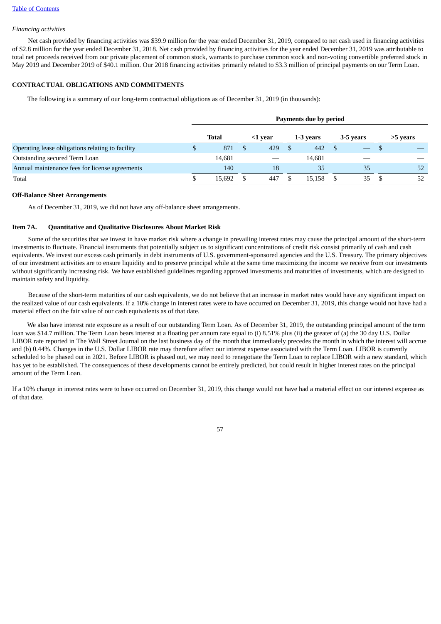## *Financing activities*

Net cash provided by financing activities was \$39.9 million for the year ended December 31, 2019, compared to net cash used in financing activities of \$2.8 million for the year ended December 31, 2018. Net cash provided by financing activities for the year ended December 31, 2019 was attributable to total net proceeds received from our private placement of common stock, warrants to purchase common stock and non-voting convertible preferred stock in May 2019 and December 2019 of \$40.1 million. Our 2018 financing activities primarily related to \$3.3 million of principal payments on our Term Loan.

## **CONTRACTUAL OBLIGATIONS AND COMMITMENTS**

The following is a summary of our long-term contractual obligations as of December 31, 2019 (in thousands):

|                                                  | Payments due by period |              |  |               |           |        |           |    |    |            |  |  |
|--------------------------------------------------|------------------------|--------------|--|---------------|-----------|--------|-----------|----|----|------------|--|--|
|                                                  |                        | <b>Total</b> |  | $\leq 1$ year | 1-3 years |        | 3-5 years |    |    | $>5$ years |  |  |
| Operating lease obligations relating to facility |                        | 871          |  | 429           |           | 442    |           |    |    |            |  |  |
| Outstanding secured Term Loan                    |                        | 14,681       |  |               |           | 14,681 |           |    |    |            |  |  |
| Annual maintenance fees for license agreements   |                        | 140          |  | 18            |           | 35     |           | 35 |    | 52         |  |  |
| Total                                            |                        | 15,692       |  | 447           |           | 15,158 |           | 35 | -S | 52         |  |  |

## **Off-Balance Sheet Arrangements**

As of December 31, 2019, we did not have any off-balance sheet arrangements.

# **Item 7A. Quantitative and Qualitative Disclosures About Market Risk**

Some of the securities that we invest in have market risk where a change in prevailing interest rates may cause the principal amount of the short-term investments to fluctuate. Financial instruments that potentially subject us to significant concentrations of credit risk consist primarily of cash and cash equivalents. We invest our excess cash primarily in debt instruments of U.S. government-sponsored agencies and the U.S. Treasury. The primary objectives of our investment activities are to ensure liquidity and to preserve principal while at the same time maximizing the income we receive from our investments without significantly increasing risk. We have established guidelines regarding approved investments and maturities of investments, which are designed to maintain safety and liquidity.

Because of the short-term maturities of our cash equivalents, we do not believe that an increase in market rates would have any significant impact on the realized value of our cash equivalents. If a 10% change in interest rates were to have occurred on December 31, 2019, this change would not have had a material effect on the fair value of our cash equivalents as of that date.

We also have interest rate exposure as a result of our outstanding Term Loan. As of December 31, 2019, the outstanding principal amount of the term loan was \$14.7 million. The Term Loan bears interest at a floating per annum rate equal to (i) 8.51% plus (ii) the greater of (a) the 30 day U.S. Dollar LIBOR rate reported in The Wall Street Journal on the last business day of the month that immediately precedes the month in which the interest will accrue and (b) 0.44%. Changes in the U.S. Dollar LIBOR rate may therefore affect our interest expense associated with the Term Loan. LIBOR is currently scheduled to be phased out in 2021. Before LIBOR is phased out, we may need to renegotiate the Term Loan to replace LIBOR with a new standard, which has yet to be established. The consequences of these developments cannot be entirely predicted, but could result in higher interest rates on the principal amount of the Term Loan.

If a 10% change in interest rates were to have occurred on December 31, 2019, this change would not have had a material effect on our interest expense as of that date.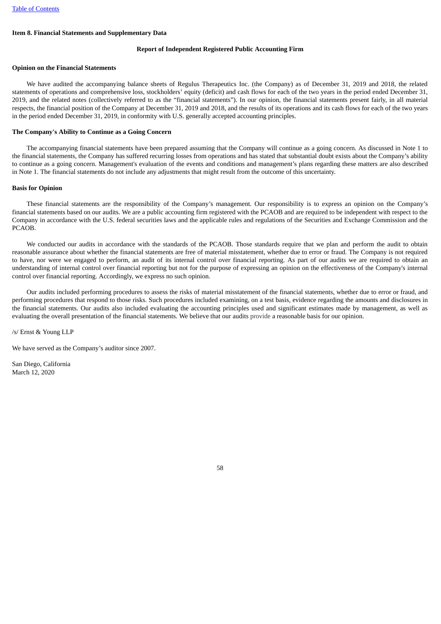# **Item 8. Financial Statements and Supplementary Data**

# **Report of Independent Registered Public Accounting Firm**

# **Opinion on the Financial Statements**

We have audited the accompanying balance sheets of Regulus Therapeutics Inc. (the Company) as of December 31, 2019 and 2018, the related statements of operations and comprehensive loss, stockholders' equity (deficit) and cash flows for each of the two years in the period ended December 31, 2019, and the related notes (collectively referred to as the "financial statements"). In our opinion, the financial statements present fairly, in all material respects, the financial position of the Company at December 31, 2019 and 2018, and the results of its operations and its cash flows for each of the two years in the period ended December 31, 2019, in conformity with U.S. generally accepted accounting principles.

# **The Company's Ability to Continue as a Going Concern**

The accompanying financial statements have been prepared assuming that the Company will continue as a going concern. As discussed in Note 1 to the financial statements, the Company has suffered recurring losses from operations and has stated that substantial doubt exists about the Company's ability to continue as a going concern. Management's evaluation of the events and conditions and management's plans regarding these matters are also described in Note 1. The financial statements do not include any adjustments that might result from the outcome of this uncertainty.

#### **Basis for Opinion**

These financial statements are the responsibility of the Company's management. Our responsibility is to express an opinion on the Company's financial statements based on our audits. We are a public accounting firm registered with the PCAOB and are required to be independent with respect to the Company in accordance with the U.S. federal securities laws and the applicable rules and regulations of the Securities and Exchange Commission and the PCAOB.

We conducted our audits in accordance with the standards of the PCAOB. Those standards require that we plan and perform the audit to obtain reasonable assurance about whether the financial statements are free of material misstatement, whether due to error or fraud. The Company is not required to have, nor were we engaged to perform, an audit of its internal control over financial reporting. As part of our audits we are required to obtain an understanding of internal control over financial reporting but not for the purpose of expressing an opinion on the effectiveness of the Company's internal control over financial reporting. Accordingly, we express no such opinion.

Our audits included performing procedures to assess the risks of material misstatement of the financial statements, whether due to error or fraud, and performing procedures that respond to those risks. Such procedures included examining, on a test basis, evidence regarding the amounts and disclosures in the financial statements. Our audits also included evaluating the accounting principles used and significant estimates made by management, as well as evaluating the overall presentation of the financial statements. We believe that our audits provide a reasonable basis for our opinion.

/s/ Ernst & Young LLP

We have served as the Company's auditor since 2007.

San Diego, California March 12, 2020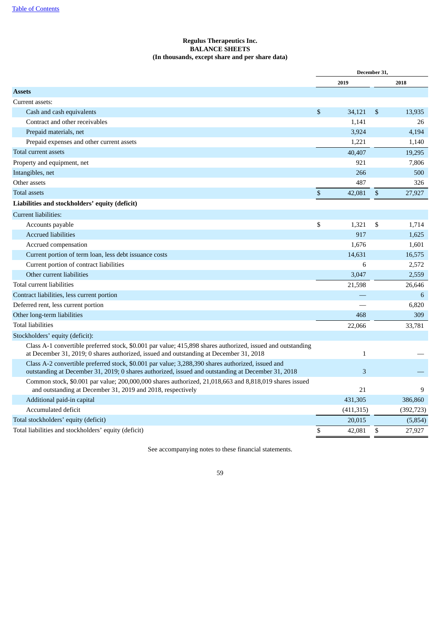# **Regulus Therapeutics Inc. BALANCE SHEETS (In thousands, except share and per share data)**

|                                                                                                                                                                                                         | December 31. |                           |            |
|---------------------------------------------------------------------------------------------------------------------------------------------------------------------------------------------------------|--------------|---------------------------|------------|
|                                                                                                                                                                                                         | 2019         |                           | 2018       |
| <b>Assets</b>                                                                                                                                                                                           |              |                           |            |
| Current assets:                                                                                                                                                                                         |              |                           |            |
| Cash and cash equivalents                                                                                                                                                                               | \$<br>34,121 | \$                        | 13,935     |
| Contract and other receivables                                                                                                                                                                          | 1,141        |                           | 26         |
| Prepaid materials, net                                                                                                                                                                                  | 3,924        |                           | 4,194      |
| Prepaid expenses and other current assets                                                                                                                                                               | 1,221        |                           | 1.140      |
| Total current assets                                                                                                                                                                                    | 40,407       |                           | 19,295     |
| Property and equipment, net                                                                                                                                                                             | 921          |                           | 7,806      |
| Intangibles, net                                                                                                                                                                                        | 266          |                           | 500        |
| Other assets                                                                                                                                                                                            | 487          |                           | 326        |
| <b>Total assets</b>                                                                                                                                                                                     | \$<br>42,081 | $\boldsymbol{\mathsf{S}}$ | 27,927     |
| Liabilities and stockholders' equity (deficit)                                                                                                                                                          |              |                           |            |
| Current liabilities:                                                                                                                                                                                    |              |                           |            |
| Accounts payable                                                                                                                                                                                        | \$<br>1,321  | \$                        | 1,714      |
| <b>Accrued liabilities</b>                                                                                                                                                                              | 917          |                           | 1,625      |
| Accrued compensation                                                                                                                                                                                    | 1,676        |                           | 1,601      |
| Current portion of term loan, less debt issuance costs                                                                                                                                                  | 14,631       |                           | 16,575     |
| Current portion of contract liabilities                                                                                                                                                                 | 6            |                           | 2,572      |
| Other current liabilities                                                                                                                                                                               | 3,047        |                           | 2,559      |
| <b>Total current liabilities</b>                                                                                                                                                                        | 21,598       |                           | 26,646     |
| Contract liabilities, less current portion                                                                                                                                                              |              |                           | 6          |
| Deferred rent, less current portion                                                                                                                                                                     |              |                           | 6,820      |
| Other long-term liabilities                                                                                                                                                                             | 468          |                           | 309        |
| <b>Total liabilities</b>                                                                                                                                                                                | 22,066       |                           | 33,781     |
| Stockholders' equity (deficit):                                                                                                                                                                         |              |                           |            |
| Class A-1 convertible preferred stock, \$0.001 par value; 415,898 shares authorized, issued and outstanding<br>at December 31, 2019; 0 shares authorized, issued and outstanding at December 31, 2018   | 1            |                           |            |
| Class A-2 convertible preferred stock, \$0.001 par value; 3,288,390 shares authorized, issued and<br>outstanding at December 31, 2019; 0 shares authorized, issued and outstanding at December 31, 2018 | 3            |                           |            |
| Common stock, \$0.001 par value; 200,000,000 shares authorized, 21,018,663 and 8,818,019 shares issued<br>and outstanding at December 31, 2019 and 2018, respectively                                   | 21           |                           | 9          |
| Additional paid-in capital                                                                                                                                                                              | 431,305      |                           | 386,860    |
| Accumulated deficit                                                                                                                                                                                     | (411, 315)   |                           | (392, 723) |
| Total stockholders' equity (deficit)                                                                                                                                                                    | 20,015       |                           | (5,854)    |
| Total liabilities and stockholders' equity (deficit)                                                                                                                                                    | \$<br>42,081 | \$                        | 27,927     |

See accompanying notes to these financial statements.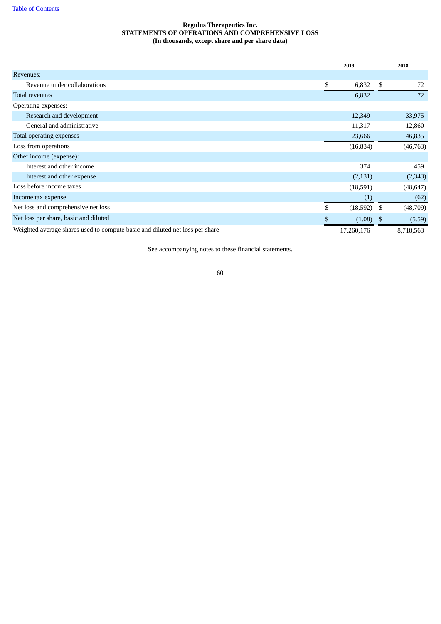# **Regulus Therapeutics Inc. STATEMENTS OF OPERATIONS AND COMPREHENSIVE LOSS (In thousands, except share and per share data)**

|                                                                              | 2019            |    | 2018      |
|------------------------------------------------------------------------------|-----------------|----|-----------|
| Revenues:                                                                    |                 |    |           |
| Revenue under collaborations                                                 | \$<br>6,832     | \$ | 72        |
| Total revenues                                                               | 6,832           |    | 72        |
| Operating expenses:                                                          |                 |    |           |
| Research and development                                                     | 12,349          |    | 33,975    |
| General and administrative                                                   | 11,317          |    | 12,860    |
| Total operating expenses                                                     | 23,666          |    | 46,835    |
| Loss from operations                                                         | (16, 834)       |    | (46, 763) |
| Other income (expense):                                                      |                 |    |           |
| Interest and other income                                                    | 374             |    | 459       |
| Interest and other expense                                                   | (2, 131)        |    | (2,343)   |
| Loss before income taxes                                                     | (18, 591)       |    | (48, 647) |
| Income tax expense                                                           | (1)             |    | (62)      |
| Net loss and comprehensive net loss                                          | \$<br>(18, 592) | \$ | (48,709)  |
| Net loss per share, basic and diluted                                        | (1.08)          | -5 | (5.59)    |
| Weighted average shares used to compute basic and diluted net loss per share | 17,260,176      |    | 8,718,563 |

See accompanying notes to these financial statements.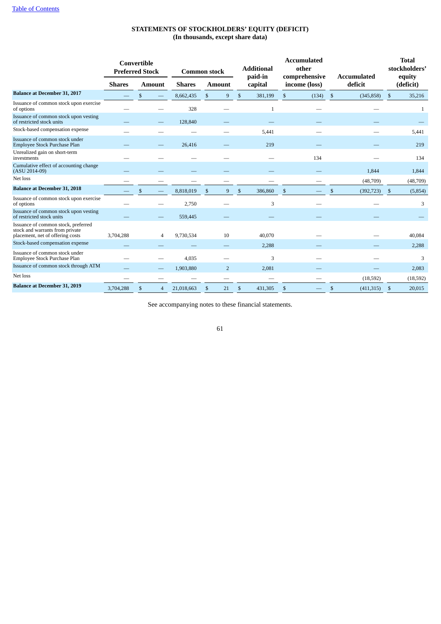# **STATEMENTS OF STOCKHOLDERS' EQUITY (DEFICIT) (In thousands, except share data)**

|                                                                                                            | Convertible<br><b>Preferred Stock</b> |                      | <b>Common stock</b> |                |               | <b>Additional</b><br>paid-in |               | <b>Accumulated</b><br>other<br>comprehensive |                | <b>Accumulated</b> |                | <b>Total</b><br>stockholders'<br>equity |
|------------------------------------------------------------------------------------------------------------|---------------------------------------|----------------------|---------------------|----------------|---------------|------------------------------|---------------|----------------------------------------------|----------------|--------------------|----------------|-----------------------------------------|
|                                                                                                            | <b>Shares</b>                         | <b>Amount</b>        | <b>Shares</b>       | <b>Amount</b>  |               | capital                      | income (loss) |                                              |                | deficit            | (deficit)      |                                         |
| <b>Balance at December 31, 2017</b>                                                                        |                                       | \$                   | 8,662,435           | \$<br>9        | $\mathbb{S}$  | 381,199                      | $\mathbb{S}$  | (134)                                        | $\mathfrak{s}$ | (345, 858)         | $\mathfrak{S}$ | 35,216                                  |
| Issuance of common stock upon exercise<br>of options                                                       |                                       |                      | 328                 |                |               | $\mathbf{1}$                 |               |                                              |                |                    |                |                                         |
| Issuance of common stock upon vesting<br>of restricted stock units                                         |                                       |                      | 128,840             |                |               |                              |               |                                              |                |                    |                |                                         |
| Stock-based compensation expense                                                                           |                                       |                      |                     |                |               | 5,441                        |               |                                              |                |                    |                | 5,441                                   |
| Issuance of common stock under<br>Employee Stock Purchase Plan                                             |                                       |                      | 26,416              |                |               | 219                          |               |                                              |                |                    |                | 219                                     |
| Unrealized gain on short-term<br>investments                                                               |                                       |                      |                     |                |               |                              |               | 134                                          |                |                    |                | 134                                     |
| Cumulative effect of accounting change<br>(ASU 2014-09)                                                    |                                       |                      |                     |                |               |                              |               |                                              |                | 1,844              |                | 1,844                                   |
| Net loss                                                                                                   |                                       |                      |                     |                |               |                              |               |                                              |                | (48,709)           |                | (48, 709)                               |
| <b>Balance at December 31, 2018</b>                                                                        |                                       | \$                   | 8,818,019           | \$<br>9        | \$            | 386,860                      | $\mathbb{S}$  |                                              | \$             | (392, 723)         | $\mathfrak{s}$ | (5,854)                                 |
| Issuance of common stock upon exercise<br>of options                                                       |                                       |                      | 2,750               |                |               | 3                            |               |                                              |                |                    |                | 3                                       |
| Issuance of common stock upon vesting<br>of restricted stock units                                         |                                       |                      | 559,445             |                |               |                              |               |                                              |                |                    |                |                                         |
| Issuance of common stock, preferred<br>stock and warrants from private<br>placement, net of offering costs | 3,704,288                             | 4                    | 9,730,534           | 10             |               | 40.070                       |               |                                              |                |                    |                | 40.084                                  |
| Stock-based compensation expense                                                                           |                                       |                      |                     |                |               | 2,288                        |               |                                              |                |                    |                | 2,288                                   |
| Issuance of common stock under<br>Employee Stock Purchase Plan                                             |                                       |                      | 4,035               |                |               | 3                            |               |                                              |                |                    |                | 3                                       |
| Issuance of common stock through ATM                                                                       |                                       |                      | 1,903,880           | $\overline{2}$ |               | 2,081                        |               |                                              |                |                    |                | 2,083                                   |
| Net loss                                                                                                   |                                       |                      |                     |                |               |                              |               |                                              |                | (18,592)           |                | (18, 592)                               |
| <b>Balance at December 31, 2019</b>                                                                        | 3,704,288                             | \$<br>$\overline{4}$ | 21,018,663          | \$<br>21       | <sup>\$</sup> | 431,305                      | \$            |                                              | \$             | (411, 315)         | $\mathbf{s}$   | 20,015                                  |

See accompanying notes to these financial statements.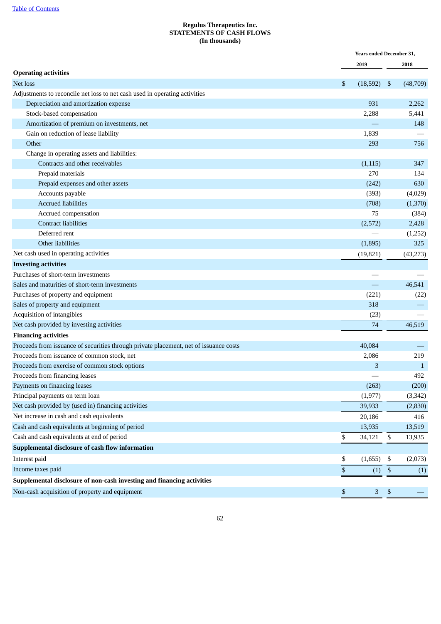## **Regulus Therapeutics Inc. STATEMENTS OF CASH FLOWS (In thousands)**

|                                                                                       |                | Years ended December 31,  |              |  |
|---------------------------------------------------------------------------------------|----------------|---------------------------|--------------|--|
|                                                                                       | 2019           |                           | 2018         |  |
| <b>Operating activities</b>                                                           |                |                           |              |  |
| Net loss                                                                              | \$<br>(18,592) | - \$                      | (48,709)     |  |
| Adjustments to reconcile net loss to net cash used in operating activities            |                |                           |              |  |
| Depreciation and amortization expense                                                 | 931            |                           | 2,262        |  |
| Stock-based compensation                                                              | 2,288          |                           | 5,441        |  |
| Amortization of premium on investments, net                                           |                |                           | 148          |  |
| Gain on reduction of lease liability                                                  | 1,839          |                           |              |  |
| Other                                                                                 | 293            |                           | 756          |  |
| Change in operating assets and liabilities:                                           |                |                           |              |  |
| Contracts and other receivables                                                       | (1, 115)       |                           | 347          |  |
| Prepaid materials                                                                     | 270            |                           | 134          |  |
| Prepaid expenses and other assets                                                     | (242)          |                           | 630          |  |
| Accounts payable                                                                      | (393)          |                           | (4,029)      |  |
| <b>Accrued liabilities</b>                                                            | (708)          |                           | (1,370)      |  |
| Accrued compensation                                                                  | 75             |                           | (384)        |  |
| <b>Contract liabilities</b>                                                           | (2,572)        |                           | 2,428        |  |
| Deferred rent                                                                         |                |                           | (1,252)      |  |
| Other liabilities                                                                     | (1,895)        |                           | 325          |  |
| Net cash used in operating activities                                                 | (19, 821)      |                           | (43, 273)    |  |
| <b>Investing activities</b>                                                           |                |                           |              |  |
| Purchases of short-term investments                                                   |                |                           |              |  |
| Sales and maturities of short-term investments                                        |                |                           | 46,541       |  |
| Purchases of property and equipment                                                   | (221)          |                           | (22)         |  |
| Sales of property and equipment                                                       | 318            |                           |              |  |
| Acquisition of intangibles                                                            | (23)           |                           |              |  |
| Net cash provided by investing activities                                             | 74             |                           | 46,519       |  |
| <b>Financing activities</b>                                                           |                |                           |              |  |
| Proceeds from issuance of securities through private placement, net of issuance costs | 40,084         |                           |              |  |
| Proceeds from issuance of common stock, net                                           | 2,086          |                           | 219          |  |
| Proceeds from exercise of common stock options                                        | 3              |                           | $\mathbf{1}$ |  |
| Proceeds from financing leases                                                        |                |                           | 492          |  |
| Payments on financing leases                                                          | (263)          |                           | (200)        |  |
| Principal payments on term loan                                                       | (1, 977)       |                           | (3, 342)     |  |
| Net cash provided by (used in) financing activities                                   | 39,933         |                           | (2,830)      |  |
| Net increase in cash and cash equivalents                                             | 20,186         |                           | 416          |  |
| Cash and cash equivalents at beginning of period                                      | 13,935         |                           | 13,519       |  |
| Cash and cash equivalents at end of period                                            | \$<br>34,121   | \$                        | 13,935       |  |
| Supplemental disclosure of cash flow information                                      |                |                           |              |  |
| Interest paid                                                                         | \$<br>(1,655)  | \$                        | (2,073)      |  |
| Income taxes paid                                                                     | \$<br>(1)      | $\boldsymbol{\mathsf{S}}$ | (1)          |  |
| Supplemental disclosure of non-cash investing and financing activities                |                |                           |              |  |
| Non-cash acquisition of property and equipment                                        | \$<br>3        | \$                        |              |  |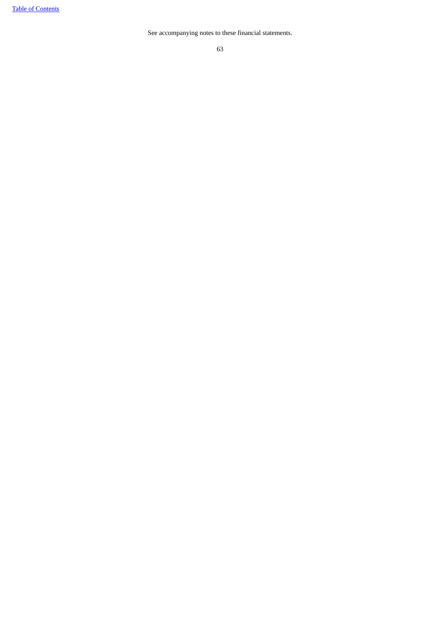See accompanying notes to these financial statements.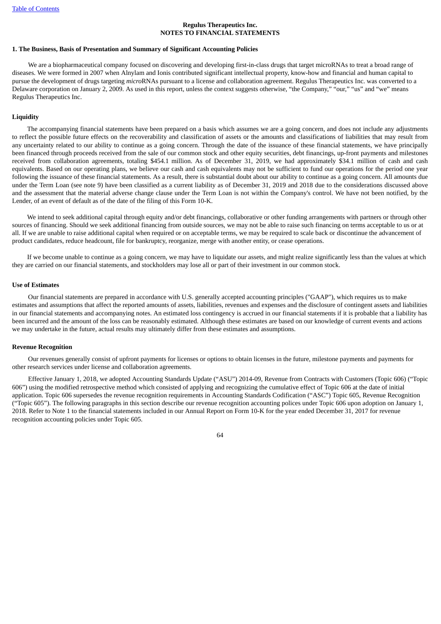## **Regulus Therapeutics Inc. NOTES TO FINANCIAL STATEMENTS**

#### **1. The Business, Basis of Presentation and Summary of Significant Accounting Policies**

We are a biopharmaceutical company focused on discovering and developing first-in-class drugs that target microRNAs to treat a broad range of diseases. We were formed in 2007 when Alnylam and Ionis contributed significant intellectual property, know-how and financial and human capital to pursue the development of drugs targeting *micro*RNAs pursuant to a license and collaboration agreement. Regulus Therapeutics Inc. was converted to a Delaware corporation on January 2, 2009. As used in this report, unless the context suggests otherwise, "the Company," "our," "us" and "we" means Regulus Therapeutics Inc.

## **Liquidity**

The accompanying financial statements have been prepared on a basis which assumes we are a going concern, and does not include any adjustments to reflect the possible future effects on the recoverability and classification of assets or the amounts and classifications of liabilities that may result from any uncertainty related to our ability to continue as a going concern. Through the date of the issuance of these financial statements, we have principally been financed through proceeds received from the sale of our common stock and other equity securities, debt financings, up-front payments and milestones received from collaboration agreements, totaling \$454.1 million. As of December 31, 2019, we had approximately \$34.1 million of cash and cash equivalents. Based on our operating plans, we believe our cash and cash equivalents may not be sufficient to fund our operations for the period one year following the issuance of these financial statements. As a result, there is substantial doubt about our ability to continue as a going concern. All amounts due under the Term Loan (see note 9) have been classified as a current liability as of December 31, 2019 and 2018 due to the considerations discussed above and the assessment that the material adverse change clause under the Term Loan is not within the Company's control. We have not been notified, by the Lender, of an event of default as of the date of the filing of this Form 10-K.

We intend to seek additional capital through equity and/or debt financings, collaborative or other funding arrangements with partners or through other sources of financing. Should we seek additional financing from outside sources, we may not be able to raise such financing on terms acceptable to us or at all. If we are unable to raise additional capital when required or on acceptable terms, we may be required to scale back or discontinue the advancement of product candidates, reduce headcount, file for bankruptcy, reorganize, merge with another entity, or cease operations.

If we become unable to continue as a going concern, we may have to liquidate our assets, and might realize significantly less than the values at which they are carried on our financial statements, and stockholders may lose all or part of their investment in our common stock.

## **Use of Estimates**

Our financial statements are prepared in accordance with U.S. generally accepted accounting principles ("GAAP"), which requires us to make estimates and assumptions that affect the reported amounts of assets, liabilities, revenues and expenses and the disclosure of contingent assets and liabilities in our financial statements and accompanying notes. An estimated loss contingency is accrued in our financial statements if it is probable that a liability has been incurred and the amount of the loss can be reasonably estimated. Although these estimates are based on our knowledge of current events and actions we may undertake in the future, actual results may ultimately differ from these estimates and assumptions.

#### **Revenue Recognition**

Our revenues generally consist of upfront payments for licenses or options to obtain licenses in the future, milestone payments and payments for other research services under license and collaboration agreements.

Effective January 1, 2018, we adopted Accounting Standards Update ("ASU") 2014-09, Revenue from Contracts with Customers (Topic 606) ("Topic 606") using the modified retrospective method which consisted of applying and recognizing the cumulative effect of Topic 606 at the date of initial application. Topic 606 supersedes the revenue recognition requirements in Accounting Standards Codification ("ASC") Topic 605, Revenue Recognition ("Topic 605"). The following paragraphs in this section describe our revenue recognition accounting polices under Topic 606 upon adoption on January 1, 2018. Refer to Note 1 to the financial statements included in our Annual Report on Form 10-K for the year ended December 31, 2017 for revenue recognition accounting policies under Topic 605.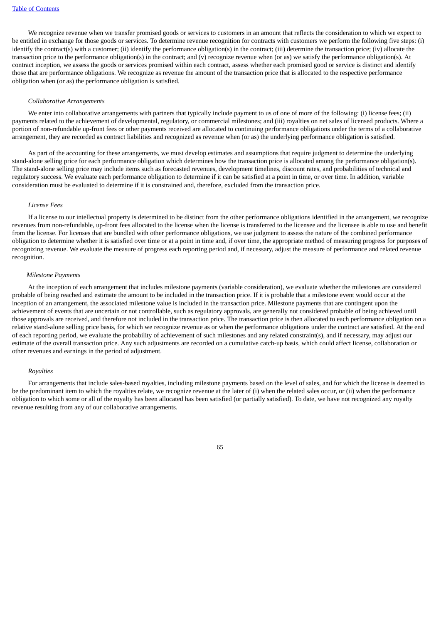We recognize revenue when we transfer promised goods or services to customers in an amount that reflects the consideration to which we expect to be entitled in exchange for those goods or services. To determine revenue recognition for contracts with customers we perform the following five steps: (i) identify the contract(s) with a customer; (ii) identify the performance obligation(s) in the contract; (iii) determine the transaction price; (iv) allocate the transaction price to the performance obligation(s) in the contract; and (v) recognize revenue when (or as) we satisfy the performance obligation(s). At contract inception, we assess the goods or services promised within each contract, assess whether each promised good or service is distinct and identify those that are performance obligations. We recognize as revenue the amount of the transaction price that is allocated to the respective performance obligation when (or as) the performance obligation is satisfied.

#### *Collaborative Arrangements*

We enter into collaborative arrangements with partners that typically include payment to us of one of more of the following: (i) license fees: (ii) payments related to the achievement of developmental, regulatory, or commercial milestones; and (iii) royalties on net sales of licensed products. Where a portion of non-refundable up-front fees or other payments received are allocated to continuing performance obligations under the terms of a collaborative arrangement, they are recorded as contract liabilities and recognized as revenue when (or as) the underlying performance obligation is satisfied.

As part of the accounting for these arrangements, we must develop estimates and assumptions that require judgment to determine the underlying stand-alone selling price for each performance obligation which determines how the transaction price is allocated among the performance obligation(s). The stand-alone selling price may include items such as forecasted revenues, development timelines, discount rates, and probabilities of technical and regulatory success. We evaluate each performance obligation to determine if it can be satisfied at a point in time, or over time. In addition, variable consideration must be evaluated to determine if it is constrained and, therefore, excluded from the transaction price.

#### *License Fees*

If a license to our intellectual property is determined to be distinct from the other performance obligations identified in the arrangement, we recognize revenues from non-refundable, up-front fees allocated to the license when the license is transferred to the licensee and the licensee is able to use and benefit from the license. For licenses that are bundled with other performance obligations, we use judgment to assess the nature of the combined performance obligation to determine whether it is satisfied over time or at a point in time and, if over time, the appropriate method of measuring progress for purposes of recognizing revenue. We evaluate the measure of progress each reporting period and, if necessary, adjust the measure of performance and related revenue recognition.

## *Milestone Payments*

At the inception of each arrangement that includes milestone payments (variable consideration), we evaluate whether the milestones are considered probable of being reached and estimate the amount to be included in the transaction price. If it is probable that a milestone event would occur at the inception of an arrangement, the associated milestone value is included in the transaction price. Milestone payments that are contingent upon the achievement of events that are uncertain or not controllable, such as regulatory approvals, are generally not considered probable of being achieved until those approvals are received, and therefore not included in the transaction price. The transaction price is then allocated to each performance obligation on a relative stand-alone selling price basis, for which we recognize revenue as or when the performance obligations under the contract are satisfied. At the end of each reporting period, we evaluate the probability of achievement of such milestones and any related constraint(s), and if necessary, may adjust our estimate of the overall transaction price. Any such adjustments are recorded on a cumulative catch-up basis, which could affect license, collaboration or other revenues and earnings in the period of adjustment.

#### *Royalties*

For arrangements that include sales-based royalties, including milestone payments based on the level of sales, and for which the license is deemed to be the predominant item to which the royalties relate, we recognize revenue at the later of (i) when the related sales occur, or (ii) when the performance obligation to which some or all of the royalty has been allocated has been satisfied (or partially satisfied). To date, we have not recognized any royalty revenue resulting from any of our collaborative arrangements.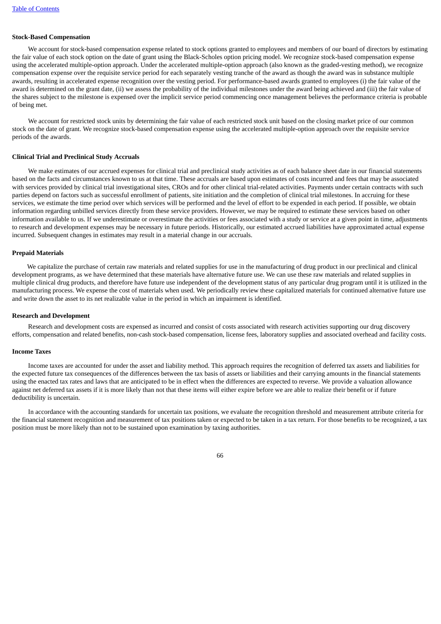## **Stock-Based Compensation**

We account for stock-based compensation expense related to stock options granted to employees and members of our board of directors by estimating the fair value of each stock option on the date of grant using the Black-Scholes option pricing model. We recognize stock-based compensation expense using the accelerated multiple-option approach. Under the accelerated multiple-option approach (also known as the graded-vesting method), we recognize compensation expense over the requisite service period for each separately vesting tranche of the award as though the award was in substance multiple awards, resulting in accelerated expense recognition over the vesting period. For performance-based awards granted to employees (i) the fair value of the award is determined on the grant date, (ii) we assess the probability of the individual milestones under the award being achieved and (iii) the fair value of the shares subject to the milestone is expensed over the implicit service period commencing once management believes the performance criteria is probable of being met.

We account for restricted stock units by determining the fair value of each restricted stock unit based on the closing market price of our common stock on the date of grant. We recognize stock-based compensation expense using the accelerated multiple-option approach over the requisite service periods of the awards.

## **Clinical Trial and Preclinical Study Accruals**

We make estimates of our accrued expenses for clinical trial and preclinical study activities as of each balance sheet date in our financial statements based on the facts and circumstances known to us at that time. These accruals are based upon estimates of costs incurred and fees that may be associated with services provided by clinical trial investigational sites, CROs and for other clinical trial-related activities. Payments under certain contracts with such parties depend on factors such as successful enrollment of patients, site initiation and the completion of clinical trial milestones. In accruing for these services, we estimate the time period over which services will be performed and the level of effort to be expended in each period. If possible, we obtain information regarding unbilled services directly from these service providers. However, we may be required to estimate these services based on other information available to us. If we underestimate or overestimate the activities or fees associated with a study or service at a given point in time, adjustments to research and development expenses may be necessary in future periods. Historically, our estimated accrued liabilities have approximated actual expense incurred. Subsequent changes in estimates may result in a material change in our accruals.

## **Prepaid Materials**

We capitalize the purchase of certain raw materials and related supplies for use in the manufacturing of drug product in our preclinical and clinical development programs, as we have determined that these materials have alternative future use. We can use these raw materials and related supplies in multiple clinical drug products, and therefore have future use independent of the development status of any particular drug program until it is utilized in the manufacturing process. We expense the cost of materials when used. We periodically review these capitalized materials for continued alternative future use and write down the asset to its net realizable value in the period in which an impairment is identified.

## **Research and Development**

Research and development costs are expensed as incurred and consist of costs associated with research activities supporting our drug discovery efforts, compensation and related benefits, non-cash stock-based compensation, license fees, laboratory supplies and associated overhead and facility costs.

## **Income Taxes**

Income taxes are accounted for under the asset and liability method. This approach requires the recognition of deferred tax assets and liabilities for the expected future tax consequences of the differences between the tax basis of assets or liabilities and their carrying amounts in the financial statements using the enacted tax rates and laws that are anticipated to be in effect when the differences are expected to reverse. We provide a valuation allowance against net deferred tax assets if it is more likely than not that these items will either expire before we are able to realize their benefit or if future deductibility is uncertain.

In accordance with the accounting standards for uncertain tax positions, we evaluate the recognition threshold and measurement attribute criteria for the financial statement recognition and measurement of tax positions taken or expected to be taken in a tax return. For those benefits to be recognized, a tax position must be more likely than not to be sustained upon examination by taxing authorities.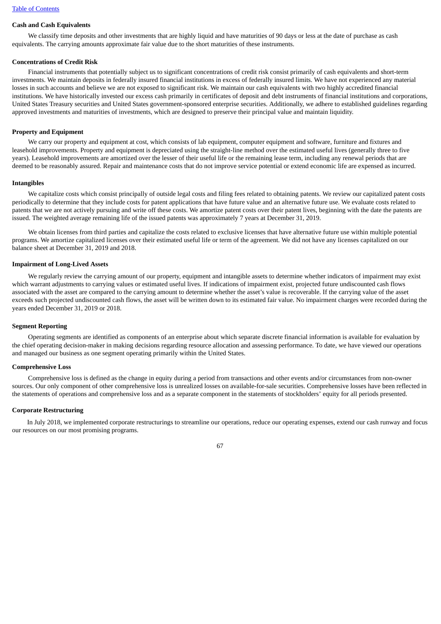# **Cash and Cash Equivalents**

We classify time deposits and other investments that are highly liquid and have maturities of 90 days or less at the date of purchase as cash equivalents. The carrying amounts approximate fair value due to the short maturities of these instruments.

## **Concentrations of Credit Risk**

Financial instruments that potentially subject us to significant concentrations of credit risk consist primarily of cash equivalents and short-term investments. We maintain deposits in federally insured financial institutions in excess of federally insured limits. We have not experienced any material losses in such accounts and believe we are not exposed to significant risk. We maintain our cash equivalents with two highly accredited financial institutions. We have historically invested our excess cash primarily in certificates of deposit and debt instruments of financial institutions and corporations, United States Treasury securities and United States government-sponsored enterprise securities. Additionally, we adhere to established guidelines regarding approved investments and maturities of investments, which are designed to preserve their principal value and maintain liquidity.

#### **Property and Equipment**

We carry our property and equipment at cost, which consists of lab equipment, computer equipment and software, furniture and fixtures and leasehold improvements. Property and equipment is depreciated using the straight-line method over the estimated useful lives (generally three to five years). Leasehold improvements are amortized over the lesser of their useful life or the remaining lease term, including any renewal periods that are deemed to be reasonably assured. Repair and maintenance costs that do not improve service potential or extend economic life are expensed as incurred.

### **Intangibles**

We capitalize costs which consist principally of outside legal costs and filing fees related to obtaining patents. We review our capitalized patent costs periodically to determine that they include costs for patent applications that have future value and an alternative future use. We evaluate costs related to patents that we are not actively pursuing and write off these costs. We amortize patent costs over their patent lives, beginning with the date the patents are issued. The weighted average remaining life of the issued patents was approximately 7 years at December 31, 2019.

We obtain licenses from third parties and capitalize the costs related to exclusive licenses that have alternative future use within multiple potential programs. We amortize capitalized licenses over their estimated useful life or term of the agreement. We did not have any licenses capitalized on our balance sheet at December 31, 2019 and 2018.

## **Impairment of Long-Lived Assets**

We regularly review the carrying amount of our property, equipment and intangible assets to determine whether indicators of impairment may exist which warrant adjustments to carrying values or estimated useful lives. If indications of impairment exist, projected future undiscounted cash flows associated with the asset are compared to the carrying amount to determine whether the asset's value is recoverable. If the carrying value of the asset exceeds such projected undiscounted cash flows, the asset will be written down to its estimated fair value. No impairment charges were recorded during the years ended December 31, 2019 or 2018.

#### **Segment Reporting**

Operating segments are identified as components of an enterprise about which separate discrete financial information is available for evaluation by the chief operating decision-maker in making decisions regarding resource allocation and assessing performance. To date, we have viewed our operations and managed our business as one segment operating primarily within the United States.

#### **Comprehensive Loss**

Comprehensive loss is defined as the change in equity during a period from transactions and other events and/or circumstances from non-owner sources. Our only component of other comprehensive loss is unrealized losses on available-for-sale securities. Comprehensive losses have been reflected in the statements of operations and comprehensive loss and as a separate component in the statements of stockholders' equity for all periods presented.

## **Corporate Restructuring**

In July 2018, we implemented corporate restructurings to streamline our operations, reduce our operating expenses, extend our cash runway and focus our resources on our most promising programs.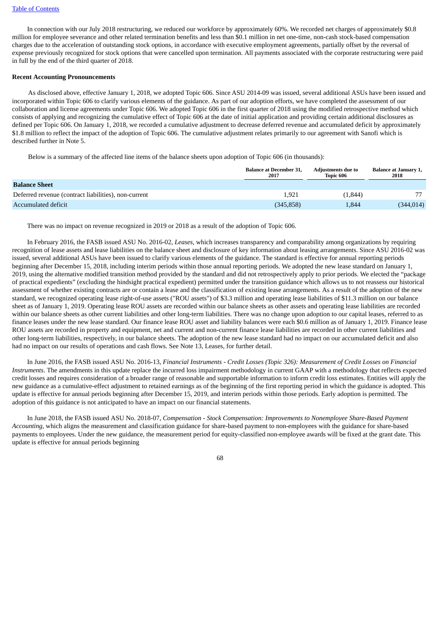In connection with our July 2018 restructuring, we reduced our workforce by approximately 60%. We recorded net charges of approximately \$0.8 million for employee severance and other related termination benefits and less than \$0.1 million in net one-time, non-cash stock-based compensation charges due to the acceleration of outstanding stock options, in accordance with executive employment agreements, partially offset by the reversal of expense previously recognized for stock options that were cancelled upon termination. All payments associated with the corporate restructuring were paid in full by the end of the third quarter of 2018.

## **Recent Accounting Pronouncements**

As disclosed above, effective January 1, 2018, we adopted Topic 606. Since ASU 2014-09 was issued, several additional ASUs have been issued and incorporated within Topic 606 to clarify various elements of the guidance. As part of our adoption efforts, we have completed the assessment of our collaboration and license agreements under Topic 606. We adopted Topic 606 in the first quarter of 2018 using the modified retrospective method which consists of applying and recognizing the cumulative effect of Topic 606 at the date of initial application and providing certain additional disclosures as defined per Topic 606. On January 1, 2018, we recorded a cumulative adjustment to decrease deferred revenue and accumulated deficit by approximately \$1.8 million to reflect the impact of the adoption of Topic 606. The cumulative adjustment relates primarily to our agreement with Sanofi which is described further in Note 5.

Below is a summary of the affected line items of the balance sheets upon adoption of Topic 606 (in thousands):

|                                                      | <b>Balance at December 31,</b><br>2017 | <b>Adjustments due to</b><br>Topic 606 | <b>Balance at January 1,</b><br>2018 |
|------------------------------------------------------|----------------------------------------|----------------------------------------|--------------------------------------|
| <b>Balance Sheet</b>                                 |                                        |                                        |                                      |
| Deferred revenue (contract liabilities), non-current | 1,921                                  | (1,844)                                | 77                                   |
| Accumulated deficit                                  | (345, 858)                             | 1,844                                  | (344, 014)                           |

There was no impact on revenue recognized in 2019 or 2018 as a result of the adoption of Topic 606.

In February 2016, the FASB issued ASU No. 2016-02, *Leases,* which increases transparency and comparability among organizations by requiring recognition of lease assets and lease liabilities on the balance sheet and disclosure of key information about leasing arrangements. Since ASU 2016-02 was issued, several additional ASUs have been issued to clarify various elements of the guidance. The standard is effective for annual reporting periods beginning after December 15, 2018, including interim periods within those annual reporting periods. We adopted the new lease standard on January 1, 2019, using the alternative modified transition method provided by the standard and did not retrospectively apply to prior periods. We elected the "package of practical expedients" (excluding the hindsight practical expedient) permitted under the transition guidance which allows us to not reassess our historical assessment of whether existing contracts are or contain a lease and the classification of existing lease arrangements. As a result of the adoption of the new standard, we recognized operating lease right-of-use assets ("ROU assets") of \$3.3 million and operating lease liabilities of \$11.3 million on our balance sheet as of January 1, 2019. Operating lease ROU assets are recorded within our balance sheets as other assets and operating lease liabilities are recorded within our balance sheets as other current liabilities and other long-term liabilities. There was no change upon adoption to our capital leases, referred to as finance leases under the new lease standard. Our finance lease ROU asset and liability balances were each \$0.6 million as of January 1, 2019. Finance lease ROU assets are recorded in property and equipment, net and current and non-current finance lease liabilities are recorded in other current liabilities and other long-term liabilities, respectively, in our balance sheets. The adoption of the new lease standard had no impact on our accumulated deficit and also had no impact on our results of operations and cash flows. See Note 13, Leases, for further detail.

In June 2016, the FASB issued ASU No. 2016-13, Financial Instruments - Credit Losses (Topic 326): Measurement of Credit Losses on Financial *Instruments*. The amendments in this update replace the incurred loss impairment methodology in current GAAP with a methodology that reflects expected credit losses and requires consideration of a broader range of reasonable and supportable information to inform credit loss estimates. Entities will apply the new guidance as a cumulative-effect adjustment to retained earnings as of the beginning of the first reporting period in which the guidance is adopted. This update is effective for annual periods beginning after December 15, 2019, and interim periods within those periods. Early adoption is permitted. The adoption of this guidance is not anticipated to have an impact on our financial statements.

In June 2018, the FASB issued ASU No. 2018-07, *Compensation - Stock Compensation: Improvements to Nonemployee Share-Based Payment Accounting*, which aligns the measurement and classification guidance for share-based payment to non-employees with the guidance for share-based payments to employees. Under the new guidance, the measurement period for equity-classified non-employee awards will be fixed at the grant date. This update is effective for annual periods beginning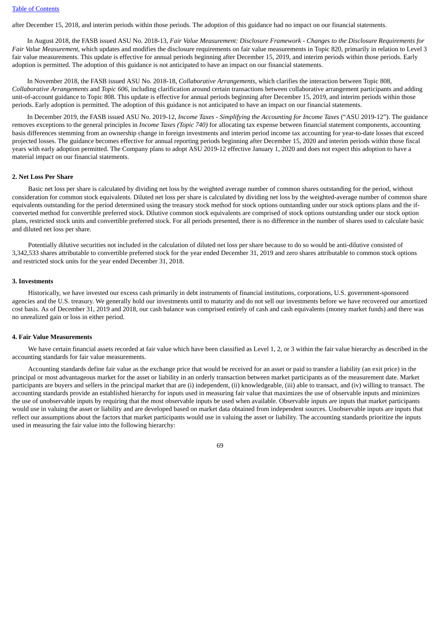after December 15, 2018, and interim periods within those periods. The adoption of this guidance had no impact on our financial statements.

In August 2018, the FASB issued ASU No. 2018-13, *Fair Value Measurement: Disclosure Framework - Changes to the Disclosure Requirements for Fair Value Measurement*, which updates and modifies the disclosure requirements on fair value measurements in Topic 820, primarily in relation to Level 3 fair value measurements. This update is effective for annual periods beginning after December 15, 2019, and interim periods within those periods. Early adoption is permitted. The adoption of this guidance is not anticipated to have an impact on our financial statements.

In November 2018, the FASB issued ASU No. 2018-18, *Collaborative Arrangements*, which clarifies the interaction between Topic 808*, Collaborative Arrangements* and *Topic 606,* including clarification around certain transactions between collaborative arrangement participants and adding unit-of-account guidance to Topic 808. This update is effective for annual periods beginning after December 15, 2019, and interim periods within those periods. Early adoption is permitted. The adoption of this guidance is not anticipated to have an impact on our financial statements.

In December 2019, the FASB issued ASU No. 2019-12, *Income Taxes - Simplifying the Accounting for Income Taxes* ("ASU 2019-12"). The guidance removes exceptions to the general principles in *Income Taxes (Topic 740)* for allocating tax expense between financial statement components, accounting basis differences stemming from an ownership change in foreign investments and interim period income tax accounting for year-to-date losses that exceed projected losses. The guidance becomes effective for annual reporting periods beginning after December 15, 2020 and interim periods within those fiscal years with early adoption permitted. The Company plans to adopt ASU 2019-12 effective January 1, 2020 and does not expect this adoption to have a material impact on our financial statements.

## **2. Net Loss Per Share**

Basic net loss per share is calculated by dividing net loss by the weighted average number of common shares outstanding for the period, without consideration for common stock equivalents. Diluted net loss per share is calculated by dividing net loss by the weighted-average number of common share equivalents outstanding for the period determined using the treasury stock method for stock options outstanding under our stock options plans and the ifconverted method for convertible preferred stock. Dilutive common stock equivalents are comprised of stock options outstanding under our stock option plans, restricted stock units and convertible preferred stock. For all periods presented, there is no difference in the number of shares used to calculate basic and diluted net loss per share.

Potentially dilutive securities not included in the calculation of diluted net loss per share because to do so would be anti-dilutive consisted of 3,342,533 shares attributable to convertible preferred stock for the year ended December 31, 2019 and zero shares attributable to common stock options and restricted stock units for the year ended December 31, 2018.

## **3. Investments**

Historically, we have invested our excess cash primarily in debt instruments of financial institutions, corporations, U.S. government-sponsored agencies and the U.S. treasury. We generally hold our investments until to maturity and do not sell our investments before we have recovered our amortized cost basis. As of December 31, 2019 and 2018, our cash balance was comprised entirely of cash and cash equivalents (money market funds) and there was no unrealized gain or loss in either period.

## **4. Fair Value Measurements**

We have certain financial assets recorded at fair value which have been classified as Level 1, 2, or 3 within the fair value hierarchy as described in the accounting standards for fair value measurements.

Accounting standards define fair value as the exchange price that would be received for an asset or paid to transfer a liability (an exit price) in the principal or most advantageous market for the asset or liability in an orderly transaction between market participants as of the measurement date. Market participants are buyers and sellers in the principal market that are (i) independent, (ii) knowledgeable, (iii) able to transact, and (iv) willing to transact. The accounting standards provide an established hierarchy for inputs used in measuring fair value that maximizes the use of observable inputs and minimizes the use of unobservable inputs by requiring that the most observable inputs be used when available. Observable inputs are inputs that market participants would use in valuing the asset or liability and are developed based on market data obtained from independent sources. Unobservable inputs are inputs that reflect our assumptions about the factors that market participants would use in valuing the asset or liability. The accounting standards prioritize the inputs used in measuring the fair value into the following hierarchy:

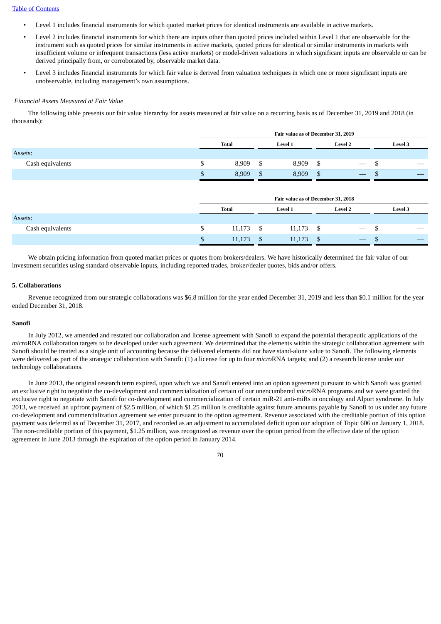- Level 1 includes financial instruments for which quoted market prices for identical instruments are available in active markets.
- Level 2 includes financial instruments for which there are inputs other than quoted prices included within Level 1 that are observable for the instrument such as quoted prices for similar instruments in active markets, quoted prices for identical or similar instruments in markets with insufficient volume or infrequent transactions (less active markets) or model-driven valuations in which significant inputs are observable or can be derived principally from, or corroborated by, observable market data.
- Level 3 includes financial instruments for which fair value is derived from valuation techniques in which one or more significant inputs are unobservable, including management's own assumptions.

#### *Financial Assets Measured at Fair Value*

The following table presents our fair value hierarchy for assets measured at fair value on a recurring basis as of December 31, 2019 and 2018 (in thousands):

|                  | Fair value as of December 31, 2019 |  |         |   |                   |                |  |  |  |  |  |  |
|------------------|------------------------------------|--|---------|---|-------------------|----------------|--|--|--|--|--|--|
|                  | Total                              |  | Level 1 |   | <b>Level 2</b>    | <b>Level 3</b> |  |  |  |  |  |  |
| Assets:          |                                    |  |         |   |                   |                |  |  |  |  |  |  |
| Cash equivalents | 8,909                              |  | 8,909   | P | $\hspace{0.05cm}$ |                |  |  |  |  |  |  |
|                  | \$<br>8,909                        |  | 8,909   | D | _                 | D              |  |  |  |  |  |  |

|                  | Fair value as of December 31, 2018 |                |                                 |                          |
|------------------|------------------------------------|----------------|---------------------------------|--------------------------|
|                  | <b>Total</b>                       | <b>Level 1</b> | <b>Level 2</b>                  | <b>Level 3</b>           |
| Assets:          |                                    |                |                                 |                          |
| Cash equivalents | 11,173                             | 11,173         | $\hspace{0.1mm}-\hspace{0.1mm}$ | $\overline{\phantom{a}}$ |
|                  | \$<br>11,173                       | 11,173         | $\overbrace{\phantom{12333}}$   |                          |

We obtain pricing information from quoted market prices or quotes from brokers/dealers. We have historically determined the fair value of our investment securities using standard observable inputs, including reported trades, broker/dealer quotes, bids and/or offers.

#### **5. Collaborations**

Revenue recognized from our strategic collaborations was \$6.8 million for the year ended December 31, 2019 and less than \$0.1 million for the year ended December 31, 2018.

## **Sanofi**

In July 2012, we amended and restated our collaboration and license agreement with Sanofi to expand the potential therapeutic applications of the *micro*RNA collaboration targets to be developed under such agreement. We determined that the elements within the strategic collaboration agreement with Sanofi should be treated as a single unit of accounting because the delivered elements did not have stand-alone value to Sanofi. The following elements were delivered as part of the strategic collaboration with Sanofi: (1) a license for up to four *micro*RNA targets; and (2) a research license under our technology collaborations.

In June 2013, the original research term expired, upon which we and Sanofi entered into an option agreement pursuant to which Sanofi was granted an exclusive right to negotiate the co-development and commercialization of certain of our unencumbered *micro*RNA programs and we were granted the exclusive right to negotiate with Sanofi for co-development and commercialization of certain miR-21 anti-miRs in oncology and Alport syndrome. In July 2013, we received an upfront payment of \$2.5 million, of which \$1.25 million is creditable against future amounts payable by Sanofi to us under any future co-development and commercialization agreement we enter pursuant to the option agreement. Revenue associated with the creditable portion of this option payment was deferred as of December 31, 2017, and recorded as an adjustment to accumulated deficit upon our adoption of Topic 606 on January 1, 2018. The non-creditable portion of this payment, \$1.25 million, was recognized as revenue over the option period from the effective date of the option agreement in June 2013 through the expiration of the option period in January 2014.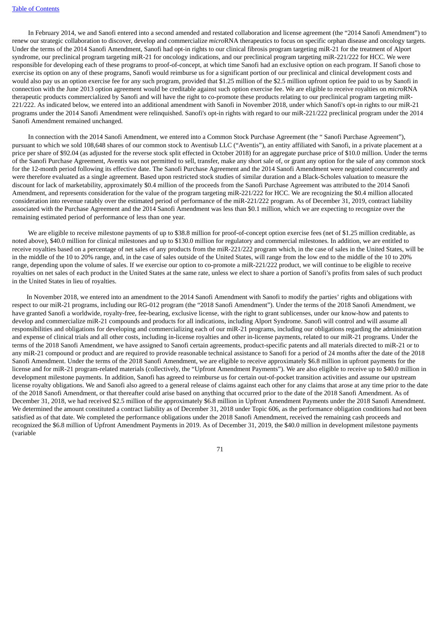In February 2014, we and Sanofi entered into a second amended and restated collaboration and license agreement (the "2014 Sanofi Amendment") to renew our strategic collaboration to discover, develop and commercialize *micro*RNA therapeutics to focus on specific orphan disease and oncology targets. Under the terms of the 2014 Sanofi Amendment, Sanofi had opt-in rights to our clinical fibrosis program targeting miR-21 for the treatment of Alport syndrome, our preclinical program targeting miR-21 for oncology indications, and our preclinical program targeting miR-221/222 for HCC. We were responsible for developing each of these programs to proof-of-concept, at which time Sanofi had an exclusive option on each program. If Sanofi chose to exercise its option on any of these programs, Sanofi would reimburse us for a significant portion of our preclinical and clinical development costs and would also pay us an option exercise fee for any such program, provided that \$1.25 million of the \$2.5 million upfront option fee paid to us by Sanofi in connection with the June 2013 option agreement would be creditable against such option exercise fee. We are eligible to receive royalties on *micro*RNA therapeutic products commercialized by Sanofi and will have the right to co-promote these products relating to our preclinical program targeting miR-221/222. As indicated below, we entered into an additional amendment with Sanofi in November 2018, under which Sanofi's opt-in rights to our miR-21 programs under the 2014 Sanofi Amendment were relinquished. Sanofi's opt-in rights with regard to our miR-221/222 preclinical program under the 2014 Sanofi Amendment remained unchanged.

In connection with the 2014 Sanofi Amendment, we entered into a Common Stock Purchase Agreement (the " Sanofi Purchase Agreement"), pursuant to which we sold 108,648 shares of our common stock to Aventisub LLC ("Aventis"), an entity affiliated with Sanofi, in a private placement at a price per share of \$92.04 (as adjusted for the reverse stock split effected in October 2018) for an aggregate purchase price of \$10.0 million. Under the terms of the Sanofi Purchase Agreement, Aventis was not permitted to sell, transfer, make any short sale of, or grant any option for the sale of any common stock for the 12-month period following its effective date. The Sanofi Purchase Agreement and the 2014 Sanofi Amendment were negotiated concurrently and were therefore evaluated as a single agreement. Based upon restricted stock studies of similar duration and a Black-Scholes valuation to measure the discount for lack of marketability, approximately \$0.4 million of the proceeds from the Sanofi Purchase Agreement was attributed to the 2014 Sanofi Amendment, and represents consideration for the value of the program targeting miR-221/222 for HCC. We are recognizing the \$0.4 million allocated consideration into revenue ratably over the estimated period of performance of the miR-221/222 program. As of December 31, 2019, contract liability associated with the Purchase Agreement and the 2014 Sanofi Amendment was less than \$0.1 million, which we are expecting to recognize over the remaining estimated period of performance of less than one year.

We are eligible to receive milestone payments of up to \$38.8 million for proof-of-concept option exercise fees (net of \$1.25 million creditable, as noted above), \$40.0 million for clinical milestones and up to \$130.0 million for regulatory and commercial milestones. In addition, we are entitled to receive royalties based on a percentage of net sales of any products from the miR-221/222 program which, in the case of sales in the United States, will be in the middle of the 10 to 20% range, and, in the case of sales outside of the United States, will range from the low end to the middle of the 10 to 20% range, depending upon the volume of sales. If we exercise our option to co-promote a miR-221/222 product, we will continue to be eligible to receive royalties on net sales of each product in the United States at the same rate, unless we elect to share a portion of Sanofi's profits from sales of such product in the United States in lieu of royalties.

In November 2018, we entered into an amendment to the 2014 Sanofi Amendment with Sanofi to modify the parties' rights and obligations with respect to our miR-21 programs, including our RG-012 program (the "2018 Sanofi Amendment"). Under the terms of the 2018 Sanofi Amendment, we have granted Sanofi a worldwide, royalty-free, fee-bearing, exclusive license, with the right to grant sublicenses, under our know-how and patents to develop and commercialize miR-21 compounds and products for all indications, including Alport Syndrome. Sanofi will control and will assume all responsibilities and obligations for developing and commercializing each of our miR-21 programs, including our obligations regarding the administration and expense of clinical trials and all other costs, including in-license royalties and other in-license payments, related to our miR-21 programs. Under the terms of the 2018 Sanofi Amendment, we have assigned to Sanofi certain agreements, product-specific patents and all materials directed to miR-21 or to any miR-21 compound or product and are required to provide reasonable technical assistance to Sanofi for a period of 24 months after the date of the 2018 Sanofi Amendment. Under the terms of the 2018 Sanofi Amendment, we are eligible to receive approximately \$6.8 million in upfront payments for the license and for miR-21 program-related materials (collectively, the "Upfront Amendment Payments"). We are also eligible to receive up to \$40.0 million in development milestone payments. In addition, Sanofi has agreed to reimburse us for certain out-of-pocket transition activities and assume our upstream license royalty obligations. We and Sanofi also agreed to a general release of claims against each other for any claims that arose at any time prior to the date of the 2018 Sanofi Amendment, or that thereafter could arise based on anything that occurred prior to the date of the 2018 Sanofi Amendment. As of December 31, 2018, we had received \$2.5 million of the approximately \$6.8 million in Upfront Amendment Payments under the 2018 Sanofi Amendment. We determined the amount constituted a contract liability as of December 31, 2018 under Topic 606, as the performance obligation conditions had not been satisfied as of that date. We completed the performance obligations under the 2018 Sanofi Amendment, received the remaining cash proceeds and recognized the \$6.8 million of Upfront Amendment Payments in 2019. As of December 31, 2019, the \$40.0 million in development milestone payments (variable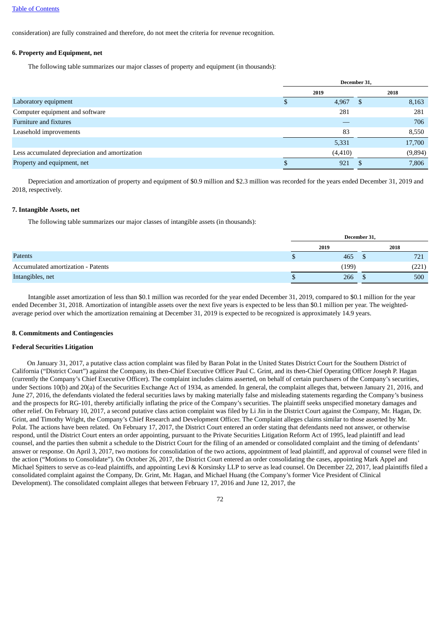consideration) are fully constrained and therefore, do not meet the criteria for revenue recognition.

## **6. Property and Equipment, net**

The following table summarizes our major classes of property and equipment (in thousands):

|                                                | December 31, |      |         |  |
|------------------------------------------------|--------------|------|---------|--|
|                                                | 2019         |      | 2018    |  |
| Laboratory equipment                           | 4,967        | - 56 | 8,163   |  |
| Computer equipment and software                | 281          |      | 281     |  |
| Furniture and fixtures                         |              |      | 706     |  |
| Leasehold improvements                         | 83           |      | 8,550   |  |
|                                                | 5,331        |      | 17,700  |  |
| Less accumulated depreciation and amortization | (4, 410)     |      | (9,894) |  |
| Property and equipment, net                    | 921          |      | 7,806   |  |
|                                                |              |      |         |  |

Depreciation and amortization of property and equipment of \$0.9 million and \$2.3 million was recorded for the years ended December 31, 2019 and 2018, respectively.

#### **7. Intangible Assets, net**

The following table summarizes our major classes of intangible assets (in thousands):

|                                    | December 31, |       |  |       |
|------------------------------------|--------------|-------|--|-------|
|                                    |              | 2019  |  | 2018  |
| Patents                            | ۰υ           | 465   |  | 721   |
| Accumulated amortization - Patents |              | (199) |  | (221) |
| Intangibles, net                   | ۰υ           | 266   |  | 500   |

Intangible asset amortization of less than \$0.1 million was recorded for the year ended December 31, 2019, compared to \$0.1 million for the year ended December 31, 2018. Amortization of intangible assets over the next five years is expected to be less than \$0.1 million per year. The weightedaverage period over which the amortization remaining at December 31, 2019 is expected to be recognized is approximately 14.9 years.

## **8. Commitments and Contingencies**

## **Federal Securities Litigation**

On January 31, 2017, a putative class action complaint was filed by Baran Polat in the United States District Court for the Southern District of California ("District Court") against the Company, its then-Chief Executive Officer Paul C. Grint, and its then-Chief Operating Officer Joseph P. Hagan (currently the Company's Chief Executive Officer). The complaint includes claims asserted, on behalf of certain purchasers of the Company's securities, under Sections 10(b) and 20(a) of the Securities Exchange Act of 1934, as amended. In general, the complaint alleges that, between January 21, 2016, and June 27, 2016, the defendants violated the federal securities laws by making materially false and misleading statements regarding the Company's business and the prospects for RG-101, thereby artificially inflating the price of the Company's securities. The plaintiff seeks unspecified monetary damages and other relief. On February 10, 2017, a second putative class action complaint was filed by Li Jin in the District Court against the Company, Mr. Hagan, Dr. Grint, and Timothy Wright, the Company's Chief Research and Development Officer. The Complaint alleges claims similar to those asserted by Mr. Polat. The actions have been related. On February 17, 2017, the District Court entered an order stating that defendants need not answer, or otherwise respond, until the District Court enters an order appointing, pursuant to the Private Securities Litigation Reform Act of 1995, lead plaintiff and lead counsel, and the parties then submit a schedule to the District Court for the filing of an amended or consolidated complaint and the timing of defendants' answer or response. On April 3, 2017, two motions for consolidation of the two actions, appointment of lead plaintiff, and approval of counsel were filed in the action ("Motions to Consolidate"). On October 26, 2017, the District Court entered an order consolidating the cases, appointing Mark Appel and Michael Spitters to serve as co-lead plaintiffs, and appointing Levi & Korsinsky LLP to serve as lead counsel. On December 22, 2017, lead plaintiffs filed a consolidated complaint against the Company, Dr. Grint, Mr. Hagan, and Michael Huang (the Company's former Vice President of Clinical Development). The consolidated complaint alleges that between February 17, 2016 and June 12, 2017, the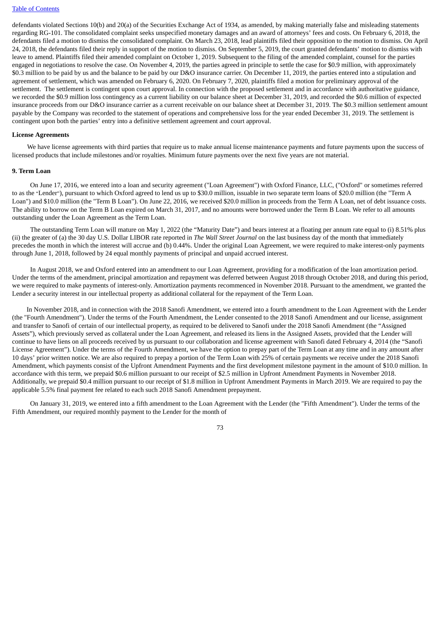defendants violated Sections 10(b) and 20(a) of the Securities Exchange Act of 1934, as amended, by making materially false and misleading statements regarding RG-101. The consolidated complaint seeks unspecified monetary damages and an award of attorneys' fees and costs. On February 6, 2018, the defendants filed a motion to dismiss the consolidated complaint. On March 23, 2018, lead plaintiffs filed their opposition to the motion to dismiss. On April 24, 2018, the defendants filed their reply in support of the motion to dismiss. On September 5, 2019, the court granted defendants' motion to dismiss with leave to amend. Plaintiffs filed their amended complaint on October 1, 2019. Subsequent to the filing of the amended complaint, counsel for the parties engaged in negotiations to resolve the case. On November 4, 2019, the parties agreed in principle to settle the case for \$0.9 million, with approximately \$0.3 million to be paid by us and the balance to be paid by our D&O insurance carrier. On December 11, 2019, the parties entered into a stipulation and agreement of settlement, which was amended on February 6, 2020. On February 7, 2020, plaintiffs filed a motion for preliminary approval of the settlement. The settlement is contingent upon court approval. In connection with the proposed settlement and in accordance with authoritative guidance, we recorded the \$0.9 million loss contingency as a current liability on our balance sheet at December 31, 2019, and recorded the \$0.6 million of expected insurance proceeds from our D&O insurance carrier as a current receivable on our balance sheet at December 31, 2019. The \$0.3 million settlement amount payable by the Company was recorded to the statement of operations and comprehensive loss for the year ended December 31, 2019. The settlement is contingent upon both the parties' entry into a definitive settlement agreement and court approval.

#### **License Agreements**

We have license agreements with third parties that require us to make annual license maintenance payments and future payments upon the success of licensed products that include milestones and/or royalties. Minimum future payments over the next five years are not material.

#### **9. Term Loan**

On June 17, 2016, we entered into a loan and security agreement ("Loan Agreement") with Oxford Finance, LLC, ("Oxford" or sometimes referred to as the "Lender"), pursuant to which Oxford agreed to lend us up to \$30.0 million, issuable in two separate term loans of \$20.0 million (the "Term A Loan") and \$10.0 million (the "Term B Loan"). On June 22, 2016, we received \$20.0 million in proceeds from the Term A Loan, net of debt issuance costs. The ability to borrow on the Term B Loan expired on March 31, 2017, and no amounts were borrowed under the Term B Loan. We refer to all amounts outstanding under the Loan Agreement as the Term Loan.

The outstanding Term Loan will mature on May 1, 2022 (the "Maturity Date") and bears interest at a floating per annum rate equal to (i) 8.51% plus (ii) the greater of (a) the 30 day U.S. Dollar LIBOR rate reported in *The Wall Street Journal* on the last business day of the month that immediately precedes the month in which the interest will accrue and (b) 0.44%. Under the original Loan Agreement, we were required to make interest-only payments through June 1, 2018, followed by 24 equal monthly payments of principal and unpaid accrued interest.

In August 2018, we and Oxford entered into an amendment to our Loan Agreement, providing for a modification of the loan amortization period. Under the terms of the amendment, principal amortization and repayment was deferred between August 2018 through October 2018, and during this period, we were required to make payments of interest-only. Amortization payments recommenced in November 2018. Pursuant to the amendment, we granted the Lender a security interest in our intellectual property as additional collateral for the repayment of the Term Loan.

In November 2018, and in connection with the 2018 Sanofi Amendment, we entered into a fourth amendment to the Loan Agreement with the Lender (the "Fourth Amendment"). Under the terms of the Fourth Amendment, the Lender consented to the 2018 Sanofi Amendment and our license, assignment and transfer to Sanofi of certain of our intellectual property, as required to be delivered to Sanofi under the 2018 Sanofi Amendment (the "Assigned Assets"), which previously served as collateral under the Loan Agreement, and released its liens in the Assigned Assets, provided that the Lender will continue to have liens on all proceeds received by us pursuant to our collaboration and license agreement with Sanofi dated February 4, 2014 (the "Sanofi License Agreement"). Under the terms of the Fourth Amendment, we have the option to prepay part of the Term Loan at any time and in any amount after 10 days' prior written notice. We are also required to prepay a portion of the Term Loan with 25% of certain payments we receive under the 2018 Sanofi Amendment, which payments consist of the Upfront Amendment Payments and the first development milestone payment in the amount of \$10.0 million. In accordance with this term, we prepaid \$0.6 million pursuant to our receipt of \$2.5 million in Upfront Amendment Payments in November 2018. Additionally, we prepaid \$0.4 million pursuant to our receipt of \$1.8 million in Upfront Amendment Payments in March 2019. We are required to pay the applicable 5.5% final payment fee related to each such 2018 Sanofi Amendment prepayment.

On January 31, 2019, we entered into a fifth amendment to the Loan Agreement with the Lender (the "Fifth Amendment"). Under the terms of the Fifth Amendment, our required monthly payment to the Lender for the month of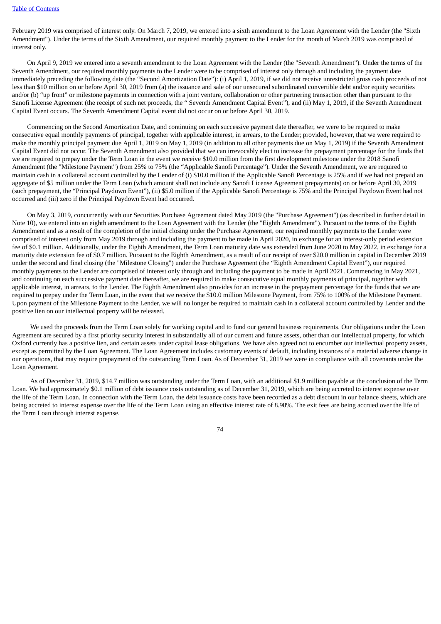February 2019 was comprised of interest only. On March 7, 2019, we entered into a sixth amendment to the Loan Agreement with the Lender (the "Sixth Amendment"). Under the terms of the Sixth Amendment, our required monthly payment to the Lender for the month of March 2019 was comprised of interest only.

On April 9, 2019 we entered into a seventh amendment to the Loan Agreement with the Lender (the "Seventh Amendment"). Under the terms of the Seventh Amendment, our required monthly payments to the Lender were to be comprised of interest only through and including the payment date immediately preceding the following date (the "Second Amortization Date"): (i) April 1, 2019, if we did not receive unrestricted gross cash proceeds of not less than \$10 million on or before April 30, 2019 from (a) the issuance and sale of our unsecured subordinated convertible debt and/or equity securities and/or (b) "up front" or milestone payments in connection with a joint venture, collaboration or other partnering transaction other than pursuant to the Sanofi License Agreement (the receipt of such net proceeds, the " Seventh Amendment Capital Event"), and (ii) May 1, 2019, if the Seventh Amendment Capital Event occurs. The Seventh Amendment Capital event did not occur on or before April 30, 2019.

Commencing on the Second Amortization Date, and continuing on each successive payment date thereafter, we were to be required to make consecutive equal monthly payments of principal, together with applicable interest, in arrears, to the Lender; provided, however, that we were required to make the monthly principal payment due April 1, 2019 on May 1, 2019 (in addition to all other payments due on May 1, 2019) if the Seventh Amendment Capital Event did not occur. The Seventh Amendment also provided that we can irrevocably elect to increase the prepayment percentage for the funds that we are required to prepay under the Term Loan in the event we receive \$10.0 million from the first development milestone under the 2018 Sanofi Amendment (the "Milestone Payment") from 25% to 75% (the "Applicable Sanofi Percentage"). Under the Seventh Amendment, we are required to maintain cash in a collateral account controlled by the Lender of (i) \$10.0 million if the Applicable Sanofi Percentage is 25% and if we had not prepaid an aggregate of \$5 million under the Term Loan (which amount shall not include any Sanofi License Agreement prepayments) on or before April 30, 2019 (such prepayment, the "Principal Paydown Event"), (ii) \$5.0 million if the Applicable Sanofi Percentage is 75% and the Principal Paydown Event had not occurred and (iii) zero if the Principal Paydown Event had occurred.

On May 3, 2019, concurrently with our Securities Purchase Agreement dated May 2019 (the "Purchase Agreement") (as described in further detail in Note 10), we entered into an eighth amendment to the Loan Agreement with the Lender (the "Eighth Amendment"). Pursuant to the terms of the Eighth Amendment and as a result of the completion of the initial closing under the Purchase Agreement, our required monthly payments to the Lender were comprised of interest only from May 2019 through and including the payment to be made in April 2020, in exchange for an interest-only period extension fee of \$0.1 million. Additionally, under the Eighth Amendment, the Term Loan maturity date was extended from June 2020 to May 2022, in exchange for a maturity date extension fee of \$0.7 million. Pursuant to the Eighth Amendment, as a result of our receipt of over \$20.0 million in capital in December 2019 under the second and final closing (the "Milestone Closing") under the Purchase Agreement (the "Eighth Amendment Capital Event"), our required monthly payments to the Lender are comprised of interest only through and including the payment to be made in April 2021. Commencing in May 2021, and continuing on each successive payment date thereafter, we are required to make consecutive equal monthly payments of principal, together with applicable interest, in arrears, to the Lender. The Eighth Amendment also provides for an increase in the prepayment percentage for the funds that we are required to prepay under the Term Loan, in the event that we receive the \$10.0 million Milestone Payment, from 75% to 100% of the Milestone Payment. Upon payment of the Milestone Payment to the Lender, we will no longer be required to maintain cash in a collateral account controlled by Lender and the positive lien on our intellectual property will be released.

We used the proceeds from the Term Loan solely for working capital and to fund our general business requirements. Our obligations under the Loan Agreement are secured by a first priority security interest in substantially all of our current and future assets, other than our intellectual property, for which Oxford currently has a positive lien, and certain assets under capital lease obligations. We have also agreed not to encumber our intellectual property assets, except as permitted by the Loan Agreement. The Loan Agreement includes customary events of default, including instances of a material adverse change in our operations, that may require prepayment of the outstanding Term Loan. As of December 31, 2019 we were in compliance with all covenants under the Loan Agreement.

As of December 31, 2019, \$14.7 million was outstanding under the Term Loan, with an additional \$1.9 million payable at the conclusion of the Term Loan. We had approximately \$0.1 million of debt issuance costs outstanding as of December 31, 2019, which are being accreted to interest expense over the life of the Term Loan. In connection with the Term Loan, the debt issuance costs have been recorded as a debt discount in our balance sheets, which are being accreted to interest expense over the life of the Term Loan using an effective interest rate of 8.98%. The exit fees are being accrued over the life of the Term Loan through interest expense.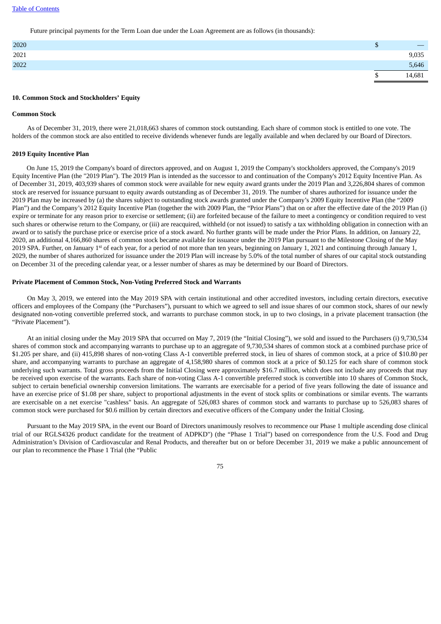Future principal payments for the Term Loan due under the Loan Agreement are as follows (in thousands):

| 2020 | u |        |
|------|---|--------|
| 2021 |   | 9,035  |
| 2022 |   | 5,646  |
|      |   | 14,681 |

#### **10. Common Stock and Stockholders' Equity**

#### **Common Stock**

As of December 31, 2019, there were 21,018,663 shares of common stock outstanding. Each share of common stock is entitled to one vote. The holders of the common stock are also entitled to receive dividends whenever funds are legally available and when declared by our Board of Directors.

#### **2019 Equity Incentive Plan**

On June 15, 2019 the Company's board of directors approved, and on August 1, 2019 the Company's stockholders approved, the Company's 2019 Equity Incentive Plan (the "2019 Plan"). The 2019 Plan is intended as the successor to and continuation of the Company's 2012 Equity Incentive Plan. As of December 31, 2019, 403,939 shares of common stock were available for new equity award grants under the 2019 Plan and 3,226,804 shares of common stock are reserved for issuance pursuant to equity awards outstanding as of December 31, 2019. The number of shares authorized for issuance under the 2019 Plan may be increased by (a) the shares subject to outstanding stock awards granted under the Company's 2009 Equity Incentive Plan (the "2009 Plan") and the Company's 2012 Equity Incentive Plan (together the with 2009 Plan, the "Prior Plans") that on or after the effective date of the 2019 Plan (i) expire or terminate for any reason prior to exercise or settlement; (ii) are forfeited because of the failure to meet a contingency or condition required to vest such shares or otherwise return to the Company, or (iii) are reacquired, withheld (or not issued) to satisfy a tax withholding obligation in connection with an award or to satisfy the purchase price or exercise price of a stock award. No further grants will be made under the Prior Plans. In addition, on January 22, 2020, an additional 4,166,860 shares of common stock became available for issuance under the 2019 Plan pursuant to the Milestone Closing of the May 2019 SPA. Further, on January 1<sup>st</sup> of each year, for a period of not more than ten years, beginning on January 1, 2021 and continuing through January 1, 2029, the number of shares authorized for issuance under the 2019 Plan will increase by 5.0% of the total number of shares of our capital stock outstanding on December 31 of the preceding calendar year, or a lesser number of shares as may be determined by our Board of Directors.

#### **Private Placement of Common Stock, Non-Voting Preferred Stock and Warrants**

On May 3, 2019, we entered into the May 2019 SPA with certain institutional and other accredited investors, including certain directors, executive officers and employees of the Company (the "Purchasers"), pursuant to which we agreed to sell and issue shares of our common stock, shares of our newly designated non-voting convertible preferred stock, and warrants to purchase common stock, in up to two closings, in a private placement transaction (the "Private Placement").

At an initial closing under the May 2019 SPA that occurred on May 7, 2019 (the "Initial Closing"), we sold and issued to the Purchasers (i) 9,730,534 shares of common stock and accompanying warrants to purchase up to an aggregate of 9,730,534 shares of common stock at a combined purchase price of \$1.205 per share, and (ii) 415,898 shares of non-voting Class A-1 convertible preferred stock, in lieu of shares of common stock, at a price of \$10.80 per share, and accompanying warrants to purchase an aggregate of 4,158,980 shares of common stock at a price of \$0.125 for each share of common stock underlying such warrants. Total gross proceeds from the Initial Closing were approximately \$16.7 million, which does not include any proceeds that may be received upon exercise of the warrants. Each share of non-voting Class A-1 convertible preferred stock is convertible into 10 shares of Common Stock, subject to certain beneficial ownership conversion limitations. The warrants are exercisable for a period of five years following the date of issuance and have an exercise price of \$1.08 per share, subject to proportional adjustments in the event of stock splits or combinations or similar events. The warrants are exercisable on a net exercise "cashless" basis. An aggregate of 526,083 shares of common stock and warrants to purchase up to 526,083 shares of common stock were purchased for \$0.6 million by certain directors and executive officers of the Company under the Initial Closing.

Pursuant to the May 2019 SPA, in the event our Board of Directors unanimously resolves to recommence our Phase 1 multiple ascending dose clinical trial of our RGLS4326 product candidate for the treatment of ADPKD") (the "Phase 1 Trial") based on correspondence from the U.S. Food and Drug Administration's Division of Cardiovascular and Renal Products, and thereafter but on or before December 31, 2019 we make a public announcement of our plan to recommence the Phase 1 Trial (the "Public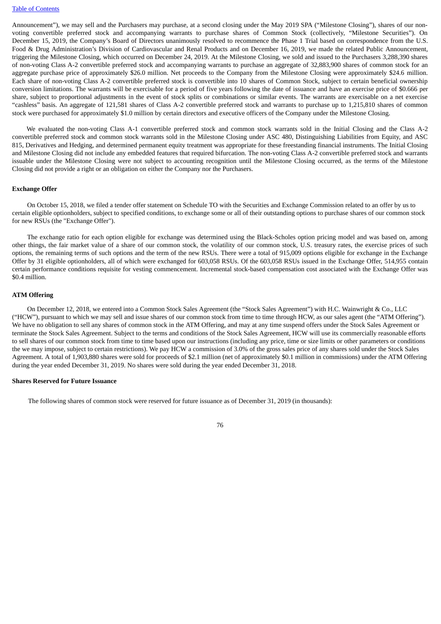Announcement"), we may sell and the Purchasers may purchase, at a second closing under the May 2019 SPA ("Milestone Closing"), shares of our nonvoting convertible preferred stock and accompanying warrants to purchase shares of Common Stock (collectively, "Milestone Securities"). On December 15, 2019, the Company's Board of Directors unanimously resolved to recommence the Phase 1 Trial based on correspondence from the U.S. Food & Drug Administration's Division of Cardiovascular and Renal Products and on December 16, 2019, we made the related Public Announcement, triggering the Milestone Closing, which occurred on December 24, 2019. At the Milestone Closing, we sold and issued to the Purchasers 3,288,390 shares of non-voting Class A-2 convertible preferred stock and accompanying warrants to purchase an aggregate of 32,883,900 shares of common stock for an aggregate purchase price of approximately \$26.0 million. Net proceeds to the Company from the Milestone Closing were approximately \$24.6 million. Each share of non-voting Class A-2 convertible preferred stock is convertible into 10 shares of Common Stock, subject to certain beneficial ownership conversion limitations. The warrants will be exercisable for a period of five years following the date of issuance and have an exercise price of \$0.666 per share, subject to proportional adjustments in the event of stock splits or combinations or similar events. The warrants are exercisable on a net exercise "cashless" basis. An aggregate of 121,581 shares of Class A-2 convertible preferred stock and warrants to purchase up to 1,215,810 shares of common stock were purchased for approximately \$1.0 million by certain directors and executive officers of the Company under the Milestone Closing.

We evaluated the non-voting Class A-1 convertible preferred stock and common stock warrants sold in the Initial Closing and the Class A-2 convertible preferred stock and common stock warrants sold in the Milestone Closing under ASC 480, Distinguishing Liabilities from Equity, and ASC 815, Derivatives and Hedging, and determined permanent equity treatment was appropriate for these freestanding financial instruments. The Initial Closing and Milestone Closing did not include any embedded features that required bifurcation. The non-voting Class A-2 convertible preferred stock and warrants issuable under the Milestone Closing were not subject to accounting recognition until the Milestone Closing occurred, as the terms of the Milestone Closing did not provide a right or an obligation on either the Company nor the Purchasers.

#### **Exchange Offer**

On October 15, 2018, we filed a tender offer statement on Schedule TO with the Securities and Exchange Commission related to an offer by us to certain eligible optionholders, subject to specified conditions, to exchange some or all of their outstanding options to purchase shares of our common stock for new RSUs (the "Exchange Offer").

The exchange ratio for each option eligible for exchange was determined using the Black-Scholes option pricing model and was based on, among other things, the fair market value of a share of our common stock, the volatility of our common stock, U.S. treasury rates, the exercise prices of such options, the remaining terms of such options and the term of the new RSUs. There were a total of 915,009 options eligible for exchange in the Exchange Offer by 31 eligible optionholders, all of which were exchanged for 603,058 RSUs. Of the 603,058 RSUs issued in the Exchange Offer, 514,955 contain certain performance conditions requisite for vesting commencement. Incremental stock-based compensation cost associated with the Exchange Offer was \$0.4 million.

#### **ATM Offering**

On December 12, 2018, we entered into a Common Stock Sales Agreement (the "Stock Sales Agreement") with H.C. Wainwright & Co., LLC ("HCW"), pursuant to which we may sell and issue shares of our common stock from time to time through HCW, as our sales agent (the "ATM Offering"). We have no obligation to sell any shares of common stock in the ATM Offering, and may at any time suspend offers under the Stock Sales Agreement or terminate the Stock Sales Agreement. Subject to the terms and conditions of the Stock Sales Agreement, HCW will use its commercially reasonable efforts to sell shares of our common stock from time to time based upon our instructions (including any price, time or size limits or other parameters or conditions the we may impose, subject to certain restrictions). We pay HCW a commission of 3.0% of the gross sales price of any shares sold under the Stock Sales Agreement. A total of 1,903,880 shares were sold for proceeds of \$2.1 million (net of approximately \$0.1 million in commissions) under the ATM Offering during the year ended December 31, 2019. No shares were sold during the year ended December 31, 2018.

#### **Shares Reserved for Future Issuance**

The following shares of common stock were reserved for future issuance as of December 31, 2019 (in thousands):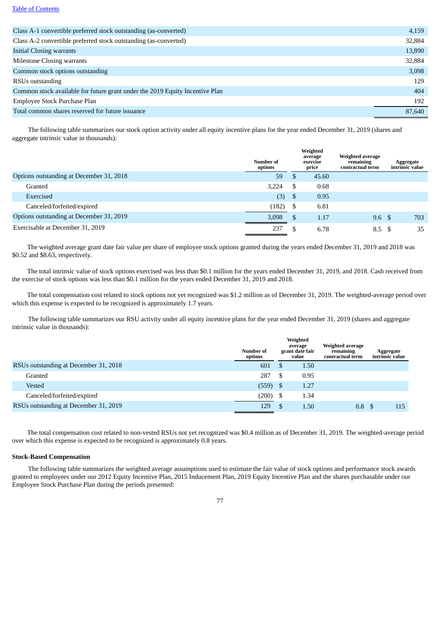# Table of [Contents](#page-2-0)

| Class A-1 convertible preferred stock outstanding (as-converted)             | 4,159  |
|------------------------------------------------------------------------------|--------|
| Class A-2 convertible preferred stock outstanding (as-converted)             | 32,884 |
| <b>Initial Closing warrants</b>                                              | 13,890 |
| <b>Milestone Closing warrants</b>                                            | 32,884 |
| Common stock options outstanding                                             | 3,098  |
| RSU <sub>s</sub> outstanding                                                 | 129    |
| Common stock available for future grant under the 2019 Equity Incentive Plan | 404    |
| Employee Stock Purchase Plan                                                 | 192    |
| Total common shares reserved for future issuance                             | 87,640 |

The following table summarizes our stock option activity under all equity incentive plans for the year ended December 31, 2019 (shares and aggregate intrinsic value in thousands):

|                                          | Number of<br>options |      | Weighted<br>average<br>exercise<br>price | Weighted average<br>remaining<br>contractual term | Aggregate<br>intrinsic value |
|------------------------------------------|----------------------|------|------------------------------------------|---------------------------------------------------|------------------------------|
| Options outstanding at December 31, 2018 | 59                   | \$.  | 45.60                                    |                                                   |                              |
| Granted                                  | 3,224                | -S   | 0.68                                     |                                                   |                              |
| Exercised                                | (3)                  | - \$ | 0.95                                     |                                                   |                              |
| Canceled/forfeited/expired               | (182)                | - S  | 6.81                                     |                                                   |                              |
| Options outstanding at December 31, 2019 | 3,098                | \$.  | 1.17                                     | 9.6 <sup>5</sup>                                  | 703                          |
| Exercisable at December 31, 2019         | 237                  | \$.  | 6.78                                     | 8.5 \$                                            | 35                           |

The weighted average grant date fair value per share of employee stock options granted during the years ended December 31, 2019 and 2018 was \$0.52 and \$8.63, respectively.

The total intrinsic value of stock options exercised was less than \$0.1 million for the years ended December 31, 2019, and 2018. Cash received from the exercise of stock options was less than \$0.1 million for the years ended December 31, 2019 and 2018.

The total compensation cost related to stock options not yet recognized was \$1.2 million as of December 31, 2019. The weighted-average period over which this expense is expected to be recognized is approximately 1.7 years.

The following table summarizes our RSU activity under all equity incentive plans for the year ended December 31, 2019 (shares and aggregate intrinsic value in thousands):

|                                       | <b>Number of</b><br>options |     | Weighted<br>average<br>grant date fair<br>value | Weighted average<br>remaining<br>contractual term | Aggregate<br>intrinsic value |
|---------------------------------------|-----------------------------|-----|-------------------------------------------------|---------------------------------------------------|------------------------------|
| RSUs outstanding at December 31, 2018 | 601                         |     | 1.50                                            |                                                   |                              |
| Granted                               | 287                         |     | 0.95                                            |                                                   |                              |
| Vested                                | (559)                       |     | 1.27                                            |                                                   |                              |
| Canceled/forfeited/expired            | (200)                       | - S | 1.34                                            |                                                   |                              |
| RSUs outstanding at December 31, 2019 | 129                         |     | 1.50                                            | 0.8                                               | 115                          |

The total compensation cost related to non-vested RSUs not yet recognized was \$0.4 million as of December 31, 2019. The weighted-average period over which this expense is expected to be recognized is approximately 0.8 years.

## **Stock-Based Compensation**

The following table summarizes the weighted average assumptions used to estimate the fair value of stock options and performance stock awards granted to employees under our 2012 Equity Incentive Plan, 2015 Inducement Plan, 2019 Equity Incentive Plan and the shares purchasable under our Employee Stock Purchase Plan during the periods presented: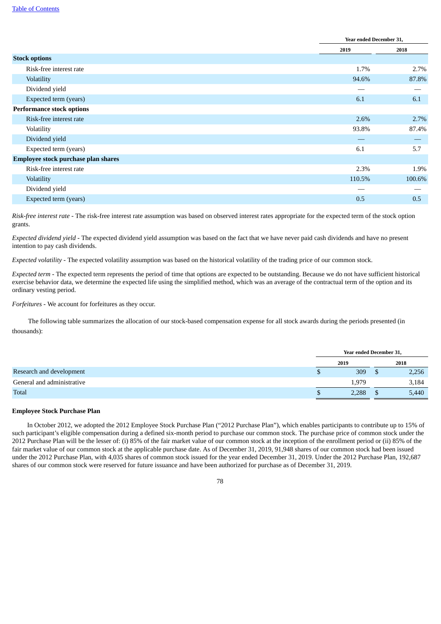|                                     | Year ended December 31, |        |
|-------------------------------------|-------------------------|--------|
|                                     | 2019                    | 2018   |
| <b>Stock options</b>                |                         |        |
| Risk-free interest rate             | 1.7%                    | 2.7%   |
| Volatility                          | 94.6%                   | 87.8%  |
| Dividend yield                      |                         |        |
| Expected term (years)               | 6.1                     | 6.1    |
| <b>Performance stock options</b>    |                         |        |
| Risk-free interest rate             | 2.6%                    | 2.7%   |
| Volatility                          | 93.8%                   | 87.4%  |
| Dividend yield                      |                         |        |
| Expected term (years)               | 6.1                     | 5.7    |
| Employee stock purchase plan shares |                         |        |
| Risk-free interest rate             | 2.3%                    | 1.9%   |
| Volatility                          | 110.5%                  | 100.6% |
| Dividend yield                      |                         |        |
| Expected term (years)               | 0.5                     | 0.5    |

*Risk-free interest rate* - The risk-free interest rate assumption was based on observed interest rates appropriate for the expected term of the stock option grants.

*Expected dividend yield* - The expected dividend yield assumption was based on the fact that we have never paid cash dividends and have no present intention to pay cash dividends.

*Expected volatility* - The expected volatility assumption was based on the historical volatility of the trading price of our common stock.

*Expected term* - The expected term represents the period of time that options are expected to be outstanding. Because we do not have sufficient historical exercise behavior data, we determine the expected life using the simplified method, which was an average of the contractual term of the option and its ordinary vesting period.

*Forfeitures* - We account for forfeitures as they occur.

The following table summarizes the allocation of our stock-based compensation expense for all stock awards during the periods presented (in thousands):

|                            | Year ended December 31, |  |       |  |
|----------------------------|-------------------------|--|-------|--|
|                            | 2019                    |  | 2018  |  |
| Research and development   | 309                     |  | 2,256 |  |
| General and administrative | 1,979                   |  | 3,184 |  |
| <b>Total</b>               | 2,288                   |  | 5,440 |  |

#### **Employee Stock Purchase Plan**

In October 2012, we adopted the 2012 Employee Stock Purchase Plan ("2012 Purchase Plan"), which enables participants to contribute up to 15% of such participant's eligible compensation during a defined six-month period to purchase our common stock. The purchase price of common stock under the 2012 Purchase Plan will be the lesser of: (i) 85% of the fair market value of our common stock at the inception of the enrollment period or (ii) 85% of the fair market value of our common stock at the applicable purchase date. As of December 31, 2019, 91,948 shares of our common stock had been issued under the 2012 Purchase Plan, with 4,035 shares of common stock issued for the year ended December 31, 2019. Under the 2012 Purchase Plan, 192,687 shares of our common stock were reserved for future issuance and have been authorized for purchase as of December 31, 2019.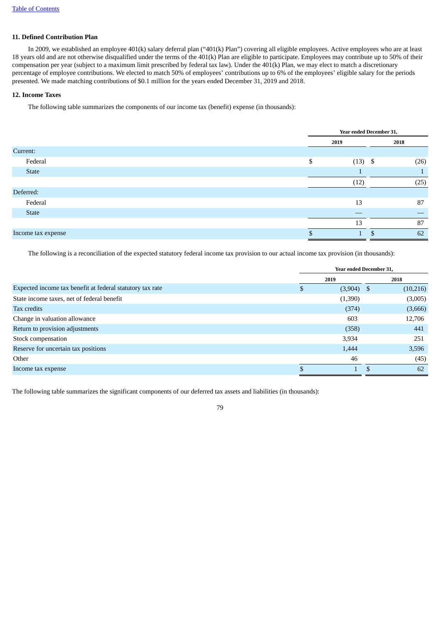# **11. Defined Contribution Plan**

In 2009, we established an employee 401(k) salary deferral plan ("401(k) Plan") covering all eligible employees. Active employees who are at least 18 years old and are not otherwise disqualified under the terms of the 401(k) Plan are eligible to participate. Employees may contribute up to 50% of their compensation per year (subject to a maximum limit prescribed by federal tax law). Under the 401(k) Plan, we may elect to match a discretionary percentage of employee contributions. We elected to match 50% of employees' contributions up to 6% of the employees' eligible salary for the periods presented. We made matching contributions of \$0.1 million for the years ended December 31, 2019 and 2018.

# **12. Income Taxes**

The following table summarizes the components of our income tax (benefit) expense (in thousands):

|          | Year ended December 31, |                      |     |      |
|----------|-------------------------|----------------------|-----|------|
|          | 2019                    |                      |     | 2018 |
| Current: |                         |                      |     |      |
|          | \$                      | $(13)$ \$            |     | (26) |
|          |                         |                      |     |      |
|          |                         | (12)                 |     | (25) |
|          |                         |                      |     |      |
|          |                         | 13                   |     | 87   |
|          |                         |                      |     |      |
|          |                         | 13                   |     | 87   |
|          |                         | $\blacktriangleleft$ | -\$ | 62   |
|          |                         |                      |     |      |

The following is a reconciliation of the expected statutory federal income tax provision to our actual income tax provision (in thousands):

|                                                           | Year ended December 31, |              |  |          |
|-----------------------------------------------------------|-------------------------|--------------|--|----------|
|                                                           | 2019                    |              |  | 2018     |
| Expected income tax benefit at federal statutory tax rate |                         | $(3,904)$ \$ |  | (10,216) |
| State income taxes, net of federal benefit                |                         | (1,390)      |  | (3,005)  |
| Tax credits                                               |                         | (374)        |  | (3,666)  |
| Change in valuation allowance                             |                         | 603          |  | 12,706   |
| Return to provision adjustments                           |                         | (358)        |  | 441      |
| Stock compensation                                        |                         | 3,934        |  | 251      |
| Reserve for uncertain tax positions                       |                         | 1,444        |  | 3,596    |
| Other                                                     |                         | 46           |  | (45)     |
| Income tax expense                                        |                         |              |  | 62       |

The following table summarizes the significant components of our deferred tax assets and liabilities (in thousands):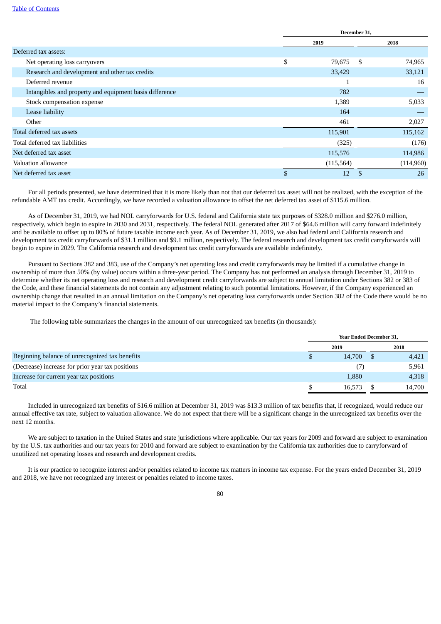|                                                         | December 31, |            |      |           |
|---------------------------------------------------------|--------------|------------|------|-----------|
|                                                         |              | 2019       |      | 2018      |
| Deferred tax assets:                                    |              |            |      |           |
| Net operating loss carryovers                           | \$           | 79,675     | - \$ | 74,965    |
| Research and development and other tax credits          |              | 33,429     |      | 33,121    |
| Deferred revenue                                        |              |            |      | 16        |
| Intangibles and property and equipment basis difference |              | 782        |      |           |
| Stock compensation expense                              |              | 1,389      |      | 5,033     |
| Lease liability                                         |              | 164        |      |           |
| Other                                                   |              | 461        |      | 2,027     |
| Total deferred tax assets                               |              | 115,901    |      | 115,162   |
| Total deferred tax liabilities                          |              | (325)      |      | (176)     |
| Net deferred tax asset                                  |              | 115,576    |      | 114,986   |
| Valuation allowance                                     |              | (115, 564) |      | (114,960) |
| Net deferred tax asset                                  |              | 12         |      | 26        |
|                                                         |              |            |      |           |

For all periods presented, we have determined that it is more likely than not that our deferred tax asset will not be realized, with the exception of the refundable AMT tax credit. Accordingly, we have recorded a valuation allowance to offset the net deferred tax asset of \$115.6 million.

As of December 31, 2019, we had NOL carryforwards for U.S. federal and California state tax purposes of \$328.0 million and \$276.0 million, respectively, which begin to expire in 2030 and 2031, respectively. The federal NOL generated after 2017 of \$64.6 million will carry forward indefinitely and be available to offset up to 80% of future taxable income each year. As of December 31, 2019, we also had federal and California research and development tax credit carryforwards of \$31.1 million and \$9.1 million, respectively. The federal research and development tax credit carryforwards will begin to expire in 2029. The California research and development tax credit carryforwards are available indefinitely.

Pursuant to Sections 382 and 383, use of the Company's net operating loss and credit carryforwards may be limited if a cumulative change in ownership of more than 50% (by value) occurs within a three-year period. The Company has not performed an analysis through December 31, 2019 to determine whether its net operating loss and research and development credit carryforwards are subject to annual limitation under Sections 382 or 383 of the Code, and these financial statements do not contain any adjustment relating to such potential limitations. However, if the Company experienced an ownership change that resulted in an annual limitation on the Company's net operating loss carryforwards under Section 382 of the Code there would be no material impact to the Company's financial statements.

The following table summarizes the changes in the amount of our unrecognized tax benefits (in thousands):

|                                                  | <b>Year Ended December 31,</b> |        |  |        |  |  |
|--------------------------------------------------|--------------------------------|--------|--|--------|--|--|
|                                                  | 2019                           |        |  | 2018   |  |  |
| Beginning balance of unrecognized tax benefits   |                                | 14,700 |  | 4,421  |  |  |
| (Decrease) increase for prior year tax positions |                                | (7)    |  | 5,961  |  |  |
| Increase for current year tax positions          |                                | 1,880  |  | 4,318  |  |  |
| Total                                            |                                | 16,573 |  | 14,700 |  |  |

Included in unrecognized tax benefits of \$16.6 million at December 31, 2019 was \$13.3 million of tax benefits that, if recognized, would reduce our annual effective tax rate, subject to valuation allowance. We do not expect that there will be a significant change in the unrecognized tax benefits over the next 12 months.

We are subject to taxation in the United States and state jurisdictions where applicable. Our tax years for 2009 and forward are subject to examination by the U.S. tax authorities and our tax years for 2010 and forward are subject to examination by the California tax authorities due to carryforward of unutilized net operating losses and research and development credits.

It is our practice to recognize interest and/or penalties related to income tax matters in income tax expense. For the years ended December 31, 2019 and 2018, we have not recognized any interest or penalties related to income taxes.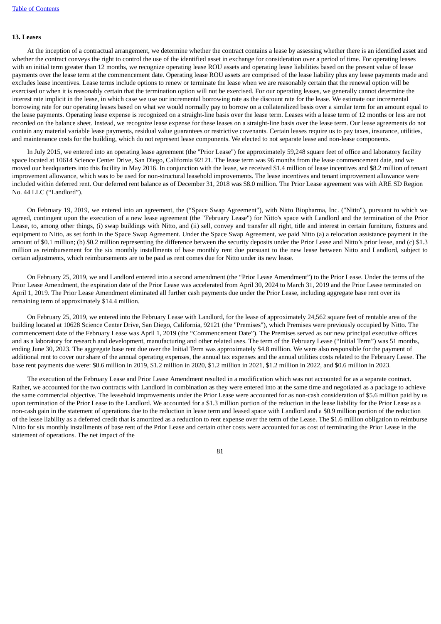# **13. Leases**

At the inception of a contractual arrangement, we determine whether the contract contains a lease by assessing whether there is an identified asset and whether the contract conveys the right to control the use of the identified asset in exchange for consideration over a period of time. For operating leases with an initial term greater than 12 months, we recognize operating lease ROU assets and operating lease liabilities based on the present value of lease payments over the lease term at the commencement date. Operating lease ROU assets are comprised of the lease liability plus any lease payments made and excludes lease incentives. Lease terms include options to renew or terminate the lease when we are reasonably certain that the renewal option will be exercised or when it is reasonably certain that the termination option will not be exercised. For our operating leases, we generally cannot determine the interest rate implicit in the lease, in which case we use our incremental borrowing rate as the discount rate for the lease. We estimate our incremental borrowing rate for our operating leases based on what we would normally pay to borrow on a collateralized basis over a similar term for an amount equal to the lease payments. Operating lease expense is recognized on a straight-line basis over the lease term. Leases with a lease term of 12 months or less are not recorded on the balance sheet. Instead, we recognize lease expense for these leases on a straight-line basis over the lease term. Our lease agreements do not contain any material variable lease payments, residual value guarantees or restrictive covenants. Certain leases require us to pay taxes, insurance, utilities, and maintenance costs for the building, which do not represent lease components. We elected to not separate lease and non-lease components.

In July 2015, we entered into an operating lease agreement (the "Prior Lease") for approximately 59,248 square feet of office and laboratory facility space located at 10614 Science Center Drive, San Diego, California 92121. The lease term was 96 months from the lease commencement date, and we moved our headquarters into this facility in May 2016. In conjunction with the lease, we received \$1.4 million of lease incentives and \$8.2 million of tenant improvement allowance, which was to be used for non-structural leasehold improvements. The lease incentives and tenant improvement allowance were included within deferred rent. Our deferred rent balance as of December 31, 2018 was \$8.0 million. The Prior Lease agreement was with ARE SD Region No. 44 LLC ("Landlord").

On February 19, 2019, we entered into an agreement, the ("Space Swap Agreement"), with Nitto Biopharma, Inc. ("Nitto"), pursuant to which we agreed, contingent upon the execution of a new lease agreement (the "February Lease") for Nitto's space with Landlord and the termination of the Prior Lease, to, among other things, (i) swap buildings with Nitto, and (ii) sell, convey and transfer all right, title and interest in certain furniture, fixtures and equipment to Nitto, as set forth in the Space Swap Agreement. Under the Space Swap Agreement, we paid Nitto (a) a relocation assistance payment in the amount of \$0.1 million; (b) \$0.2 million representing the difference between the security deposits under the Prior Lease and Nitto's prior lease, and (c) \$1.3 million as reimbursement for the six monthly installments of base monthly rent due pursuant to the new lease between Nitto and Landlord, subject to certain adjustments, which reimbursements are to be paid as rent comes due for Nitto under its new lease.

On February 25, 2019, we and Landlord entered into a second amendment (the "Prior Lease Amendment") to the Prior Lease. Under the terms of the Prior Lease Amendment, the expiration date of the Prior Lease was accelerated from April 30, 2024 to March 31, 2019 and the Prior Lease terminated on April 1, 2019. The Prior Lease Amendment eliminated all further cash payments due under the Prior Lease, including aggregate base rent over its remaining term of approximately \$14.4 million.

On February 25, 2019, we entered into the February Lease with Landlord, for the lease of approximately 24,562 square feet of rentable area of the building located at 10628 Science Center Drive, San Diego, California, 92121 (the "Premises"), which Premises were previously occupied by Nitto. The commencement date of the February Lease was April 1, 2019 (the "Commencement Date"). The Premises served as our new principal executive offices and as a laboratory for research and development, manufacturing and other related uses. The term of the February Lease ("Initial Term") was 51 months, ending June 30, 2023. The aggregate base rent due over the Initial Term was approximately \$4.8 million. We were also responsible for the payment of additional rent to cover our share of the annual operating expenses, the annual tax expenses and the annual utilities costs related to the February Lease. The base rent payments due were: \$0.6 million in 2019, \$1.2 million in 2020, \$1.2 million in 2021, \$1.2 million in 2022, and \$0.6 million in 2023.

The execution of the February Lease and Prior Lease Amendment resulted in a modification which was not accounted for as a separate contract. Rather, we accounted for the two contracts with Landlord in combination as they were entered into at the same time and negotiated as a package to achieve the same commercial objective. The leasehold improvements under the Prior Lease were accounted for as non-cash consideration of \$5.6 million paid by us upon termination of the Prior Lease to the Landlord. We accounted for a \$1.3 million portion of the reduction in the lease liability for the Prior Lease as a non-cash gain in the statement of operations due to the reduction in lease term and leased space with Landlord and a \$0.9 million portion of the reduction of the lease liability as a deferred credit that is amortized as a reduction to rent expense over the term of the Lease. The \$1.6 million obligation to reimburse Nitto for six monthly installments of base rent of the Prior Lease and certain other costs were accounted for as cost of terminating the Prior Lease in the statement of operations. The net impact of the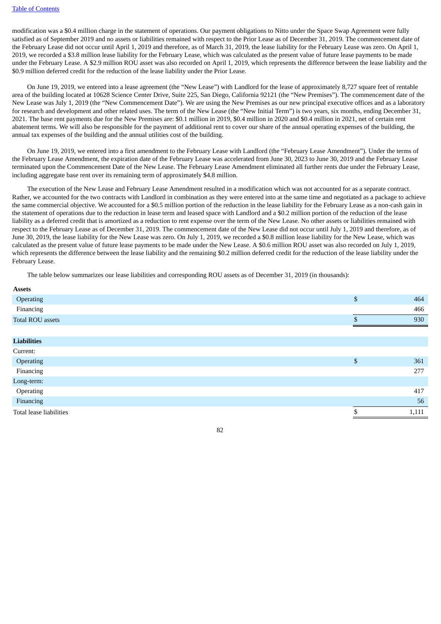modification was a \$0.4 million charge in the statement of operations. Our payment obligations to Nitto under the Space Swap Agreement were fully satisfied as of September 2019 and no assets or liabilities remained with respect to the Prior Lease as of December 31, 2019. The commencement date of the February Lease did not occur until April 1, 2019 and therefore, as of March 31, 2019, the lease liability for the February Lease was zero. On April 1, 2019, we recorded a \$3.8 million lease liability for the February Lease, which was calculated as the present value of future lease payments to be made under the February Lease. A \$2.9 million ROU asset was also recorded on April 1, 2019, which represents the difference between the lease liability and the \$0.9 million deferred credit for the reduction of the lease liability under the Prior Lease.

On June 19, 2019, we entered into a lease agreement (the "New Lease") with Landlord for the lease of approximately 8,727 square feet of rentable area of the building located at 10628 Science Center Drive, Suite 225, San Diego, California 92121 (the "New Premises"). The commencement date of the New Lease was July 1, 2019 (the "New Commencement Date"). We are using the New Premises as our new principal executive offices and as a laboratory for research and development and other related uses. The term of the New Lease (the "New Initial Term") is two years, six months, ending December 31, 2021. The base rent payments due for the New Premises are: \$0.1 million in 2019, \$0.4 million in 2020 and \$0.4 million in 2021, net of certain rent abatement terms. We will also be responsible for the payment of additional rent to cover our share of the annual operating expenses of the building, the annual tax expenses of the building and the annual utilities cost of the building.

On June 19, 2019, we entered into a first amendment to the February Lease with Landlord (the "February Lease Amendment"). Under the terms of the February Lease Amendment, the expiration date of the February Lease was accelerated from June 30, 2023 to June 30, 2019 and the February Lease terminated upon the Commencement Date of the New Lease. The February Lease Amendment eliminated all further rents due under the February Lease, including aggregate base rent over its remaining term of approximately \$4.8 million.

The execution of the New Lease and February Lease Amendment resulted in a modification which was not accounted for as a separate contract. Rather, we accounted for the two contracts with Landlord in combination as they were entered into at the same time and negotiated as a package to achieve the same commercial objective. We accounted for a \$0.5 million portion of the reduction in the lease liability for the February Lease as a non-cash gain in the statement of operations due to the reduction in lease term and leased space with Landlord and a \$0.2 million portion of the reduction of the lease liability as a deferred credit that is amortized as a reduction to rent expense over the term of the New Lease. No other assets or liabilities remained with respect to the February Lease as of December 31, 2019. The commencement date of the New Lease did not occur until July 1, 2019 and therefore, as of June 30, 2019, the lease liability for the New Lease was zero. On July 1, 2019, we recorded a \$0.8 million lease liability for the New Lease, which was calculated as the present value of future lease payments to be made under the New Lease. A \$0.6 million ROU asset was also recorded on July 1, 2019, which represents the difference between the lease liability and the remaining \$0.2 million deferred credit for the reduction of the lease liability under the February Lease.

The table below summarizes our lease liabilities and corresponding ROU assets as of December 31, 2019 (in thousands):

| <b>Assets</b>           |          |       |
|-------------------------|----------|-------|
| Operating               | $\$$     | 464   |
| Financing               |          | 466   |
| <b>Total ROU assets</b> | $\sigma$ | 930   |
|                         |          |       |
| <b>Liabilities</b>      |          |       |
| Current:                |          |       |
| Operating               | $\$$     | 361   |
| Financing               |          | 277   |
| Long-term:              |          |       |
| Operating               |          | 417   |
| Financing               |          | 56    |
| Total lease liabilities | ፍ        | 1,111 |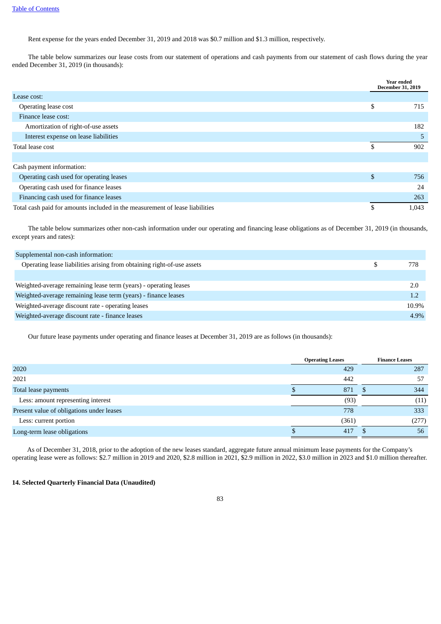Rent expense for the years ended December 31, 2019 and 2018 was \$0.7 million and \$1.3 million, respectively.

The table below summarizes our lease costs from our statement of operations and cash payments from our statement of cash flows during the year ended December 31, 2019 (in thousands):

|                                                                              | <b>Year ended</b><br><b>December 31, 2019</b> |
|------------------------------------------------------------------------------|-----------------------------------------------|
| Lease cost:                                                                  |                                               |
| Operating lease cost                                                         | \$<br>715                                     |
| Finance lease cost:                                                          |                                               |
| Amortization of right-of-use assets                                          | 182                                           |
| Interest expense on lease liabilities                                        | 5                                             |
| Total lease cost                                                             | \$<br>902                                     |
|                                                                              |                                               |
| Cash payment information:                                                    |                                               |
| Operating cash used for operating leases                                     | \$<br>756                                     |
| Operating cash used for finance leases                                       | 24                                            |
| Financing cash used for finance leases                                       | 263                                           |
| Total cash paid for amounts included in the measurement of lease liabilities | \$<br>1,043                                   |

The table below summarizes other non-cash information under our operating and financing lease obligations as of December 31, 2019 (in thousands, except years and rates):

| Supplemental non-cash information:                                     |  |         |
|------------------------------------------------------------------------|--|---------|
| Operating lease liabilities arising from obtaining right-of-use assets |  |         |
|                                                                        |  |         |
| Weighted-average remaining lease term (years) - operating leases       |  | 2.0     |
| Weighted-average remaining lease term (years) - finance leases         |  | 1.2     |
| Weighted-average discount rate - operating leases                      |  | 10.9%   |
| Weighted-average discount rate - finance leases                        |  | $4.9\%$ |

Our future lease payments under operating and finance leases at December 31, 2019 are as follows (in thousands):

|                                           | <b>Operating Leases</b> | <b>Finance Leases</b> |
|-------------------------------------------|-------------------------|-----------------------|
| 2020                                      | 429                     | 287                   |
| 2021                                      | 442                     | 57                    |
| Total lease payments                      | 871                     | 344                   |
| Less: amount representing interest        | (93)                    | (11)                  |
| Present value of obligations under leases | 778                     | 333                   |
| Less: current portion                     | (361)                   | (277)                 |
| Long-term lease obligations               | 417                     | 56                    |

As of December 31, 2018, prior to the adoption of the new leases standard, aggregate future annual minimum lease payments for the Company's operating lease were as follows: \$2.7 million in 2019 and 2020, \$2.8 million in 2021, \$2.9 million in 2022, \$3.0 million in 2023 and \$1.0 million thereafter.

# **14. Selected Quarterly Financial Data (Unaudited)**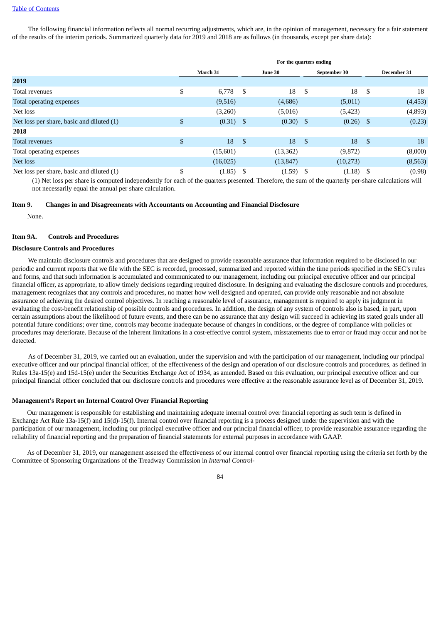The following financial information reflects all normal recurring adjustments, which are, in the opinion of management, necessary for a fair statement of the results of the interim periods. Summarized quarterly data for 2019 and 2018 are as follows (in thousands, except per share data):

|                                           | For the quarters ending |      |             |     |              |      |             |
|-------------------------------------------|-------------------------|------|-------------|-----|--------------|------|-------------|
|                                           | March 31                |      | June 30     |     | September 30 |      | December 31 |
| 2019                                      |                         |      |             |     |              |      |             |
| Total revenues                            | \$<br>6,778             | - \$ | 18          | -\$ | 18           | - \$ | 18          |
| Total operating expenses                  | (9,516)                 |      | (4,686)     |     | (5,011)      |      | (4, 453)    |
| Net loss                                  | (3,260)                 |      | (5,016)     |     | (5, 423)     |      | (4,893)     |
| Net loss per share, basic and diluted (1) | \$<br>$(0.31)$ \$       |      | $(0.30)$ \$ |     | $(0.26)$ \$  |      | (0.23)      |
| 2018                                      |                         |      |             |     |              |      |             |
| Total revenues                            | \$<br>18                | - \$ | 18          | -\$ | 18           | - \$ | 18          |
| Total operating expenses                  | (15,601)                |      | (13, 362)   |     | (9,872)      |      | (8,000)     |
| Net loss                                  | (16,025)                |      | (13, 847)   |     | (10,273)     |      | (8,563)     |
| Net loss per share, basic and diluted (1) | \$<br>(1.85)            | - \$ | $(1.59)$ \$ |     | $(1.18)$ \$  |      | (0.98)      |

(1) Net loss per share is computed independently for each of the quarters presented. Therefore, the sum of the quarterly per-share calculations will not necessarily equal the annual per share calculation.

#### **Item 9. Changes in and Disagreements with Accountants on Accounting and Financial Disclosure**

None.

#### **Item 9A. Controls and Procedures**

## **Disclosure Controls and Procedures**

We maintain disclosure controls and procedures that are designed to provide reasonable assurance that information required to be disclosed in our periodic and current reports that we file with the SEC is recorded, processed, summarized and reported within the time periods specified in the SEC's rules and forms, and that such information is accumulated and communicated to our management, including our principal executive officer and our principal financial officer, as appropriate, to allow timely decisions regarding required disclosure. In designing and evaluating the disclosure controls and procedures, management recognizes that any controls and procedures, no matter how well designed and operated, can provide only reasonable and not absolute assurance of achieving the desired control objectives. In reaching a reasonable level of assurance, management is required to apply its judgment in evaluating the cost-benefit relationship of possible controls and procedures. In addition, the design of any system of controls also is based, in part, upon certain assumptions about the likelihood of future events, and there can be no assurance that any design will succeed in achieving its stated goals under all potential future conditions; over time, controls may become inadequate because of changes in conditions, or the degree of compliance with policies or procedures may deteriorate. Because of the inherent limitations in a cost-effective control system, misstatements due to error or fraud may occur and not be detected.

As of December 31, 2019, we carried out an evaluation, under the supervision and with the participation of our management, including our principal executive officer and our principal financial officer, of the effectiveness of the design and operation of our disclosure controls and procedures, as defined in Rules 13a-15(e) and 15d-15(e) under the Securities Exchange Act of 1934, as amended. Based on this evaluation, our principal executive officer and our principal financial officer concluded that our disclosure controls and procedures were effective at the reasonable assurance level as of December 31, 2019.

## **Management's Report on Internal Control Over Financial Reporting**

Our management is responsible for establishing and maintaining adequate internal control over financial reporting as such term is defined in Exchange Act Rule 13a-15(f) and 15(d)-15(f). Internal control over financial reporting is a process designed under the supervision and with the participation of our management, including our principal executive officer and our principal financial officer, to provide reasonable assurance regarding the reliability of financial reporting and the preparation of financial statements for external purposes in accordance with GAAP.

As of December 31, 2019, our management assessed the effectiveness of our internal control over financial reporting using the criteria set forth by the Committee of Sponsoring Organizations of the Treadway Commission in *Internal Control-*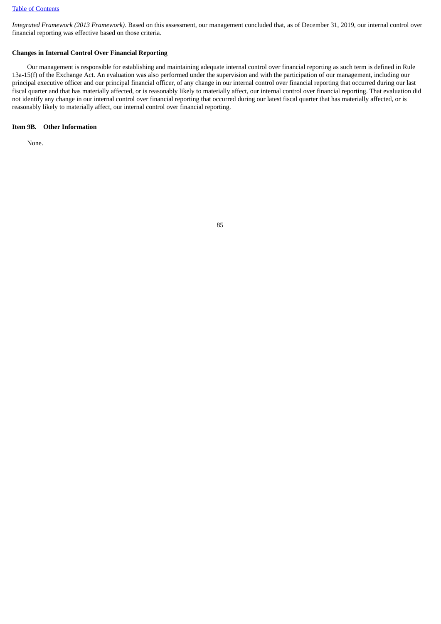*Integrated Framework (2013 Framework)*. Based on this assessment, our management concluded that, as of December 31, 2019, our internal control over financial reporting was effective based on those criteria.

# **Changes in Internal Control Over Financial Reporting**

Our management is responsible for establishing and maintaining adequate internal control over financial reporting as such term is defined in Rule 13a-15(f) of the Exchange Act. An evaluation was also performed under the supervision and with the participation of our management, including our principal executive officer and our principal financial officer, of any change in our internal control over financial reporting that occurred during our last fiscal quarter and that has materially affected, or is reasonably likely to materially affect, our internal control over financial reporting. That evaluation did not identify any change in our internal control over financial reporting that occurred during our latest fiscal quarter that has materially affected, or is reasonably likely to materially affect, our internal control over financial reporting.

# **Item 9B. Other Information**

None.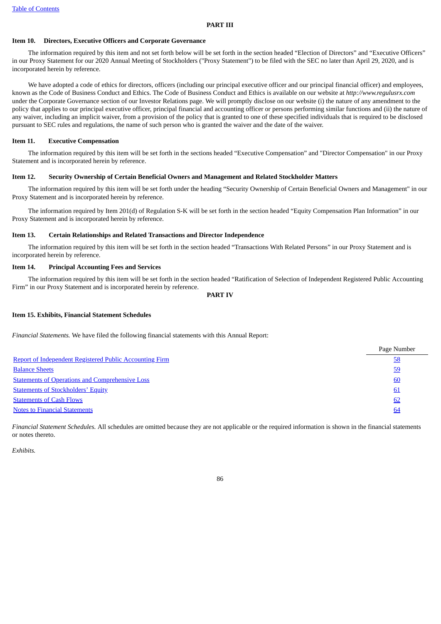#### **PART III**

#### **Item 10. Directors, Executive Officers and Corporate Governance**

The information required by this item and not set forth below will be set forth in the section headed "Election of Directors" and "Executive Officers" in our Proxy Statement for our 2020 Annual Meeting of Stockholders ("Proxy Statement") to be filed with the SEC no later than April 29, 2020, and is incorporated herein by reference.

We have adopted a code of ethics for directors, officers (including our principal executive officer and our principal financial officer) and employees, known as the Code of Business Conduct and Ethics. The Code of Business Conduct and Ethics is available on our website at *http://www.regulusrx.com* under the Corporate Governance section of our Investor Relations page. We will promptly disclose on our website (i) the nature of any amendment to the policy that applies to our principal executive officer, principal financial and accounting officer or persons performing similar functions and (ii) the nature of any waiver, including an implicit waiver, from a provision of the policy that is granted to one of these specified individuals that is required to be disclosed pursuant to SEC rules and regulations, the name of such person who is granted the waiver and the date of the waiver.

## **Item 11. Executive Compensation**

The information required by this item will be set forth in the sections headed "Executive Compensation" and "Director Compensation" in our Proxy Statement and is incorporated herein by reference.

## **Item 12. Security Ownership of Certain Beneficial Owners and Management and Related Stockholder Matters**

The information required by this item will be set forth under the heading "Security Ownership of Certain Beneficial Owners and Management" in our Proxy Statement and is incorporated herein by reference.

The information required by Item 201(d) of Regulation S-K will be set forth in the section headed "Equity Compensation Plan Information" in our Proxy Statement and is incorporated herein by reference.

## **Item 13. Certain Relationships and Related Transactions and Director Independence**

The information required by this item will be set forth in the section headed "Transactions With Related Persons" in our Proxy Statement and is incorporated herein by reference.

## **Item 14. Principal Accounting Fees and Services**

The information required by this item will be set forth in the section headed "Ratification of Selection of Independent Registered Public Accounting Firm" in our Proxy Statement and is incorporated herein by reference.

## **PART IV**

#### **Item 15. Exhibits, Financial Statement Schedules**

*Financial Statements.* We have filed the following financial statements with this Annual Report:

|                                                                | Page Number |
|----------------------------------------------------------------|-------------|
| <b>Report of Independent Registered Public Accounting Firm</b> | <u>58</u>   |
| <b>Balance Sheets</b>                                          | <u>59</u>   |
| <b>Statements of Operations and Comprehensive Loss</b>         | <u>60</u>   |
| <b>Statements of Stockholders' Equity</b>                      | <u>61</u>   |
| <b>Statements of Cash Flows</b>                                | 62          |
| <b>Notes to Financial Statements</b>                           | 64          |

*Financial Statement Schedules.* All schedules are omitted because they are not applicable or the required information is shown in the financial statements or notes thereto.

*Exhibits.*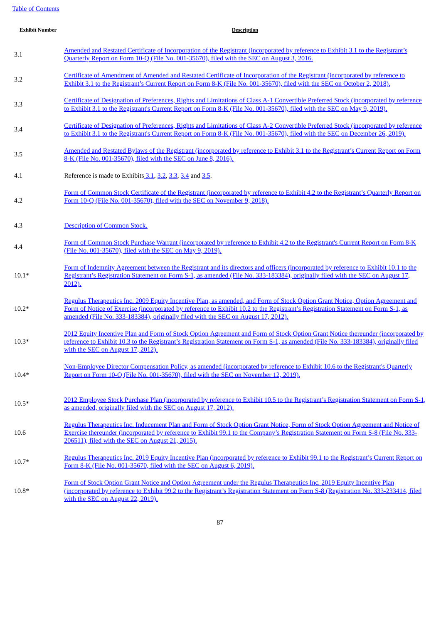|--|

| <b>Exhibit Number</b> | <b>Description</b>                                                                                                                                                                                                                                                                                                                                     |
|-----------------------|--------------------------------------------------------------------------------------------------------------------------------------------------------------------------------------------------------------------------------------------------------------------------------------------------------------------------------------------------------|
| 3.1                   | Amended and Restated Certificate of Incorporation of the Registrant (incorporated by reference to Exhibit 3.1 to the Registrant's<br>Quarterly Report on Form 10-Q (File No. 001-35670), filed with the SEC on August 3, 2016.                                                                                                                         |
| 3.2                   | Certificate of Amendment of Amended and Restated Certificate of Incorporation of the Registrant (incorporated by reference to<br>Exhibit 3.1 to the Registrant's Current Report on Form 8-K (File No. 001-35670), filed with the SEC on October 2, 2018).                                                                                              |
| 3.3                   | Certificate of Designation of Preferences, Rights and Limitations of Class A-1 Convertible Preferred Stock (incorporated by reference<br>to Exhibit 3.1 to the Registrant's Current Report on Form 8-K (File No. 001-35670), filed with the SEC on May 9, 2019).                                                                                       |
| 3.4                   | Certificate of Designation of Preferences, Rights and Limitations of Class A-2 Convertible Preferred Stock (incorporated by reference<br>to Exhibit 3.1 to the Registrant's Current Report on Form 8-K (File No. 001-35670), filed with the SEC on December 26, 2019).                                                                                 |
| 3.5                   | Amended and Restated Bylaws of the Registrant (incorporated by reference to Exhibit 3.1 to the Registrant's Current Report on Form<br>8-K (File No. 001-35670), filed with the SEC on June 8, 2016).                                                                                                                                                   |
| 4.1                   | Reference is made to Exhibits 3.1, 3.2, 3.3, 3.4 and 3.5.                                                                                                                                                                                                                                                                                              |
| 4.2                   | Form of Common Stock Certificate of the Registrant (incorporated by reference to Exhibit 4.2 to the Registrant's Quarterly Report on<br>Form 10-Q (File No. 001-35670), filed with the SEC on November 9, 2018).                                                                                                                                       |
| 4.3                   | <b>Description of Common Stock.</b>                                                                                                                                                                                                                                                                                                                    |
| 4.4                   | Form of Common Stock Purchase Warrant (incorporated by reference to Exhibit 4.2 to the Registrant's Current Report on Form 8-K<br>(File No. 001-35670), filed with the SEC on May 9, 2019).                                                                                                                                                            |
| $10.1*$               | Form of Indemnity Agreement between the Registrant and its directors and officers (incorporated by reference to Exhibit 10.1 to the<br>Registrant's Registration Statement on Form S-1, as amended (File No. 333-183384), originally filed with the SEC on August 17,<br>2012).                                                                        |
| $10.2*$               | Regulus Therapeutics Inc. 2009 Equity Incentive Plan, as amended, and Form of Stock Option Grant Notice, Option Agreement and<br>Form of Notice of Exercise (incorporated by reference to Exhibit 10.2 to the Registrant's Registration Statement on Form S-1, as<br>amended (File No. 333-183384), originally filed with the SEC on August 17, 2012). |
| $10.3*$               | 2012 Equity Incentive Plan and Form of Stock Option Agreement and Form of Stock Option Grant Notice thereunder (incorporated by<br>reference to Exhibit 10.3 to the Registrant's Registration Statement on Form S-1, as amended (File No. 333-183384), originally filed<br>with the SEC on August 17, 2012).                                           |
| $10.4*$               | Non-Employee Director Compensation Policy, as amended (incorporated by reference to Exhibit 10.6 to the Registrant's Quarterly<br>Report on Form 10-Q (File No. 001-35670), filed with the SEC on November 12, 2019).                                                                                                                                  |
| $10.5*$               | 2012 Employee Stock Purchase Plan (incorporated by reference to Exhibit 10.5 to the Registrant's Registration Statement on Form S-1,<br>as amended, originally filed with the SEC on August 17, 2012).                                                                                                                                                 |
| 10.6                  | Regulus Therapeutics Inc. Inducement Plan and Form of Stock Option Grant Notice, Form of Stock Option Agreement and Notice of<br>Exercise thereunder (incorporated by reference to Exhibit 99.1 to the Company's Registration Statement on Form S-8 (File No. 333-<br>206511), filed with the SEC on August 21, 2015).                                 |
| $10.7*$               | Regulus Therapeutics Inc. 2019 Equity Incentive Plan (incorporated by reference to Exhibit 99.1 to the Registrant's Current Report on<br>Form 8-K (File No. 001-35670, filed with the SEC on August 6, 2019).                                                                                                                                          |
| $10.8*$               | Form of Stock Option Grant Notice and Option Agreement under the Regulus Therapeutics Inc. 2019 Equity Incentive Plan<br>(incorporated by reference to Exhibit 99.2 to the Registrant's Registration Statement on Form S-8 (Registration No. 333-233414, filed<br>with the SEC on August 22, 2019).                                                    |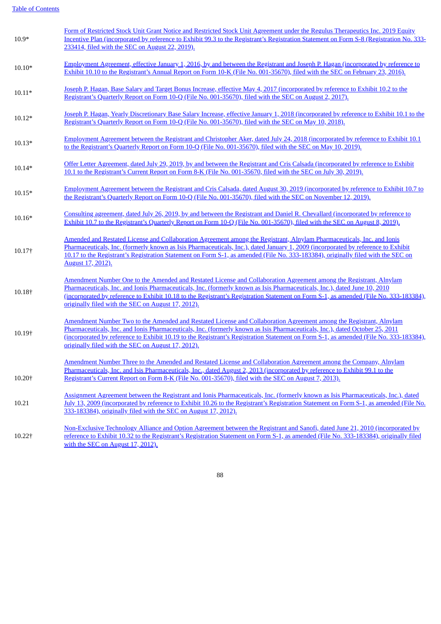# Table of [Contents](#page-2-0)

| $10.9*$  | Form of Restricted Stock Unit Grant Notice and Restricted Stock Unit Agreement under the Regulus Therapeutics Inc. 2019 Equity<br>Incentive Plan (incorporated by reference to Exhibit 99.3 to the Registrant's Registration Statement on Form S-8 (Registration No. 333-<br>233414, filed with the SEC on August 22, 2019).                                                                                                                      |
|----------|---------------------------------------------------------------------------------------------------------------------------------------------------------------------------------------------------------------------------------------------------------------------------------------------------------------------------------------------------------------------------------------------------------------------------------------------------|
| $10.10*$ | Employment Agreement, effective January 1, 2016, by and between the Registrant and Joseph P. Hagan (incorporated by reference to<br>Exhibit 10.10 to the Registrant's Annual Report on Form 10-K (File No. 001-35670), filed with the SEC on February 23, 2016).                                                                                                                                                                                  |
| $10.11*$ | Joseph P. Hagan, Base Salary and Target Bonus Increase, effective May 4, 2017 (incorporated by reference to Exhibit 10.2 to the<br>Registrant's Quarterly Report on Form 10-Q (File No. 001-35670), filed with the SEC on August 2, 2017).                                                                                                                                                                                                        |
| $10.12*$ | Joseph P. Hagan, Yearly Discretionary Base Salary Increase, effective January 1, 2018 (incorporated by reference to Exhibit 10.1 to the<br>Registrant's Quarterly Report on Form 10-Q (File No. 001-35670), filed with the SEC on May 10, 2018).                                                                                                                                                                                                  |
| $10.13*$ | Employment Agreement between the Registrant and Christopher Aker, dated July 24, 2018 (incorporated by reference to Exhibit 10.1<br>to the Registrant's Quarterly Report on Form 10-Q (File No. 001-35670), filed with the SEC on May 10, 2019).                                                                                                                                                                                                  |
| $10.14*$ | Offer Letter Agreement, dated July 29, 2019, by and between the Registrant and Cris Calsada (incorporated by reference to Exhibit<br>10.1 to the Registrant's Current Report on Form 8-K (File No. 001-35670, filed with the SEC on July 30, 2019).                                                                                                                                                                                               |
| $10.15*$ | Employment Agreement between the Registrant and Cris Calsada, dated August 30, 2019 (incorporated by reference to Exhibit 10.7 to<br>the Registrant's Quarterly Report on Form 10-Q (File No. 001-35670), filed with the SEC on November 12, 2019).                                                                                                                                                                                               |
| $10.16*$ | Consulting agreement, dated July 26, 2019, by and between the Registrant and Daniel R. Chevallard (incorporated by reference to<br>Exhibit 10.7 to the Registrant's Quarterly Report on Form 10-Q (File No. 001-35670), filed with the SEC on August 8, 2019).                                                                                                                                                                                    |
| 10.17†   | Amended and Restated License and Collaboration Agreement among the Registrant, Alnylam Pharmaceuticals, Inc. and Ionis<br>Pharmaceuticals, Inc. (formerly known as Isis Pharmaceuticals, Inc.), dated January 1, 2009 (incorporated by reference to Exhibit<br>10.17 to the Registrant's Registration Statement on Form S-1, as amended (File No. 333-183384), originally filed with the SEC on<br>August 17, 2012).                              |
| 10.18+   | Amendment Number One to the Amended and Restated License and Collaboration Agreement among the Registrant, Alnylam<br>Pharmaceuticals, Inc. and Ionis Pharmaceuticals, Inc. (formerly known as Isis Pharmaceuticals, Inc.), dated June 10, 2010<br>(incorporated by reference to Exhibit 10.18 to the Registrant's Registration Statement on Form S-1, as amended (File No. 333-183384),<br>originally filed with the SEC on August 17, 2012).    |
| 10.19†   | Amendment Number Two to the Amended and Restated License and Collaboration Agreement among the Registrant, Alnylam<br>Pharmaceuticals, Inc. and Ionis Pharmaceuticals, Inc. (formerly known as Isis Pharmaceuticals, Inc.), dated October 25, 2011<br>(incorporated by reference to Exhibit 10.19 to the Registrant's Registration Statement on Form S-1, as amended (File No. 333-183384),<br>originally filed with the SEC on August 17, 2012). |
| 10.20†   | Amendment Number Three to the Amended and Restated License and Collaboration Agreement among the Company, Alnylam<br>Pharmaceuticals, Inc. and Isis Pharmaceuticals, Inc., dated August 2, 2013 (incorporated by reference to Exhibit 99.1 to the<br>Registrant's Current Report on Form 8-K (File No. 001-35670), filed with the SEC on August 7, 2013).                                                                                         |
| 10.21    | Assignment Agreement between the Registrant and Ionis Pharmaceuticals, Inc. (formerly known as Isis Pharmaceuticals, Inc.), dated<br>July 13, 2009 (incorporated by reference to Exhibit 10.26 to the Registrant's Registration Statement on Form S-1, as amended (File No.<br>333-183384), originally filed with the SEC on August 17, 2012).                                                                                                    |
| 10.22†   | Non-Exclusive Technology Alliance and Option Agreement between the Registrant and Sanofi, dated June 21, 2010 (incorporated by<br>reference to Exhibit 10.32 to the Registrant's Registration Statement on Form S-1, as amended (File No. 333-183384), originally filed<br>with the SEC on August 17, 2012).                                                                                                                                      |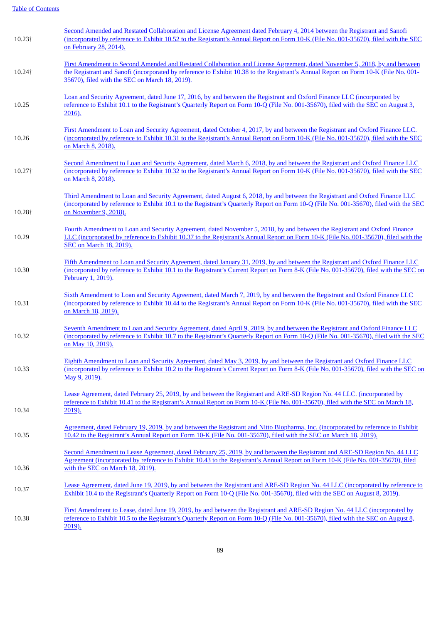# Table of [Contents](#page-2-0)

| 10.23† | Second Amended and Restated Collaboration and License Agreement dated February 4, 2014 between the Registrant and Sanofi<br>(incorporated by reference to Exhibit 10.52 to the Registrant's Annual Report on Form 10-K (File No. 001-35670), filed with the SEC<br>on February 28, 2014).                           |
|--------|---------------------------------------------------------------------------------------------------------------------------------------------------------------------------------------------------------------------------------------------------------------------------------------------------------------------|
| 10.24† | First Amendment to Second Amended and Restated Collaboration and License Agreement, dated November 5, 2018, by and between<br>the Registrant and Sanofi (incorporated by reference to Exhibit 10.38 to the Registrant's Annual Report on Form 10-K (File No. 001-<br>35670), filed with the SEC on March 18, 2019). |
| 10.25  | Loan and Security Agreement, dated June 17, 2016, by and between the Registrant and Oxford Finance LLC (incorporated by<br>reference to Exhibit 10.1 to the Registrant's Quarterly Report on Form 10-Q (File No. 001-35670), filed with the SEC on August 3,<br>2016).                                              |
| 10.26  | First Amendment to Loan and Security Agreement, dated October 4, 2017, by and between the Registrant and Oxford Finance LLC.<br>(incorporated by reference to Exhibit 10.31 to the Registrant's Annual Report on Form 10-K (File No. 001-35670), filed with the SEC<br>on March 8, 2018).                           |
| 10.27† | Second Amendment to Loan and Security Agreement, dated March 6, 2018, by and between the Registrant and Oxford Finance LLC<br>(incorporated by reference to Exhibit 10.32 to the Registrant's Annual Report on Form 10-K (File No. 001-35670), filed with the SEC<br>on March 8, 2018).                             |
| 10.28+ | Third Amendment to Loan and Security Agreement, dated August 6, 2018, by and between the Registrant and Oxford Finance LLC<br>(incorporated by reference to Exhibit 10.1 to the Registrant's Quarterly Report on Form 10-Q (File No. 001-35670), filed with the SEC<br>on November 9, 2018).                        |
| 10.29  | Fourth Amendment to Loan and Security Agreement, dated November 5, 2018, by and between the Registrant and Oxford Finance<br>LLC (incorporated by reference to Exhibit 10.37 to the Registrant's Annual Report on Form 10-K (File No. 001-35670), filed with the<br><b>SEC on March 18, 2019).</b>                  |
| 10.30  | Fifth Amendment to Loan and Security Agreement, dated January 31, 2019, by and between the Registrant and Oxford Finance LLC<br>(incorporated by reference to Exhibit 10.1 to the Registrant's Current Report on Form 8-K (File No. 001-35670), filed with the SEC on<br>February 1, 2019).                         |
| 10.31  | Sixth Amendment to Loan and Security Agreement, dated March 7, 2019, by and between the Registrant and Oxford Finance LLC<br>(incorporated by reference to Exhibit 10.44 to the Registrant's Annual Report on Form 10-K (File No. 001-35670), filed with the SEC<br>on March 18, 2019).                             |
| 10.32  | Seventh Amendment to Loan and Security Agreement, dated April 9, 2019, by and between the Registrant and Oxford Finance LLC<br>(incorporated by reference to Exhibit 10.7 to the Registrant's Quarterly Report on Form 10-Q (File No. 001-35670), filed with the SEC<br>on May 10, 2019).                           |
| 10.33  | Eighth Amendment to Loan and Security Agreement, dated May 3, 2019, by and between the Registrant and Oxford Finance LLC<br>(incorporated by reference to Exhibit 10.2 to the Registrant's Current Report on Form 8-K (File No. 001-35670), filed with the SEC on<br>May 9, 2019).                                  |
| 10.34  | Lease Agreement, dated February 25, 2019, by and between the Registrant and ARE-SD Region No. 44 LLC. (incorporated by<br>reference to Exhibit 10.41 to the Registrant's Annual Report on Form 10-K (File No. 001-35670), filed with the SEC on March 18,<br><u>2019).</u>                                          |
| 10.35  | Agreement, dated February 19, 2019, by and between the Registrant and Nitto Biopharma, Inc. (incorporated by reference to Exhibit<br>10.42 to the Registrant's Annual Report on Form 10-K (File No. 001-35670), filed with the SEC on March 18, 2019).                                                              |
| 10.36  | Second Amendment to Lease Agreement, dated February 25, 2019, by and between the Registrant and ARE-SD Region No. 44 LLC<br>Agreement (incorporated by reference to Exhibit 10.43 to the Registrant's Annual Report on Form 10-K (File No. 001-35670), filed<br>with the SEC on March 18, 2019).                    |
| 10.37  | Lease Agreement, dated June 19, 2019, by and between the Registrant and ARE-SD Region No. 44 LLC (incorporated by reference to<br>Exhibit 10.4 to the Registrant's Quarterly Report on Form 10-Q (File No. 001-35670), filed with the SEC on August 8, 2019).                                                       |
| 10.38  | First Amendment to Lease, dated June 19, 2019, by and between the Registrant and ARE-SD Region No. 44 LLC (incorporated by<br>reference to Exhibit 10.5 to the Registrant's Quarterly Report on Form 10-Q (File No. 001-35670), filed with the SEC on August 8,<br>2019).                                           |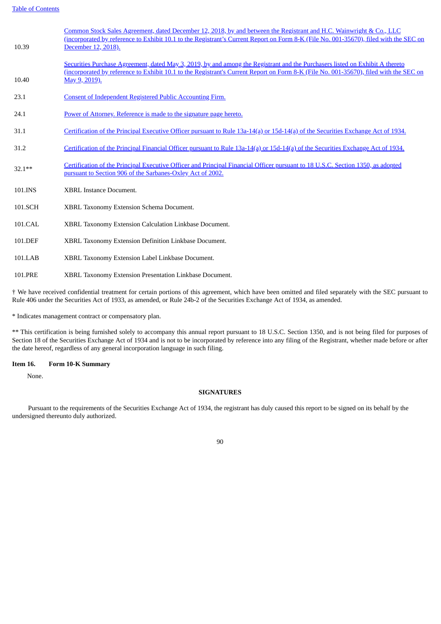| 10.39     | Common Stock Sales Agreement, dated December 12, 2018, by and between the Registrant and H.C. Wainwright & Co., LLC<br>(incorporated by reference to Exhibit 10.1 to the Registrant's Current Report on Form 8-K (File No. 001-35670), filed with the SEC on<br>December 12, 2018).    |
|-----------|----------------------------------------------------------------------------------------------------------------------------------------------------------------------------------------------------------------------------------------------------------------------------------------|
| 10.40     | Securities Purchase Agreement, dated May 3, 2019, by and among the Registrant and the Purchasers listed on Exhibit A thereto<br>(incorporated by reference to Exhibit 10.1 to the Registrant's Current Report on Form 8-K (File No. 001-35670), filed with the SEC on<br>May 9, 2019). |
| 23.1      | Consent of Independent Registered Public Accounting Firm.                                                                                                                                                                                                                              |
| 24.1      | Power of Attorney. Reference is made to the signature page hereto.                                                                                                                                                                                                                     |
| 31.1      | Certification of the Principal Executive Officer pursuant to Rule 13a-14(a) or 15d-14(a) of the Securities Exchange Act of 1934.                                                                                                                                                       |
| 31.2      | Certification of the Principal Financial Officer pursuant to Rule 13a-14(a) or 15d-14(a) of the Securities Exchange Act of 1934.                                                                                                                                                       |
| $32.1***$ | Certification of the Principal Executive Officer and Principal Financial Officer pursuant to 18 U.S.C. Section 1350, as adopted<br>pursuant to Section 906 of the Sarbanes-Oxley Act of 2002.                                                                                          |
| 101.INS   | <b>XBRL Instance Document.</b>                                                                                                                                                                                                                                                         |
| 101.SCH   | XBRL Taxonomy Extension Schema Document.                                                                                                                                                                                                                                               |
| 101.CAL   | XBRL Taxonomy Extension Calculation Linkbase Document.                                                                                                                                                                                                                                 |
| 101.DEF   | XBRL Taxonomy Extension Definition Linkbase Document.                                                                                                                                                                                                                                  |
| 101.LAB   | XBRL Taxonomy Extension Label Linkbase Document.                                                                                                                                                                                                                                       |
| 101.PRE   | XBRL Taxonomy Extension Presentation Linkbase Document.                                                                                                                                                                                                                                |
|           | † We have received confidential treatment for certain portions of this agreement, which have been omitted and filed separately with the SEC pursuant to<br>Rule 406 under the Securities Act of 1933, as amended, or Rule 24b-2 of the Securities Exchange Act of 1934, as amended.    |

\* Indicates management contract or compensatory plan.

\*\* This certification is being furnished solely to accompany this annual report pursuant to 18 U.S.C. Section 1350, and is not being filed for purposes of Section 18 of the Securities Exchange Act of 1934 and is not to be incorporated by reference into any filing of the Registrant, whether made before or after the date hereof, regardless of any general incorporation language in such filing.

## **Item 16. Form 10-K Summary**

<span id="page-90-0"></span>None.

# **SIGNATURES**

Pursuant to the requirements of the Securities Exchange Act of 1934, the registrant has duly caused this report to be signed on its behalf by the undersigned thereunto duly authorized.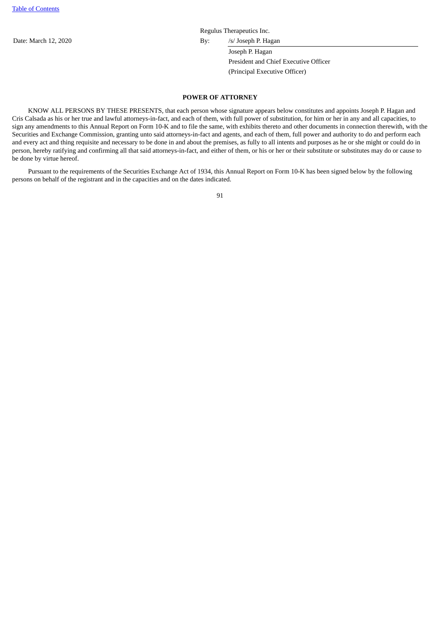Date: March 12, 2020 By: /s/ Joseph P. Hagan

Regulus Therapeutics Inc.

Joseph P. Hagan President and Chief Executive Officer (Principal Executive Officer)

## **POWER OF ATTORNEY**

KNOW ALL PERSONS BY THESE PRESENTS, that each person whose signature appears below constitutes and appoints Joseph P. Hagan and Cris Calsada as his or her true and lawful attorneys-in-fact, and each of them, with full power of substitution, for him or her in any and all capacities, to sign any amendments to this Annual Report on Form 10-K and to file the same, with exhibits thereto and other documents in connection therewith, with the Securities and Exchange Commission, granting unto said attorneys-in-fact and agents, and each of them, full power and authority to do and perform each and every act and thing requisite and necessary to be done in and about the premises, as fully to all intents and purposes as he or she might or could do in person, hereby ratifying and confirming all that said attorneys-in-fact, and either of them, or his or her or their substitute or substitutes may do or cause to be done by virtue hereof.

Pursuant to the requirements of the Securities Exchange Act of 1934, this Annual Report on Form 10-K has been signed below by the following persons on behalf of the registrant and in the capacities and on the dates indicated.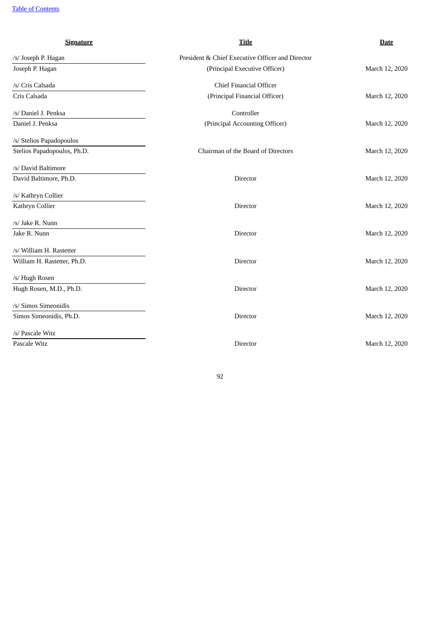| <b>Signature</b>            | <b>Title</b>                                     | <b>Date</b>    |
|-----------------------------|--------------------------------------------------|----------------|
| /s/ Joseph P. Hagan         | President & Chief Executive Officer and Director |                |
| Joseph P. Hagan             | (Principal Executive Officer)                    | March 12, 2020 |
| /s/ Cris Calsada            | <b>Chief Financial Officer</b>                   |                |
| Cris Calsada                | (Principal Financial Officer)                    | March 12, 2020 |
| /s/ Daniel J. Penksa        | Controller                                       |                |
| Daniel J. Penksa            | (Principal Accounting Officer)                   | March 12, 2020 |
| /s/ Stelios Papadopoulos    |                                                  |                |
| Stelios Papadopoulos, Ph.D. | Chairman of the Board of Directors               | March 12, 2020 |
| /s/ David Baltimore         |                                                  |                |
| David Baltimore, Ph.D.      | Director                                         | March 12, 2020 |
| /s/ Kathryn Collier         |                                                  |                |
| Kathryn Collier             | <b>Director</b>                                  | March 12, 2020 |
| /s/ Jake R. Nunn            |                                                  |                |
| Jake R. Nunn                | Director                                         | March 12, 2020 |
| /s/ William H. Rastetter    |                                                  |                |
| William H. Rastetter, Ph.D. | <b>Director</b>                                  | March 12, 2020 |
| /s/ Hugh Rosen              |                                                  |                |
| Hugh Rosen, M.D., Ph.D.     | Director                                         | March 12, 2020 |
| /s/ Simos Simeonidis        |                                                  |                |
| Simos Simeonidis, Ph.D.     | Director                                         | March 12, 2020 |
| /s/ Pascale Witz            |                                                  |                |
| Pascale Witz                | Director                                         | March 12, 2020 |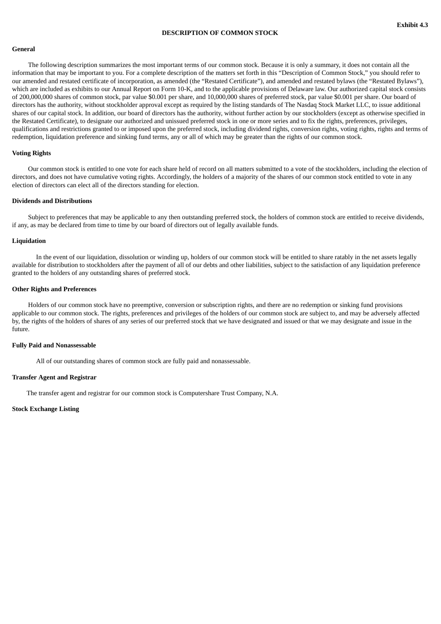#### **DESCRIPTION OF COMMON STOCK**

#### <span id="page-93-0"></span>**General**

The following description summarizes the most important terms of our common stock. Because it is only a summary, it does not contain all the information that may be important to you. For a complete description of the matters set forth in this "Description of Common Stock," you should refer to our amended and restated certificate of incorporation, as amended (the "Restated Certificate"), and amended and restated bylaws (the "Restated Bylaws"), which are included as exhibits to our Annual Report on Form 10-K, and to the applicable provisions of Delaware law. Our authorized capital stock consists of 200,000,000 shares of common stock, par value \$0.001 per share, and 10,000,000 shares of preferred stock, par value \$0.001 per share. Our board of directors has the authority, without stockholder approval except as required by the listing standards of The Nasdaq Stock Market LLC, to issue additional shares of our capital stock. In addition, our board of directors has the authority, without further action by our stockholders (except as otherwise specified in the Restated Certificate), to designate our authorized and unissued preferred stock in one or more series and to fix the rights, preferences, privileges, qualifications and restrictions granted to or imposed upon the preferred stock, including dividend rights, conversion rights, voting rights, rights and terms of redemption, liquidation preference and sinking fund terms, any or all of which may be greater than the rights of our common stock.

# **Voting Rights**

Our common stock is entitled to one vote for each share held of record on all matters submitted to a vote of the stockholders, including the election of directors, and does not have cumulative voting rights. Accordingly, the holders of a majority of the shares of our common stock entitled to vote in any election of directors can elect all of the directors standing for election.

#### **Dividends and Distributions**

Subject to preferences that may be applicable to any then outstanding preferred stock, the holders of common stock are entitled to receive dividends, if any, as may be declared from time to time by our board of directors out of legally available funds.

#### **Liquidation**

In the event of our liquidation, dissolution or winding up, holders of our common stock will be entitled to share ratably in the net assets legally available for distribution to stockholders after the payment of all of our debts and other liabilities, subject to the satisfaction of any liquidation preference granted to the holders of any outstanding shares of preferred stock.

## **Other Rights and Preferences**

Holders of our common stock have no preemptive, conversion or subscription rights, and there are no redemption or sinking fund provisions applicable to our common stock. The rights, preferences and privileges of the holders of our common stock are subject to, and may be adversely affected by, the rights of the holders of shares of any series of our preferred stock that we have designated and issued or that we may designate and issue in the future.

#### **Fully Paid and Nonassessable**

All of our outstanding shares of common stock are fully paid and nonassessable.

### **Transfer Agent and Registrar**

The transfer agent and registrar for our common stock is Computershare Trust Company, N.A.

## **Stock Exchange Listing**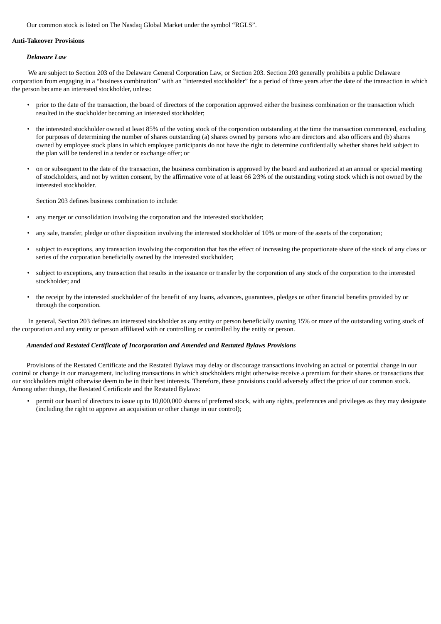Our common stock is listed on The Nasdaq Global Market under the symbol "RGLS".

## **Anti-Takeover Provisions**

## *Delaware Law*

We are subject to Section 203 of the Delaware General Corporation Law, or Section 203. Section 203 generally prohibits a public Delaware corporation from engaging in a "business combination" with an "interested stockholder" for a period of three years after the date of the transaction in which the person became an interested stockholder, unless:

- prior to the date of the transaction, the board of directors of the corporation approved either the business combination or the transaction which resulted in the stockholder becoming an interested stockholder;
- the interested stockholder owned at least 85% of the voting stock of the corporation outstanding at the time the transaction commenced, excluding for purposes of determining the number of shares outstanding (a) shares owned by persons who are directors and also officers and (b) shares owned by employee stock plans in which employee participants do not have the right to determine confidentially whether shares held subject to the plan will be tendered in a tender or exchange offer; or
- on or subsequent to the date of the transaction, the business combination is approved by the board and authorized at an annual or special meeting of stockholders, and not by written consent, by the affirmative vote of at least 66 2⁄3% of the outstanding voting stock which is not owned by the interested stockholder.

Section 203 defines business combination to include:

- any merger or consolidation involving the corporation and the interested stockholder;
- any sale, transfer, pledge or other disposition involving the interested stockholder of 10% or more of the assets of the corporation;
- subject to exceptions, any transaction involving the corporation that has the effect of increasing the proportionate share of the stock of any class or series of the corporation beneficially owned by the interested stockholder;
- subject to exceptions, any transaction that results in the issuance or transfer by the corporation of any stock of the corporation to the interested stockholder; and
- the receipt by the interested stockholder of the benefit of any loans, advances, guarantees, pledges or other financial benefits provided by or through the corporation.

In general, Section 203 defines an interested stockholder as any entity or person beneficially owning 15% or more of the outstanding voting stock of the corporation and any entity or person affiliated with or controlling or controlled by the entity or person.

#### *Amended and Restated Certificate of Incorporation and Amended and Restated Bylaws Provisions*

Provisions of the Restated Certificate and the Restated Bylaws may delay or discourage transactions involving an actual or potential change in our control or change in our management, including transactions in which stockholders might otherwise receive a premium for their shares or transactions that our stockholders might otherwise deem to be in their best interests. Therefore, these provisions could adversely affect the price of our common stock. Among other things, the Restated Certificate and the Restated Bylaws:

• permit our board of directors to issue up to 10,000,000 shares of preferred stock, with any rights, preferences and privileges as they may designate (including the right to approve an acquisition or other change in our control);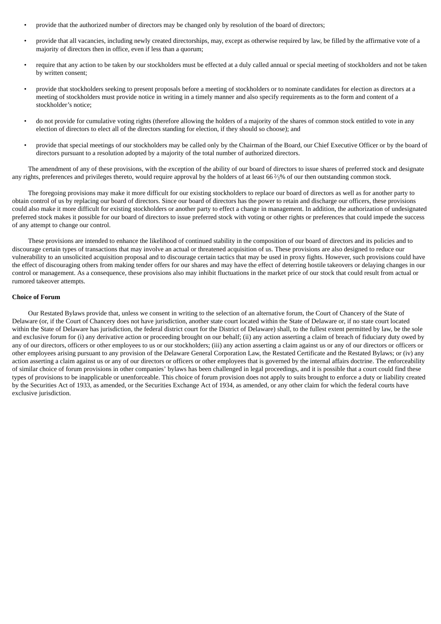- provide that the authorized number of directors may be changed only by resolution of the board of directors;
- provide that all vacancies, including newly created directorships, may, except as otherwise required by law, be filled by the affirmative vote of a majority of directors then in office, even if less than a quorum;
- require that any action to be taken by our stockholders must be effected at a duly called annual or special meeting of stockholders and not be taken by written consent;
- provide that stockholders seeking to present proposals before a meeting of stockholders or to nominate candidates for election as directors at a meeting of stockholders must provide notice in writing in a timely manner and also specify requirements as to the form and content of a stockholder's notice;
- do not provide for cumulative voting rights (therefore allowing the holders of a majority of the shares of common stock entitled to vote in any election of directors to elect all of the directors standing for election, if they should so choose); and
- provide that special meetings of our stockholders may be called only by the Chairman of the Board, our Chief Executive Officer or by the board of directors pursuant to a resolution adopted by a majority of the total number of authorized directors.

The amendment of any of these provisions, with the exception of the ability of our board of directors to issue shares of preferred stock and designate any rights, preferences and privileges thereto, would require approval by the holders of at least  $66\frac{2}{3}\%$  of our then outstanding common stock.

The foregoing provisions may make it more difficult for our existing stockholders to replace our board of directors as well as for another party to obtain control of us by replacing our board of directors. Since our board of directors has the power to retain and discharge our officers, these provisions could also make it more difficult for existing stockholders or another party to effect a change in management. In addition, the authorization of undesignated preferred stock makes it possible for our board of directors to issue preferred stock with voting or other rights or preferences that could impede the success of any attempt to change our control.

These provisions are intended to enhance the likelihood of continued stability in the composition of our board of directors and its policies and to discourage certain types of transactions that may involve an actual or threatened acquisition of us. These provisions are also designed to reduce our vulnerability to an unsolicited acquisition proposal and to discourage certain tactics that may be used in proxy fights. However, such provisions could have the effect of discouraging others from making tender offers for our shares and may have the effect of deterring hostile takeovers or delaying changes in our control or management. As a consequence, these provisions also may inhibit fluctuations in the market price of our stock that could result from actual or rumored takeover attempts.

## **Choice of Forum**

Our Restated Bylaws provide that, unless we consent in writing to the selection of an alternative forum, the Court of Chancery of the State of Delaware (or, if the Court of Chancery does not have jurisdiction, another state court located within the State of Delaware or, if no state court located within the State of Delaware has jurisdiction, the federal district court for the District of Delaware) shall, to the fullest extent permitted by law, be the sole and exclusive forum for (i) any derivative action or proceeding brought on our behalf; (ii) any action asserting a claim of breach of fiduciary duty owed by any of our directors, officers or other employees to us or our stockholders; (iii) any action asserting a claim against us or any of our directors or officers or other employees arising pursuant to any provision of the Delaware General Corporation Law, the Restated Certificate and the Restated Bylaws; or (iv) any action asserting a claim against us or any of our directors or officers or other employees that is governed by the internal affairs doctrine. The enforceability of similar choice of forum provisions in other companies' bylaws has been challenged in legal proceedings, and it is possible that a court could find these types of provisions to be inapplicable or unenforceable. This choice of forum provision does not apply to suits brought to enforce a duty or liability created by the Securities Act of 1933, as amended, or the Securities Exchange Act of 1934, as amended, or any other claim for which the federal courts have exclusive jurisdiction.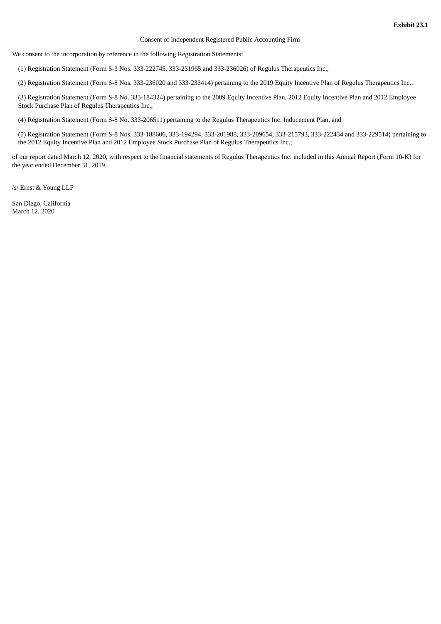## Consent of Independent Registered Public Accounting Firm

<span id="page-96-0"></span>We consent to the incorporation by reference in the following Registration Statements:

(1) Registration Statement (Form S-3 Nos. 333-222745, 333-231965 and 333-236026) of Regulus Therapeutics Inc.,

(2) Registration Statement (Form S-8 Nos. 333-236020 and 333-233414) pertaining to the 2019 Equity Incentive Plan of Regulus Therapeutics Inc.,

(3) Registration Statement (Form S-8 No. 333-184324) pertaining to the 2009 Equity Incentive Plan, 2012 Equity Incentive Plan and 2012 Employee Stock Purchase Plan of Regulus Therapeutics Inc.,

(4) Registration Statement (Form S-8 No. 333-206511) pertaining to the Regulus Therapeutics Inc. Inducement Plan, and

(5) Registration Statement (Form S-8 Nos. 333-188606, 333-194294, 333-201988, 333-209654, 333-215793, 333-222434 and 333-229514) pertaining to the 2012 Equity Incentive Plan and 2012 Employee Stock Purchase Plan of Regulus Therapeutics Inc.;

of our report dated March 12, 2020, with respect to the financial statements of Regulus Therapeutics Inc. included in this Annual Report (Form 10-K) for the year ended December 31, 2019.

/s/ Ernst & Young LLP

San Diego, California March 12, 2020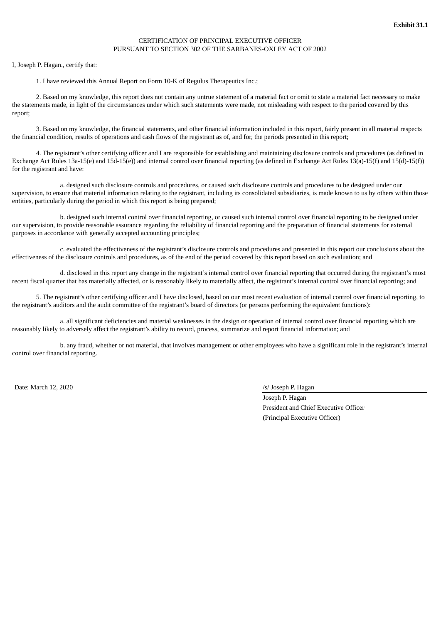# CERTIFICATION OF PRINCIPAL EXECUTIVE OFFICER PURSUANT TO SECTION 302 OF THE SARBANES-OXLEY ACT OF 2002

<span id="page-97-0"></span>I, Joseph P. Hagan., certify that:

1. I have reviewed this Annual Report on Form 10-K of Regulus Therapeutics Inc.;

2. Based on my knowledge, this report does not contain any untrue statement of a material fact or omit to state a material fact necessary to make the statements made, in light of the circumstances under which such statements were made, not misleading with respect to the period covered by this report;

3. Based on my knowledge, the financial statements, and other financial information included in this report, fairly present in all material respects the financial condition, results of operations and cash flows of the registrant as of, and for, the periods presented in this report;

4. The registrant's other certifying officer and I are responsible for establishing and maintaining disclosure controls and procedures (as defined in Exchange Act Rules 13a-15(e) and 15d-15(e)) and internal control over financial reporting (as defined in Exchange Act Rules 13(a)-15(f) and 15(d)-15(f)) for the registrant and have:

a. designed such disclosure controls and procedures, or caused such disclosure controls and procedures to be designed under our supervision, to ensure that material information relating to the registrant, including its consolidated subsidiaries, is made known to us by others within those entities, particularly during the period in which this report is being prepared;

b. designed such internal control over financial reporting, or caused such internal control over financial reporting to be designed under our supervision, to provide reasonable assurance regarding the reliability of financial reporting and the preparation of financial statements for external purposes in accordance with generally accepted accounting principles;

c. evaluated the effectiveness of the registrant's disclosure controls and procedures and presented in this report our conclusions about the effectiveness of the disclosure controls and procedures, as of the end of the period covered by this report based on such evaluation; and

d. disclosed in this report any change in the registrant's internal control over financial reporting that occurred during the registrant's most recent fiscal quarter that has materially affected, or is reasonably likely to materially affect, the registrant's internal control over financial reporting; and

5. The registrant's other certifying officer and I have disclosed, based on our most recent evaluation of internal control over financial reporting, to the registrant's auditors and the audit committee of the registrant's board of directors (or persons performing the equivalent functions):

a. all significant deficiencies and material weaknesses in the design or operation of internal control over financial reporting which are reasonably likely to adversely affect the registrant's ability to record, process, summarize and report financial information; and

b. any fraud, whether or not material, that involves management or other employees who have a significant role in the registrant's internal control over financial reporting.

Date: March 12, 2020 */s/ Joseph P. Hagan* 

Joseph P. Hagan President and Chief Executive Officer (Principal Executive Officer)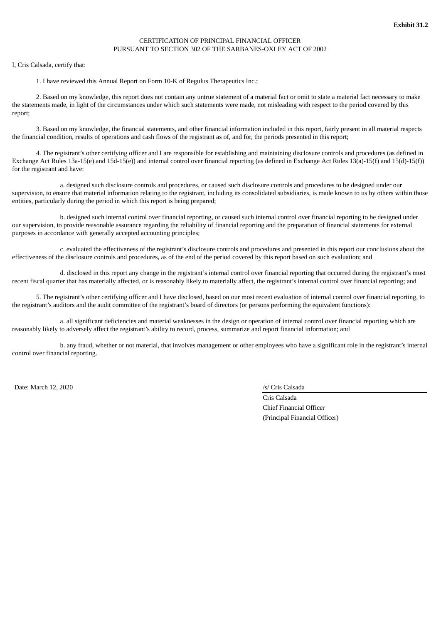# CERTIFICATION OF PRINCIPAL FINANCIAL OFFICER PURSUANT TO SECTION 302 OF THE SARBANES-OXLEY ACT OF 2002

<span id="page-98-0"></span>I, Cris Calsada, certify that:

1. I have reviewed this Annual Report on Form 10-K of Regulus Therapeutics Inc.;

2. Based on my knowledge, this report does not contain any untrue statement of a material fact or omit to state a material fact necessary to make the statements made, in light of the circumstances under which such statements were made, not misleading with respect to the period covered by this report;

3. Based on my knowledge, the financial statements, and other financial information included in this report, fairly present in all material respects the financial condition, results of operations and cash flows of the registrant as of, and for, the periods presented in this report;

4. The registrant's other certifying officer and I are responsible for establishing and maintaining disclosure controls and procedures (as defined in Exchange Act Rules 13a-15(e) and 15d-15(e)) and internal control over financial reporting (as defined in Exchange Act Rules 13(a)-15(f) and 15(d)-15(f)) for the registrant and have:

a. designed such disclosure controls and procedures, or caused such disclosure controls and procedures to be designed under our supervision, to ensure that material information relating to the registrant, including its consolidated subsidiaries, is made known to us by others within those entities, particularly during the period in which this report is being prepared;

b. designed such internal control over financial reporting, or caused such internal control over financial reporting to be designed under our supervision, to provide reasonable assurance regarding the reliability of financial reporting and the preparation of financial statements for external purposes in accordance with generally accepted accounting principles;

c. evaluated the effectiveness of the registrant's disclosure controls and procedures and presented in this report our conclusions about the effectiveness of the disclosure controls and procedures, as of the end of the period covered by this report based on such evaluation; and

d. disclosed in this report any change in the registrant's internal control over financial reporting that occurred during the registrant's most recent fiscal quarter that has materially affected, or is reasonably likely to materially affect, the registrant's internal control over financial reporting; and

5. The registrant's other certifying officer and I have disclosed, based on our most recent evaluation of internal control over financial reporting, to the registrant's auditors and the audit committee of the registrant's board of directors (or persons performing the equivalent functions):

a. all significant deficiencies and material weaknesses in the design or operation of internal control over financial reporting which are reasonably likely to adversely affect the registrant's ability to record, process, summarize and report financial information; and

b. any fraud, whether or not material, that involves management or other employees who have a significant role in the registrant's internal control over financial reporting.

Date: March 12, 2020 */s/ Cris* Calsada

Cris Calsada Chief Financial Officer (Principal Financial Officer)